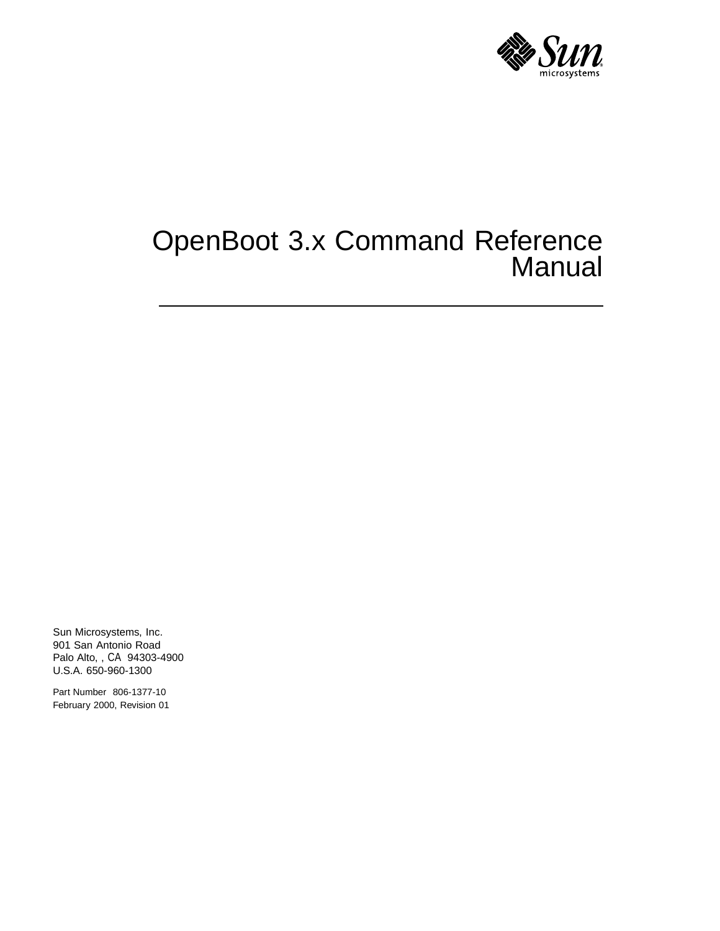

# OpenBoot 3.x Command Reference Manual

Sun Microsystems, Inc. 901 San Antonio Road Palo Alto, , CA 94303-4900 U.S.A. 650-960-1300

Part Number 806-1377-10 February 2000, Revision 01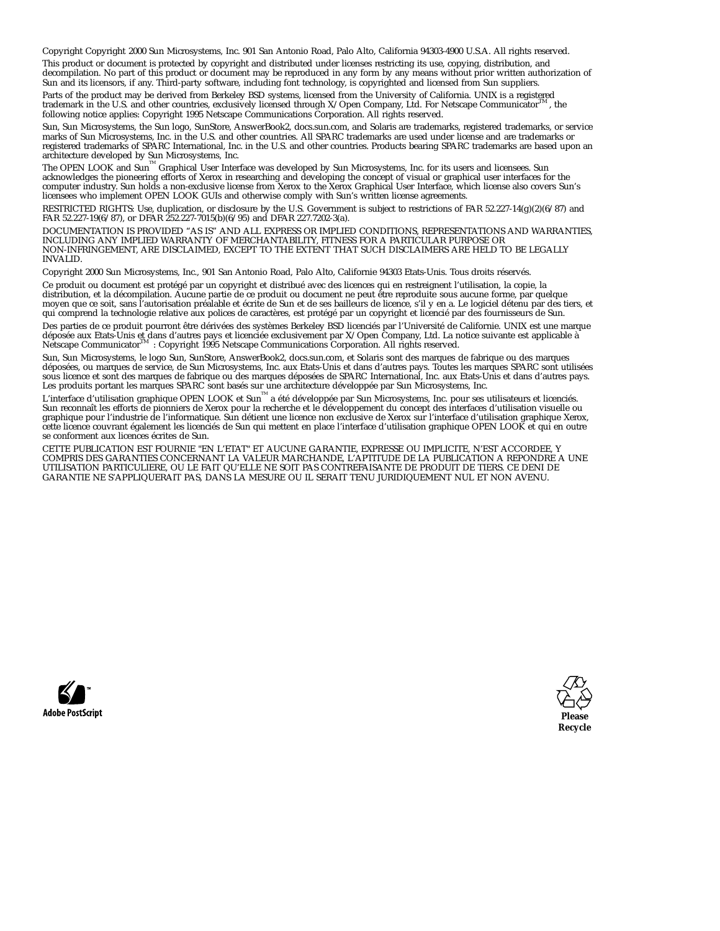Copyright Copyright 2000 Sun Microsystems, Inc. 901 San Antonio Road, Palo Alto, California 94303-4900 U.S.A. All rights reserved.

This product or document is protected by copyright and distributed under licenses restricting its use, copying, distribution, and<br>decompilation. No part of this product or document may be reproduced in any form by any mean Sun and its licensors, if any. Third-party software, including font technology, is copyrighted and licensed from Sun suppliers.

Parts of the product may be derived from Berkeley BSD systems, licensed from the University of California. UNIX is a registered trademark in the U.S. and other countries, exclusively licensed through  $X/O$  pen Company. Ltd trademark in the U.S. and other countries, exclusively licensed through X/Open Company, Ltd. For Netscape Communicator following notice applies: Copyright 1995 Netscape Communications Corporation. All rights reserved.

Sun, Sun Microsystems, the Sun logo, SunStore, AnswerBook2, docs.sun.com, and Solaris are trademarks, registered trademarks, or service marks of Sun Microsystems, Inc. in the U.S. and other countries. All SPARC trademarks are used under license and are trademarks or<br>registered trademarks of SPARC International, Inc. in the U.S. and other countries. Product

architecture developed by Sun Microsystems, Inc.<br>The OPEN LOOK and Sun™ Graphical User Interface was developed by Sun Microsystems, Inc. for its users and licensees. Sun<br>acknowledges the pioneering efforts of Xerox in res licensees who implement OPEN LOOK GUIs and otherwise comply with Sun's written license agreements.

RESTRICTED RIGHTS: Use, duplication, or disclosure by the U.S. Government is subject to restrictions of FAR 52.227-14(g)(2)(6/87) and FAR 52.227-19(6/87), or DFAR 252.227-7015(b)(6/95) and DFAR 227.7202-3(a).

DOCUMENTATION IS PROVIDED "AS IS" AND ALL EXPRESS OR IMPLIED CONDITIONS, REPRESENTATIONS AND WARRANTIES,<br>INCLUDING ANY IMPLIED WARRANTY OF MERCHANTABILITY, FITNESS FOR A PARTICULAR PURPOSE OR<br>NON-INFRINGEMENT, ARE DISCLAIM INVALID.

Copyright 2000 Sun Microsystems, Inc., 901 San Antonio Road, Palo Alto, Californie 94303 Etats-Unis. Tous droits réservés.

Ce produit ou document est protégé par un copyright et distribué avec des licences qui en restreignent l'utilisation, la copie, la distribution, et la décompilation. Aucune partie de ce produit ou document ne peut être reproduite sous aucune forme, par quelque<br>moyen que ce soit, sans l'autorisation préalable et écrite de Sun et de ses bailleurs de lic qui comprend la technologie relative aux polices de caractères, est protégé par un copyright et licencié par des fournisseurs de Sun.

Des parties de ce produit pourront être dérivées des systèmes Berkeley BSD licenciés par l'Université de Californie. UNIX est une marque déposée aux Etats-Unis et dans d'autres pays et licenciée exclusivement par X/Open Company, Ltd. La notice suivante est applicable à<br>Netscape Communicator™ : Copyright 1995 Netscape Communications Corporation. All rights

Sun, Sun Microsystems, le logo Sun, SunStore, AnswerBook2, docs.sun.com, et Solaris sont des marques de fabrique ou des marques déposées, ou marques de service, de Sun Microsystems, Inc. aux Etats-Unis et dans d'autres pays. Toutes les marques SPARC sont utilisées sous licence et sont des marques de fabrique ou des marques déposées de SPARC International, Inc. aux Etats-Unis et dans d'autres pays.<br>Les produits portant les marques SPARC sont basés sur une architecture développée par

Sun reconnaît les efforts de pionniers de Xerox pour la recherche et le développement du concept des interfaces d'utilisation visuelle ou<br>graphique pour l'industrie de l'informatique. Sun détient une licence non exclusive cette licence couvrant également les licenciés de Sun qui mettent en place l'interface d'utilisation graphique OPEN LOOK et qui en outre se conforment aux licences écrites de Sun.

CETTE PUBLICATION EST FOURNIE "EN L'ETAT" ET AUCUNE GARANTIE, EXPRESSE OU IMPLICITE, N'EST ACCORDEE, Y COMPRIS DES GARANTIES CONCERNANT LA VALEUR MARCHANDE, L'APTITUDE DE LA PUBLICATION A REPONDRE A UNE UTILISATION PARTICULIERE, OU LE FAIT QU'ELLE NE SOIT PAS CONTREFAISANTE DE PRODUIT DE TIERS. CE DENI DE GARANTIE NE S'APPLIQUERAIT PAS, DANS LA MESURE OU IL SERAIT TENU JURIDIQUEMENT NUL ET NON AVENU.



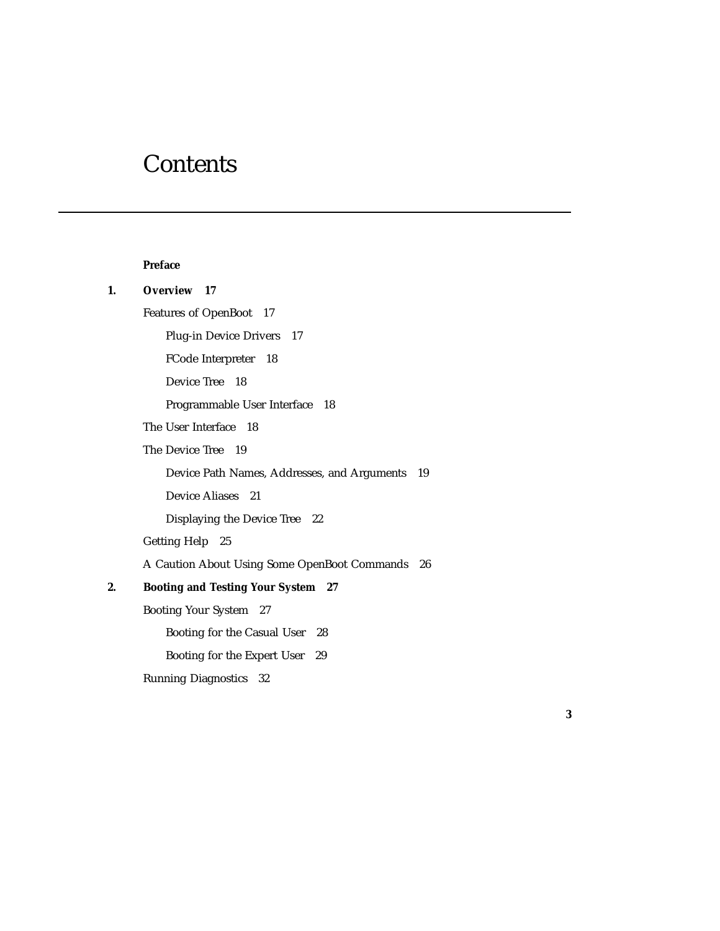# **Contents**

#### **Preface**

### **1. Overview 17** Features of OpenBoot 17 Plug-in Device Drivers 17 FCode Interpreter 18 Device Tree 18 Programmable User Interface 18

The User Interface 18

The Device Tree 19

Device Path Names, Addresses, and Arguments 19

Device Aliases 21

Displaying the Device Tree 22

Getting Help 25

A Caution About Using Some OpenBoot Commands 26

#### **2. Booting and Testing Your System 27**

Booting Your System 27

Booting for the Casual User 28

Booting for the Expert User 29

Running Diagnostics 32

**3**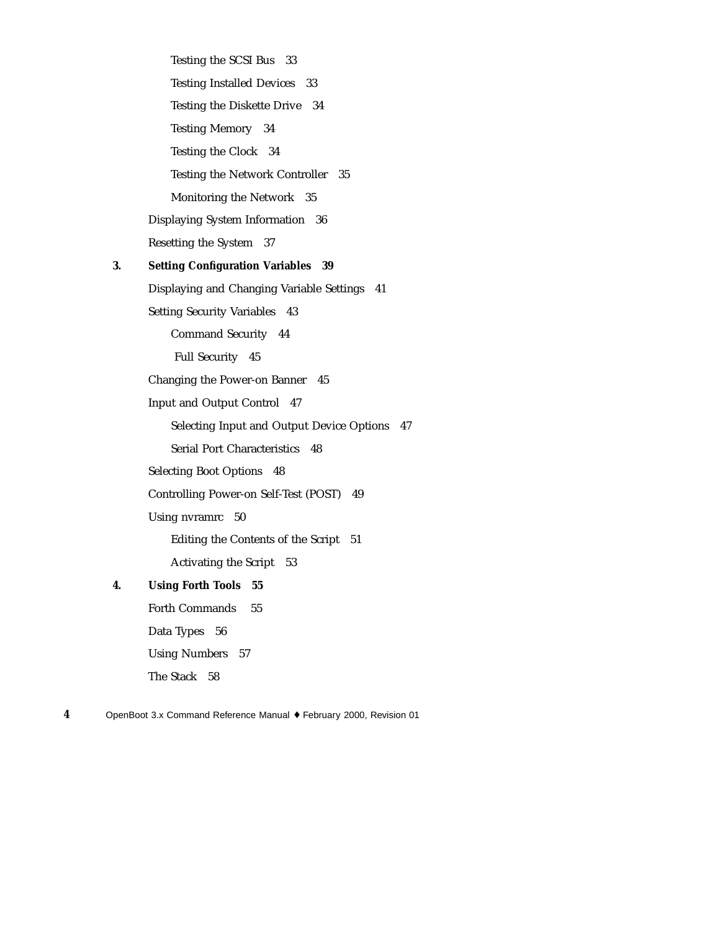Testing the SCSI Bus 33 Testing Installed Devices 33 Testing the Diskette Drive 34 Testing Memory 34 Testing the Clock 34 Testing the Network Controller 35 Monitoring the Network 35 Displaying System Information 36 Resetting the System 37 **3. Setting Configuration Variables 39** Displaying and Changing Variable Settings 41 Setting Security Variables 43 Command Security 44 Full Security 45 Changing the Power-on Banner 45 Input and Output Control 47 Selecting Input and Output Device Options 47 Serial Port Characteristics 48 Selecting Boot Options 48 Controlling Power-on Self-Test (POST) 49 Using nvramrc 50 Editing the Contents of the Script 51 Activating the Script 53 **4. Using Forth Tools 55** Forth Commands 55 Data Types 56 Using Numbers 57 The Stack 58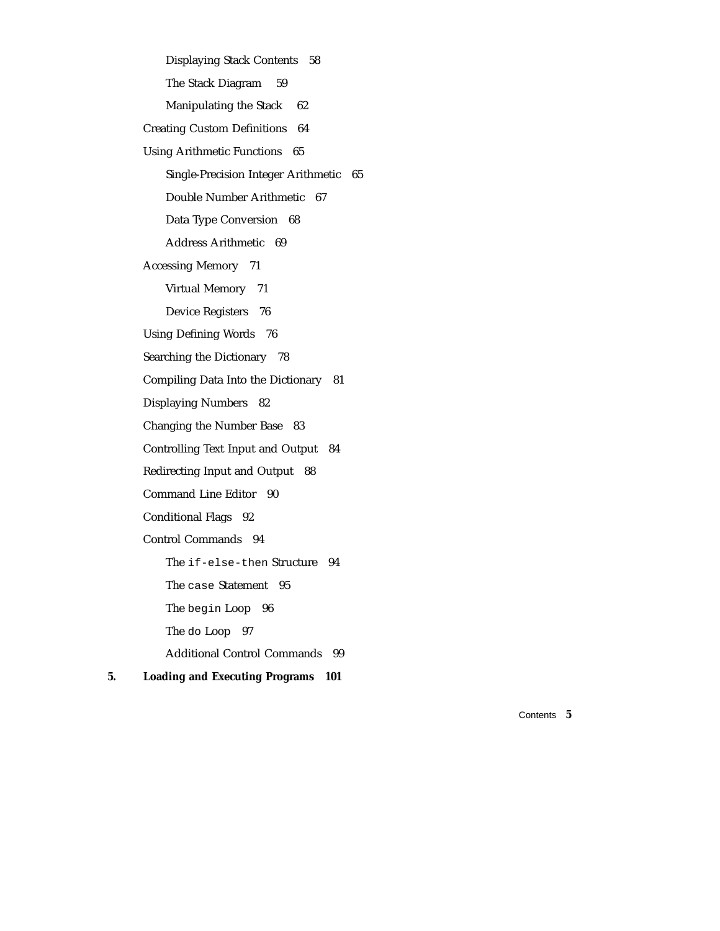Displaying Stack Contents 58 The Stack Diagram 59 Manipulating the Stack 62 Creating Custom Definitions 64 Using Arithmetic Functions 65 Single-Precision Integer Arithmetic 65 Double Number Arithmetic 67 Data Type Conversion 68 Address Arithmetic 69 Accessing Memory 71 Virtual Memory 71 Device Registers 76 Using Defining Words 76 Searching the Dictionary 78 Compiling Data Into the Dictionary 81 Displaying Numbers 82 Changing the Number Base 83 Controlling Text Input and Output 84 Redirecting Input and Output 88 Command Line Editor 90 Conditional Flags 92 Control Commands 94 The if-else-then Structure 94 The case Statement 95 The begin Loop 96 The do Loop 97 Additional Control Commands 99 **5. Loading and Executing Programs 101**

Contents **5**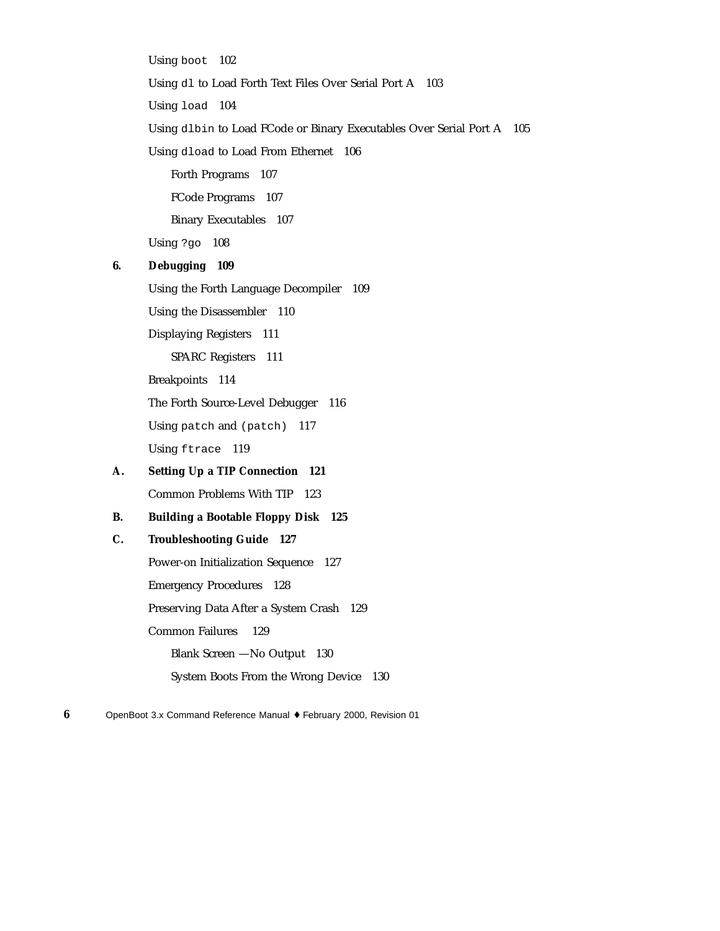Using boot 102 Using dl to Load Forth Text Files Over Serial Port A 103 Using load 104 Using dlbin to Load FCode or Binary Executables Over Serial Port A 105 Using dload to Load From Ethernet 106 Forth Programs 107 FCode Programs 107 Binary Executables 107 Using ?go 108 **6. Debugging 109** Using the Forth Language Decompiler 109 Using the Disassembler 110 Displaying Registers 111 SPARC Registers 111 Breakpoints 114 The Forth Source-Level Debugger 116 Using patch and (patch) 117 Using ftrace 119 **A. Setting Up a TIP Connection 121** Common Problems With TIP 123 **B. Building a Bootable Floppy Disk 125 C. Troubleshooting Guide 127** Power-on Initialization Sequence 127 Emergency Procedures 128 Preserving Data After a System Crash 129 Common Failures 129 Blank Screen —No Output 130 System Boots From the Wrong Device 130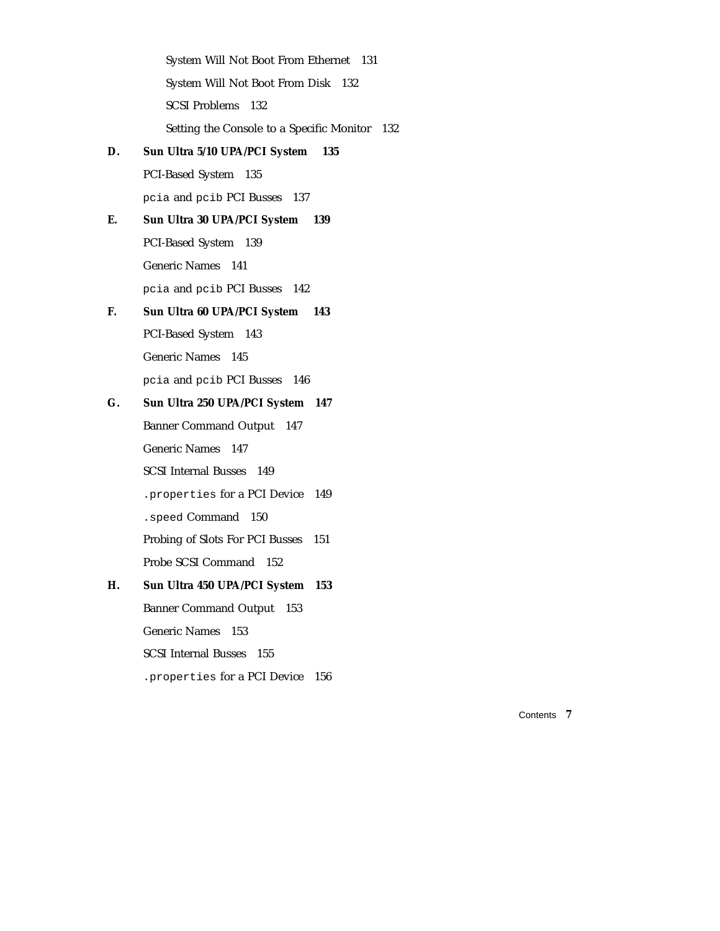|    | System Will Not Boot From Ethernet 131        |
|----|-----------------------------------------------|
|    | System Will Not Boot From Disk 132            |
|    | <b>SCSI Problems</b> 132                      |
|    | Setting the Console to a Specific Monitor 132 |
| D. | Sun Ultra 5/10 UPA/PCI System<br>135          |
|    | PCI-Based System 135                          |
|    | pcia and pcib PCI Busses 137                  |
| Е. | Sun Ultra 30 UPA/PCI System<br>139            |
|    | PCI-Based System 139                          |
|    | Generic Names 141                             |
|    | pcia and pcib PCI Busses 142                  |
| F. | Sun Ultra 60 UPA/PCI System<br>143            |
|    | PCI-Based System 143                          |
|    | Generic Names 145                             |
|    | pcia and pcib PCI Busses 146                  |
| G. | Sun Ultra 250 UPA/PCI System 147              |
|    | <b>Banner Command Output 147</b>              |
|    | Generic Names 147                             |
|    | <b>SCSI</b> Internal Busses 149               |
|    | . properties for a PCI Device 149             |
|    | . speed Command 150                           |
|    | Probing of Slots For PCI Busses<br>151        |
|    | Probe SCSI Command 152                        |
| Н. | Sun Ultra 450 UPA/PCI System<br>153           |
|    | <b>Banner Command Output</b><br>153           |
|    | <b>Generic Names</b><br>153                   |
|    | <b>SCSI Internal Busses</b><br>155            |
|    | . properties for a PCI Device<br>156          |

Contents **7**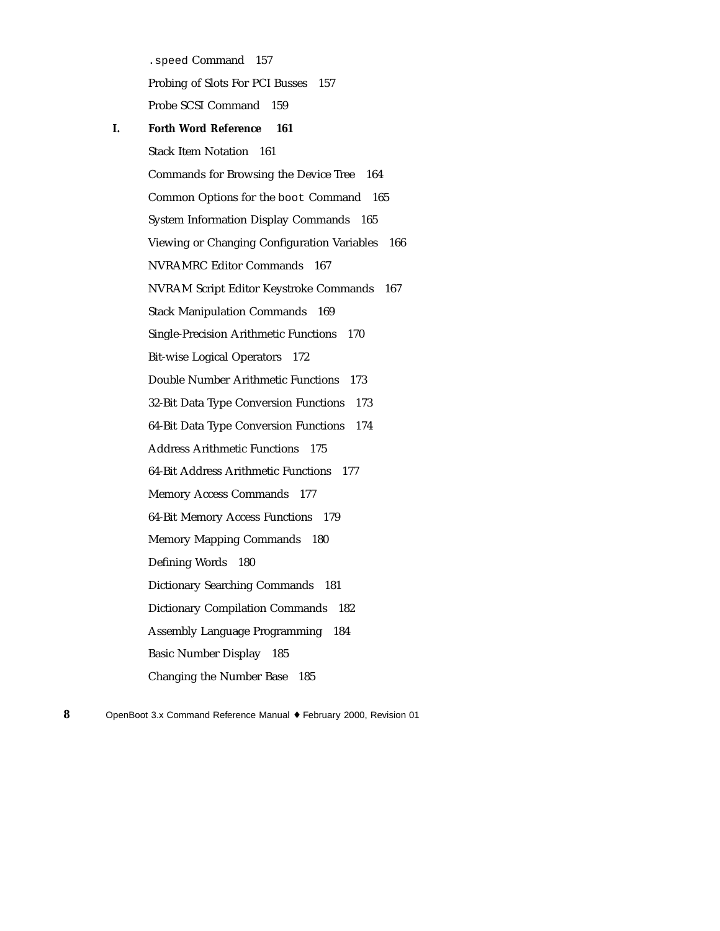.speed Command 157 Probing of Slots For PCI Busses 157 Probe SCSI Command 159 **I. Forth Word Reference 161** Stack Item Notation 161 Commands for Browsing the Device Tree 164 Common Options for the boot Command 165 System Information Display Commands 165 Viewing or Changing Configuration Variables 166 NVRAMRC Editor Commands 167 NVRAM Script Editor Keystroke Commands 167 Stack Manipulation Commands 169 Single-Precision Arithmetic Functions 170 Bit-wise Logical Operators 172 Double Number Arithmetic Functions 173 32-Bit Data Type Conversion Functions 173 64-Bit Data Type Conversion Functions 174 Address Arithmetic Functions 175 64-Bit Address Arithmetic Functions 177 Memory Access Commands 177 64-Bit Memory Access Functions 179 Memory Mapping Commands 180 Defining Words 180 Dictionary Searching Commands 181 Dictionary Compilation Commands 182 Assembly Language Programming 184 Basic Number Display 185 Changing the Number Base 185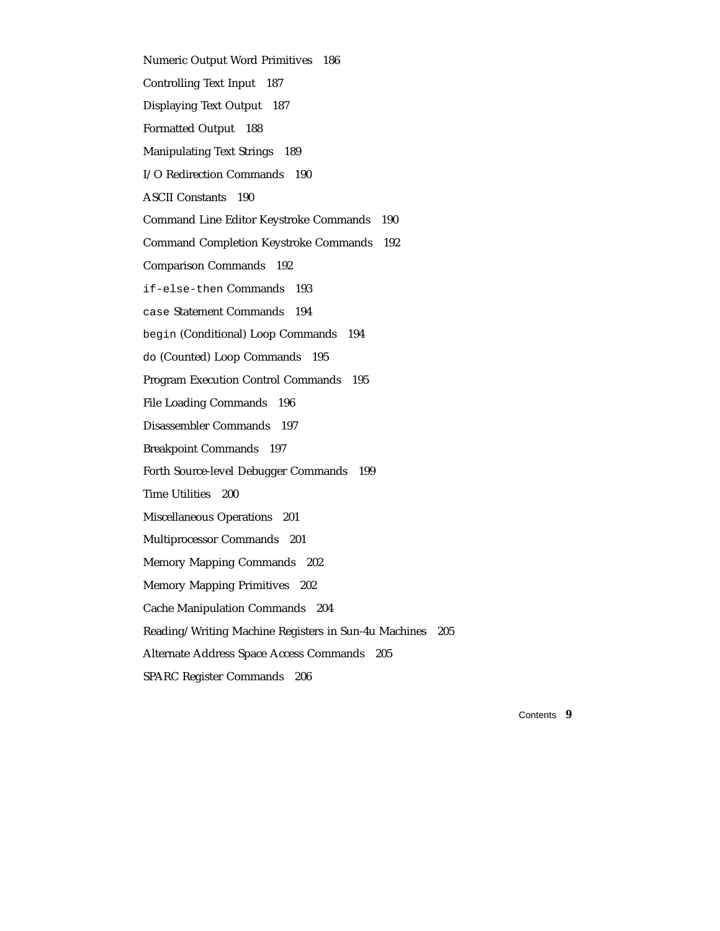Numeric Output Word Primitives 186 Controlling Text Input 187 Displaying Text Output 187 Formatted Output 188 Manipulating Text Strings 189 I/O Redirection Commands 190 ASCII Constants 190 Command Line Editor Keystroke Commands 190 Command Completion Keystroke Commands 192 Comparison Commands 192 if-else-then Commands 193 case Statement Commands 194 begin (Conditional) Loop Commands 194 do (Counted) Loop Commands 195 Program Execution Control Commands 195 File Loading Commands 196 Disassembler Commands 197 Breakpoint Commands 197 Forth Source-level Debugger Commands 199 Time Utilities 200 Miscellaneous Operations 201 Multiprocessor Commands 201 Memory Mapping Commands 202 Memory Mapping Primitives 202 Cache Manipulation Commands 204 Reading/Writing Machine Registers in Sun-4u Machines 205 Alternate Address Space Access Commands 205 SPARC Register Commands 206

Contents **9**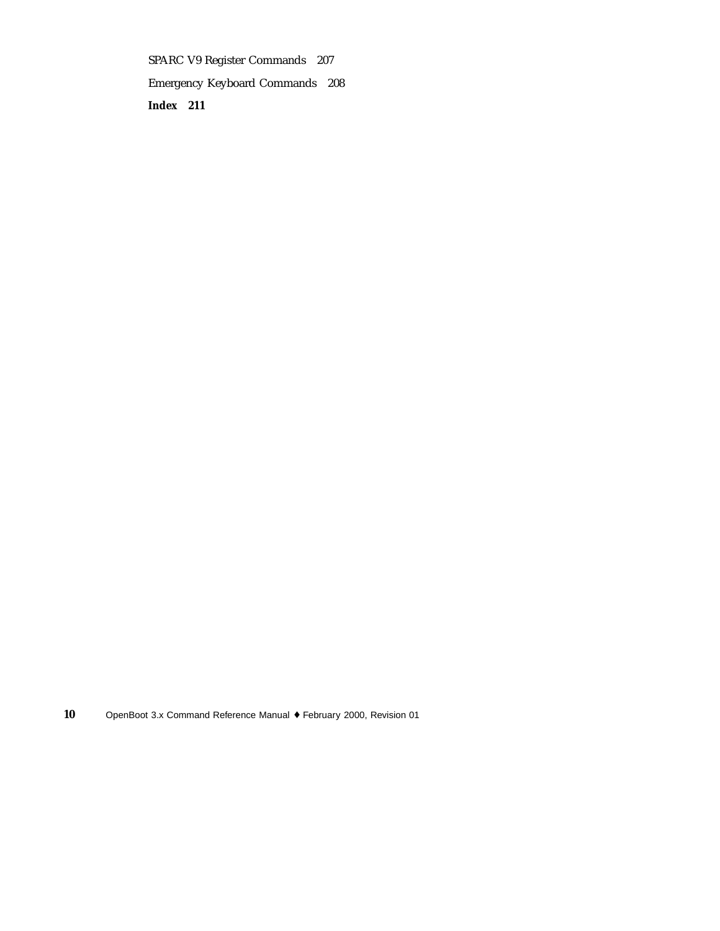SPARC V9 Register Commands 207 Emergency Keyboard Commands 208 **Index 211**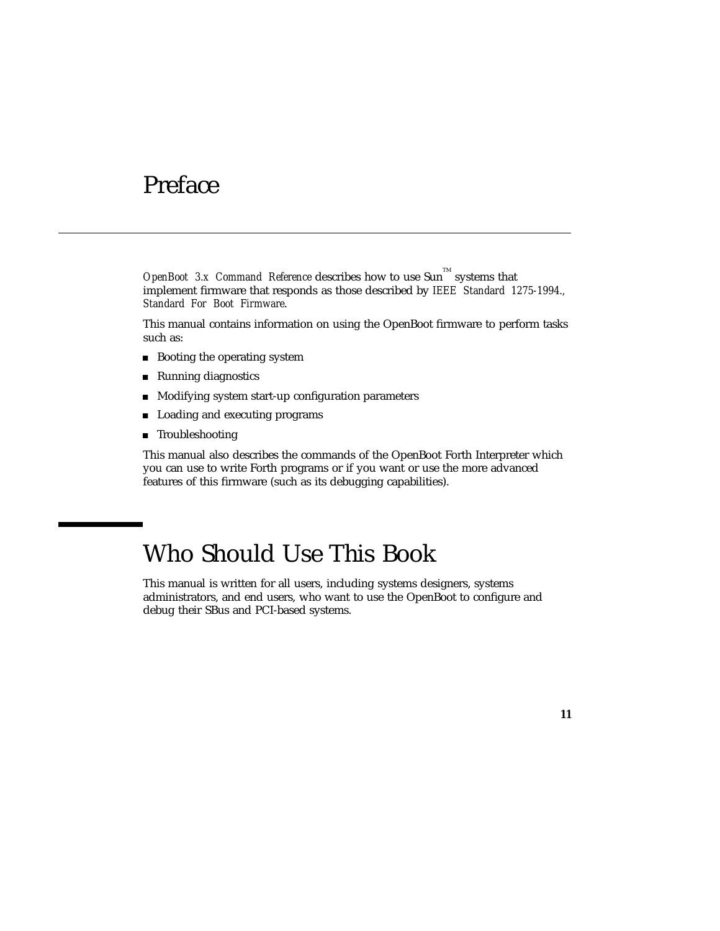# Preface

*OpenBoot 3.x Command Reference* describes how to use Sun<sup> $M$ </sup> systems that implement firmware that responds as those described by *IEEE Standard 1275-1994., Standard For Boot Firmware*.

This manual contains information on using the OpenBoot firmware to perform tasks such as:

- **Booting the operating system**
- Running diagnostics
- **Modifying system start-up configuration parameters**
- **Loading and executing programs**
- **Troubleshooting**

This manual also describes the commands of the OpenBoot Forth Interpreter which you can use to write Forth programs or if you want or use the more advanced features of this firmware (such as its debugging capabilities).

# Who Should Use This Book

This manual is written for all users, including systems designers, systems administrators, and end users, who want to use the OpenBoot to configure and debug their SBus and PCI-based systems.

**11**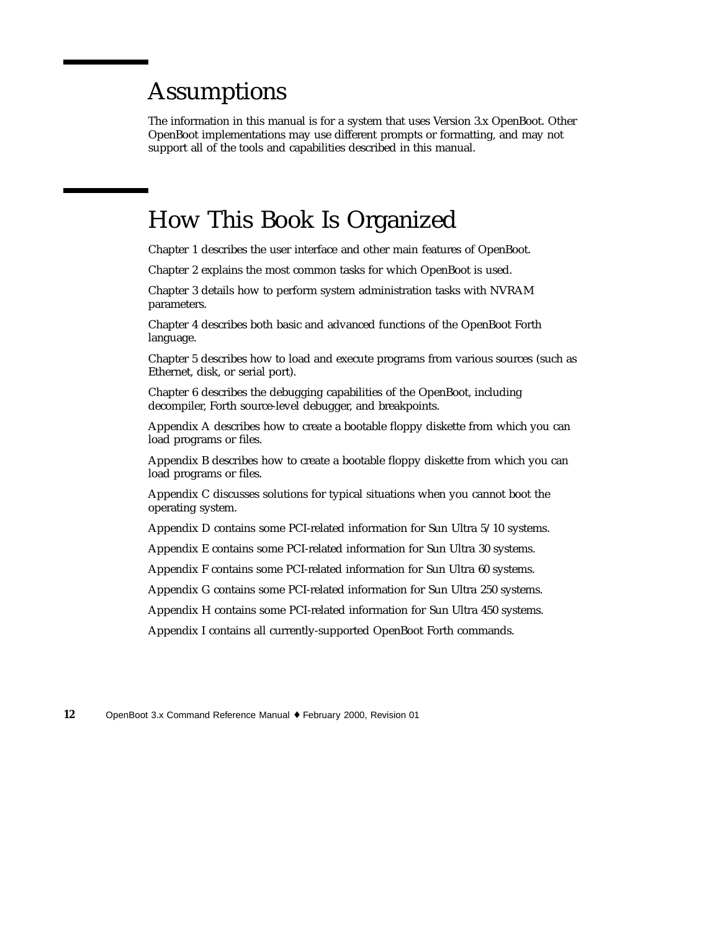# Assumptions

The information in this manual is for a system that uses Version 3.x OpenBoot. Other OpenBoot implementations may use different prompts or formatting, and may not support all of the tools and capabilities described in this manual.

### How This Book Is Organized

Chapter 1 describes the user interface and other main features of OpenBoot.

Chapter 2 explains the most common tasks for which OpenBoot is used.

Chapter 3 details how to perform system administration tasks with NVRAM parameters.

Chapter 4 describes both basic and advanced functions of the OpenBoot Forth language.

Chapter 5 describes how to load and execute programs from various sources (such as Ethernet, disk, or serial port).

Chapter 6 describes the debugging capabilities of the OpenBoot, including decompiler, Forth source-level debugger, and breakpoints.

Appendix A describes how to create a bootable floppy diskette from which you can load programs or files.

Appendix B describes how to create a bootable floppy diskette from which you can load programs or files.

Appendix C discusses solutions for typical situations when you cannot boot the operating system.

Appendix D contains some PCI-related information for Sun Ultra 5/10 systems.

Appendix E contains some PCI-related information for Sun Ultra 30 systems.

Appendix F contains some PCI-related information for Sun Ultra 60 systems.

Appendix G contains some PCI-related information for Sun Ultra 250 systems.

Appendix H contains some PCI-related information for Sun Ultra 450 systems.

Appendix I contains all currently-supported OpenBoot Forth commands.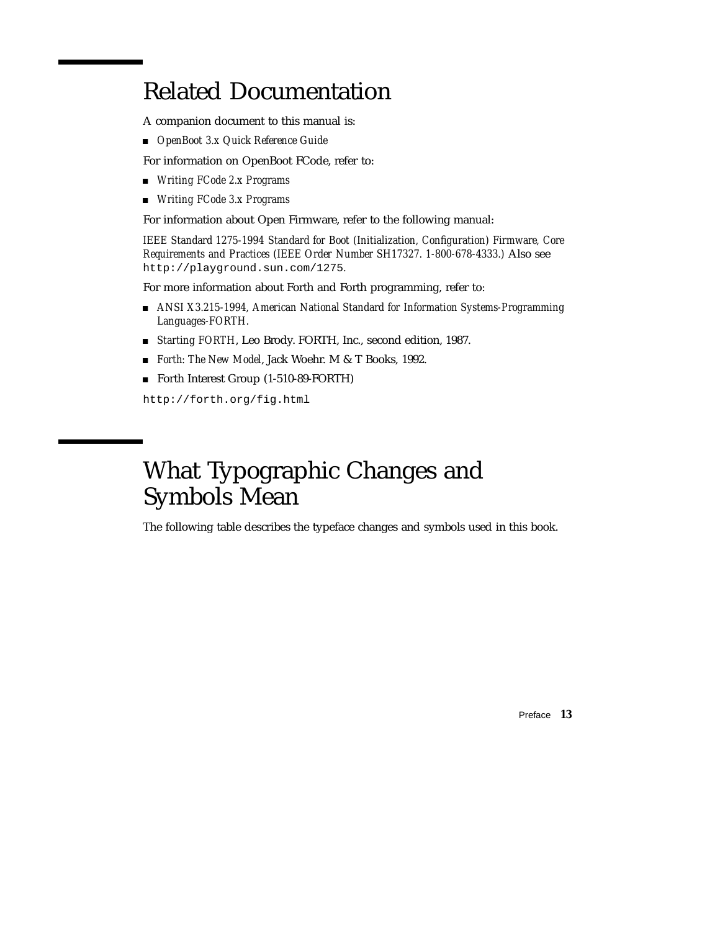# Related Documentation

A companion document to this manual is:

*OpenBoot 3.x Quick Reference Guide*

For information on OpenBoot FCode, refer to:

- *Writing FCode 2.x Programs*
- *Writing FCode 3.x Programs*

For information about Open Firmware, refer to the following manual:

*IEEE Standard 1275-1994 Standard for Boot (Initialization, Configuration) Firmware, Core Requirements and Practices (IEEE Order Number SH17327. 1-800-678-4333.)* Also see http://playground.sun.com/1275*.*

For more information about Forth and Forth programming, refer to:

- *ANSI X3.215-1994, American National Standard for Information Systems-Programming Languages-FORTH.*
- *Starting FORTH*, Leo Brody. FORTH, Inc., second edition, 1987.
- *Forth: The New Model*, Jack Woehr. M & T Books, 1992.
- Forth Interest Group (1-510-89-FORTH)

http://forth.org/fig.html

# What Typographic Changes and Symbols Mean

The following table describes the typeface changes and symbols used in this book.

Preface **13**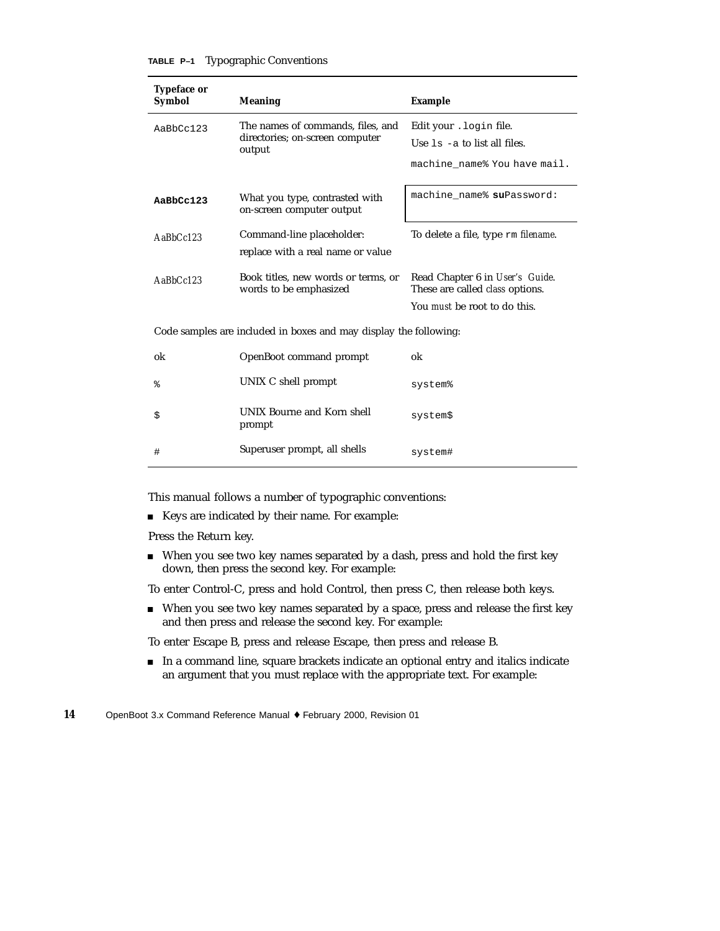| TABLE P-1 |  | <b>Typographic Conventions</b> |
|-----------|--|--------------------------------|
|-----------|--|--------------------------------|

| <b>Typeface or</b>                                                |                                                               |                                                                           |
|-------------------------------------------------------------------|---------------------------------------------------------------|---------------------------------------------------------------------------|
| <b>Symbol</b>                                                     | <b>Meaning</b>                                                | <b>Example</b>                                                            |
| AaBbCc123                                                         | The names of commands, files, and                             | Edit your . login file.                                                   |
|                                                                   | directories; on-screen computer<br>output                     | Use $1s$ -a to list all files.                                            |
|                                                                   |                                                               | machine_name% You have mail.                                              |
| AaBbCc123                                                         | What you type, contrasted with<br>on-screen computer output   | machine_name% suPassword:                                                 |
| $A$ aBb $Cc123$                                                   | Command-line placeholder:                                     | To delete a file, type rm <i>filename</i> .                               |
|                                                                   | replace with a real name or value                             |                                                                           |
| $A$ a $BbCc123$                                                   | Book titles, new words or terms, or<br>words to be emphasized | Read Chapter 6 in User's Guide.<br>These are called <i>class</i> options. |
|                                                                   |                                                               | You must be root to do this.                                              |
| Code samples are included in boxes and may display the following: |                                                               |                                                                           |
| ok                                                                | OpenBoot command prompt                                       | ok                                                                        |
| န့                                                                | UNIX C shell prompt                                           | system%                                                                   |
| \$                                                                | UNIX Bourne and Korn shell<br>prompt                          | system\$                                                                  |
| #                                                                 | Superuser prompt, all shells                                  | system#                                                                   |

This manual follows a number of typographic conventions:

Keys are indicated by their name. For example:

Press the Return key.

When you see two key names separated by a dash, press and hold the first key down, then press the second key. For example:

To enter Control-C, press and hold Control, then press C, then release both keys.

When you see two key names separated by a space, press and release the first key and then press and release the second key. For example:

To enter Escape B, press and release Escape, then press and release B.

 In a command line, square brackets indicate an optional entry and italics indicate an argument that you must replace with the appropriate text. For example: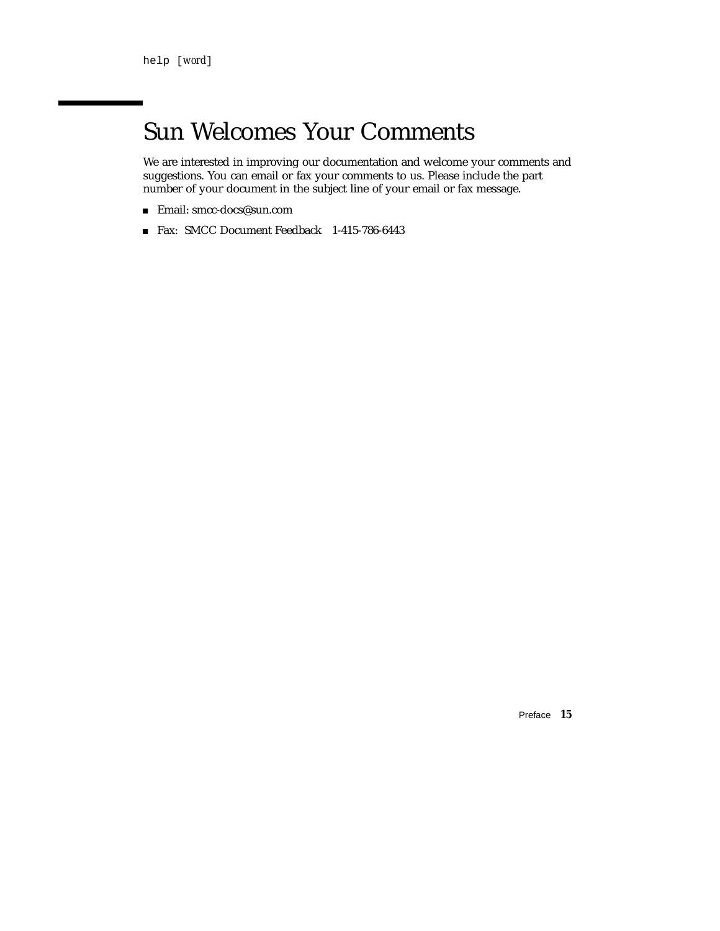# Sun Welcomes Your Comments

We are interested in improving our documentation and welcome your comments and suggestions. You can email or fax your comments to us. Please include the part number of your document in the subject line of your email or fax message.

- Email: smcc-docs@sun.com
- Fax: SMCC Document Feedback 1-415-786-6443

Preface **15**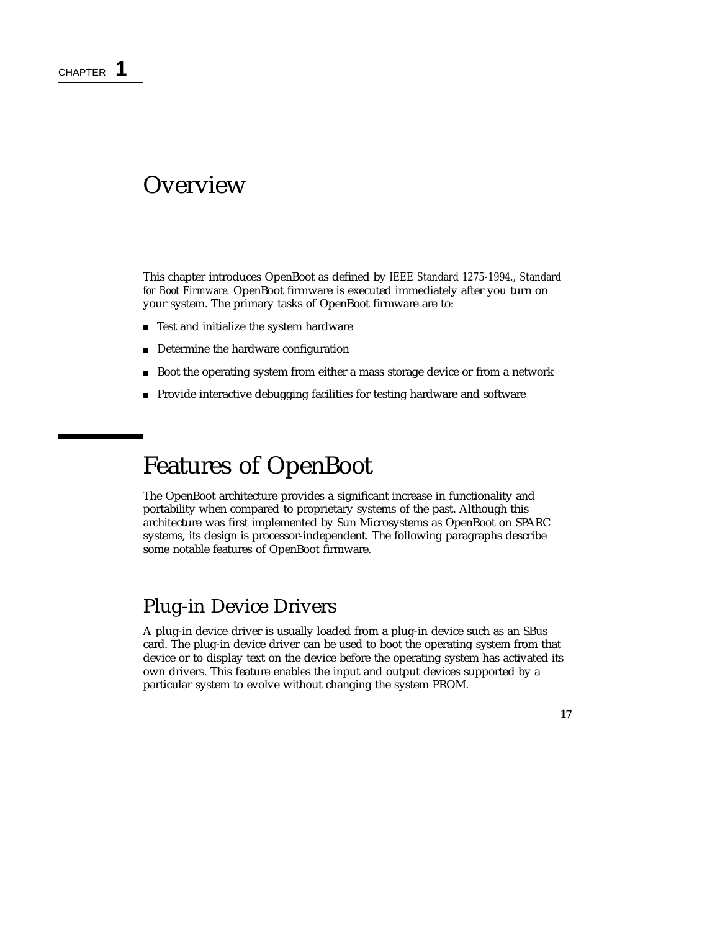### **Overview**

This chapter introduces OpenBoot as defined by *IEEE Standard 1275-1994., Standard for Boot Firmware.* OpenBoot firmware is executed immediately after you turn on your system. The primary tasks of OpenBoot firmware are to:

- Test and initialize the system hardware
- Determine the hardware configuration
- Boot the operating system from either a mass storage device or from a network
- **Provide interactive debugging facilities for testing hardware and software**

# Features of OpenBoot

The OpenBoot architecture provides a significant increase in functionality and portability when compared to proprietary systems of the past. Although this architecture was first implemented by Sun Microsystems as OpenBoot on SPARC systems, its design is processor-independent. The following paragraphs describe some notable features of OpenBoot firmware.

### Plug-in Device Drivers

A plug-in device driver is usually loaded from a plug-in device such as an SBus card. The plug-in device driver can be used to boot the operating system from that device or to display text on the device before the operating system has activated its own drivers. This feature enables the input and output devices supported by a particular system to evolve without changing the system PROM.

**17**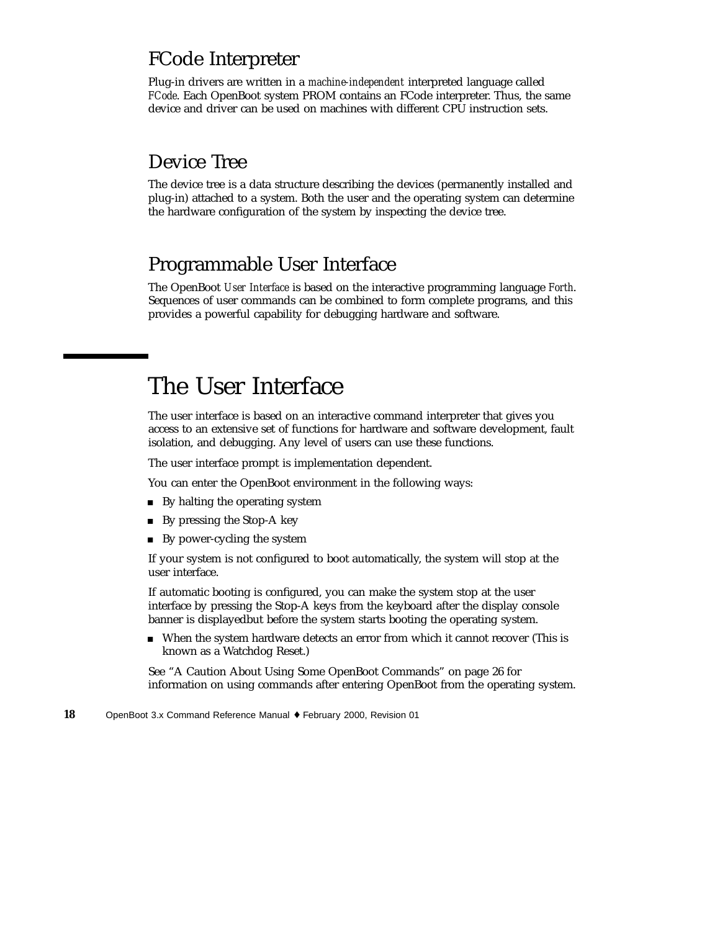### FCode Interpreter

Plug-in drivers are written in a *machine-independent* interpreted language called *FCode*. Each OpenBoot system PROM contains an FCode interpreter. Thus, the same device and driver can be used on machines with different CPU instruction sets.

### Device Tree

The device tree is a data structure describing the devices (permanently installed and plug-in) attached to a system. Both the user and the operating system can determine the hardware configuration of the system by inspecting the device tree.

### Programmable User Interface

The OpenBoot *User Interface* is based on the interactive programming language *Forth*. Sequences of user commands can be combined to form complete programs, and this provides a powerful capability for debugging hardware and software.

# The User Interface

The user interface is based on an interactive command interpreter that gives you access to an extensive set of functions for hardware and software development, fault isolation, and debugging. Any level of users can use these functions.

The user interface prompt is implementation dependent.

You can enter the OpenBoot environment in the following ways:

- By halting the operating system
- By pressing the Stop-A key
- By power-cycling the system

If your system is not configured to boot automatically, the system will stop at the user interface.

If automatic booting is configured, you can make the system stop at the user interface by pressing the Stop-A keys from the keyboard after the display console banner is displayedbut before the system starts booting the operating system.

 When the system hardware detects an error from which it cannot recover (This is known as a Watchdog Reset.)

See "A Caution About Using Some OpenBoot Commands" on page 26 for information on using commands after entering OpenBoot from the operating system.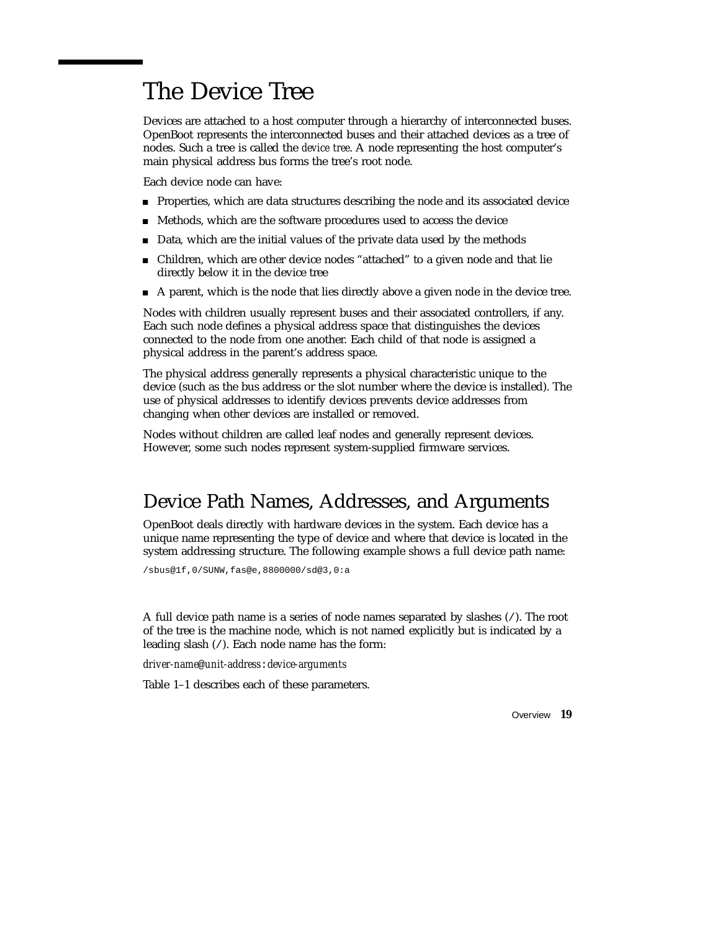### The Device Tree

Devices are attached to a host computer through a hierarchy of interconnected buses. OpenBoot represents the interconnected buses and their attached devices as a tree of nodes. Such a tree is called the *device tree*. A node representing the host computer's main physical address bus forms the tree's root node.

Each device node can have:

- **Properties, which are data structures describing the node and its associated device**
- Methods, which are the software procedures used to access the device
- Data, which are the initial values of the private data used by the methods
- Children, which are other device nodes "attached" to a given node and that lie directly below it in the device tree
- A parent, which is the node that lies directly above a given node in the device tree.

Nodes with children usually represent buses and their associated controllers, if any. Each such node defines a physical address space that distinguishes the devices connected to the node from one another. Each child of that node is assigned a physical address in the parent's address space.

The physical address generally represents a physical characteristic unique to the device (such as the bus address or the slot number where the device is installed). The use of physical addresses to identify devices prevents device addresses from changing when other devices are installed or removed.

Nodes without children are called leaf nodes and generally represent devices. However, some such nodes represent system-supplied firmware services.

### Device Path Names, Addresses, and Arguments

OpenBoot deals directly with hardware devices in the system. Each device has a unique name representing the type of device and where that device is located in the system addressing structure. The following example shows a full device path name:

/sbus@1f,0/SUNW,fas@e,8800000/sd@3,0:a

A full device path name is a series of node names separated by slashes (/). The root of the tree is the machine node, which is not named explicitly but is indicated by a leading slash (/). Each node name has the form:

*driver-name*@*unit-address*:*device-arguments*

Table 1–1 describes each of these parameters.

Overview **19**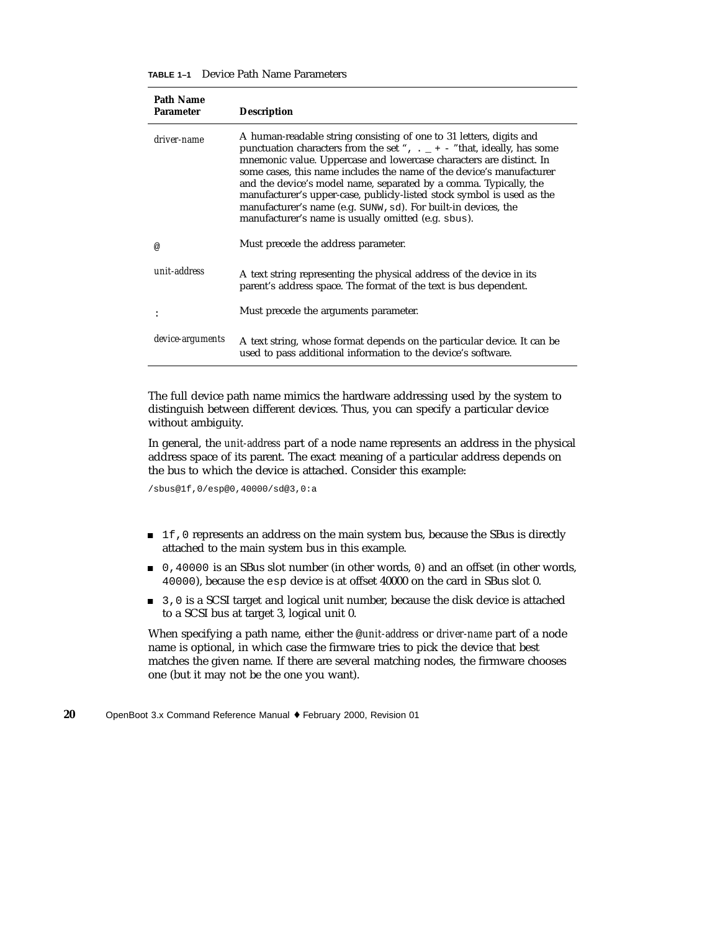| <b>Path Name</b><br><b>Parameter</b> | <b>Description</b>                                                                                                                                                                                                                                                                                                                                                                                                                                                                                                                                                          |
|--------------------------------------|-----------------------------------------------------------------------------------------------------------------------------------------------------------------------------------------------------------------------------------------------------------------------------------------------------------------------------------------------------------------------------------------------------------------------------------------------------------------------------------------------------------------------------------------------------------------------------|
| driver-name                          | A human-readable string consisting of one to 31 letters, digits and<br>punctuation characters from the set ", $\cdot$ _ + - "that, ideally, has some<br>mnemonic value. Uppercase and lowercase characters are distinct. In<br>some cases, this name includes the name of the device's manufacturer<br>and the device's model name, separated by a comma. Typically, the<br>manufacturer's upper-case, publicly-listed stock symbol is used as the<br>manufacturer's name (e.g. SUNW, sd). For built-in devices, the<br>manufacturer's name is usually omitted (e.g. sbus). |
| @                                    | Must precede the address parameter.                                                                                                                                                                                                                                                                                                                                                                                                                                                                                                                                         |
| unit-address                         | A text string representing the physical address of the device in its<br>parent's address space. The format of the text is bus dependent.                                                                                                                                                                                                                                                                                                                                                                                                                                    |
|                                      | Must precede the arguments parameter.                                                                                                                                                                                                                                                                                                                                                                                                                                                                                                                                       |
| device-arguments                     | A text string, whose format depends on the particular device. It can be<br>used to pass additional information to the device's software.                                                                                                                                                                                                                                                                                                                                                                                                                                    |

The full device path name mimics the hardware addressing used by the system to distinguish between different devices. Thus, you can specify a particular device without ambiguity.

In general, the *unit-address* part of a node name represents an address in the physical address space of its parent. The exact meaning of a particular address depends on the bus to which the device is attached. Consider this example:

/sbus@1f,0/esp@0,40000/sd@3,0:a

- 1f,0 represents an address on the main system bus, because the SBus is directly attached to the main system bus in this example.
- 0,40000 is an SBus slot number (in other words, 0) and an offset (in other words, 40000), because the esp device is at offset 40000 on the card in SBus slot 0.
- 3,0 is a SCSI target and logical unit number, because the disk device is attached to a SCSI bus at target 3, logical unit 0.

When specifying a path name, either the @*unit-address* or *driver-name* part of a node name is optional, in which case the firmware tries to pick the device that best matches the given name. If there are several matching nodes, the firmware chooses one (but it may not be the one you want).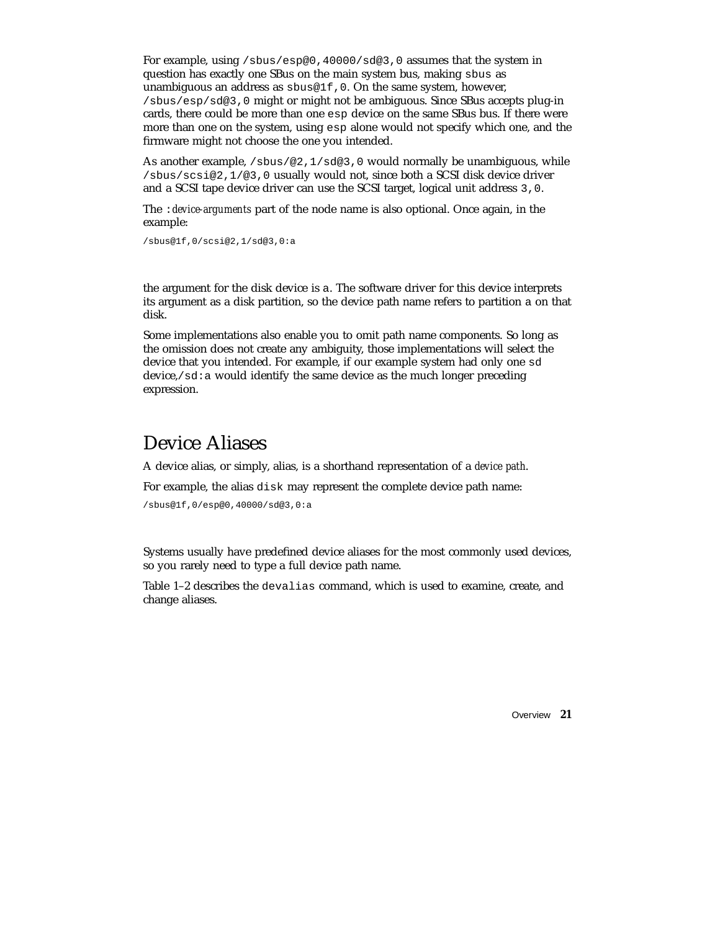For example, using /sbus/esp@0,40000/sd@3,0 assumes that the system in question has exactly one SBus on the main system bus, making sbus as unambiguous an address as sbus@1f,0. On the same system, however, /sbus/esp/sd@3,0 might or might not be ambiguous. Since SBus accepts plug-in cards, there could be more than one esp device on the same SBus bus. If there were more than one on the system, using esp alone would not specify which one, and the firmware might not choose the one you intended.

As another example, /sbus/@2,1/sd@3,0 would normally be unambiguous, while /sbus/scsi@2,1/@3,0 usually would not, since both a SCSI disk device driver and a SCSI tape device driver can use the SCSI target, logical unit address 3,0.

The :*device-arguments* part of the node name is also optional. Once again, in the example:

/sbus@1f,0/scsi@2,1/sd@3,0:a

the argument for the disk device is a. The software driver for this device interprets its argument as a disk partition, so the device path name refers to partition a on that disk.

Some implementations also enable you to omit path name components. So long as the omission does not create any ambiguity, those implementations will select the device that you intended. For example, if our example system had only one sd device,  $/\text{sd}:a$  would identify the same device as the much longer preceding expression.

#### Device Aliases

A device alias, or simply, alias, is a shorthand representation of a *device path*.

For example, the alias disk may represent the complete device path name:

/sbus@1f,0/esp@0,40000/sd@3,0:a

Systems usually have predefined device aliases for the most commonly used devices, so you rarely need to type a full device path name.

Table 1–2 describes the devalias command, which is used to examine, create, and change aliases.

Overview **21**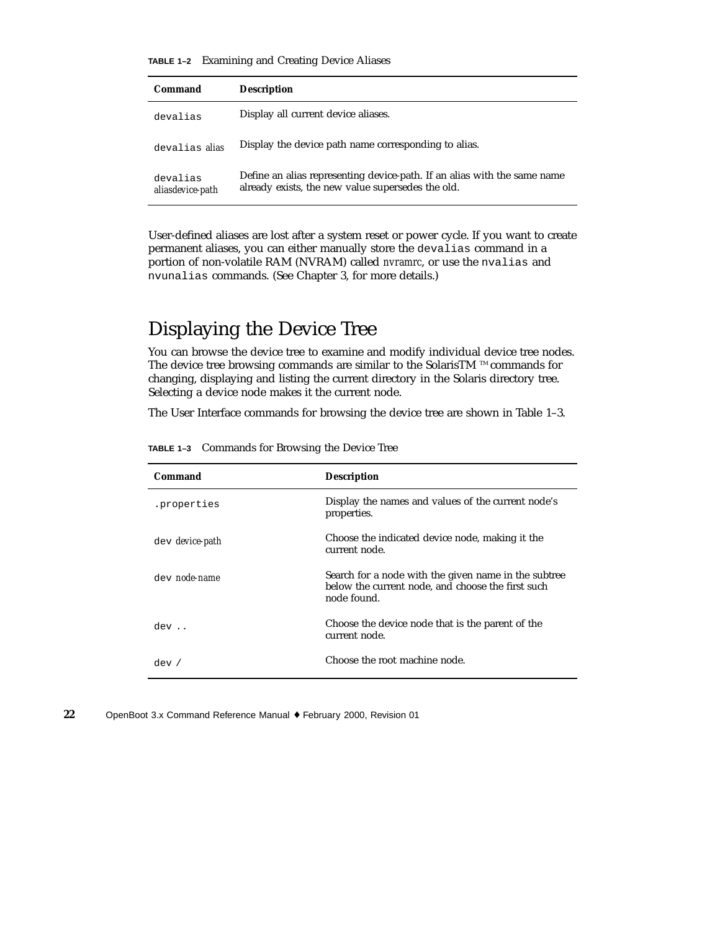**TABLE 1–2** Examining and Creating Device Aliases

| Command                      | <b>Description</b>                                                                                                            |
|------------------------------|-------------------------------------------------------------------------------------------------------------------------------|
| devalias                     | Display all current device aliases.                                                                                           |
| devalias alias               | Display the device path name corresponding to alias.                                                                          |
| devalias<br>aliasdevice-path | Define an alias representing device-path. If an alias with the same name<br>already exists, the new value supersedes the old. |

User-defined aliases are lost after a system reset or power cycle. If you want to create permanent aliases, you can either manually store the devalias command in a portion of non-volatile RAM (NVRAM) called *nvramrc*, or use the nvalias and nvunalias commands. (See Chapter 3, for more details.)

### Displaying the Device Tree

You can browse the device tree to examine and modify individual device tree nodes. The device tree browsing commands are similar to the SolarisTM  $\mathbb{M}$  commands for changing, displaying and listing the current directory in the Solaris directory tree. Selecting a device node makes it the current node.

The User Interface commands for browsing the device tree are shown in Table 1–3.

| Command                | <b>Description</b>                                                                                                       |
|------------------------|--------------------------------------------------------------------------------------------------------------------------|
| .properties            | Display the names and values of the current node's<br>properties.                                                        |
| dev <i>device-path</i> | Choose the indicated device node, making it the<br>current node.                                                         |
| dev node-name          | Search for a node with the given name in the subtree<br>below the current node, and choose the first such<br>node found. |
| dev                    | Choose the device node that is the parent of the<br>current node.                                                        |
| dev /                  | Choose the root machine node.                                                                                            |

**TABLE 1–3** Commands for Browsing the Device Tree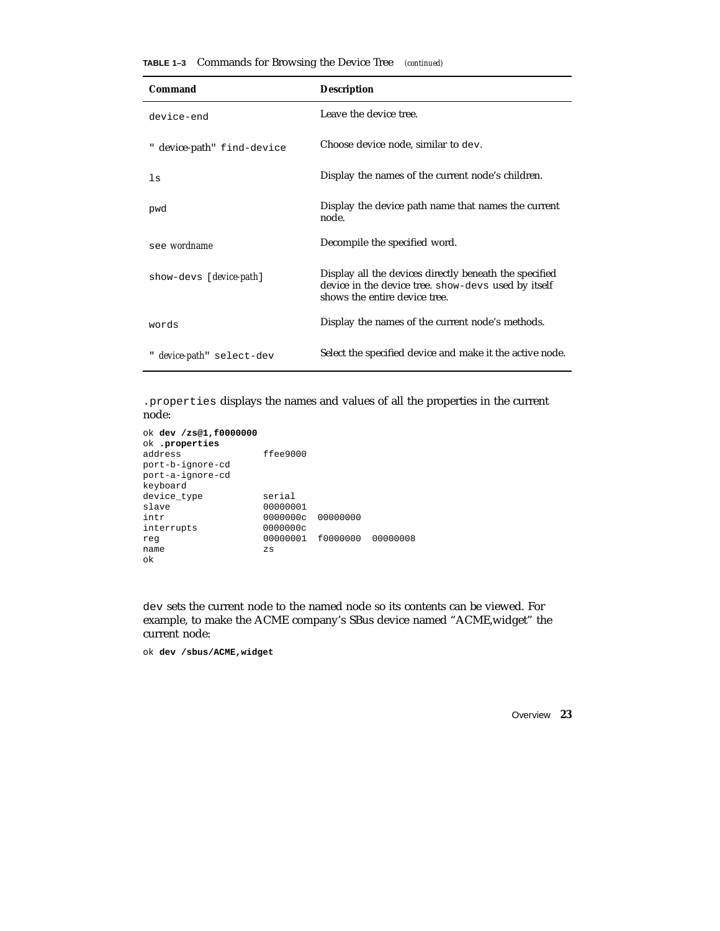| Command                           | <b>Description</b>                                                                                                                             |
|-----------------------------------|------------------------------------------------------------------------------------------------------------------------------------------------|
| device-end                        | Leave the device tree.                                                                                                                         |
| " device-path" find-device        | Choose device node, similar to dev.                                                                                                            |
| 1s                                | Display the names of the current node's children.                                                                                              |
| pwd                               | Display the device path name that names the current<br>node.                                                                                   |
| see wordname                      | Decompile the specified word.                                                                                                                  |
| show-devs [ <i>device-path</i> ]  | Display all the devices directly beneath the specified<br>device in the device tree. show-devs used by itself<br>shows the entire device tree. |
| words                             | Display the names of the current node's methods.                                                                                               |
| " <i>device-path</i> " select-dev | Select the specified device and make it the active node.                                                                                       |

**TABLE 1–3** Commands for Browsing the Device Tree *(continued)*

.properties displays the names and values of all the properties in the current node:

```
ok dev /zs@1,f0000000
ok .properties
address ffee9000
port-b-ignore-cd
port-a-ignore-cd
keyboard
device_type serial
slave 00000001
intr 0000000c 00000000
interrupts 0000000c
reg 00000001 f0000000 00000008
name zs
ok
```
dev sets the current node to the named node so its contents can be viewed. For example, to make the ACME company's SBus device named "ACME,widget" the current node:

ok **dev /sbus/ACME,widget**

Overview **23**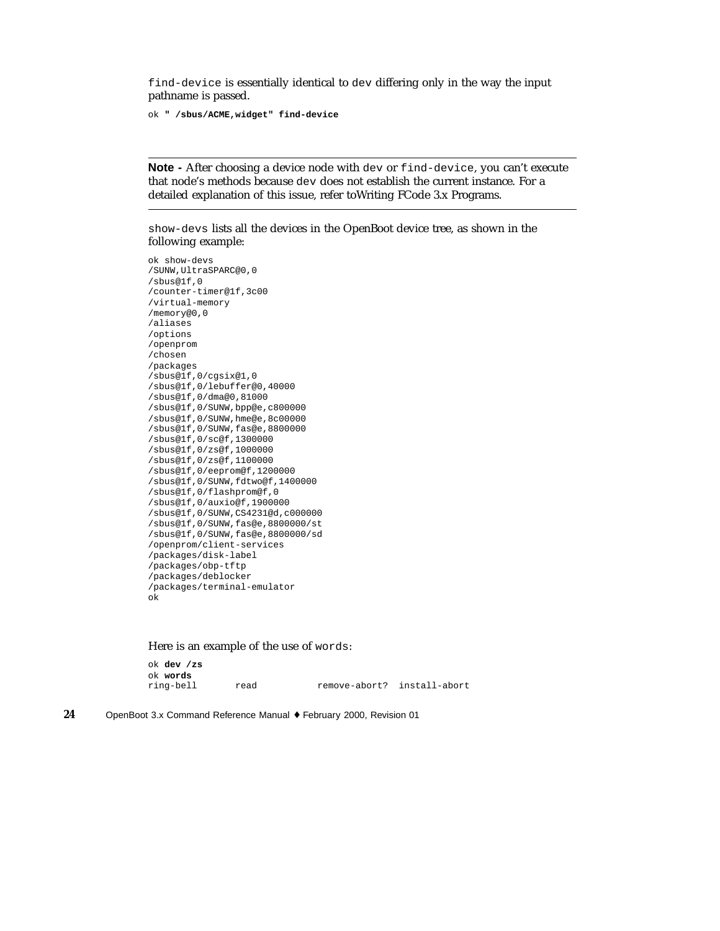find-device is essentially identical to dev differing only in the way the input pathname is passed.

ok **" /sbus/ACME,widget" find-device**

**Note -** After choosing a device node with dev or find-device, you can't execute that node's methods because dev does not establish the current instance. For a detailed explanation of this issue, refer toWriting FCode 3.x Programs.

show-devs lists all the devices in the OpenBoot device tree, as shown in the following example:

ok show-devs /SUNW,UltraSPARC@0,0 /sbus@1f,0 /counter-timer@1f,3c00 /virtual-memory /memory@0,0 /aliases /options /openprom /chosen /packages /sbus@1f,0/cgsix@1,0 /sbus@1f,0/lebuffer@0,40000 /sbus@1f,0/dma@0,81000 /sbus@1f,0/SUNW,bpp@e,c800000 /sbus@1f,0/SUNW,hme@e,8c00000 /sbus@1f,0/SUNW,fas@e,8800000 /sbus@1f,0/sc@f,1300000 /sbus@1f,0/zs@f,1000000 /sbus@1f,0/zs@f,1100000 /sbus@1f,0/eeprom@f,1200000 /sbus@1f,0/SUNW,fdtwo@f,1400000 /sbus@1f,0/flashprom@f,0 /sbus@1f,0/auxio@f,1900000 /sbus@1f,0/SUNW,CS4231@d,c000000 /sbus@1f,0/SUNW,fas@e,8800000/st /sbus@1f,0/SUNW,fas@e,8800000/sd /openprom/client-services /packages/disk-label /packages/obp-tftp /packages/deblocker /packages/terminal-emulator ok

Here is an example of the use of words:

ok **dev /zs** ok **words** read remove-abort? install-abort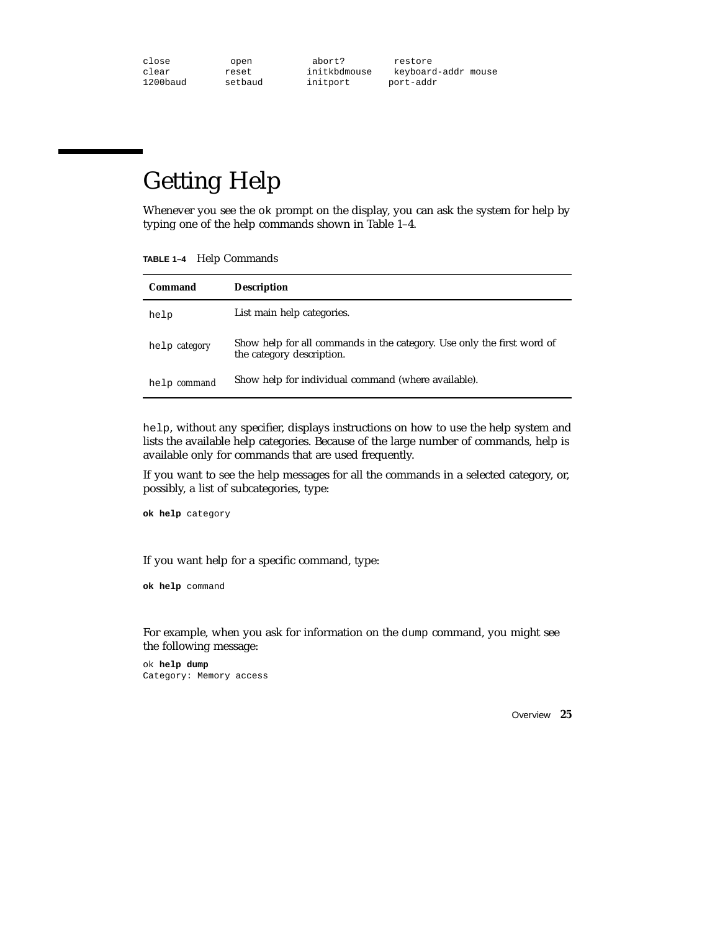| close    | open    | abort?       | restore             |  |
|----------|---------|--------------|---------------------|--|
| clear    | reset   | initkbdmouse | keyboard-addr mouse |  |
| 1200baud | setbaud | initport     | port-addr           |  |

# Getting Help

Whenever you see the  $\circ$ k prompt on the display, you can ask the system for help by typing one of the help commands shown in Table 1–4.

**TABLE 1–4** Help Commands

| Command       | <b>Description</b>                                                                                  |
|---------------|-----------------------------------------------------------------------------------------------------|
| help          | List main help categories.                                                                          |
| help category | Show help for all commands in the category. Use only the first word of<br>the category description. |
| help command  | Show help for individual command (where available).                                                 |

help, without any specifier, displays instructions on how to use the help system and lists the available help categories. Because of the large number of commands, help is available only for commands that are used frequently.

If you want to see the help messages for all the commands in a selected category, or, possibly, a list of subcategories, type:

**ok help** category

If you want help for a specific command, type:

**ok help** command

For example, when you ask for information on the dump command, you might see the following message:

ok **help dump** Category: Memory access

Overview **25**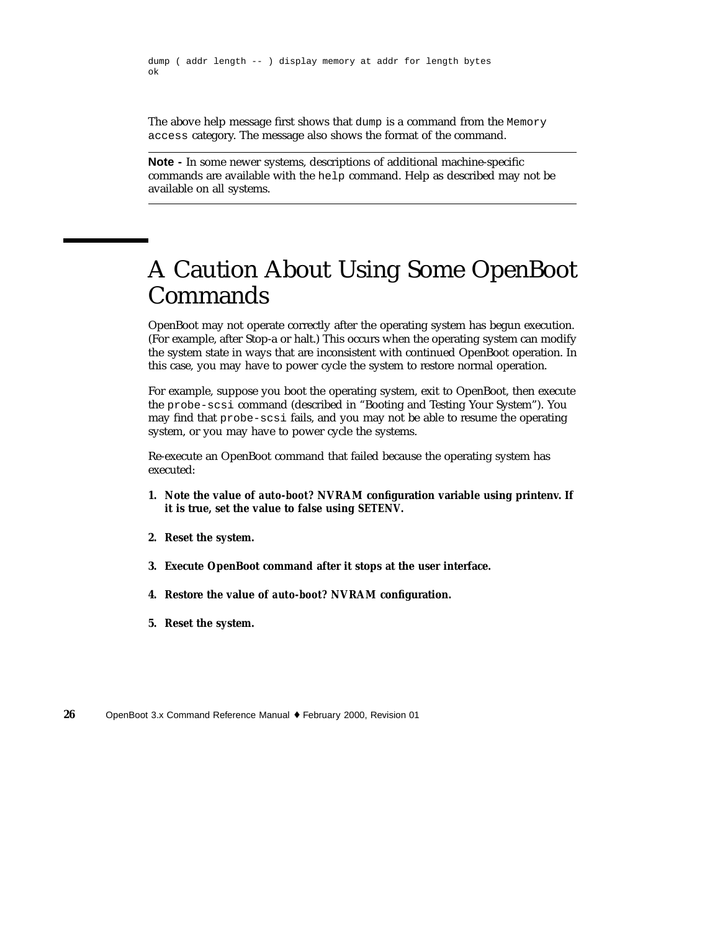dump ( addr length -- ) display memory at addr for length bytes ok

The above help message first shows that dump is a command from the Memory access category. The message also shows the format of the command.

**Note -** In some newer systems, descriptions of additional machine-specific commands are available with the help command. Help as described may not be available on all systems.

# A Caution About Using Some OpenBoot Commands

OpenBoot may not operate correctly after the operating system has begun execution. (For example, after Stop-a or halt.) This occurs when the operating system can modify the system state in ways that are inconsistent with continued OpenBoot operation. In this case, you may have to power cycle the system to restore normal operation.

For example, suppose you boot the operating system, exit to OpenBoot, then execute the probe-scsi command (described in "Booting and Testing Your System"). You may find that probe-scsi fails, and you may not be able to resume the operating system, or you may have to power cycle the systems.

Re-execute an OpenBoot command that failed because the operating system has executed:

- **1. Note the value of** *auto-boot?* **NVRAM configuration variable using printenv. If it is true, set the value to false using** *SETENV***.**
- **2. Reset the system.**
- **3. Execute OpenBoot command after it stops at the user interface.**
- **4. Restore the value of** *auto-boot?* **NVRAM configuration.**
- **5. Reset the system.**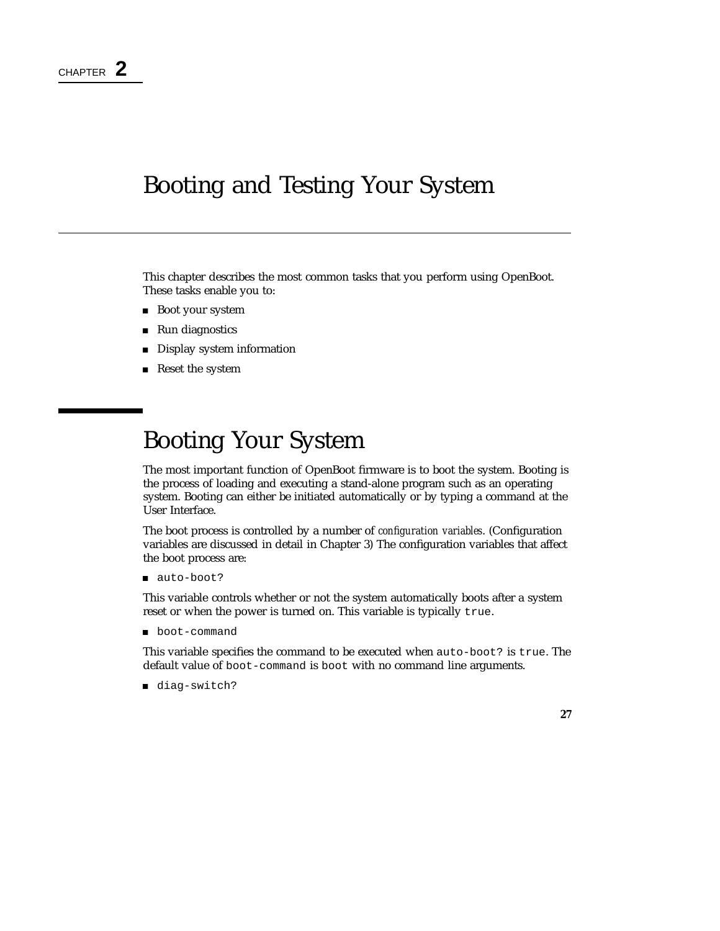### Booting and Testing Your System

This chapter describes the most common tasks that you perform using OpenBoot. These tasks enable you to:

- Boot your system
- Run diagnostics
- **Display system information**
- Reset the system

# Booting Your System

The most important function of OpenBoot firmware is to boot the system. Booting is the process of loading and executing a stand-alone program such as an operating system. Booting can either be initiated automatically or by typing a command at the User Interface.

The boot process is controlled by a number of *configuration variables*. (Configuration variables are discussed in detail in Chapter 3) The configuration variables that affect the boot process are:

■ auto-boot?

This variable controls whether or not the system automatically boots after a system reset or when the power is turned on. This variable is typically true.

**boot-command** 

This variable specifies the command to be executed when auto-boot? is true. The default value of boot-command is boot with no command line arguments.

diag-switch?

**27**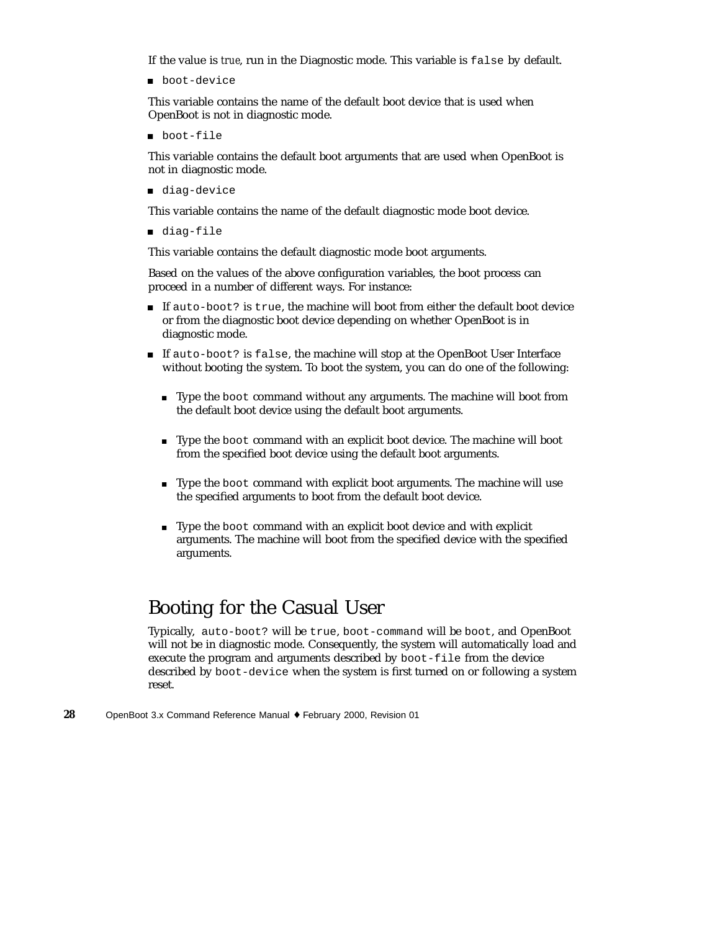If the value is *true*, run in the Diagnostic mode. This variable is false by default.

■ boot-device

This variable contains the name of the default boot device that is used when OpenBoot is not in diagnostic mode.

■ boot-file

This variable contains the default boot arguments that are used when OpenBoot is not in diagnostic mode.

diag-device

This variable contains the name of the default diagnostic mode boot device.

diag-file

This variable contains the default diagnostic mode boot arguments.

Based on the values of the above configuration variables, the boot process can proceed in a number of different ways. For instance:

- If auto-boot? is true, the machine will boot from either the default boot device or from the diagnostic boot device depending on whether OpenBoot is in diagnostic mode.
- If auto-boot? is false, the machine will stop at the OpenBoot User Interface without booting the system. To boot the system, you can do one of the following:
	- Type the boot command without any arguments. The machine will boot from the default boot device using the default boot arguments.
	- Type the boot command with an explicit boot device. The machine will boot from the specified boot device using the default boot arguments.
	- Type the boot command with explicit boot arguments. The machine will use the specified arguments to boot from the default boot device.
	- Type the boot command with an explicit boot device and with explicit arguments. The machine will boot from the specified device with the specified arguments.

### Booting for the Casual User

Typically, auto-boot? will be true, boot-command will be boot, and OpenBoot will not be in diagnostic mode. Consequently, the system will automatically load and execute the program and arguments described by boot-file from the device described by boot-device when the system is first turned on or following a system reset.

**<sup>28</sup>** OpenBoot 3.x Command Reference Manual ♦ February 2000, Revision 01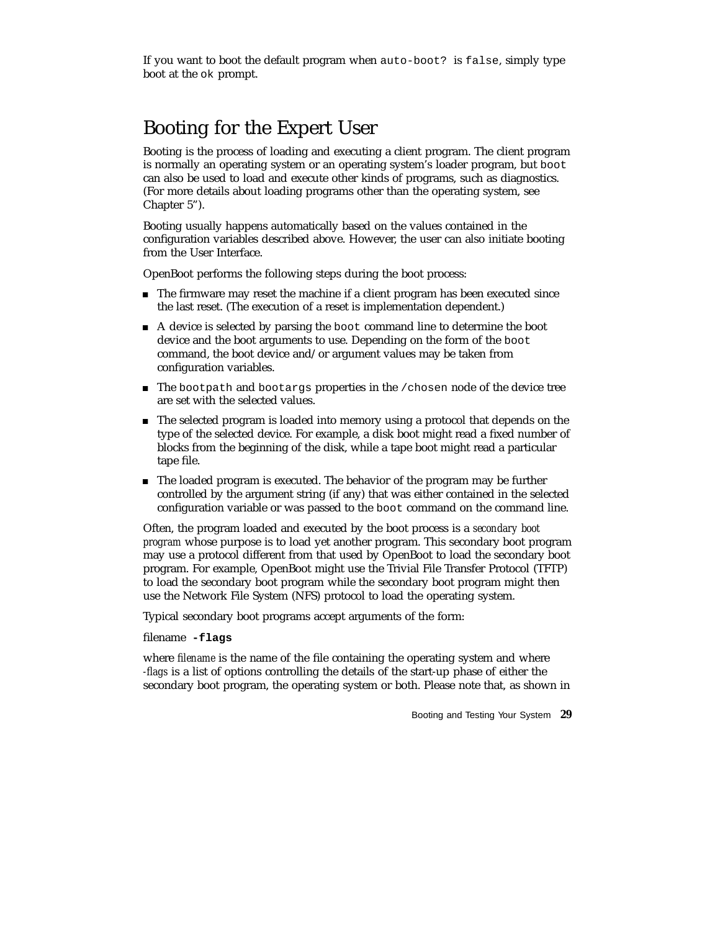If you want to boot the default program when auto-boot? is false, simply type boot at the ok prompt.

### Booting for the Expert User

Booting is the process of loading and executing a client program. The client program is normally an operating system or an operating system's loader program, but boot can also be used to load and execute other kinds of programs, such as diagnostics. (For more details about loading programs other than the operating system, see Chapter 5").

Booting usually happens automatically based on the values contained in the configuration variables described above. However, the user can also initiate booting from the User Interface.

OpenBoot performs the following steps during the boot process:

- The firmware may reset the machine if a client program has been executed since the last reset. (The execution of a reset is implementation dependent.)
- A device is selected by parsing the boot command line to determine the boot device and the boot arguments to use. Depending on the form of the boot command, the boot device and/or argument values may be taken from configuration variables.
- $\blacksquare$  The bootpath and bootargs properties in the /chosen node of the device tree are set with the selected values.
- The selected program is loaded into memory using a protocol that depends on the type of the selected device. For example, a disk boot might read a fixed number of blocks from the beginning of the disk, while a tape boot might read a particular tape file.
- The loaded program is executed. The behavior of the program may be further controlled by the argument string (if any) that was either contained in the selected configuration variable or was passed to the boot command on the command line.

Often, the program loaded and executed by the boot process is a *secondary boot program* whose purpose is to load yet another program. This secondary boot program may use a protocol different from that used by OpenBoot to load the secondary boot program. For example, OpenBoot might use the Trivial File Transfer Protocol (TFTP) to load the secondary boot program while the secondary boot program might then use the Network File System (NFS) protocol to load the operating system.

Typical secondary boot programs accept arguments of the form:

filename **-flags**

where *filename* is the name of the file containing the operating system and where *-flags* is a list of options controlling the details of the start-up phase of either the secondary boot program, the operating system or both. Please note that, as shown in

Booting and Testing Your System **29**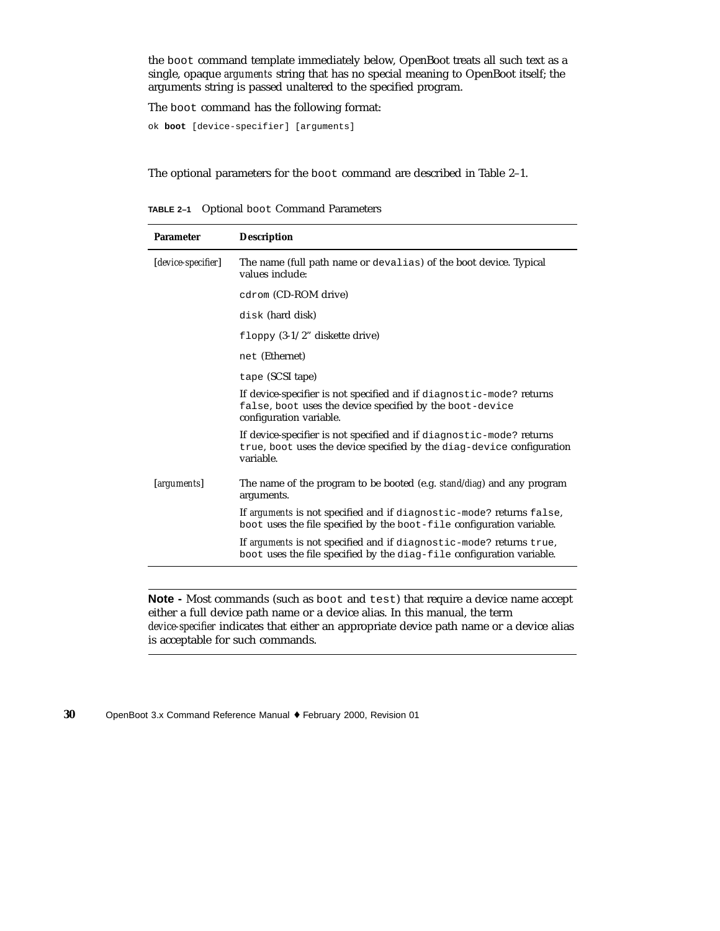the boot command template immediately below, OpenBoot treats all such text as a single, opaque *arguments* string that has no special meaning to OpenBoot itself; the arguments string is passed unaltered to the specified program.

The boot command has the following format:

ok **boot** [device-specifier] [arguments]

The optional parameters for the boot command are described in Table 2–1.

**TABLE 2–1** Optional boot Command Parameters

| <b>Parameter</b>   | <b>Description</b>                                                                                                                                          |
|--------------------|-------------------------------------------------------------------------------------------------------------------------------------------------------------|
| [device-specifier] | The name (full path name or devalias) of the boot device. Typical<br>values include:                                                                        |
|                    | cdrom (CD-ROM drive)                                                                                                                                        |
|                    | disk (hard disk)                                                                                                                                            |
|                    | floppy $(3-1/2)$ diskette drive)                                                                                                                            |
|                    | net (Ethernet)                                                                                                                                              |
|                    | tape (SCSI tape)                                                                                                                                            |
|                    | If device-specifier is not specified and if diagnostic-mode? returns<br>false, boot uses the device specified by the boot-device<br>configuration variable. |
|                    | If device-specifier is not specified and if diagnostic-mode? returns<br>true, boot uses the device specified by the diag-device configuration<br>variable.  |
| [arguments]        | The name of the program to be booted (e.g. stand/diag) and any program<br>arguments.                                                                        |
|                    | If arguments is not specified and if diagnostic-mode? returns false,<br>boot uses the file specified by the boot-file configuration variable.               |
|                    | If arguments is not specified and if diagnostic-mode? returns true,<br>boot uses the file specified by the diag-file configuration variable.                |
|                    |                                                                                                                                                             |

**Note -** Most commands (such as boot and test) that require a device name accept either a full device path name or a device alias. In this manual, the term *device-specifier* indicates that either an appropriate device path name or a device alias is acceptable for such commands.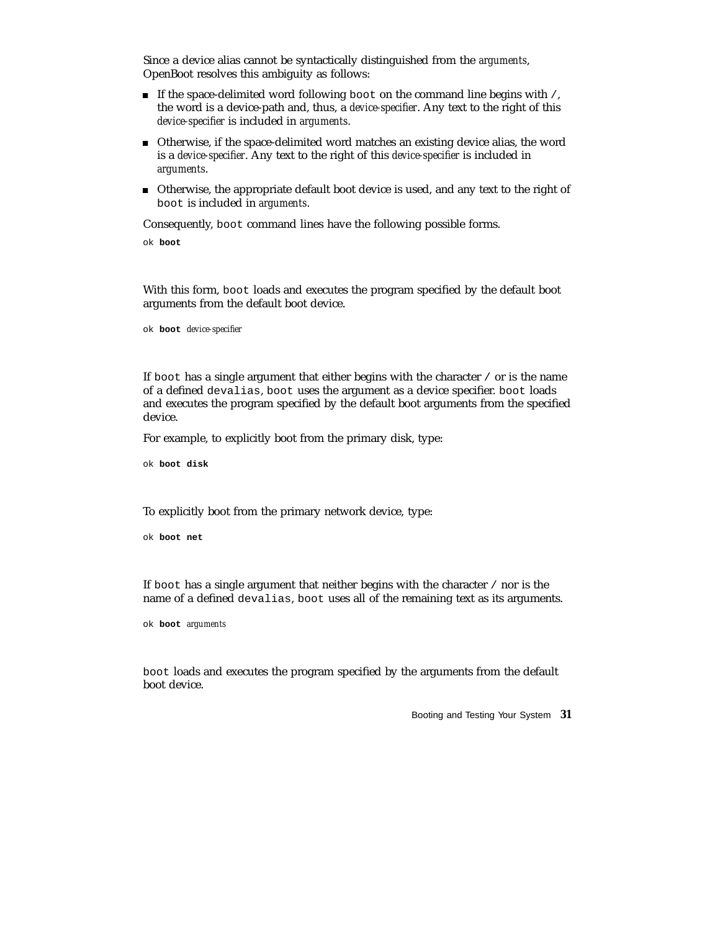Since a device alias cannot be syntactically distinguished from the *arguments*, OpenBoot resolves this ambiguity as follows:

- If the space-delimited word following boot on the command line begins with  $/$ , the word is a device-path and, thus, a *device-specifier*. Any text to the right of this *device-specifier* is included in *arguments*.
- Otherwise, if the space-delimited word matches an existing device alias, the word is a *device-specifier*. Any text to the right of this *device-specifier* is included in *arguments*.
- Otherwise, the appropriate default boot device is used, and any text to the right of boot is included in *arguments*.

Consequently, boot command lines have the following possible forms.

ok **boot**

With this form, boot loads and executes the program specified by the default boot arguments from the default boot device.

ok **boot** *device-specifier*

If boot has a single argument that either begins with the character / or is the name of a defined devalias, boot uses the argument as a device specifier. boot loads and executes the program specified by the default boot arguments from the specified device.

For example, to explicitly boot from the primary disk, type:

ok **boot disk**

To explicitly boot from the primary network device, type:

ok **boot net**

If boot has a single argument that neither begins with the character / nor is the name of a defined devalias, boot uses all of the remaining text as its arguments.

ok **boot** *arguments*

boot loads and executes the program specified by the arguments from the default boot device.

Booting and Testing Your System **31**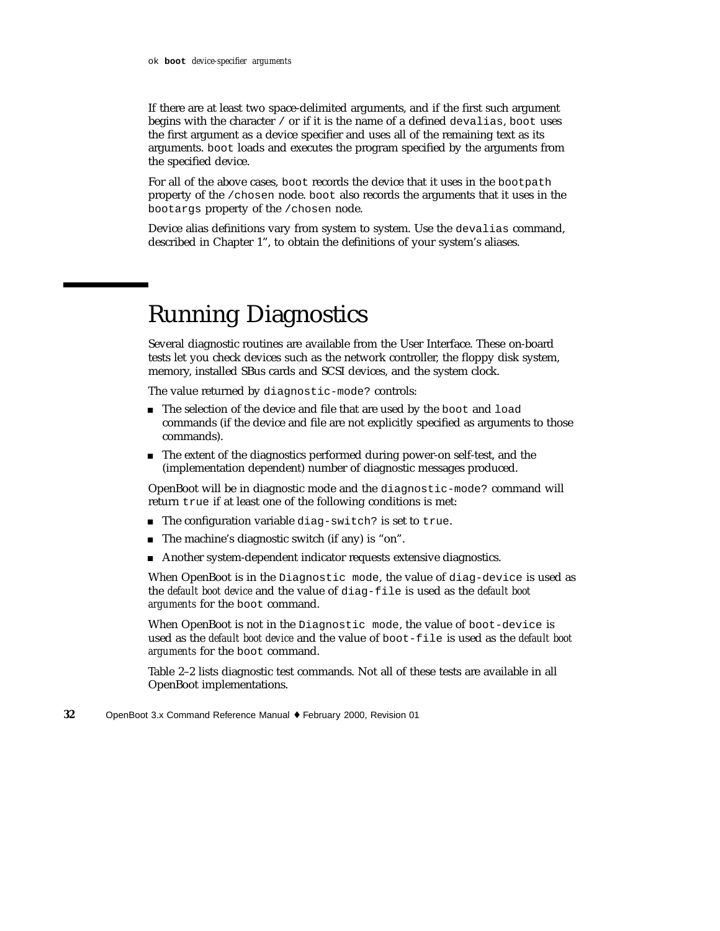If there are at least two space-delimited arguments, and if the first such argument begins with the character / or if it is the name of a defined devalias, boot uses the first argument as a device specifier and uses all of the remaining text as its arguments. boot loads and executes the program specified by the arguments from the specified device.

For all of the above cases, boot records the device that it uses in the bootpath property of the /chosen node. boot also records the arguments that it uses in the bootargs property of the /chosen node.

Device alias definitions vary from system to system. Use the devalias command, described in Chapter 1", to obtain the definitions of your system's aliases.

# Running Diagnostics

Several diagnostic routines are available from the User Interface. These on-board tests let you check devices such as the network controller, the floppy disk system, memory, installed SBus cards and SCSI devices, and the system clock.

The value returned by diagnostic-mode? controls:

- The selection of the device and file that are used by the boot and load commands (if the device and file are not explicitly specified as arguments to those commands).
- The extent of the diagnostics performed during power-on self-test, and the (implementation dependent) number of diagnostic messages produced.

OpenBoot will be in diagnostic mode and the diagnostic-mode? command will return true if at least one of the following conditions is met:

- The configuration variable diag-switch? is set to true.
- The machine's diagnostic switch (if any) is "on".
- Another system-dependent indicator requests extensive diagnostics.

When OpenBoot is in the Diagnostic mode, the value of diag-device is used as the *default boot device* and the value of diag-file is used as the *default boot arguments* for the boot command.

When OpenBoot is not in the Diagnostic mode, the value of boot-device is used as the *default boot device* and the value of boot-file is used as the *default boot arguments* for the boot command.

Table 2–2 lists diagnostic test commands. Not all of these tests are available in all OpenBoot implementations.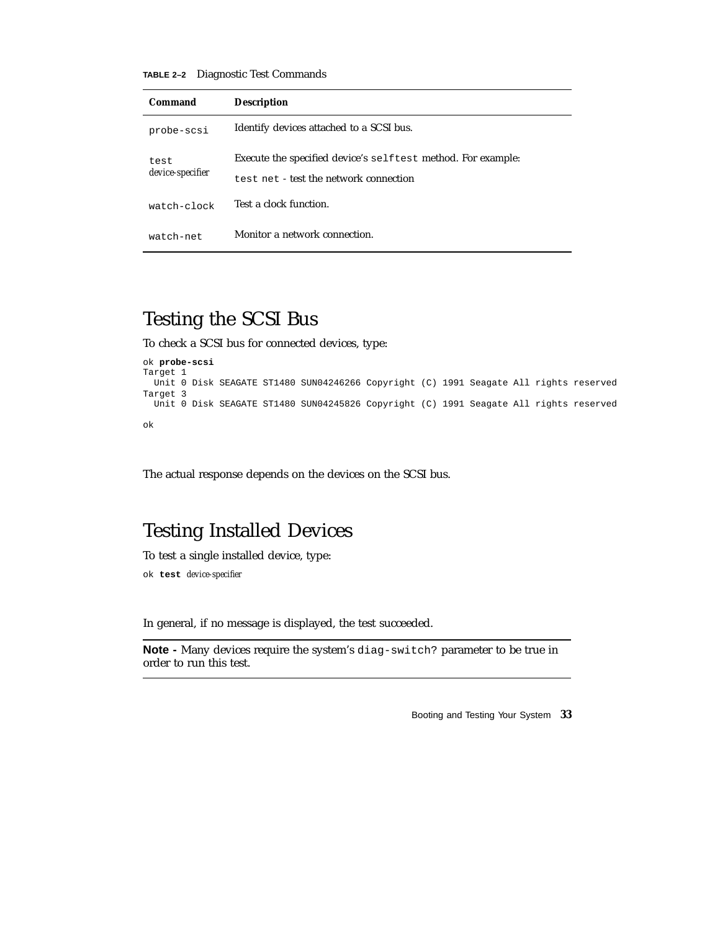**TABLE 2–2** Diagnostic Test Commands

| Command          | <b>Description</b>                                           |
|------------------|--------------------------------------------------------------|
| probe-scsi       | Identify devices attached to a SCSI bus.                     |
| test             | Execute the specified device's selftest method. For example: |
| device-specifier | test net - test the network connection                       |
| watch-clock      | Test a clock function.                                       |
| watch-net        | Monitor a network connection.                                |

### Testing the SCSI Bus

To check a SCSI bus for connected devices, type:

```
ok probe-scsi
Target 1
 Unit 0 Disk SEAGATE ST1480 SUN04246266 Copyright (C) 1991 Seagate All rights reserved
Target 3
 Unit 0 Disk SEAGATE ST1480 SUN04245826 Copyright (C) 1991 Seagate All rights reserved
ok
```
The actual response depends on the devices on the SCSI bus.

### Testing Installed Devices

To test a single installed device, type:

ok **test** *device-specifier*

In general, if no message is displayed, the test succeeded.

**Note -** Many devices require the system's diag-switch? parameter to be true in order to run this test.

Booting and Testing Your System **33**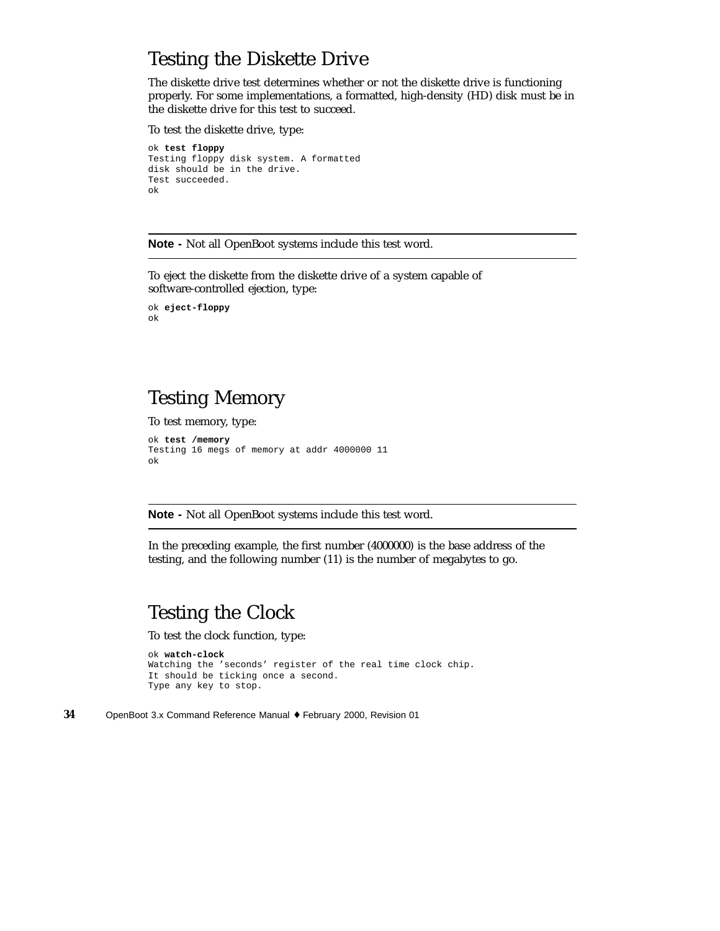### Testing the Diskette Drive

The diskette drive test determines whether or not the diskette drive is functioning properly. For some implementations, a formatted, high-density (HD) disk must be in the diskette drive for this test to succeed.

To test the diskette drive, type:

```
ok test floppy
Testing floppy disk system. A formatted
disk should be in the drive.
Test succeeded.
ok
```
**Note -** Not all OpenBoot systems include this test word.

To eject the diskette from the diskette drive of a system capable of software-controlled ejection, type:

```
ok eject-floppy
ok
```
### Testing Memory

To test memory, type:

```
ok test /memory
Testing 16 megs of memory at addr 4000000 11
ok
```
**Note -** Not all OpenBoot systems include this test word.

In the preceding example, the first number (4000000) is the base address of the testing, and the following number (11) is the number of megabytes to go.

### Testing the Clock

To test the clock function, type:

```
ok watch-clock
Watching the 'seconds' register of the real time clock chip.
It should be ticking once a second.
Type any key to stop.
```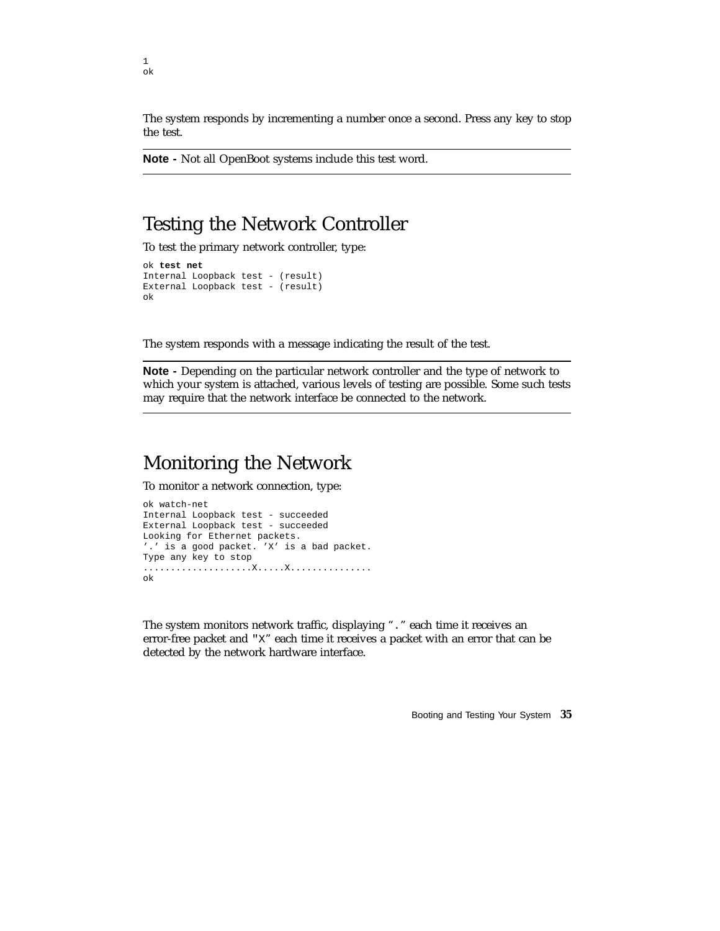The system responds by incrementing a number once a second. Press any key to stop the test.

**Note -** Not all OpenBoot systems include this test word.

#### Testing the Network Controller

To test the primary network controller, type:

```
ok test net
Internal Loopback test - (result)
External Loopback test - (result)
ok
```
The system responds with a message indicating the result of the test.

**Note -** Depending on the particular network controller and the type of network to which your system is attached, various levels of testing are possible. Some such tests may require that the network interface be connected to the network.

#### Monitoring the Network

To monitor a network connection, type:

```
ok watch-net
Internal Loopback test - succeeded
External Loopback test - succeeded
Looking for Ethernet packets.
'.' is a good packet. 'X' is a bad packet.
Type any key to stop
....................X.....X...............
ok
```
The system monitors network traffic, displaying "." each time it receives an error-free packet and "X" each time it receives a packet with an error that can be detected by the network hardware interface.

Booting and Testing Your System **35**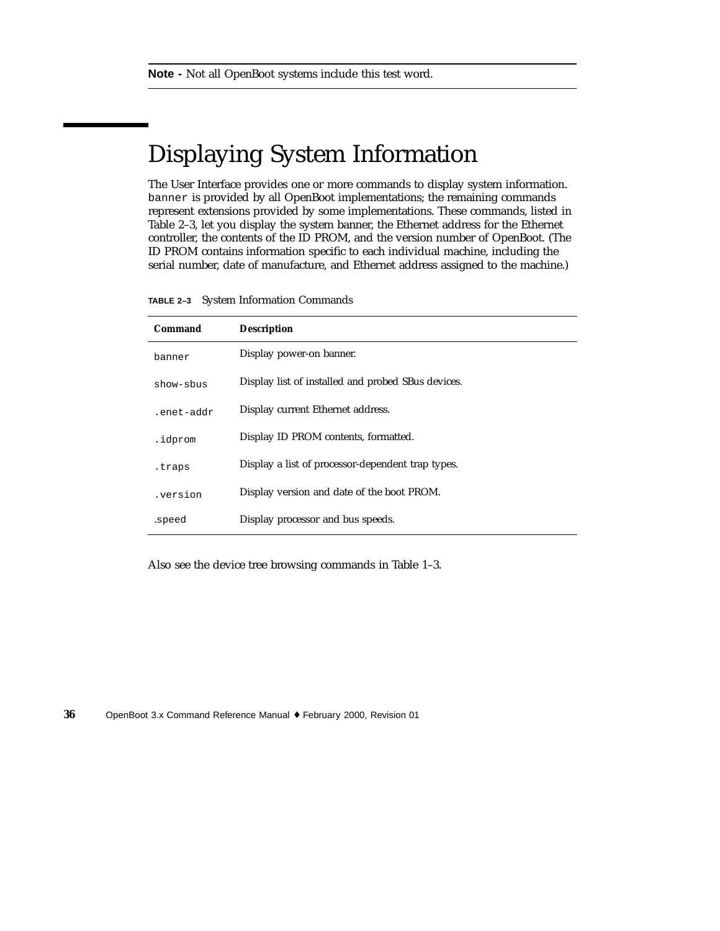# Displaying System Information

The User Interface provides one or more commands to display system information. banner is provided by all OpenBoot implementations; the remaining commands represent extensions provided by some implementations. These commands, listed in Table 2–3, let you display the system banner, the Ethernet address for the Ethernet controller, the contents of the ID PROM, and the version number of OpenBoot. (The ID PROM contains information specific to each individual machine, including the serial number, date of manufacture, and Ethernet address assigned to the machine.)

**TABLE 2–3** System Information Commands

| Command    | <b>Description</b>                                 |
|------------|----------------------------------------------------|
| banner     | Display power-on banner.                           |
| show-sbus  | Display list of installed and probed SBus devices. |
| .enet-addr | Display current Ethernet address.                  |
| .idprom    | Display ID PROM contents, formatted.               |
| .traps     | Display a list of processor-dependent trap types.  |
| .version   | Display version and date of the boot PROM.         |
| .speed     | Display processor and bus speeds.                  |

Also see the device tree browsing commands in Table 1–3.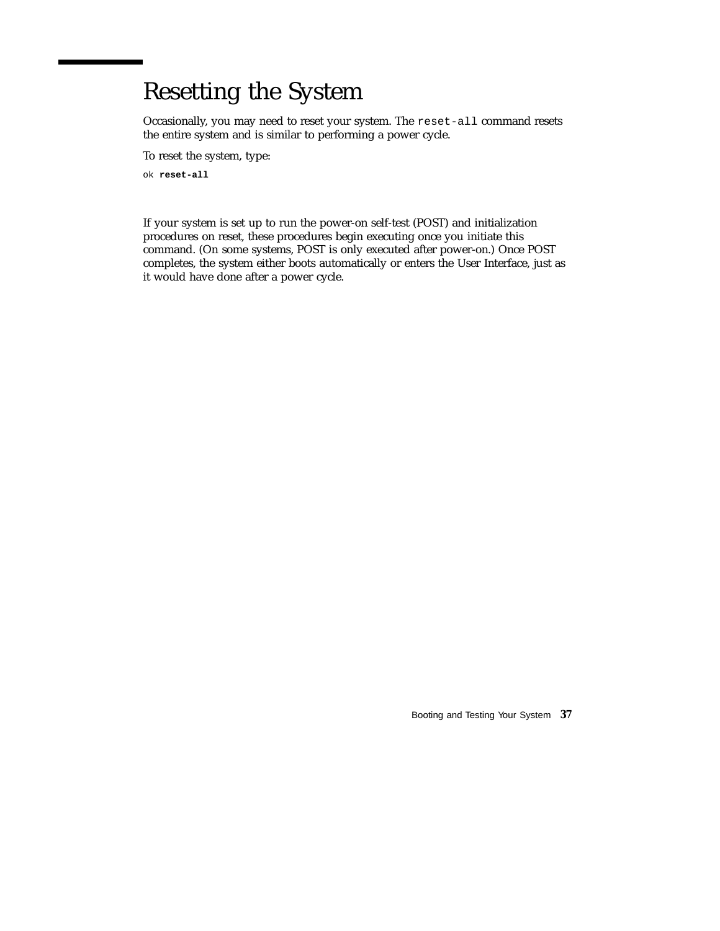# Resetting the System

Occasionally, you may need to reset your system. The reset-all command resets the entire system and is similar to performing a power cycle.

To reset the system, type:

ok **reset-all**

If your system is set up to run the power-on self-test (POST) and initialization procedures on reset, these procedures begin executing once you initiate this command. (On some systems, POST is only executed after power-on.) Once POST completes, the system either boots automatically or enters the User Interface, just as it would have done after a power cycle.

Booting and Testing Your System **37**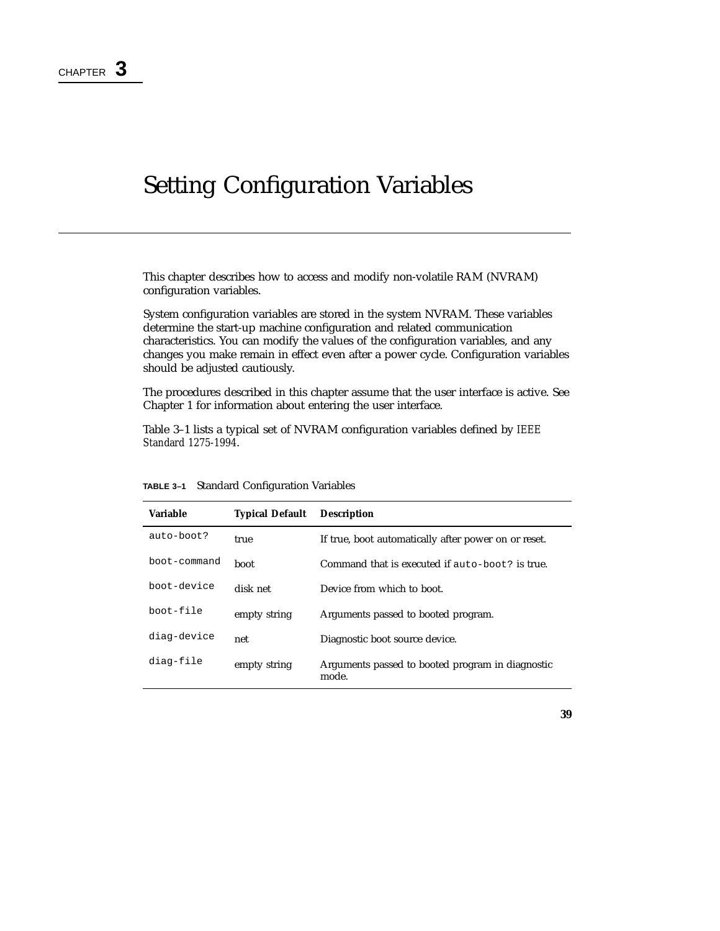# Setting Configuration Variables

This chapter describes how to access and modify non-volatile RAM (NVRAM) configuration variables.

System configuration variables are stored in the system NVRAM. These variables determine the start-up machine configuration and related communication characteristics. You can modify the values of the configuration variables, and any changes you make remain in effect even after a power cycle. Configuration variables should be adjusted cautiously.

The procedures described in this chapter assume that the user interface is active. See Chapter 1 for information about entering the user interface.

Table 3–1 lists a typical set of NVRAM configuration variables defined by *IEEE Standard 1275-1994*.

| <b>Variable</b> | <b>Typical Default</b> | <b>Description</b>                                        |
|-----------------|------------------------|-----------------------------------------------------------|
| $auto-boot?$    | true                   | If true, boot automatically after power on or reset.      |
| boot-command    | boot                   | Command that is executed if auto-boot? is true.           |
| boot-device     | disk net               | Device from which to boot.                                |
| boot-file       | empty string           | Arguments passed to booted program.                       |
| diag-device     | net                    | Diagnostic boot source device.                            |
| diag-file       | empty string           | Arguments passed to booted program in diagnostic<br>mode. |

**TABLE 3–1** Standard Configuration Variables

**39**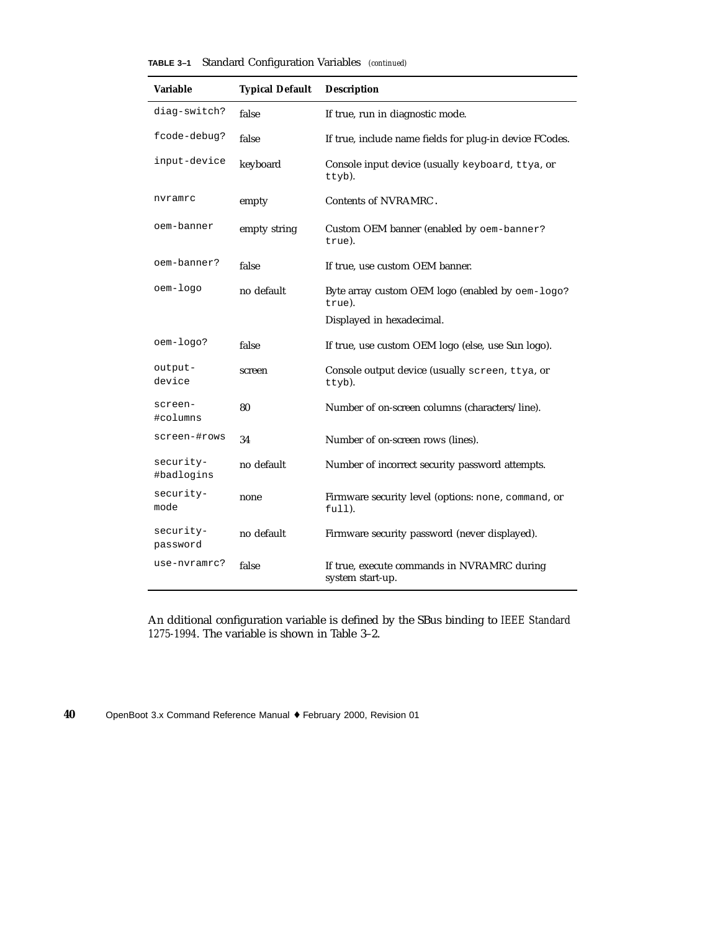| TABLE 3-1 | Standard Configuration Variables (continued) |  |  |  |  |  |
|-----------|----------------------------------------------|--|--|--|--|--|
|-----------|----------------------------------------------|--|--|--|--|--|

| Variable                | <b>Typical Default</b> | <b>Description</b>                                               |
|-------------------------|------------------------|------------------------------------------------------------------|
| diag-switch?            | false                  | If true, run in diagnostic mode.                                 |
| fcode-debug?            | false                  | If true, include name fields for plug-in device FCodes.          |
| input-device            | keyboard               | Console input device (usually keyboard, ttya, or<br>ttyb).       |
| nvramrc                 | empty                  | Contents of NVRAMRC.                                             |
| oem-banner              | empty string           | Custom OEM banner (enabled by oem-banner?<br>true).              |
| oem-banner?             | false                  | If true, use custom OEM banner.                                  |
| oem-logo                | no default             | Byte array custom OEM logo (enabled by oem-logo?<br>true).       |
|                         |                        | Displayed in hexadecimal.                                        |
| oem-logo?               | false                  | If true, use custom OEM logo (else, use Sun logo).               |
| output-<br>device       | screen                 | Console output device (usually screen, ttya, or<br>ttyb).        |
| screen-<br>#columns     | 80                     | Number of on-screen columns (characters/line).                   |
| screen-#rows            | 34                     | Number of on-screen rows (lines).                                |
| security-<br>#badlogins | no default             | Number of incorrect security password attempts.                  |
| security-<br>mode       | none                   | Firmware security level (options: none, command, or<br>$full$ ). |
| security-<br>password   | no default             | Firmware security password (never displayed).                    |
| use-nvramrc?            | false                  | If true, execute commands in NVRAMRC during<br>system start-up.  |

An dditional configuration variable is defined by the SBus binding to *IEEE Standard 1275-1994*. The variable is shown in Table 3–2.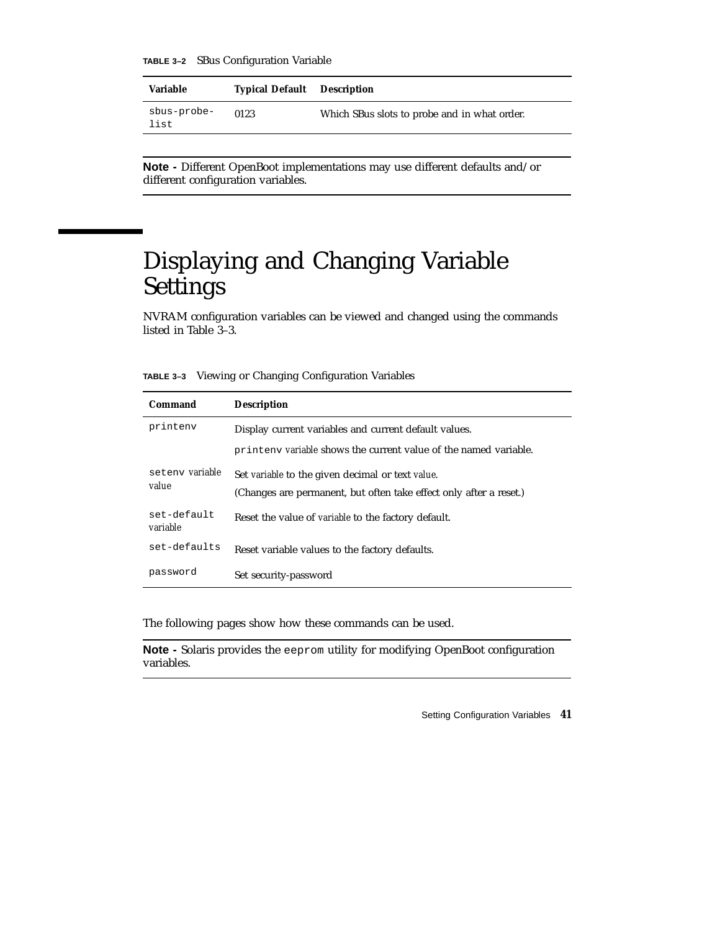**TABLE 3–2** SBus Configuration Variable

| <b>Variable</b>     | <b>Typical Default</b> Description |                                              |
|---------------------|------------------------------------|----------------------------------------------|
| sbus-probe-<br>list | 0123                               | Which SBus slots to probe and in what order. |

**Note -** Different OpenBoot implementations may use different defaults and/or different configuration variables.

# Displaying and Changing Variable Settings

NVRAM configuration variables can be viewed and changed using the commands listed in Table 3–3.

**TABLE 3–3** Viewing or Changing Configuration Variables

| Command                  | <b>Description</b>                                                                                                     |
|--------------------------|------------------------------------------------------------------------------------------------------------------------|
| printenv                 | Display current variables and current default values.                                                                  |
|                          | printeny variable shows the current value of the named variable.                                                       |
| seteny variable<br>value | Set variable to the given decimal or text value.<br>(Changes are permanent, but often take effect only after a reset.) |
| set-default<br>variable  | Reset the value of <i>variable</i> to the factory default.                                                             |
| set-defaults             | Reset variable values to the factory defaults.                                                                         |
| password                 | Set security-password                                                                                                  |

The following pages show how these commands can be used.

**Note -** Solaris provides the eeprom utility for modifying OpenBoot configuration variables.

Setting Configuration Variables **41**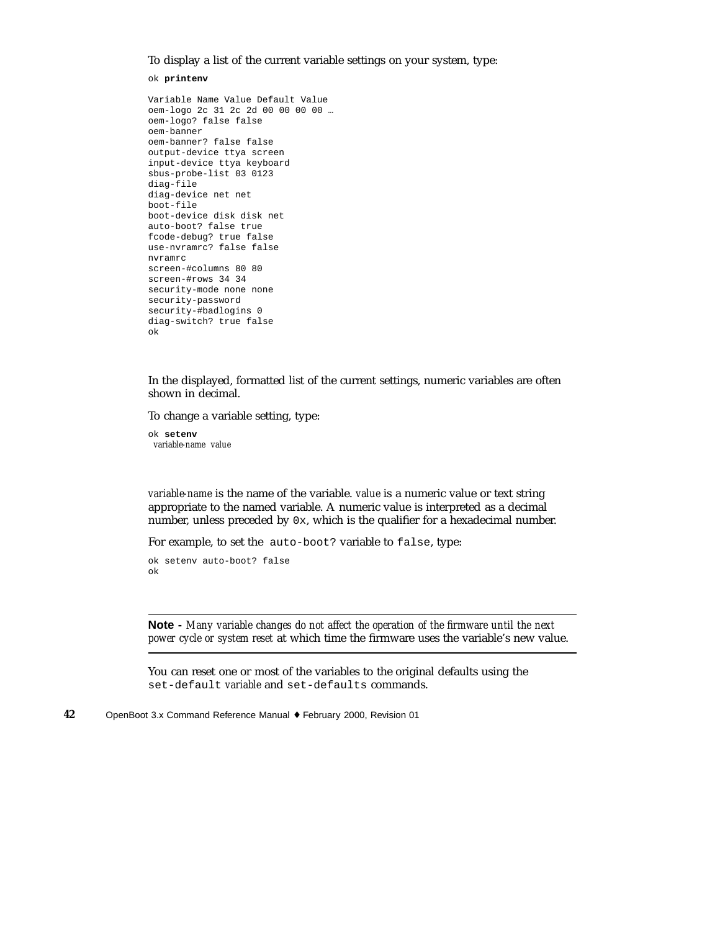To display a list of the current variable settings on your system, type:

ok **printenv**

```
Variable Name Value Default Value
oem-logo 2c 31 2c 2d 00 00 00 00 …
oem-logo? false false
oem-banner
oem-banner? false false
output-device ttya screen
input-device ttya keyboard
sbus-probe-list 03 0123
diag-file
diag-device net net
boot-file
boot-device disk disk net
auto-boot? false true
fcode-debug? true false
use-nvramrc? false false
nvramrc
screen-#columns 80 80
screen-#rows 34 34
security-mode none none
security-password
security-#badlogins 0
diag-switch? true false
ok
```
In the displayed, formatted list of the current settings, numeric variables are often shown in decimal.

To change a variable setting, type:

ok **setenv** *variable-name value*

*variable-name* is the name of the variable. *value* is a numeric value or text string appropriate to the named variable. A numeric value is interpreted as a decimal number, unless preceded by 0x, which is the qualifier for a hexadecimal number.

For example, to set the auto-boot? variable to false, type:

```
ok setenv auto-boot? false
ok
```
**Note -** *Many variable changes do not affect the operation of the firmware until the next power cycle or system reset* at which time the firmware uses the variable's new value.

You can reset one or most of the variables to the original defaults using the set-default *variable* and set-defaults commands.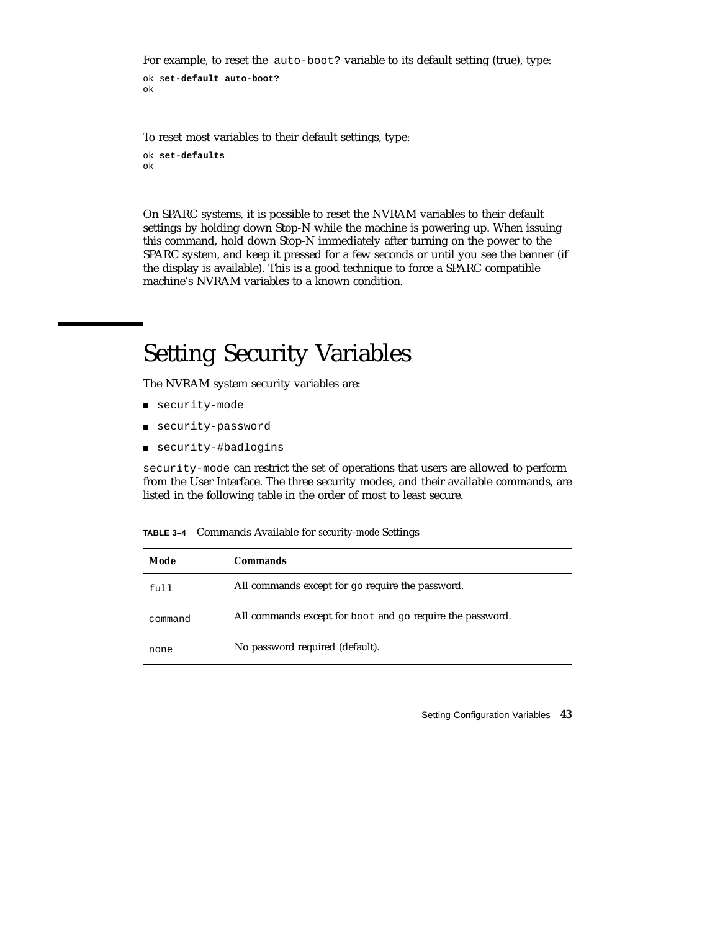For example, to reset the auto-boot? variable to its default setting (true), type:

```
ok set-default auto-boot?
ok
```
To reset most variables to their default settings, type:

```
ok set-defaults
ok
```
On SPARC systems, it is possible to reset the NVRAM variables to their default settings by holding down Stop-N while the machine is powering up. When issuing this command, hold down Stop-N immediately after turning on the power to the SPARC system, and keep it pressed for a few seconds or until you see the banner (if the display is available). This is a good technique to force a SPARC compatible machine's NVRAM variables to a known condition.

## Setting Security Variables

The NVRAM system security variables are:

- security-mode
- security-password
- security-#badlogins

security-mode can restrict the set of operations that users are allowed to perform from the User Interface. The three security modes, and their available commands, are listed in the following table in the order of most to least secure.

**TABLE 3–4** Commands Available for *security-mode* Settings

| Mode    | <b>Commands</b>                                           |
|---------|-----------------------------------------------------------|
| full    | All commands except for go require the password.          |
| command | All commands except for boot and go require the password. |
| none    | No password required (default).                           |

Setting Configuration Variables **43**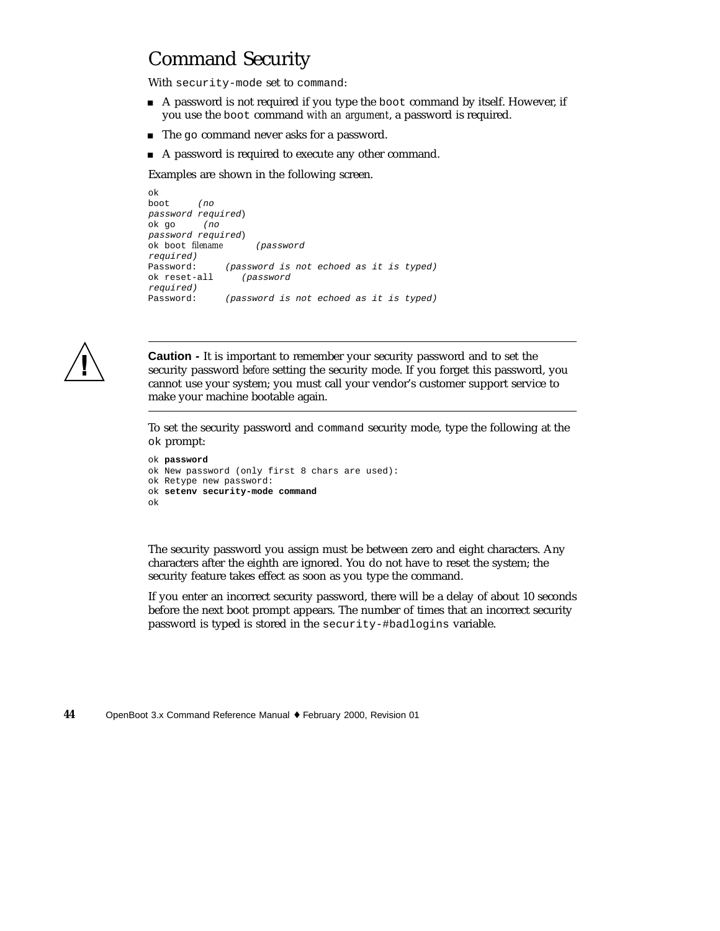### Command Security

With security-mode set to command:

- A password is not required if you type the boot command by itself. However, if you use the boot command *with an argument*, a password is required.
- The go command never asks for a password.
- A password is required to execute any other command.

Examples are shown in the following screen.

```
ok
boot (no
password required)
ok go (no
password required)
ok boot filename (password
required)
Password: (password is not echoed as it is typed)
ok reset-all (password
required)
Password: (password is not echoed as it is typed)
```


**Caution -** It is important to remember your security password and to set the security password *before* setting the security mode. If you forget this password, you cannot use your system; you must call your vendor's customer support service to make your machine bootable again.

To set the security password and command security mode, type the following at the ok prompt:

```
ok password
ok New password (only first 8 chars are used):
ok Retype new password:
ok setenv security-mode command
ok
```
The security password you assign must be between zero and eight characters. Any characters after the eighth are ignored. You do not have to reset the system; the security feature takes effect as soon as you type the command.

If you enter an incorrect security password, there will be a delay of about 10 seconds before the next boot prompt appears. The number of times that an incorrect security password is typed is stored in the security-#badlogins variable.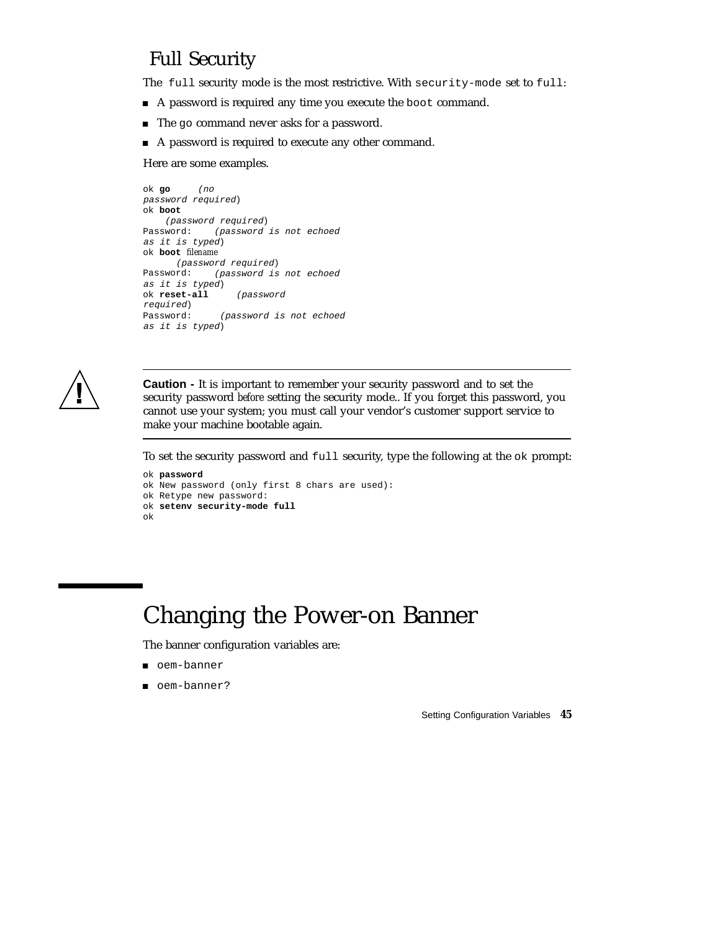### Full Security

The full security mode is the most restrictive. With security-mode set to full:

- A password is required any time you execute the boot command.
- The go command never asks for a password.
- A password is required to execute any other command.

Here are some examples.

```
ok go (no
password required)
ok boot
   (password required)
Password: (password is not echoed
as it is typed)
ok boot filename
    (password required)
Password: (password is not echoed
as it is typed)
ok reset-all (password
required)
Password: (password is not echoed
as it is typed)
```


**Caution -** It is important to remember your security password and to set the security password *before* setting the security mode.. If you forget this password, you cannot use your system; you must call your vendor's customer support service to make your machine bootable again.

To set the security password and full security, type the following at the ok prompt:

```
ok password
ok New password (only first 8 chars are used):
ok Retype new password:
ok setenv security-mode full
ok
```
# Changing the Power-on Banner

The banner configuration variables are:

- oem-banner
- oem-banner?

Setting Configuration Variables **45**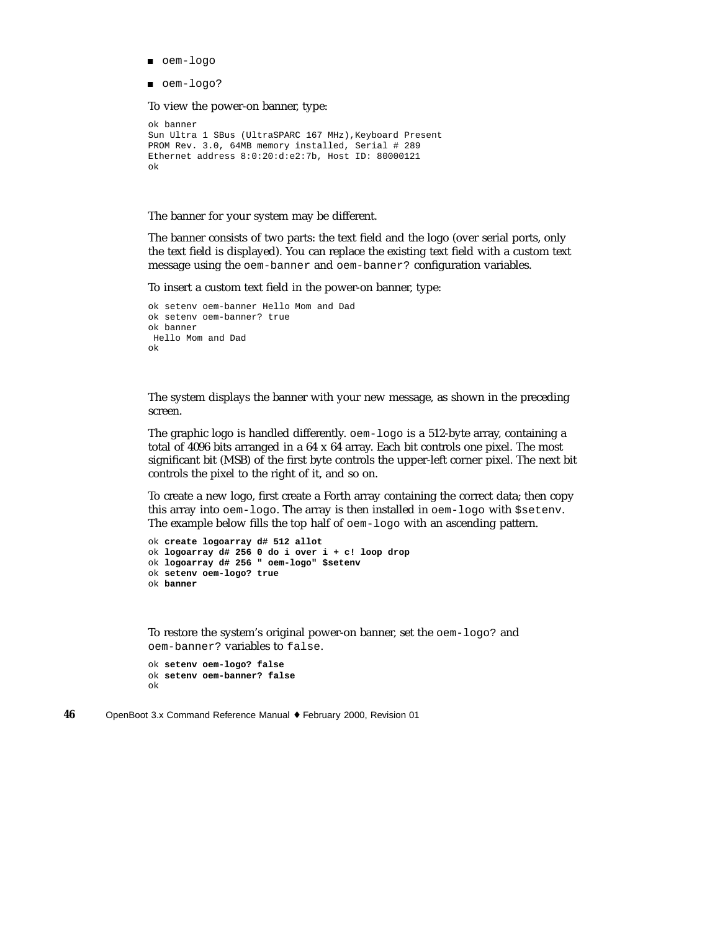- oem-logo
- oem-logo?

To view the power-on banner, type:

```
ok banner
Sun Ultra 1 SBus (UltraSPARC 167 MHz), Keyboard Present
PROM Rev. 3.0, 64MB memory installed, Serial # 289
Ethernet address 8:0:20:d:e2:7b, Host ID: 80000121
ok
```
The banner for your system may be different.

The banner consists of two parts: the text field and the logo (over serial ports, only the text field is displayed). You can replace the existing text field with a custom text message using the oem-banner and oem-banner? configuration variables.

To insert a custom text field in the power-on banner, type:

```
ok setenv oem-banner Hello Mom and Dad
ok setenv oem-banner? true
ok banner
Hello Mom and Dad
ok
```
The system displays the banner with your new message, as shown in the preceding screen.

The graphic logo is handled differently. oem-logo is a 512-byte array, containing a total of 4096 bits arranged in a 64 x 64 array. Each bit controls one pixel. The most significant bit (MSB) of the first byte controls the upper-left corner pixel. The next bit controls the pixel to the right of it, and so on.

To create a new logo, first create a Forth array containing the correct data; then copy this array into oem-logo. The array is then installed in oem-logo with \$setenv. The example below fills the top half of oem-logo with an ascending pattern.

```
ok create logoarray d# 512 allot
ok logoarray d# 256 0 do i over i + c! loop drop
ok logoarray d# 256 " oem-logo" $setenv
ok setenv oem-logo? true
ok banner
```
To restore the system's original power-on banner, set the oem-logo? and oem-banner? variables to false.

```
ok setenv oem-logo? false
ok setenv oem-banner? false
ok
```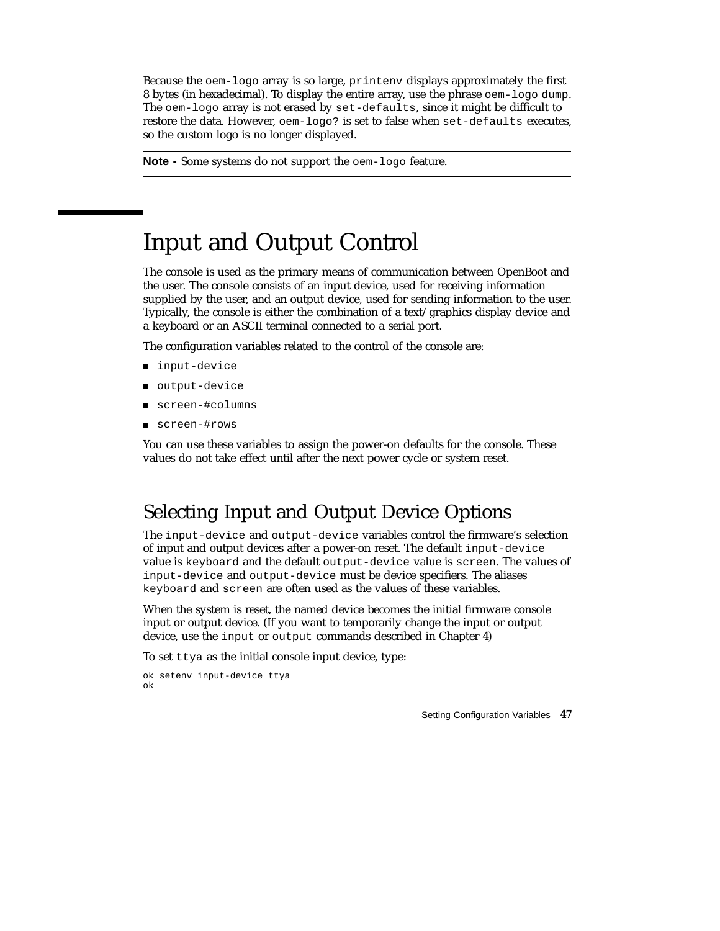Because the oem-logo array is so large, printenv displays approximately the first 8 bytes (in hexadecimal). To display the entire array, use the phrase oem-logo dump. The oem-logo array is not erased by set-defaults, since it might be difficult to restore the data. However, oem-logo? is set to false when set-defaults executes, so the custom logo is no longer displayed.

**Note -** Some systems do not support the oem-logo feature.

# Input and Output Control

The console is used as the primary means of communication between OpenBoot and the user. The console consists of an input device, used for receiving information supplied by the user, and an output device, used for sending information to the user. Typically, the console is either the combination of a text/graphics display device and a keyboard or an ASCII terminal connected to a serial port.

The configuration variables related to the control of the console are:

- input-device
- output-device
- screen-#columns
- screen-#rows

You can use these variables to assign the power-on defaults for the console. These values do not take effect until after the next power cycle or system reset.

### Selecting Input and Output Device Options

The input-device and output-device variables control the firmware's selection of input and output devices after a power-on reset. The default input-device value is keyboard and the default output-device value is screen. The values of input-device and output-device must be device specifiers. The aliases keyboard and screen are often used as the values of these variables.

When the system is reset, the named device becomes the initial firmware console input or output device. (If you want to temporarily change the input or output device, use the input or output commands described in Chapter 4)

To set ttya as the initial console input device, type:

```
ok setenv input-device ttya
ok
```
Setting Configuration Variables **47**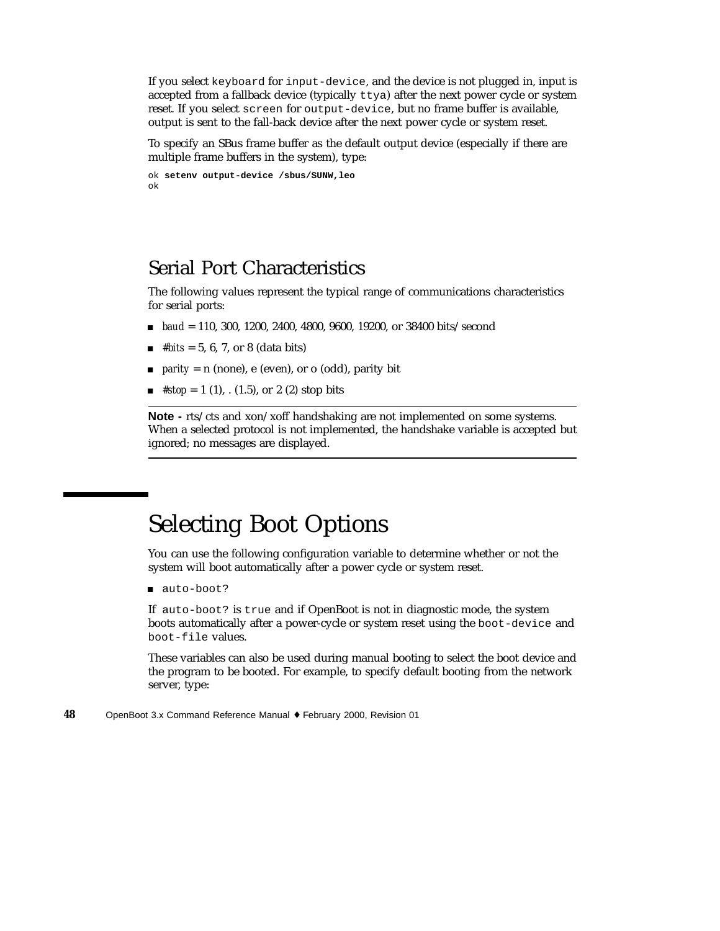If you select keyboard for input-device, and the device is not plugged in, input is accepted from a fallback device (typically  $t \tau$ ya) after the next power cycle or system reset. If you select screen for output-device, but no frame buffer is available, output is sent to the fall-back device after the next power cycle or system reset.

To specify an SBus frame buffer as the default output device (especially if there are multiple frame buffers in the system), type:

```
ok setenv output-device /sbus/SUNW,leo
ok
```
### Serial Port Characteristics

The following values represent the typical range of communications characteristics for serial ports:

- *baud* = 110, 300, 1200, 2400, 4800, 9600, 19200, or 38400 bits/second
- $\blacksquare$  *#bits* = 5, 6, 7, or 8 (data bits)
- *parity* = n (none), e (even), or o (odd), parity bit
- $\blacksquare$  #stop = 1 (1), . (1.5), or 2 (2) stop bits

**Note -** rts/cts and xon/xoff handshaking are not implemented on some systems. When a selected protocol is not implemented, the handshake variable is accepted but ignored; no messages are displayed.

## Selecting Boot Options

You can use the following configuration variable to determine whether or not the system will boot automatically after a power cycle or system reset.

auto-boot?

If auto-boot? is true and if OpenBoot is not in diagnostic mode, the system boots automatically after a power-cycle or system reset using the boot-device and boot-file values.

These variables can also be used during manual booting to select the boot device and the program to be booted. For example, to specify default booting from the network server, type: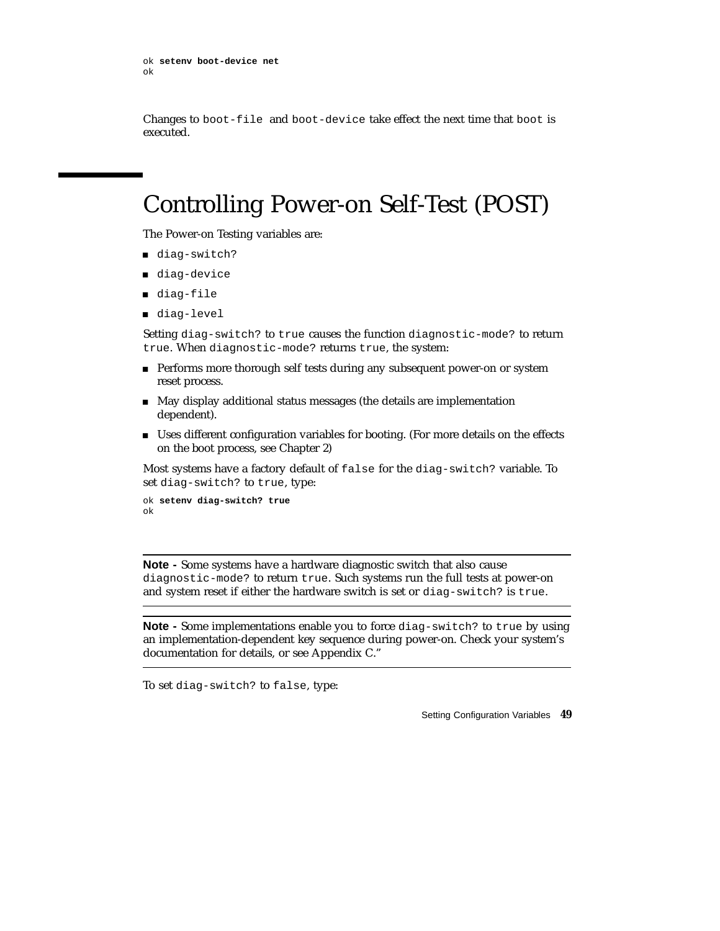```
ok setenv boot-device net
ok
```
Changes to boot-file and boot-device take effect the next time that boot is executed.

# Controlling Power-on Self-Test (POST)

The Power-on Testing variables are:

- diag-switch?
- diag-device
- diag-file
- diag-level

Setting diag-switch? to true causes the function diagnostic-mode? to return true. When diagnostic-mode? returns true, the system:

- **Performs more thorough self tests during any subsequent power-on or system** reset process.
- May display additional status messages (the details are implementation dependent).
- Uses different configuration variables for booting. (For more details on the effects on the boot process, see Chapter 2)

Most systems have a factory default of false for the diag-switch? variable. To set diag-switch? to true, type:

```
ok setenv diag-switch? true
ok
```
**Note -** Some systems have a hardware diagnostic switch that also cause diagnostic-mode? to return true. Such systems run the full tests at power-on and system reset if either the hardware switch is set or diag-switch? is true.

**Note -** Some implementations enable you to force diag-switch? to true by using an implementation-dependent key sequence during power-on. Check your system's documentation for details, or see Appendix C."

To set diag-switch? to false, type:

Setting Configuration Variables **49**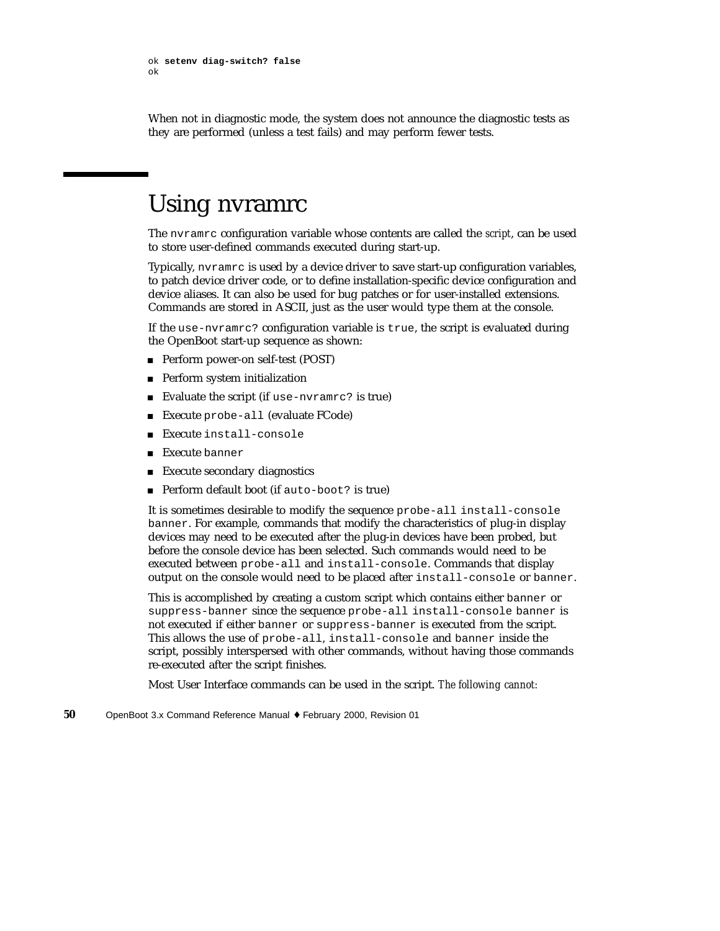When not in diagnostic mode, the system does not announce the diagnostic tests as they are performed (unless a test fails) and may perform fewer tests.

## Using nvramrc

The nvramrc configuration variable whose contents are called the *script*, can be used to store user-defined commands executed during start-up.

Typically, nvramrc is used by a device driver to save start-up configuration variables, to patch device driver code, or to define installation-specific device configuration and device aliases. It can also be used for bug patches or for user-installed extensions. Commands are stored in ASCII, just as the user would type them at the console.

If the use-nvramrc? configuration variable is true, the script is evaluated during the OpenBoot start-up sequence as shown:

- Perform power-on self-test (POST)
- **Perform system initialization**
- Evaluate the script (if use-nvramrc? is true)
- Execute probe-all (evaluate FCode)
- Execute install-console
- Execute banner
- **Execute secondary diagnostics**
- Perform default boot (if auto-boot? is true)

It is sometimes desirable to modify the sequence probe-all install-console banner. For example, commands that modify the characteristics of plug-in display devices may need to be executed after the plug-in devices have been probed, but before the console device has been selected. Such commands would need to be executed between probe-all and install-console. Commands that display output on the console would need to be placed after install-console or banner.

This is accomplished by creating a custom script which contains either banner or suppress-banner since the sequence probe-all install-console banner is not executed if either banner or suppress-banner is executed from the script. This allows the use of probe-all, install-console and banner inside the script, possibly interspersed with other commands, without having those commands re-executed after the script finishes.

Most User Interface commands can be used in the script. *The following cannot:*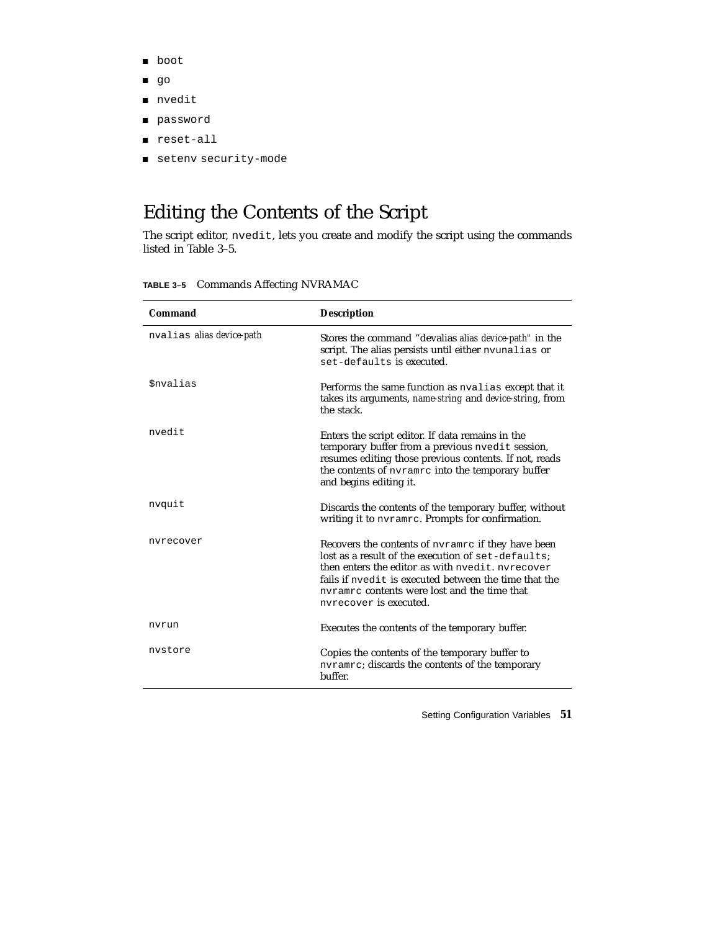- **p** boot
- **go**
- nvedit
- password
- reset-all
- setenv security-mode

## Editing the Contents of the Script

The script editor, nvedit, lets you create and modify the script using the commands listed in Table 3–5.

| <b>Commands Affecting NVRAMAC</b><br>TABLE 3-5 |  |  |
|------------------------------------------------|--|--|
|------------------------------------------------|--|--|

| Command                   | <b>Description</b>                                                                                                                                                                                                                                                                              |
|---------------------------|-------------------------------------------------------------------------------------------------------------------------------------------------------------------------------------------------------------------------------------------------------------------------------------------------|
| nvalias alias device-path | Stores the command "devalias alias device-path" in the<br>script. The alias persists until either nyunalias or<br>set-defaults is executed.                                                                                                                                                     |
| <i><b>\$nvalias</b></i>   | Performs the same function as nvalias except that it<br>takes its arguments, name-string and device-string, from<br>the stack.                                                                                                                                                                  |
| nvedit                    | Enters the script editor. If data remains in the<br>temporary buffer from a previous nyedit session,<br>resumes editing those previous contents. If not, reads<br>the contents of nyramrc into the temporary buffer<br>and begins editing it.                                                   |
| nvquit                    | Discards the contents of the temporary buffer, without<br>writing it to ny rample. Prompts for confirmation.                                                                                                                                                                                    |
| nvrecover                 | Recovers the contents of nyramrc if they have been<br>lost as a result of the execution of set-defaults:<br>then enters the editor as with nyedit, nyrecover<br>fails if nyedit is executed between the time that the<br>nyramrc contents were lost and the time that<br>nyrecover is executed. |
| nvrun                     | Executes the contents of the temporary buffer.                                                                                                                                                                                                                                                  |
| nvstore                   | Copies the contents of the temporary buffer to<br>nvramrc; discards the contents of the temporary<br>buffer.                                                                                                                                                                                    |

Setting Configuration Variables **51**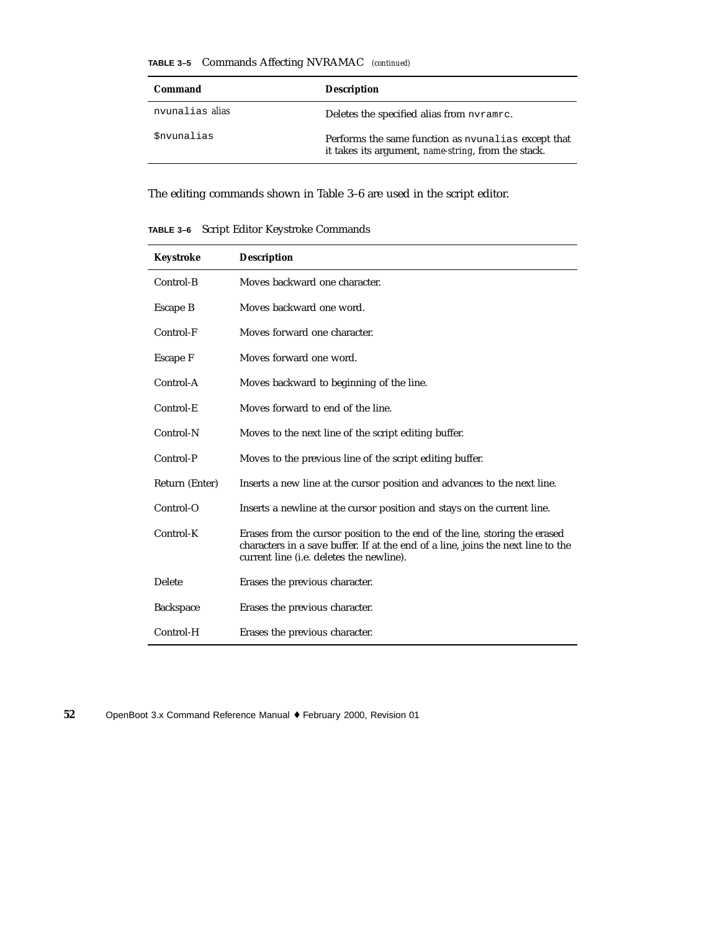|  |  |  | <b>TABLE 3-5</b> Commands Affecting NVRAMAC (continued) |  |
|--|--|--|---------------------------------------------------------|--|
|--|--|--|---------------------------------------------------------|--|

| Command                  | <b>Description</b>                                                                                         |
|--------------------------|------------------------------------------------------------------------------------------------------------|
| nvunalias <i>alias</i>   | Deletes the specified alias from nyramrc.                                                                  |
| <i><b>Snvunalias</b></i> | Performs the same function as nyunalias except that<br>it takes its argument, name-string, from the stack. |

The editing commands shown in Table 3–6 are used in the script editor.

**TABLE 3–6** Script Editor Keystroke Commands

| Keystroke        | <b>Description</b>                                                                                                                                                                                                 |
|------------------|--------------------------------------------------------------------------------------------------------------------------------------------------------------------------------------------------------------------|
| Control-B        | Moves backward one character.                                                                                                                                                                                      |
| Escape B         | Moves backward one word.                                                                                                                                                                                           |
| Control-F        | Moves forward one character.                                                                                                                                                                                       |
| Escape F         | Moves forward one word.                                                                                                                                                                                            |
| Control-A        | Moves backward to beginning of the line.                                                                                                                                                                           |
| Control-E        | Moves forward to end of the line.                                                                                                                                                                                  |
| Control-N        | Moves to the next line of the script editing buffer.                                                                                                                                                               |
| Control-P        | Moves to the previous line of the script editing buffer.                                                                                                                                                           |
| Return (Enter)   | Inserts a new line at the cursor position and advances to the next line.                                                                                                                                           |
| Control-O        | Inserts a newline at the cursor position and stays on the current line.                                                                                                                                            |
| Control-K        | Erases from the cursor position to the end of the line, storing the erased<br>characters in a save buffer. If at the end of a line, joins the next line to the<br>current line ( <i>i.e.</i> deletes the newline). |
| Delete           | Erases the previous character.                                                                                                                                                                                     |
| <b>Backspace</b> | Erases the previous character.                                                                                                                                                                                     |
| Control-H        | Erases the previous character.                                                                                                                                                                                     |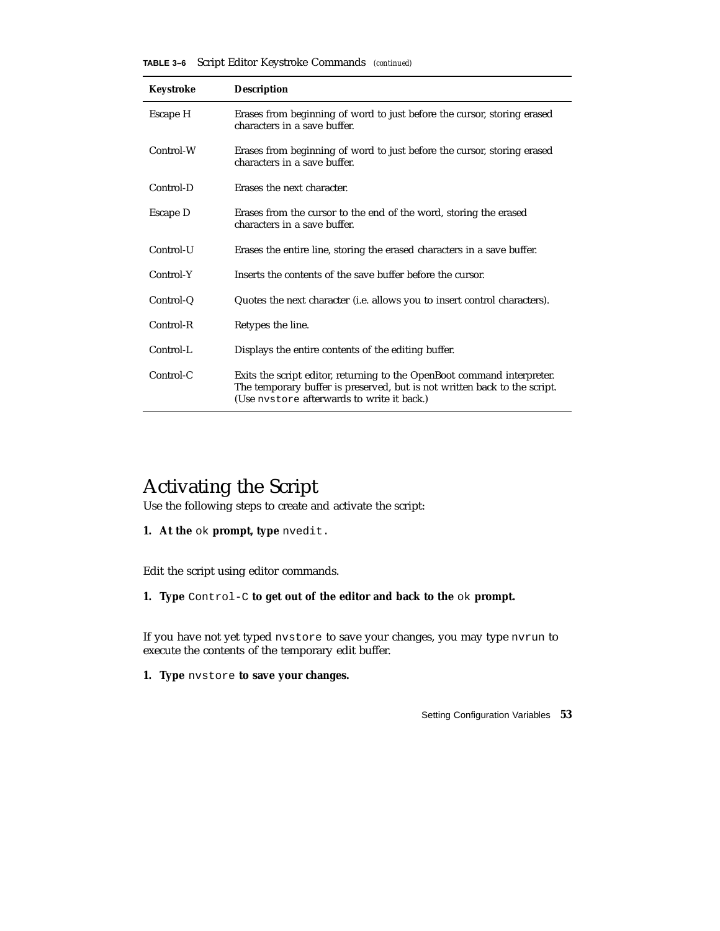**TABLE 3–6** Script Editor Keystroke Commands *(continued)*

| Keystroke | <b>Description</b>                                                                                                                                                                                 |
|-----------|----------------------------------------------------------------------------------------------------------------------------------------------------------------------------------------------------|
| Escape H  | Erases from beginning of word to just before the cursor, storing erased<br>characters in a save buffer.                                                                                            |
| Control-W | Erases from beginning of word to just before the cursor, storing erased<br>characters in a save buffer.                                                                                            |
| Control-D | Erases the next character.                                                                                                                                                                         |
| Escape D  | Erases from the cursor to the end of the word, storing the erased<br>characters in a save buffer.                                                                                                  |
| Control-U | Erases the entire line, storing the erased characters in a save buffer.                                                                                                                            |
| Control-Y | Inserts the contents of the save buffer before the cursor.                                                                                                                                         |
| Control-Q | Quotes the next character (i.e. allows you to insert control characters).                                                                                                                          |
| Control-R | Retypes the line.                                                                                                                                                                                  |
| Control-L | Displays the entire contents of the editing buffer.                                                                                                                                                |
| Control-C | Exits the script editor, returning to the OpenBoot command interpreter.<br>The temporary buffer is preserved, but is not written back to the script.<br>(Use nystore afterwards to write it back.) |

### Activating the Script

Use the following steps to create and activate the script:

**1. At the** ok **prompt, type** nvedit.

Edit the script using editor commands.

**1. Type** Control-C **to get out of the editor and back to the** ok **prompt.**

If you have not yet typed nvstore to save your changes, you may type nvrun to execute the contents of the temporary edit buffer.

**1. Type** nvstore **to save your changes.**

Setting Configuration Variables **53**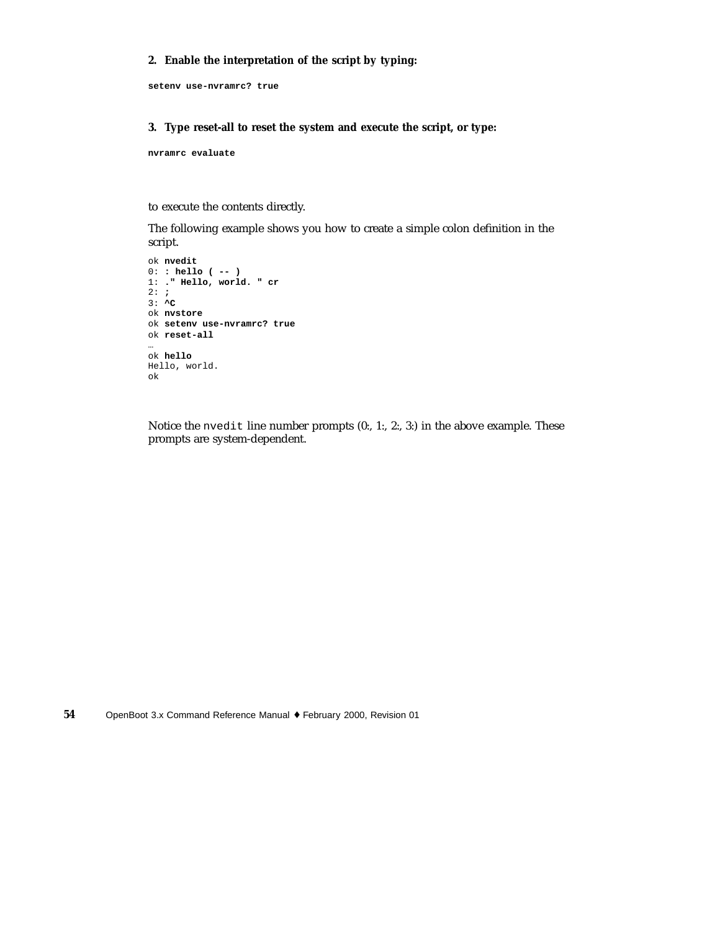#### **2. Enable the interpretation of the script by typing:**

**setenv use-nvramrc? true**

#### **3. Type reset-all to reset the system and execute the script, or type:**

**nvramrc evaluate**

to execute the contents directly.

The following example shows you how to create a simple colon definition in the script.

```
ok nvedit
0: : hello ( -- )
1: ." Hello, world. " cr
2: ;
3: ^C
ok nvstore
ok setenv use-nvramrc? true
ok reset-all
…
ok hello
Hello, world.
ok
```
Notice the nvedit line number prompts (0:, 1:, 2:, 3:) in the above example. These prompts are system-dependent.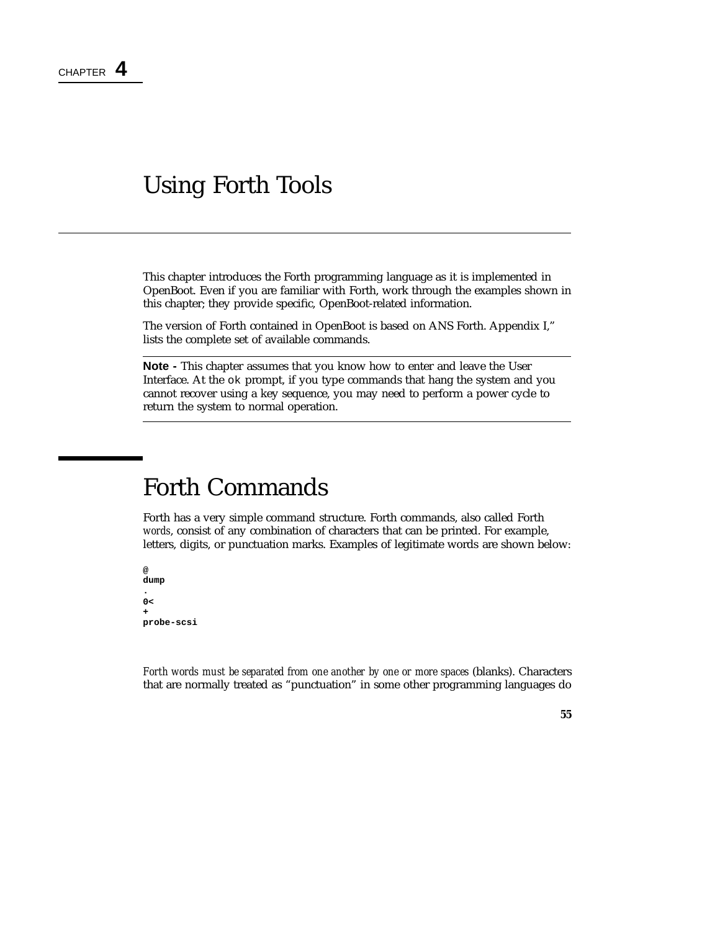## Using Forth Tools

This chapter introduces the Forth programming language as it is implemented in OpenBoot. Even if you are familiar with Forth, work through the examples shown in this chapter; they provide specific, OpenBoot-related information.

The version of Forth contained in OpenBoot is based on ANS Forth. Appendix I," lists the complete set of available commands.

**Note -** This chapter assumes that you know how to enter and leave the User Interface. At the ok prompt, if you type commands that hang the system and you cannot recover using a key sequence, you may need to perform a power cycle to return the system to normal operation.

## Forth Commands

Forth has a very simple command structure. Forth commands, also called Forth *words*, consist of any combination of characters that can be printed. For example, letters, digits, or punctuation marks. Examples of legitimate words are shown below:

```
@
dump
.
0<
+
probe-scsi
```
*Forth words must be separated from one another by one or more spaces* (blanks). Characters that are normally treated as "punctuation" in some other programming languages do

#### **55**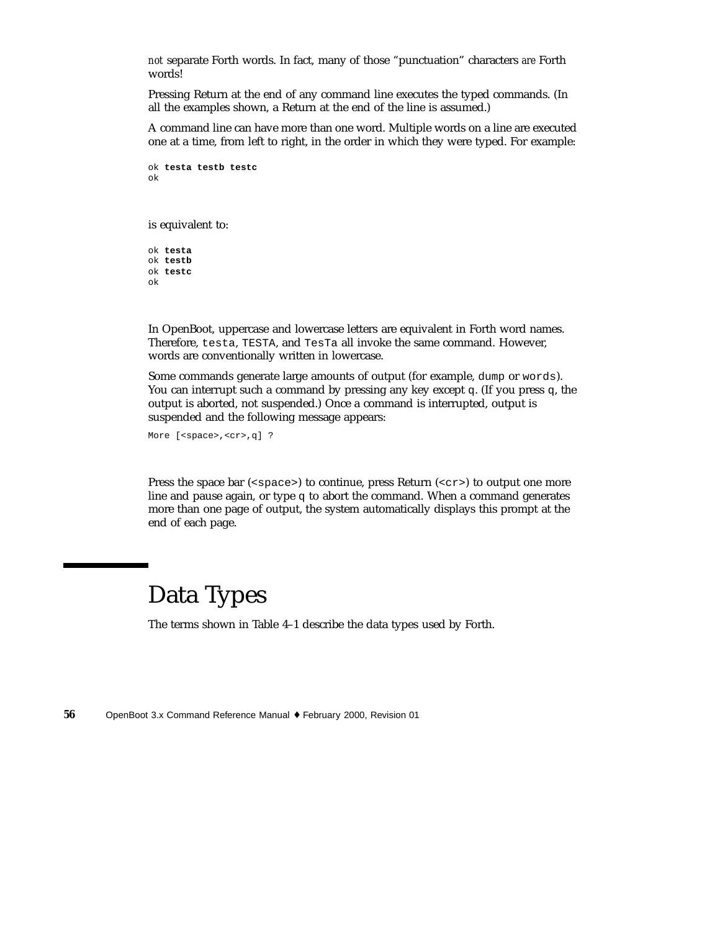*not* separate Forth words. In fact, many of those "punctuation" characters *are* Forth words!

Pressing Return at the end of any command line executes the typed commands. (In all the examples shown, a Return at the end of the line is assumed.)

A command line can have more than one word. Multiple words on a line are executed one at a time, from left to right, in the order in which they were typed. For example:

```
ok testa testb testc
ok
```
is equivalent to:

ok **testa** ok **testb** ok **testc** ok

In OpenBoot, uppercase and lowercase letters are equivalent in Forth word names. Therefore, testa, TESTA, and TesTa all invoke the same command. However, words are conventionally written in lowercase.

Some commands generate large amounts of output (for example, dump or words). You can interrupt such a command by pressing any key except q. (If you press q, the output is aborted, not suspended.) Once a command is interrupted, output is suspended and the following message appears:

More [<space>,<cr>,q] ?

Press the space bar ( $\langle$ space>) to continue, press Return ( $\langle$ cr>) to output one more line and pause again, or type  $q$  to abort the command. When a command generates more than one page of output, the system automatically displays this prompt at the end of each page.

# Data Types

The terms shown in Table 4–1 describe the data types used by Forth.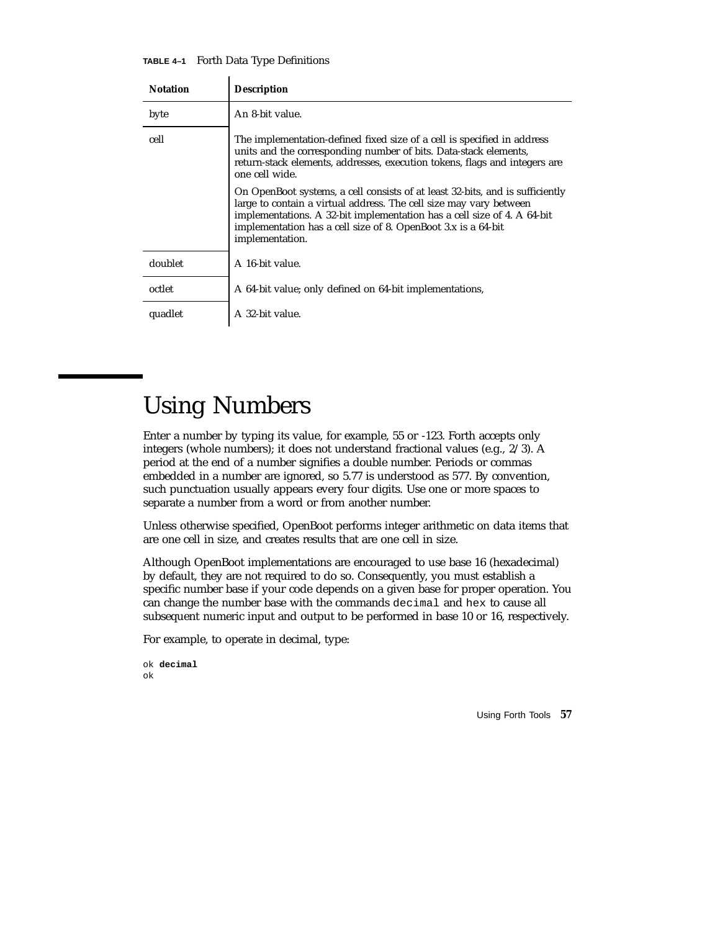**TABLE 4–1** Forth Data Type Definitions  $\ddot{\phantom{a}}$ 

| <b>Notation</b> | <b>Description</b>                                                                                                                                                                                                                                                                                                 |
|-----------------|--------------------------------------------------------------------------------------------------------------------------------------------------------------------------------------------------------------------------------------------------------------------------------------------------------------------|
| byte            | An 8-bit value.                                                                                                                                                                                                                                                                                                    |
| cell            | The implementation-defined fixed size of a cell is specified in address<br>units and the corresponding number of bits. Data-stack elements,<br>return-stack elements, addresses, execution tokens, flags and integers are<br>one cell wide.                                                                        |
|                 | On OpenBoot systems, a cell consists of at least 32-bits, and is sufficiently<br>large to contain a virtual address. The cell size may vary between<br>implementations. A 32-bit implementation has a cell size of 4. A 64-bit<br>implementation has a cell size of 8. OpenBoot 3.x is a 64-bit<br>implementation. |
| doublet         | A 16-bit value.                                                                                                                                                                                                                                                                                                    |
| octlet          | A 64-bit value; only defined on 64-bit implementations,                                                                                                                                                                                                                                                            |
| quadlet         | A 32-bit value.                                                                                                                                                                                                                                                                                                    |

# Using Numbers

Enter a number by typing its value, for example, 55 or -123. Forth accepts only integers (whole numbers); it does not understand fractional values (e.g., 2/3). A period at the end of a number signifies a double number. Periods or commas embedded in a number are ignored, so 5.77 is understood as 577. By convention, such punctuation usually appears every four digits. Use one or more spaces to separate a number from a word or from another number.

Unless otherwise specified, OpenBoot performs integer arithmetic on data items that are one cell in size, and creates results that are one cell in size.

Although OpenBoot implementations are encouraged to use base 16 (hexadecimal) by default, they are not required to do so. Consequently, you must establish a specific number base if your code depends on a given base for proper operation. You can change the number base with the commands decimal and hex to cause all subsequent numeric input and output to be performed in base 10 or 16, respectively.

For example, to operate in decimal, type:

```
ok decimal
ok
```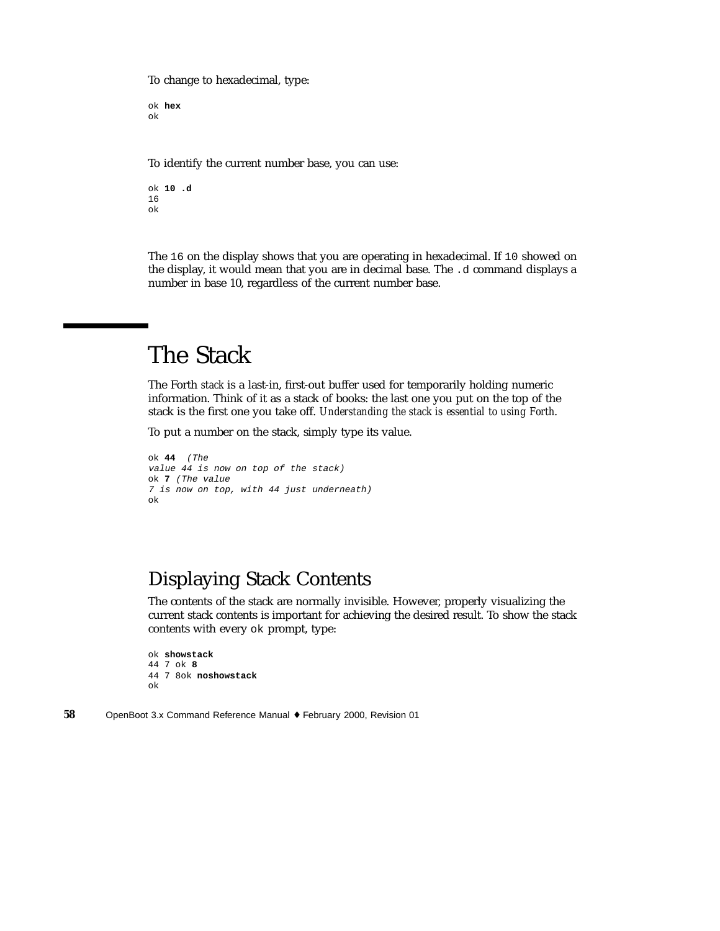To change to hexadecimal, type:

ok **hex** ok

To identify the current number base, you can use:

ok **10 .d** 16 ok

The 16 on the display shows that you are operating in hexadecimal. If 10 showed on the display, it would mean that you are in decimal base. The .d command displays a number in base 10, regardless of the current number base.

# The Stack

The Forth *stack* is a last-in, first-out buffer used for temporarily holding numeric information. Think of it as a stack of books: the last one you put on the top of the stack is the first one you take off. *Understanding the stack is essential to using Forth*.

To put a number on the stack, simply type its value.

```
ok 44 (The
value 44 is now on top of the stack)
ok 7 (The value
7 is now on top, with 44 just underneath)
ok
```
### Displaying Stack Contents

The contents of the stack are normally invisible. However, properly visualizing the current stack contents is important for achieving the desired result. To show the stack contents with every ok prompt, type:

```
ok showstack
44 7 ok 8
44 7 8ok noshowstack
ok
```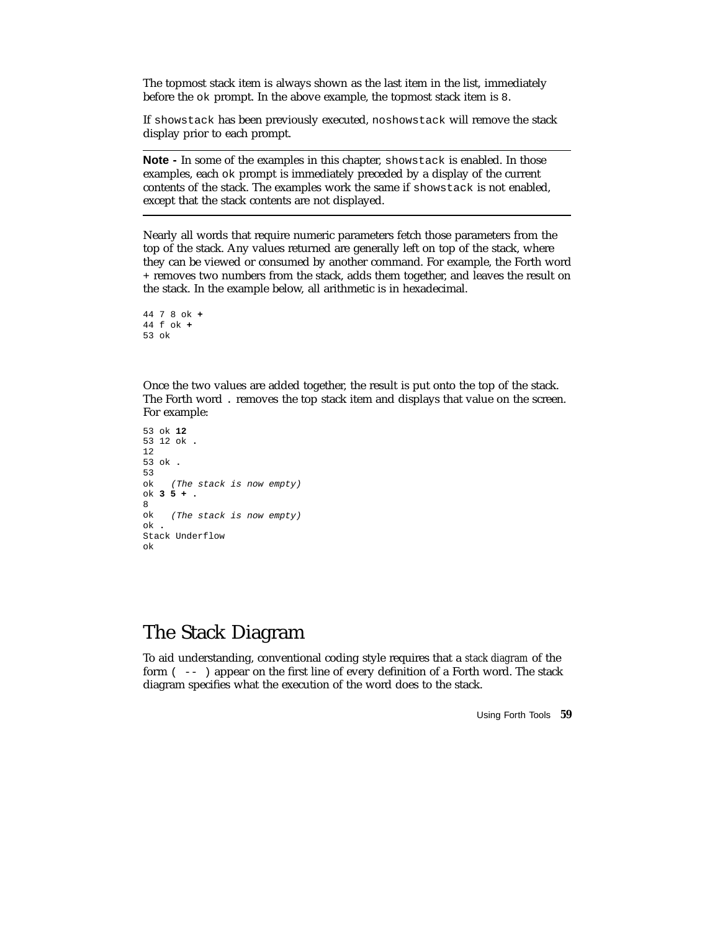The topmost stack item is always shown as the last item in the list, immediately before the ok prompt. In the above example, the topmost stack item is 8.

If showstack has been previously executed, noshowstack will remove the stack display prior to each prompt.

**Note -** In some of the examples in this chapter, showstack is enabled. In those examples, each ok prompt is immediately preceded by a display of the current contents of the stack. The examples work the same if showstack is not enabled, except that the stack contents are not displayed.

Nearly all words that require numeric parameters fetch those parameters from the top of the stack. Any values returned are generally left on top of the stack, where they can be viewed or consumed by another command. For example, the Forth word + removes two numbers from the stack, adds them together, and leaves the result on the stack. In the example below, all arithmetic is in hexadecimal.

```
44 7 8 ok +
44 f ok +
53 ok
```
Once the two values are added together, the result is put onto the top of the stack. The Forth word . removes the top stack item and displays that value on the screen. For example:

```
53 ok 12
53 12 ok .
12
53 ok .
53
ok (The stack is now empty)
ok 35+.
8<br>ok
    (The stack is now empty)
ok .
Stack Underflow
ok
```
### The Stack Diagram

To aid understanding, conventional coding style requires that a *stack diagram* of the form ( -- ) appear on the first line of every definition of a Forth word. The stack diagram specifies what the execution of the word does to the stack.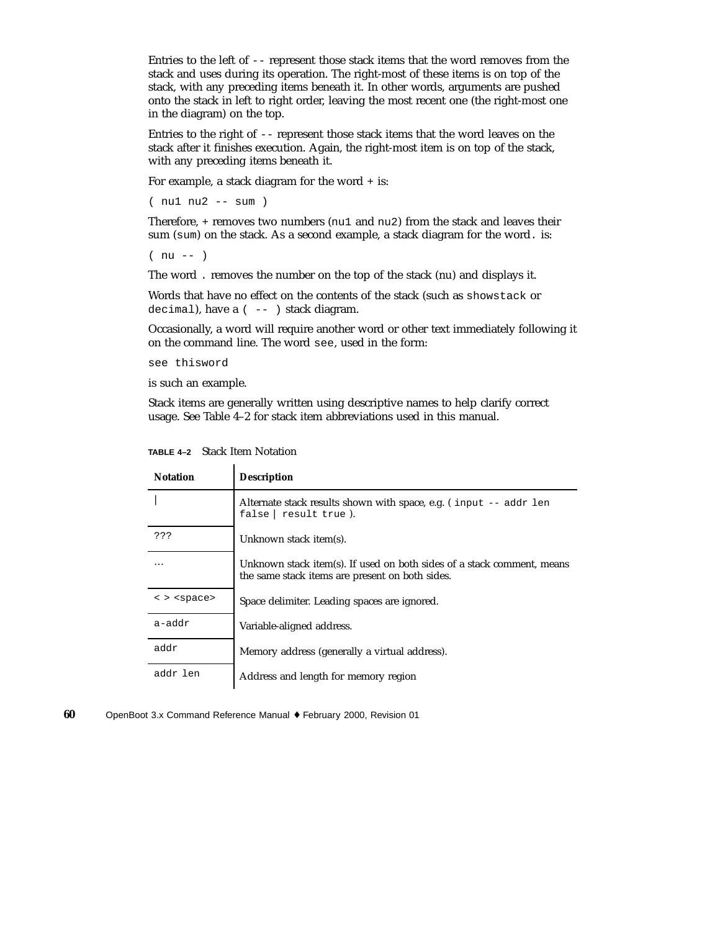Entries to the left of -- represent those stack items that the word removes from the stack and uses during its operation. The right-most of these items is on top of the stack, with any preceding items beneath it. In other words, arguments are pushed onto the stack in left to right order, leaving the most recent one (the right-most one in the diagram) on the top.

Entries to the right of -- represent those stack items that the word leaves on the stack after it finishes execution. Again, the right-most item is on top of the stack, with any preceding items beneath it.

For example, a stack diagram for the word + is:

( nu1 nu2 -- sum )

Therefore, + removes two numbers (nu1 and nu2) from the stack and leaves their sum (sum) on the stack. As a second example, a stack diagram for the word. is:

( nu -- )

The word . removes the number on the top of the stack (nu) and displays it.

Words that have no effect on the contents of the stack (such as showstack or decimal), have a ( -- ) stack diagram.

Occasionally, a word will require another word or other text immediately following it on the command line. The word see, used in the form:

see thisword

is such an example.

Stack items are generally written using descriptive names to help clarify correct usage. See Table 4–2 for stack item abbreviations used in this manual.

| <b>Notation</b>                       | <b>Description</b>                                                                                                        |
|---------------------------------------|---------------------------------------------------------------------------------------------------------------------------|
|                                       | Alternate stack results shown with space, e.g. (input -- addr len<br>false $ $ result true).                              |
| ???                                   | Unknown stack item(s).                                                                                                    |
| $\cdots$                              | Unknown stack item(s). If used on both sides of a stack comment, means<br>the same stack items are present on both sides. |
| $\langle$ > $\langle$ space $\rangle$ | Space delimiter. Leading spaces are ignored.                                                                              |
| a-addr                                | Variable-aligned address.                                                                                                 |
| addr                                  | Memory address (generally a virtual address).                                                                             |
| addr len                              | Address and length for memory region                                                                                      |

**TABLE 4–2** Stack Item Notation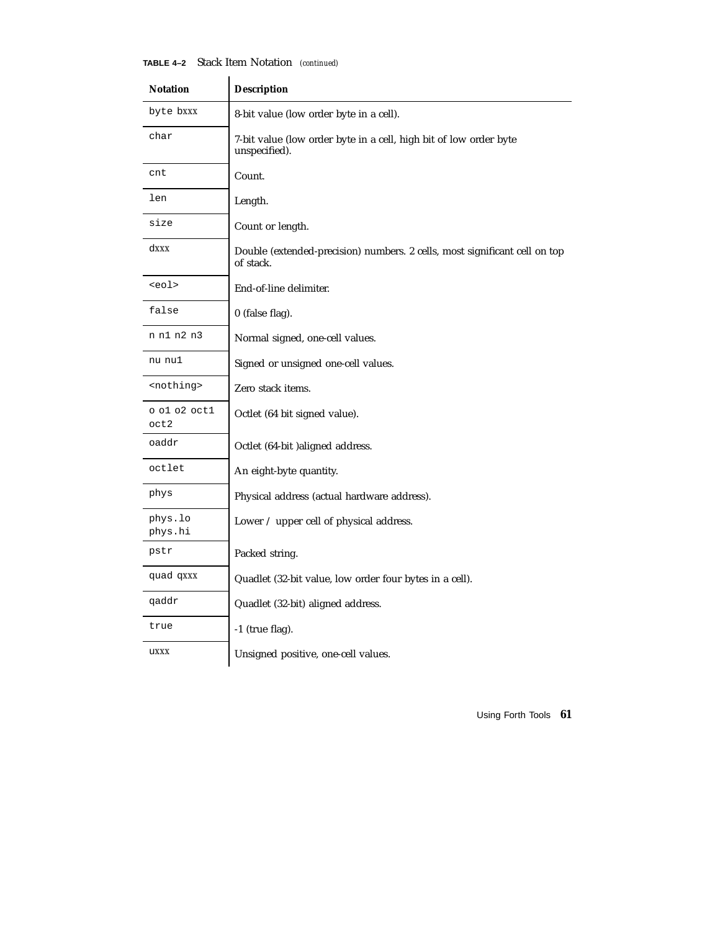#### **TABLE 4–2** Stack Item Notation *(continued)*

| <b>Notation</b>      | <b>Description</b>                                                                      |  |  |  |
|----------------------|-----------------------------------------------------------------------------------------|--|--|--|
| byte bxxx            | 8-bit value (low order byte in a cell).                                                 |  |  |  |
| char                 | 7-bit value (low order byte in a cell, high bit of low order byte<br>unspecified).      |  |  |  |
| cnt                  | Count.                                                                                  |  |  |  |
| len                  | Length.                                                                                 |  |  |  |
| size                 | Count or length.                                                                        |  |  |  |
| $d$ <i>xxx</i>       | Double (extended-precision) numbers. 2 cells, most significant cell on top<br>of stack. |  |  |  |
| <eol></eol>          | End-of-line delimiter.                                                                  |  |  |  |
| false                | 0 (false flag).                                                                         |  |  |  |
| n n1 n2 n3           | Normal signed, one-cell values.                                                         |  |  |  |
| nu nu1               | Signed or unsigned one-cell values.                                                     |  |  |  |
| <nothing></nothing>  | Zero stack items.                                                                       |  |  |  |
| o ol o2 octl<br>oct2 | Octlet (64 bit signed value).                                                           |  |  |  |
| oaddr                | Octlet (64-bit )aligned address.                                                        |  |  |  |
| octlet               | An eight-byte quantity.                                                                 |  |  |  |
| phys                 | Physical address (actual hardware address).                                             |  |  |  |
| phys.lo<br>phys.hi   | Lower / upper cell of physical address.                                                 |  |  |  |
| pstr                 | Packed string.                                                                          |  |  |  |
| quad qxxx            | Quadlet (32-bit value, low order four bytes in a cell).                                 |  |  |  |
| qaddr                | Quadlet (32-bit) aligned address.                                                       |  |  |  |
| true                 | -1 (true flag).                                                                         |  |  |  |
| uxxx                 | Unsigned positive, one-cell values.                                                     |  |  |  |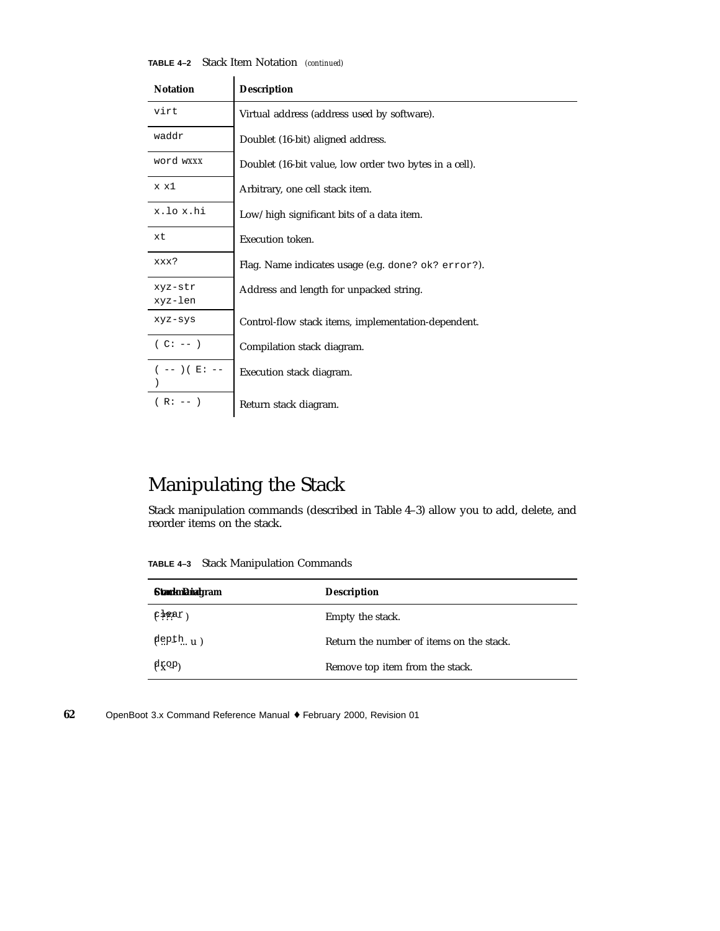| <b>(ABLE 4-2</b> Stack Item Notation (continued) |  |  |  |
|--------------------------------------------------|--|--|--|
|--------------------------------------------------|--|--|--|

| <b>Notation</b>    | <b>Description</b>                                     |
|--------------------|--------------------------------------------------------|
| virt               | Virtual address (address used by software).            |
| waddr              | Doublet (16-bit) aligned address.                      |
| word wXXX          | Doublet (16-bit value, low order two bytes in a cell). |
| x x1               | Arbitrary, one cell stack item.                        |
| x.lox.hi           | Low/high significant bits of a data item.              |
| xt                 | Execution token.                                       |
| xxx?               | Flag. Name indicates usage (e.g. done? ok? error?).    |
| xyz-str<br>xyz-len | Address and length for unpacked string.                |
| xyz-sys            | Control-flow stack items, implementation-dependent.    |
| $(C: --)$          | Compilation stack diagram.                             |
| ( -- ) ( E : --    | Execution stack diagram.                               |
| $(R: -- )$         | Return stack diagram.                                  |

## Manipulating the Stack

Stack manipulation commands (described in Table 4–3) allow you to add, delete, and reorder items on the stack.

**TABLE 4–3** Stack Manipulation Commands

| <b>StarknDiagram</b>              | <b>Description</b>                       |
|-----------------------------------|------------------------------------------|
| (telet)                           | Empty the stack.                         |
| $\phi$ epth. u)                   | Return the number of items on the stack. |
| $\beta$ $\chi$ $\alpha$ $\beta$ ) | Remove top item from the stack.          |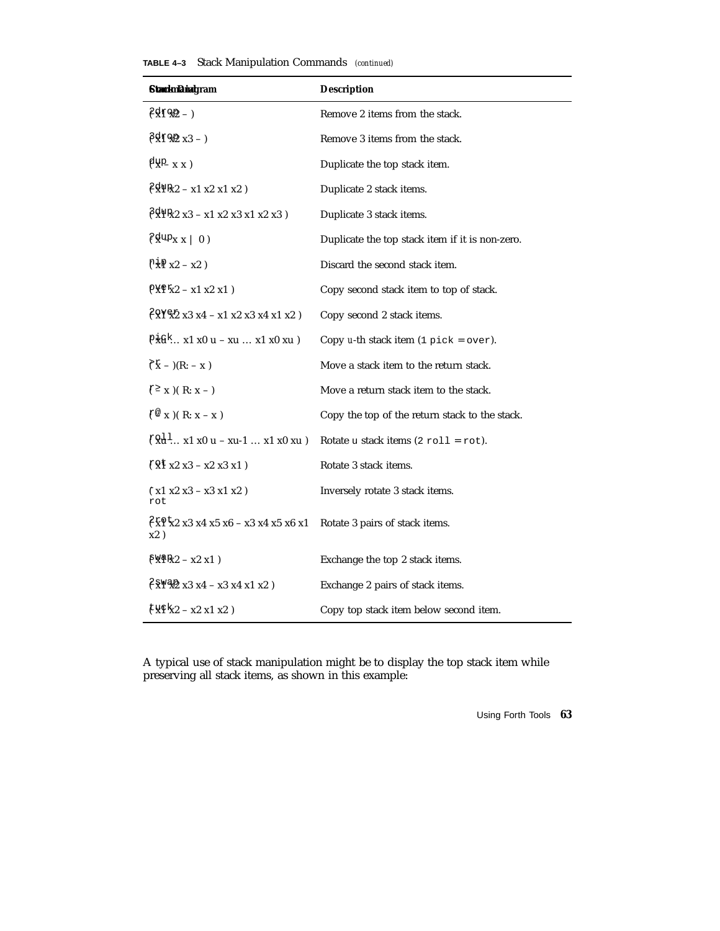|  |  |  | <b>TABLE 4-3</b> Stack Manipulation Commands (continued) |  |
|--|--|--|----------------------------------------------------------|--|
|--|--|--|----------------------------------------------------------|--|

| <b>StarknDiet</b> gram                                                                                                                                                                                                                                                                                              | <b>Description</b>                                      |
|---------------------------------------------------------------------------------------------------------------------------------------------------------------------------------------------------------------------------------------------------------------------------------------------------------------------|---------------------------------------------------------|
| $\ell \rightarrow$ FSP $-$ )                                                                                                                                                                                                                                                                                        | Remove 2 items from the stack.                          |
| $\beta$ xf 92 x3 - )                                                                                                                                                                                                                                                                                                | Remove 3 items from the stack.                          |
| $\beta_{X}^{\text{up}}(x)$                                                                                                                                                                                                                                                                                          | Duplicate the top stack item.                           |
| $\ell$ x <sup>1</sup> <sub>x2</sub> - x <sub>1</sub> x <sub>2</sub> x <sub>1</sub> x <sub>2</sub> )                                                                                                                                                                                                                 | Duplicate 2 stack items.                                |
| $\sqrt{6}x^{18}x^{2}x^{3} - x^{1}x^{2}x^{3}x^{1}x^{2}x^{3}$                                                                                                                                                                                                                                                         | Duplicate 3 stack items.                                |
| $\int \frac{d}{dx} \mathbf{y}_X \cdot  0\rangle$                                                                                                                                                                                                                                                                    | Duplicate the top stack item if it is non-zero.         |
| $P_{X} + Y_{X2} - X_{Z}$                                                                                                                                                                                                                                                                                            | Discard the second stack item.                          |
| $P \times P + x2 - x1 x2 x1)$                                                                                                                                                                                                                                                                                       | Copy second stack item to top of stack.                 |
| $\ell$ RY & 2 x 3 x 4 - x 1 x 2 x 3 x 4 x 1 x 2 \end{brac{2}}                                                                                                                                                                                                                                                       | Copy second 2 stack items.                              |
| $P_{\mathbf{x}}^{\dagger} \mathbf{G}^{\dagger}$ x1 x0 u - xu  x1 x0 xu )                                                                                                                                                                                                                                            | Copy u-th stack item $(1 \text{ pick} = \text{over})$ . |
| $\hat{f}(\hat{x}) - (R: -x)$                                                                                                                                                                                                                                                                                        | Move a stack item to the return stack.                  |
| $f^{\geq}$ x )(R: x - )                                                                                                                                                                                                                                                                                             | Move a return stack item to the stack.                  |
| $f^{\circledcirc}$ x )(R: x - x)                                                                                                                                                                                                                                                                                    | Copy the top of the return stack to the stack.          |
| $\lceil 8d^1 x1 x0 u - xu-1  x1 x0 xu \rceil$                                                                                                                                                                                                                                                                       | Rotate u stack items $(2 \text{ roll} = \text{rot}).$   |
| $\sqrt{8}$ x2 x3 - x2 x3 x1)                                                                                                                                                                                                                                                                                        | Rotate 3 stack items.                                   |
| $(\;x1\;x2\;x3\; -x3\;x1\;x2\;)$<br>rot                                                                                                                                                                                                                                                                             | Inversely rotate 3 stack items.                         |
| $\sqrt{2 \times 2 \times 3 \times 4 \times 5 \times 6}$ - x3 x4 x5 x6 x1<br>x2)                                                                                                                                                                                                                                     | Rotate 3 pairs of stack items.                          |
| $f_{X}$ $f_{X2} - x2 x1$                                                                                                                                                                                                                                                                                            | Exchange the top 2 stack items.                         |
| $\sqrt{8}$ YVZ x3 x4 - x3 x4 x1 x2)                                                                                                                                                                                                                                                                                 | Exchange 2 pairs of stack items.                        |
| $\frac{1}{2}$ $\frac{1}{2}$ $\frac{1}{2}$ $\frac{1}{2}$ $\frac{1}{2}$ $\frac{1}{2}$ $\frac{1}{2}$ $\frac{1}{2}$ $\frac{1}{2}$ $\frac{1}{2}$ $\frac{1}{2}$ $\frac{1}{2}$ $\frac{1}{2}$ $\frac{1}{2}$ $\frac{1}{2}$ $\frac{1}{2}$ $\frac{1}{2}$ $\frac{1}{2}$ $\frac{1}{2}$ $\frac{1}{2}$ $\frac{1}{2}$ $\frac{1}{2}$ | Copy top stack item below second item.                  |

A typical use of stack manipulation might be to display the top stack item while preserving all stack items, as shown in this example: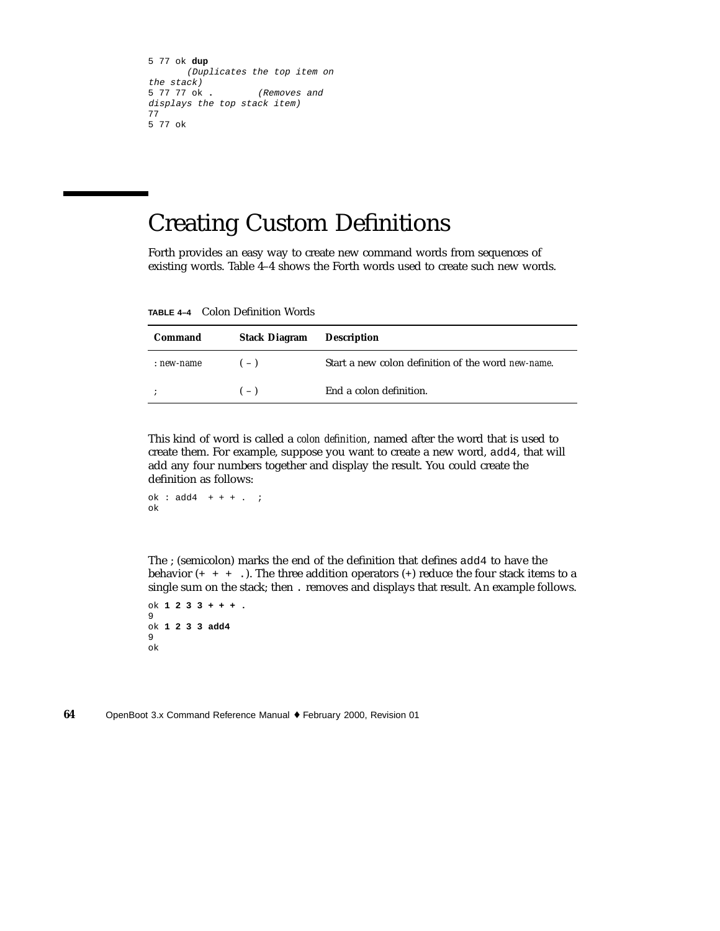```
5 77 ok dup
     (Duplicates the top item on
the stack)
5 77 77 ok . (Removes and
displays the top stack item)
77
5 77 ok
```
# Creating Custom Definitions

Forth provides an easy way to create new command words from sequences of existing words. Table 4–4 shows the Forth words used to create such new words.

**TABLE 4–4** Colon Definition Words

| Command    | <b>Stack Diagram</b> | Description                                        |
|------------|----------------------|----------------------------------------------------|
| : new-name | $(-)$                | Start a new colon definition of the word new-name. |
| $\bullet$  | $(-)$                | End a colon definition.                            |

This kind of word is called a *colon definition*, named after the word that is used to create them. For example, suppose you want to create a new word, add4, that will add any four numbers together and display the result. You could create the definition as follows:

```
ok : add4 + + + + \ldotsok
```
The ; (semicolon) marks the end of the definition that defines add4 to have the behavior  $(+ + + \cdot)$ . The three addition operators  $(+)$  reduce the four stack items to a single sum on the stack; then . removes and displays that result. An example follows.

ok **1233+++.** 9 ok **1 2 3 3 add4** 9 ok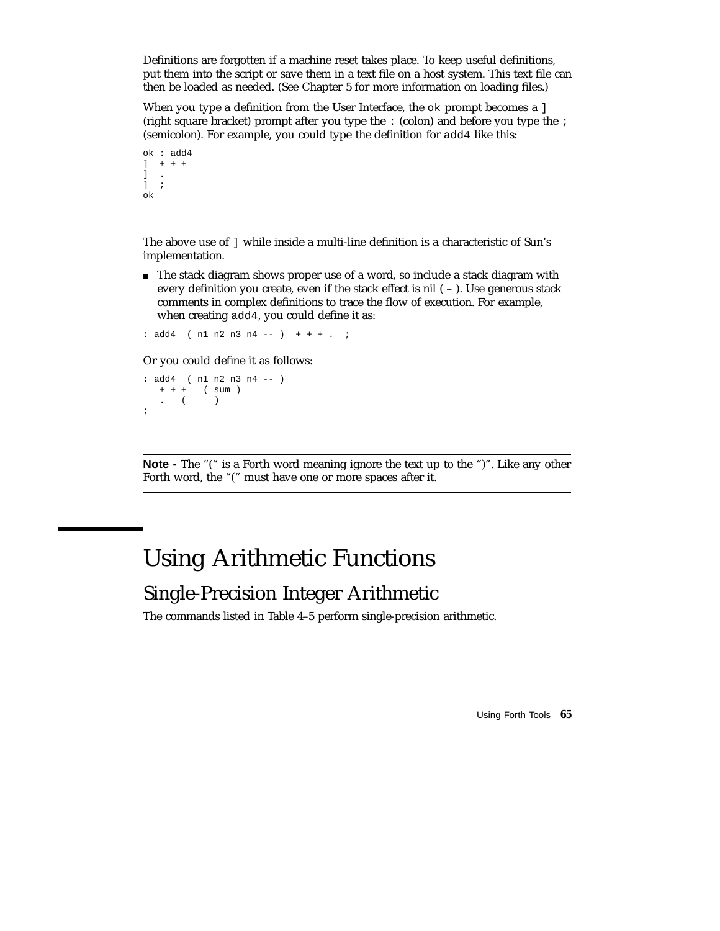Definitions are forgotten if a machine reset takes place. To keep useful definitions, put them into the script or save them in a text file on a host system. This text file can then be loaded as needed. (See Chapter 5 for more information on loading files.)

When you type a definition from the User Interface, the  $\circ \mathsf{k}$  prompt becomes a ] (right square bracket) prompt after you type the : (colon) and before you type the ; (semicolon). For example, you could type the definition for add4 like this:

```
ok : add4
] + + + +] .
] ;
ok
```
The above use of ] while inside a multi-line definition is a characteristic of Sun's implementation.

The stack diagram shows proper use of a word, so include a stack diagram with every definition you create, even if the stack effect is nil  $(-)$ . Use generous stack comments in complex definitions to trace the flow of execution. For example, when creating add4, you could define it as:

: add4 ( n1 n2 n3 n4 -- ) + + + . ;

Or you could define it as follows:

```
: add4 ( n1 n2 n3 n4 -- )
  + + + ( sum )
  . ( );
```
**Note -** The "(" is a Forth word meaning ignore the text up to the ")". Like any other Forth word, the "(" must have one or more spaces after it.

# Using Arithmetic Functions

### Single-Precision Integer Arithmetic

The commands listed in Table 4–5 perform single-precision arithmetic.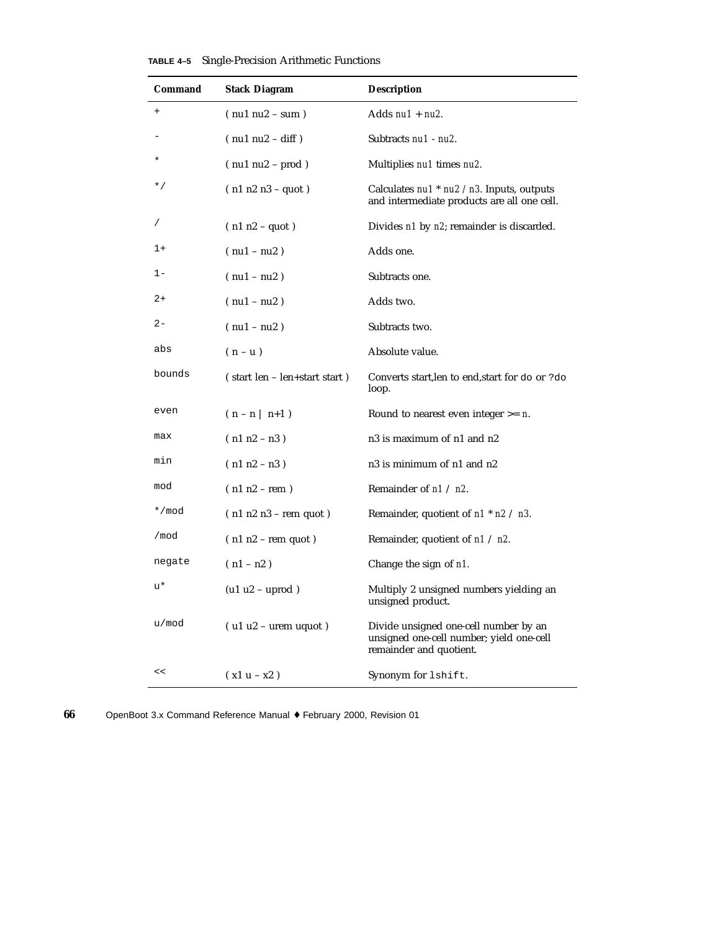| Command        | <b>Stack Diagram</b>               | <b>Description</b>                                                                                           |
|----------------|------------------------------------|--------------------------------------------------------------------------------------------------------------|
| $\overline{+}$ | $(nu1 nu2 - sum)$                  | Adds $nu1 + nu2$ .                                                                                           |
|                | $(nu1 nu2 - diff)$                 | Subtracts nu1 - nu2.                                                                                         |
|                | $( \text{nu1 nu2} - \text{prod} )$ | Multiplies nul times nu2.                                                                                    |
| * /            | $(n1 n2 n3 - quot)$                | Calculates $nu1$ * $nu2$ / n3. Inputs, outputs<br>and intermediate products are all one cell.                |
|                | $(n1 n2 - quot)$                   | Divides n1 by n2; remainder is discarded.                                                                    |
| $1+$           | $(nu1 - nu2)$                      | Adds one.                                                                                                    |
| $1 -$          | $(nu1 - nu2)$                      | Subtracts one.                                                                                               |
| $2+$           | $(nu1 - nu2)$                      | Adds two.                                                                                                    |
| $2 -$          | $(nu1 - nu2)$                      | Subtracts two.                                                                                               |
| abs            | $(n - u)$                          | Absolute value.                                                                                              |
| bounds         | (start len – len+start start)      | Converts start, len to end, start for do or ? do<br>loop.                                                    |
| even           | $( n - n \mid n+1 )$               | Round to nearest even integer $>= n$ .                                                                       |
| max            | $(n1 n2 - n3)$                     | n3 is maximum of n1 and n2                                                                                   |
| min            | $(n1 n2 - n3)$                     | n3 is minimum of n1 and n2                                                                                   |
| mod            | $(n1 n2 - rem)$                    | Remainder of $n1 / n2$ .                                                                                     |
| */mod          | $(n1 n2 n3 - rem quot)$            | Remainder, quotient of $n1$ * $n2$ / $n3$ .                                                                  |
| /mod           | $(n1 n2 - rem quot)$               | Remainder, quotient of $n1 / n2$ .                                                                           |
| negate         | $(n1 - n2)$                        | Change the sign of n1.                                                                                       |
| u*             | $(ulu2 - uprod)$                   | Multiply 2 unsigned numbers yielding an<br>unsigned product.                                                 |
| u/mod          | $($ u1 u2 – urem uquot)            | Divide unsigned one-cell number by an<br>unsigned one-cell number; yield one-cell<br>remainder and quotient. |
| <<             | $(x1u - x2)$                       | Synonym for lshift.                                                                                          |

|  | TABLE 4-5 Single-Precision Arithmetic Functions |  |  |
|--|-------------------------------------------------|--|--|
|--|-------------------------------------------------|--|--|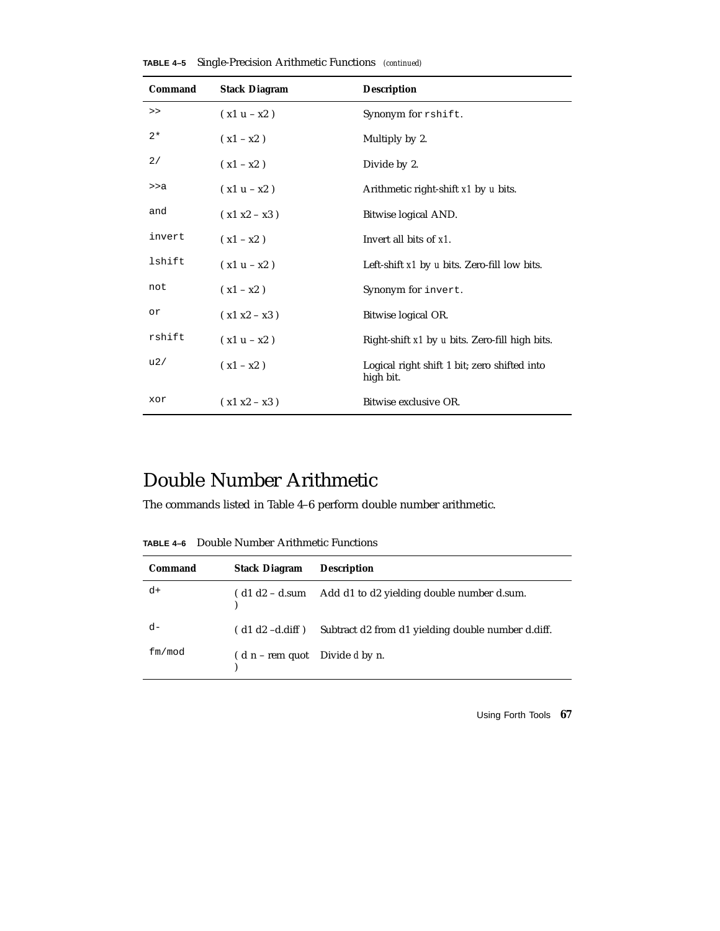|  |  | TABLE 4-5 Single-Precision Arithmetic Functions (continued) |  |  |  |  |
|--|--|-------------------------------------------------------------|--|--|--|--|
|--|--|-------------------------------------------------------------|--|--|--|--|

| Command | <b>Stack Diagram</b> | <b>Description</b>                                        |
|---------|----------------------|-----------------------------------------------------------|
| >       | $(x1 u - x2)$        | Synonym for rshift.                                       |
| $2*$    | $(x1 - x2)$          | Multiply by 2.                                            |
| 2/      | $(x1 - x2)$          | Divide by 2.                                              |
| >>a     | $(x1 u - x2)$        | Arithmetic right-shift x1 by u bits.                      |
| and     | $(x1 x2 - x3)$       | Bitwise logical AND.                                      |
| invert  | $(x1 - x2)$          | Invert all bits of x1.                                    |
| lshift  | $(x1 u - x2)$        | Left-shift x1 by u bits. Zero-fill low bits.              |
| not     | $(x1 - x2)$          | Synonym for invert.                                       |
| or      | $(x1 x2 - x3)$       | Bitwise logical OR.                                       |
| rshift  | $(x1 u - x2)$        | Right-shift x1 by u bits. Zero-fill high bits.            |
| u2/     | $(x1 - x2)$          | Logical right shift 1 bit; zero shifted into<br>high bit. |
| xor     | $(x1 x2 - x3)$       | Bitwise exclusive OR.                                     |

### Double Number Arithmetic

The commands listed in Table 4–6 perform double number arithmetic.

**TABLE 4–6** Double Number Arithmetic Functions

| Command | <b>Stack Diagram</b>             | <b>Description</b>                                 |
|---------|----------------------------------|----------------------------------------------------|
| $d+$    | $\int d1 d2 - d$ .sum            | Add d1 to d2 yielding double number d.sum.         |
| $d-$    | $($ d1 d2 -d.diff $)$            | Subtract d2 from d1 yielding double number d.diff. |
| fm/mol  | $(d n - rem$ quot Divide d by n. |                                                    |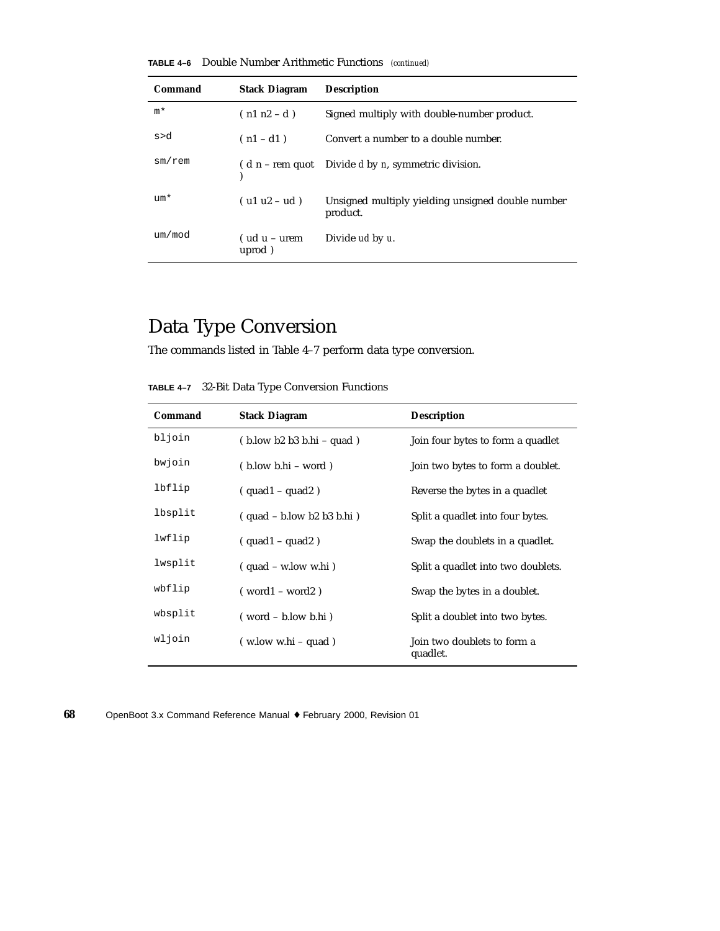**TABLE 4–6** Double Number Arithmetic Functions *(continued)*

| Command      | <b>Stack Diagram</b>     | <b>Description</b>                                            |
|--------------|--------------------------|---------------------------------------------------------------|
| m*           | $(n1 n2 - d)$            | Signed multiply with double-number product.                   |
| s>d          | $(n1 - d1)$              | Convert a number to a double number.                          |
| $sm$ / $rem$ |                          | $(d n - rem$ quot Divide d by <i>n</i> , symmetric division.  |
| $um*$        | $( ulu2 - ud)$           | Unsigned multiply yielding unsigned double number<br>product. |
| um/mod       | $(udu - urem)$<br>uprod) | Divide ud by u.                                               |

## Data Type Conversion

The commands listed in Table 4–7 perform data type conversion.

**TABLE 4–7** 32-Bit Data Type Conversion Functions

| Command | <b>Stack Diagram</b>         | <b>Description</b>                      |
|---------|------------------------------|-----------------------------------------|
| bljoin  | $(b. low b2 b3 b.hi - quad)$ | Join four bytes to form a quadlet       |
| bwjoin  | $(b. low b.hi - word)$       | Join two bytes to form a doublet.       |
| lbflip  | $(quad 1 - quad 2)$          | Reverse the bytes in a quadlet          |
| lbsplit | $(quad - b. low b2 b3 b.hi)$ | Split a quadlet into four bytes.        |
| lwflip  | $(quad 1 - quad 2)$          | Swap the doublets in a quadlet.         |
| lwsplit | $(quad - w, low w, hi)$      | Split a quadlet into two doublets.      |
| wbflip  | $(word1 - word2)$            | Swap the bytes in a doublet.            |
| wbsplit | $( word - b, low b. hi)$     | Split a doublet into two bytes.         |
| wljoin  | $(w, low w.hi - quad)$       | Join two doublets to form a<br>quadlet. |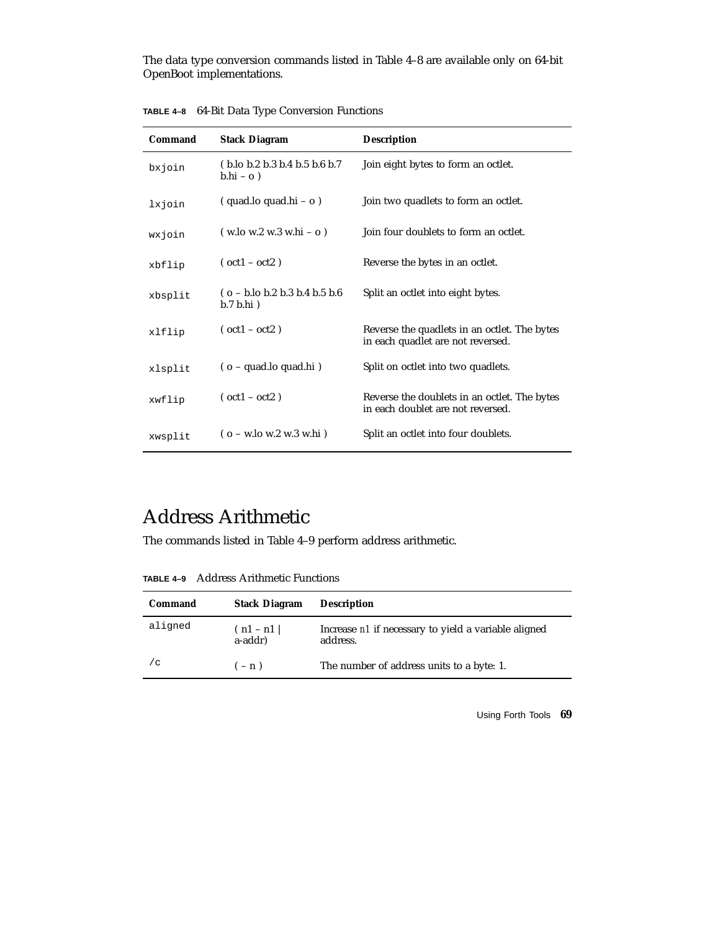The data type conversion commands listed in Table 4–8 are available only on 64-bit OpenBoot implementations.

| Command | <b>Stack Diagram</b>                                                             | <b>Description</b>                                                                |
|---------|----------------------------------------------------------------------------------|-----------------------------------------------------------------------------------|
| bxjoin  | (b.lo b.2 b.3 b.4 b.5 b.6 b.7<br>$b.hi - o$ )                                    | Join eight bytes to form an octlet.                                               |
| lxjoin  | $(quad.lo quad.hi - o)$                                                          | Join two quadlets to form an octlet.                                              |
| wxjoin  | $(w \cdot 10 w \cdot 2 w \cdot 3 w \cdot 16 - 0)$                                | Join four doublets to form an octlet.                                             |
| xbflip  | $(oct1 - oct2)$                                                                  | Reverse the bytes in an octlet.                                                   |
| xbsplit | $(o - b \cdot lo b \cdot 2 b \cdot 3 b \cdot 4 b \cdot 5 b \cdot 6$<br>b.7 b.hi) | Split an octlet into eight bytes.                                                 |
| xlflip  | $(oct1 - oct2)$                                                                  | Reverse the quadlets in an octlet. The bytes<br>in each quadlet are not reversed. |
| xlsplit | (o - quad.lo quad.hi)                                                            | Split on octlet into two quadlets.                                                |
| xwflip  | $(oct1 - oct2)$                                                                  | Reverse the doublets in an octlet. The bytes<br>in each doublet are not reversed. |
| xwsplit | $(o - w \cdot lo \le 2 w \cdot 3 w \cdot hi)$                                    | Split an octlet into four doublets.                                               |

**TABLE 4–8** 64-Bit Data Type Conversion Functions

## Address Arithmetic

The commands listed in Table 4–9 perform address arithmetic.

**TABLE 4–9** Address Arithmetic Functions

| Command | <b>Stack Diagram</b>  | <b>Description</b>                                               |
|---------|-----------------------|------------------------------------------------------------------|
| aligned | (n1 – n1  <br>a-addr) | Increase n1 if necessary to yield a variable aligned<br>address. |
| / C     | $(-n)$                | The number of address units to a byte: 1.                        |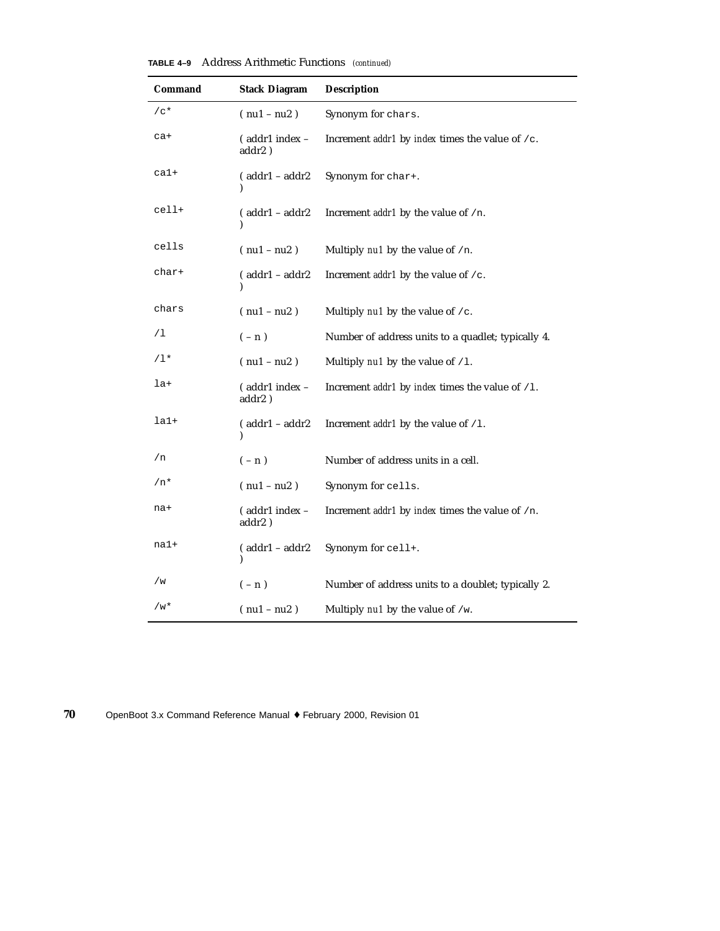| Address Arithmetic Functions (continued)<br>TABLE 4-9 |  |
|-------------------------------------------------------|--|
|-------------------------------------------------------|--|

| Command         | <b>Stack Diagram</b>     | <b>Description</b>                                               |
|-----------------|--------------------------|------------------------------------------------------------------|
| $/c*$           | $(nu1 - nu2)$            | Synonym for chars.                                               |
| ca+             | (addr1 index -<br>addr2) | Increment <i>addr1</i> by <i>index</i> times the value of $/c$ . |
| $ca1+$          | $( addr1 - addr2)$<br>١  | Synonym for char+.                                               |
| cell+           | $($ addr $1 -$ addr $2$  | Increment <i>addr1</i> by the value of /n.                       |
| cells           | $(nu1 - nu2)$            | Multiply nu1 by the value of /n.                                 |
| char+           | $( addr1 - addr2)$       | Increment <i>addr1</i> by the value of $/c$ .                    |
| chars           | $(nu1 - nu2)$            | Multiply $nul$ by the value of $/c$ .                            |
| /1              | $(-n)$                   | Number of address units to a quadlet; typically 4.               |
| /1*             | $(nu1 - nu2)$            | Multiply $nu1$ by the value of $/1$ .                            |
| la+             | (addr1 index -<br>addr2) | Increment <i>addr1</i> by <i>index</i> times the value of /1.    |
| la <sub>1</sub> | $( addr1 - addr2)$       | Increment <i>addr1</i> by the value of $/1$ .                    |
| /n              | $(-n)$                   | Number of address units in a cell.                               |
| $/n*$           | $(nu1 - nu2)$            | Synonym for cells.                                               |
| na+             | (addr1 index -<br>addr2) | Increment addr1 by index times the value of /n.                  |
| na1+            | $( addr1 - addr2)$<br>⟩  | Synonym for cell+.                                               |
| / w             | $(-n)$                   | Number of address units to a doublet; typically 2.               |
| /w*             | $(nu1 - nu2)$            | Multiply $nu1$ by the value of /w.                               |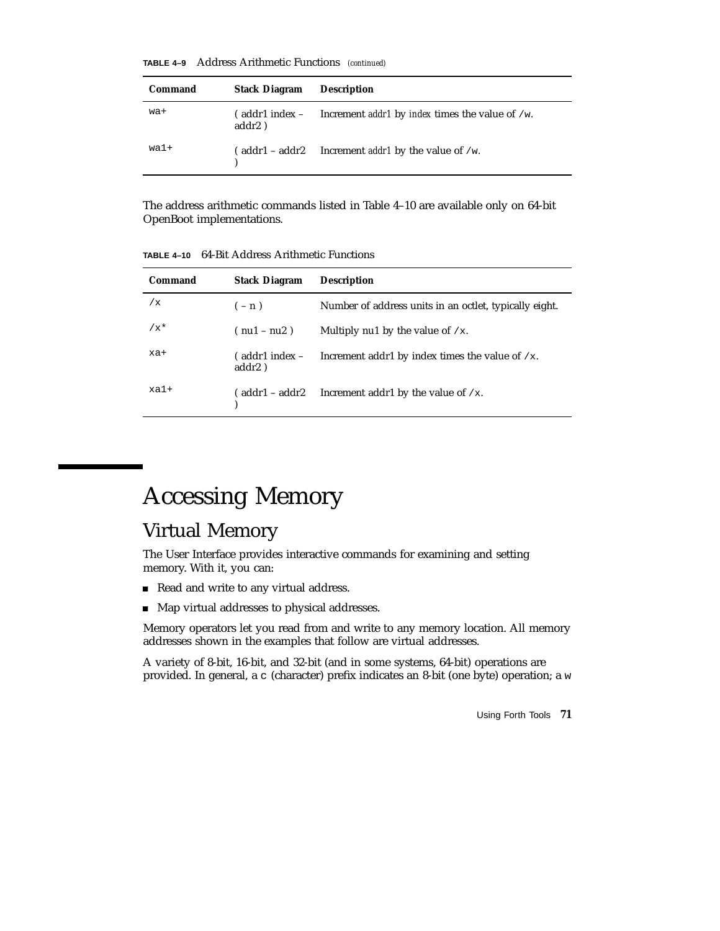**TABLE 4–9** Address Arithmetic Functions *(continued)*

| Command | <b>Stack Diagram</b> | <b>Description</b>                                                 |
|---------|----------------------|--------------------------------------------------------------------|
| wa+     | addr2)               | addr1 index – Increment addr1 by index times the value of /w.      |
| wa1+    |                      | $\alpha$ (addr1 – addr2 Increment <i>addr1</i> by the value of /w. |

The address arithmetic commands listed in Table 4–10 are available only on 64-bit OpenBoot implementations.

**TABLE 4–10** 64-Bit Address Arithmetic Functions

| Command | <b>Stack Diagram</b>                        | <b>Description</b>                                     |
|---------|---------------------------------------------|--------------------------------------------------------|
| /x      | $(-n)$                                      | Number of address units in an octlet, typically eight. |
| $/x^*$  | $(nu1 - nu2)$                               | Multiply nu1 by the value of $/x$ .                    |
| xa+     | $\epsilon$ addr1 index $\epsilon$<br>addr2) | Increment addr1 by index times the value of $/x$ .     |
| $xa1+$  | (addr1 – addr2                              | Increment addr1 by the value of $/x$ .                 |

# Accessing Memory

### Virtual Memory

The User Interface provides interactive commands for examining and setting memory. With it, you can:

- Read and write to any virtual address.
- Map virtual addresses to physical addresses.

Memory operators let you read from and write to any memory location. All memory addresses shown in the examples that follow are virtual addresses.

A variety of 8-bit, 16-bit, and 32-bit (and in some systems, 64-bit) operations are provided. In general, a c (character) prefix indicates an 8-bit (one byte) operation; a w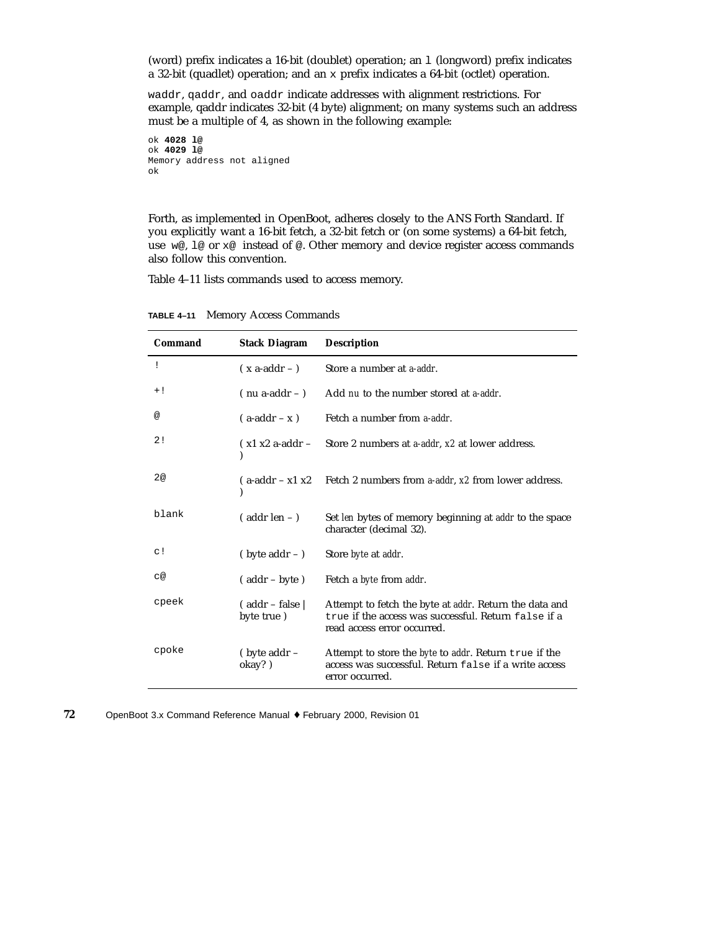(word) prefix indicates a 16-bit (doublet) operation; an l (longword) prefix indicates a 32-bit (quadlet) operation; and an x prefix indicates a 64-bit (octlet) operation.

waddr, qaddr, and oaddr indicate addresses with alignment restrictions. For example, qaddr indicates 32-bit (4 byte) alignment; on many systems such an address must be a multiple of 4, as shown in the following example:

```
ok 4028 l@
ok 4029 l@
Memory address not aligned
ok
```
Forth, as implemented in OpenBoot, adheres closely to the ANS Forth Standard. If you explicitly want a 16-bit fetch, a 32-bit fetch or (on some systems) a 64-bit fetch, use w@, l@ or x@ instead of @. Other memory and device register access commands also follow this convention.

Table 4–11 lists commands used to access memory.

| Command   | <b>Stack Diagram</b>                       | <b>Description</b>                                                                                                                            |
|-----------|--------------------------------------------|-----------------------------------------------------------------------------------------------------------------------------------------------|
| ï         | $(x \text{ a-addr} - )$                    | Store a number at a-addr.                                                                                                                     |
| $+!$      | $($ nu a-addr $ )$                         | Add nu to the number stored at a-addr.                                                                                                        |
| @         | $(a-addr - x)$                             | Fetch a number from a-addr.                                                                                                                   |
| 2!        | $(x1 x2 a-addr -$                          | Store 2 numbers at <i>a-addr</i> , x2 at lower address.                                                                                       |
| 2@        | $(a-addr - x1 x2)$                         | Fetch 2 numbers from <i>a-addr</i> , x2 from lower address.                                                                                   |
| blank     | $($ addr len $-$ )                         | Set len bytes of memory beginning at addr to the space<br>character (decimal 32).                                                             |
| $\circ$ ! | $(\text{byte addr} - )$                    | Store <i>byte</i> at <i>addr</i> .                                                                                                            |
| с@        | $($ addr – byte)                           | Fetch a <i>byte</i> from <i>addr</i> .                                                                                                        |
| cpeek     | $($ addr – false $\parallel$<br>byte true) | Attempt to fetch the byte at addr. Return the data and<br>true if the access was successful. Return false if a<br>read access error occurred. |
| cpoke     | (byte addr -<br>okay?)                     | Attempt to store the byte to addr. Return true if the<br>access was successful. Return false if a write access<br>error occurred.             |

**TABLE 4–11** Memory Access Commands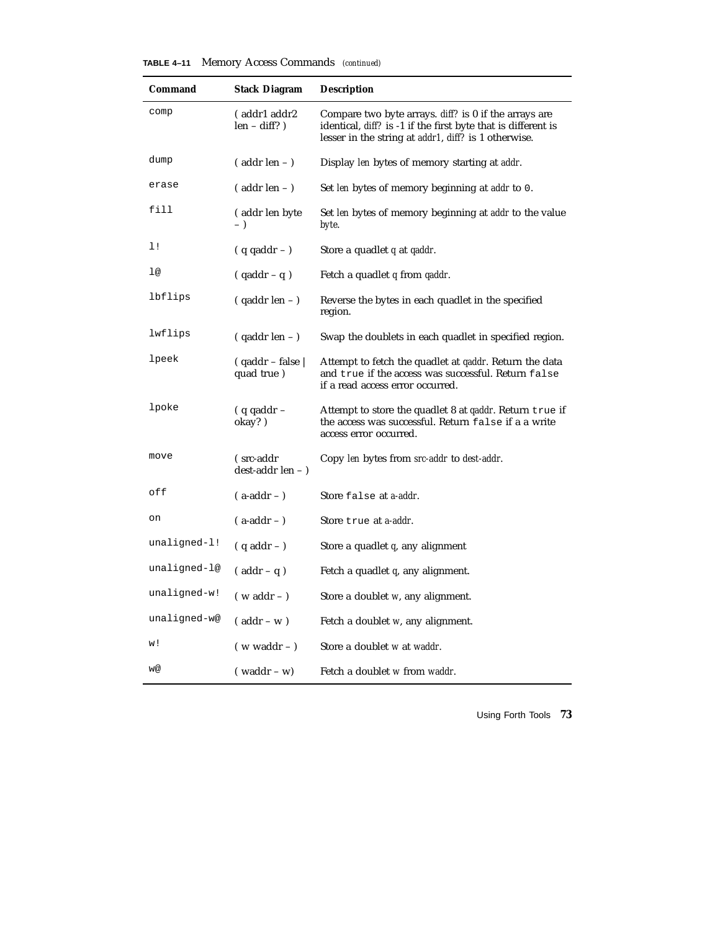|  |  |  | <b>TABLE 4–11</b> Memory Access Commands (continued) |  |
|--|--|--|------------------------------------------------------|--|
|--|--|--|------------------------------------------------------|--|

| Command      | <b>Stack Diagram</b>                 | <b>Description</b>                                                                                                                                                                           |
|--------------|--------------------------------------|----------------------------------------------------------------------------------------------------------------------------------------------------------------------------------------------|
| comp         | (addr1 addr2<br>$len - diff?$ )      | Compare two byte arrays. <i>diff?</i> is 0 if the arrays are<br>identical, <i>diff?</i> is -1 if the first byte that is different is<br>lesser in the string at addr1, diff? is 1 otherwise. |
| dump         | $($ addr len $ )$                    | Display len bytes of memory starting at addr.                                                                                                                                                |
| erase        | $($ addr len $ )$                    | Set len bytes of memory beginning at addr to 0.                                                                                                                                              |
| fill         | (addr len byte<br>$-$ )              | Set len bytes of memory beginning at addr to the value<br>byte.                                                                                                                              |
| 1!           | $( q q a d dr - )$                   | Store a quadlet q at qaddr.                                                                                                                                                                  |
| 1@           | $( qaddr - q )$                      | Fetch a quadlet q from qaddr.                                                                                                                                                                |
| lbflips      | $($ qaddr len $ )$                   | Reverse the bytes in each quadlet in the specified<br>region.                                                                                                                                |
| lwflips      | $($ qaddr len $-$ )                  | Swap the doublets in each quadlet in specified region.                                                                                                                                       |
| lpeek        | $($ qaddr – false $\ $<br>quad true) | Attempt to fetch the quadlet at <i>qaddr</i> . Return the data<br>and true if the access was successful. Return false<br>if a read access error occurred.                                    |
| lpoke        | $( q q a d d r -$<br>okay?)          | Attempt to store the quadlet 8 at <i>qaddr</i> . Return true if<br>the access was successful. Return false if a a write<br>access error occurred.                                            |
| move         | (src-addr<br>dest-addr len - )       | Copy len bytes from src-addr to dest-addr.                                                                                                                                                   |
| off          | $($ a-addr $-$ )                     | Store false at a-addr.                                                                                                                                                                       |
| on           | $(a-addr - )$                        | Store true at a-addr.                                                                                                                                                                        |
| unaligned-l! | $(q \text{ addr} - )$                | Store a quadlet $q$ , any alignment                                                                                                                                                          |
| unaligned-l@ | $($ addr – q)                        | Fetch a quadlet q, any alignment.                                                                                                                                                            |
| unaligned-w! | $(w \text{ addr} - )$                | Store a doublet w, any alignment.                                                                                                                                                            |
| unaligned-w@ | $($ addr – w $)$                     | Fetch a doublet w, any alignment.                                                                                                                                                            |
| w!           | $(w \text{ waddr} - )$               | Store a doublet w at waddr.                                                                                                                                                                  |
| w@           | $($ waddr – w $)$                    | Fetch a doublet w from waddr.                                                                                                                                                                |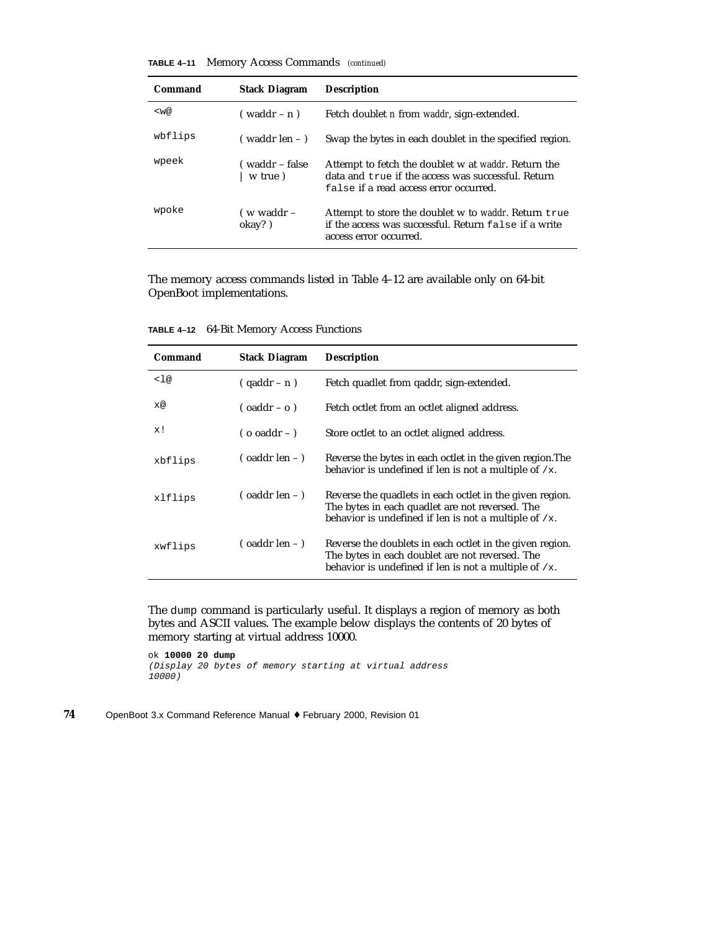#### **TABLE 4–11** Memory Access Commands *(continued)*

| Command | <b>Stack Diagram</b>       | <b>Description</b>                                                                                                                                          |
|---------|----------------------------|-------------------------------------------------------------------------------------------------------------------------------------------------------------|
| $<$ w@  | (waddr – n)                | Fetch doublet <i>n</i> from <i>waddr</i> , sign-extended.                                                                                                   |
| wbflips | ( waddr len – )            | Swap the bytes in each doublet in the specified region.                                                                                                     |
| wpeek   | ( waddr – false<br>w true) | Attempt to fetch the doublet w at <i>waddr</i> . Return the<br>data and true if the access was successful. Return<br>false if a read access error occurred. |
| wpoke   | (w waddr –<br>okay?)       | Attempt to store the doublet w to <i>waddr</i> . Return true<br>if the access was successful. Return false if a write<br>access error occurred.             |

The memory access commands listed in Table 4–12 are available only on 64-bit OpenBoot implementations.

| Command | <b>Stack Diagram</b>    | <b>Description</b>                                                                                                                                                      |
|---------|-------------------------|-------------------------------------------------------------------------------------------------------------------------------------------------------------------------|
| < 1@    | $(qaddr - n)$           | Fetch quadlet from gaddr, sign-extended.                                                                                                                                |
| x@      | $($ oaddr – o $)$       | Fetch octlet from an octlet aligned address.                                                                                                                            |
| x!      | $($ o oaddr $-$ )       | Store octlet to an octlet aligned address.                                                                                                                              |
| xbflips | $\sigma$ (oaddr len – ) | Reverse the bytes in each octlet in the given region. The<br>behavior is undefined if len is not a multiple of $/x$ .                                                   |
| xlflips | $\sigma$ (oaddr len – ) | Reverse the quadlets in each octlet in the given region.<br>The bytes in each quadlet are not reversed. The<br>behavior is undefined if len is not a multiple of $/x$ . |
| xwflips | $\sigma$ (oaddr len – ) | Reverse the doublets in each octlet in the given region.<br>The bytes in each doublet are not reversed. The<br>behavior is undefined if len is not a multiple of $/x$ . |

**TABLE 4–12** 64-Bit Memory Access Functions

The dump command is particularly useful. It displays a region of memory as both bytes and ASCII values. The example below displays the contents of 20 bytes of memory starting at virtual address 10000.

ok **10000 20 dump** (Display 20 bytes of memory starting at virtual address 10000)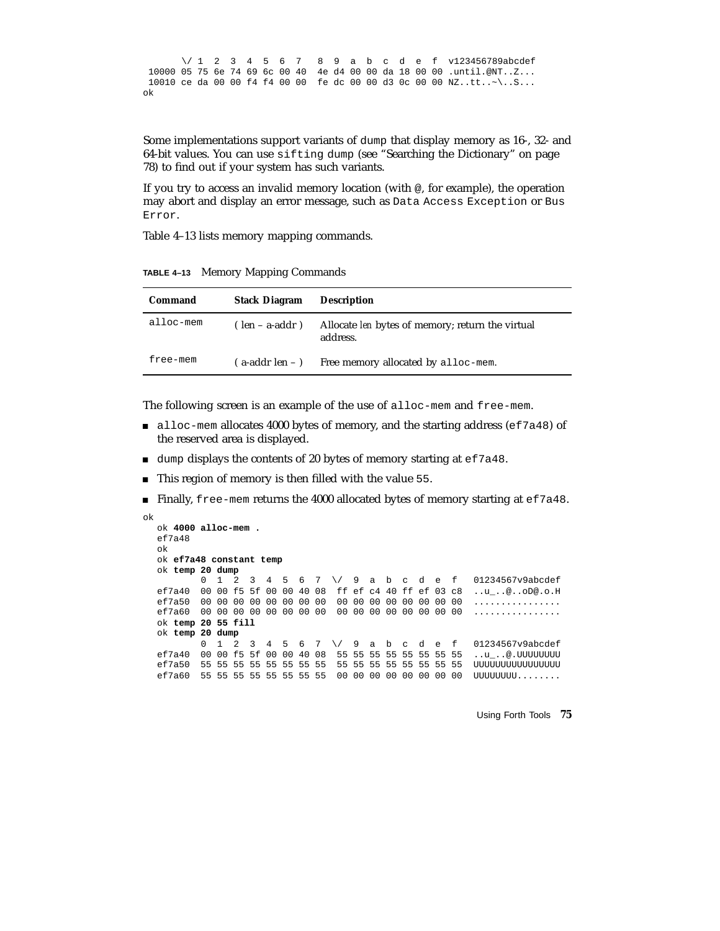\/ 1 2 3 4 5 6 7 8 9 a b c d e f v123456789abcdef 10000 05 75 6e 74 69 6c 00 40 4e d4 00 00 da 18 00 00 .until.@NT..Z... 10010 ce da 00 00 f4 f4 00 00 fe dc 00 00 d3 0c 00 00 NZ..tt..~\..S... ok

Some implementations support variants of dump that display memory as 16-, 32- and 64-bit values. You can use sifting dump (see "Searching the Dictionary" on page 78) to find out if your system has such variants.

If you try to access an invalid memory location (with @, for example), the operation may abort and display an error message, such as Data Access Exception or Bus Error.

Table 4–13 lists memory mapping commands.

**TABLE 4–13** Memory Mapping Commands

| Command   | <b>Stack Diagram</b> | <b>Description</b>                                                  |
|-----------|----------------------|---------------------------------------------------------------------|
| alloc-mem | (len – a-addr)       | Allocate <i>len</i> bytes of memory; return the virtual<br>address. |
| free-mem  |                      | (a-addr len – ) Free memory allocated by alloc-mem.                 |

The following screen is an example of the use of alloc-mem and free-mem.

- alloc-mem allocates 4000 bytes of memory, and the starting address (ef7a48) of the reserved area is displayed.
- $\blacksquare$  dump displays the contents of 20 bytes of memory starting at ef7a48.
- This region of memory is then filled with the value 55.
- Finally, free-mem returns the 4000 allocated bytes of memory starting at  $\epsilon$  f7a48.

```
ok
  ok 4000 alloc-mem .
  ef7a48ok
  ok ef7a48 constant temp
  ok temp 20 dump
         0 1 2 3 4 5 6 7 \/ 9 a b c d e f 01234567v9abcdef
  ef7a40 00 00 f5 5f 00 00 40 08 ff ef c4 40 ff ef 03 c8 ..u_..@..oD@.o.H
  ef7a50 00 00 00 00 00 00 00 00 00 00 00 00 00 00 00 00 ................
  ef7a60 00 00 00 00 00 00 00 00 00 00 00 00 00 00 00 00 ................
  ok temp 20 55 fill
  ok temp 20 dump
         0 1 2 3 4 5 6 7 \/ 9 a b c d e f 01234567v9abcdef
  ef7a40 00 00 f5 5f 00 00 40 08 55 55 55 55 55 55 55 55 ..u_..@.UUUUUUUU
  ef7a50 55 55 55 55 55 55 55 55 55 55 55 55 55 55 55 55 UUUUUUUUUUUUUUUU
  ef7a60 55 55 55 55 55 55 55 55 00 00 00 00 00 00 00 00 UUUUUUUU........
```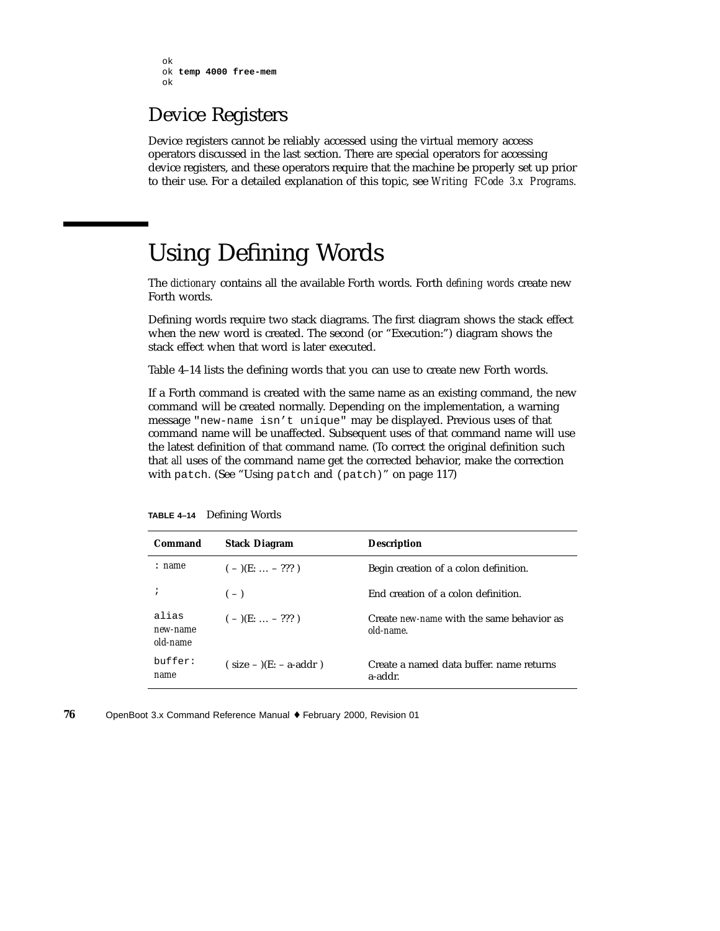```
ok
ok temp 4000 free-mem
ok
```
#### Device Registers

Device registers cannot be reliably accessed using the virtual memory access operators discussed in the last section. There are special operators for accessing device registers, and these operators require that the machine be properly set up prior to their use. For a detailed explanation of this topic, see *Writing FCode 3.x Programs.*

### Using Defining Words

The *dictionary* contains all the available Forth words. Forth *defining words* create new Forth words.

Defining words require two stack diagrams. The first diagram shows the stack effect when the new word is created. The second (or "Execution:") diagram shows the stack effect when that word is later executed.

Table 4–14 lists the defining words that you can use to create new Forth words.

If a Forth command is created with the same name as an existing command, the new command will be created normally. Depending on the implementation, a warning message "new-name isn't unique" may be displayed. Previous uses of that command name will be unaffected. Subsequent uses of that command name will use the latest definition of that command name. (To correct the original definition such that *all* uses of the command name get the corrected behavior, make the correction with patch. (See "Using patch and (patch)" on page 117)

| Command                       | <b>Stack Diagram</b>    | <b>Description</b>                                     |
|-------------------------------|-------------------------|--------------------------------------------------------|
| : name                        | $(-)(E: \ldots - ???)$  | Begin creation of a colon definition.                  |
| ÷                             | $(-)$                   | End creation of a colon definition.                    |
| alias<br>new-name<br>old-name | $(-)(E: \ldots - ???)$  | Create new-name with the same behavior as<br>old-name. |
| buffer:<br>name               | $(size -)(E: - a-addr)$ | Create a named data buffer, name returns<br>a-addr.    |

**TABLE 4–14** Defining Words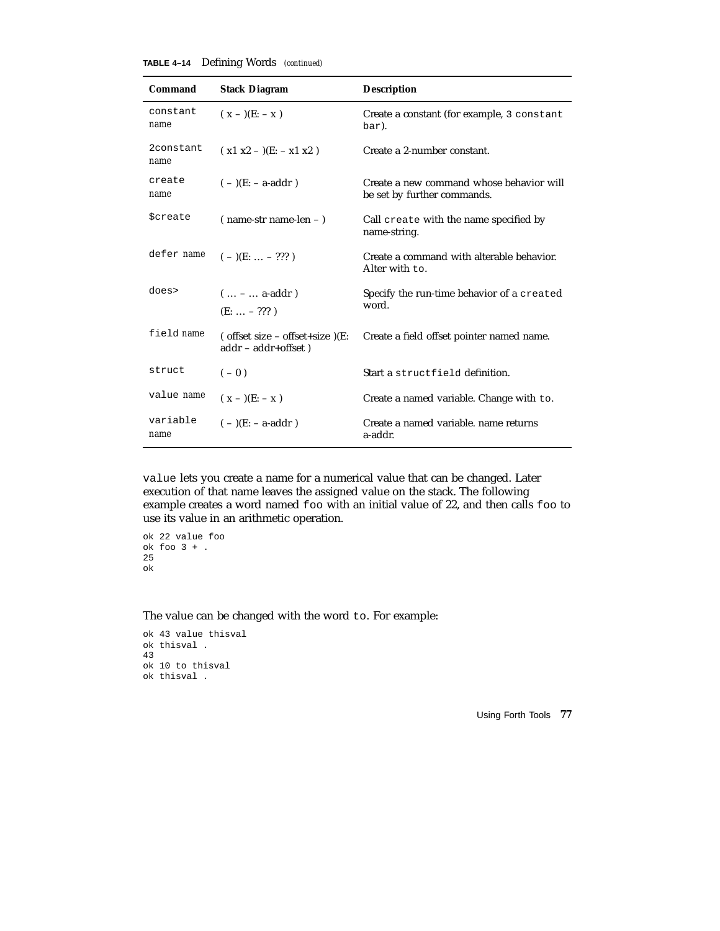| <b>TABLE 4-14</b> | Defining Words (continued) |  |  |
|-------------------|----------------------------|--|--|
|-------------------|----------------------------|--|--|

| Command                | <b>Stack Diagram</b>                                             | <b>Description</b>                                                      |
|------------------------|------------------------------------------------------------------|-------------------------------------------------------------------------|
| constant<br>name       | $(x - )$ (E: - x)                                                | Create a constant (for example, 3 constant<br>bar).                     |
| 2constant<br>name      | $(x1 x2 - )$ (E: - x1 x2)                                        | Create a 2-number constant.                                             |
| create<br>name         | $(-)(E: -a-addr)$                                                | Create a new command whose behavior will<br>be set by further commands. |
| <i><b>\$create</b></i> | $(name-str name-len -)$                                          | Call create with the name specified by<br>name-string.                  |
| defer name             | $(-)(E: \ldots - ???')$                                          | Create a command with alterable behavior.<br>Alter with to.             |
| does>                  | $( -  a = addr)$<br>$(E:  - ???)$                                | Specify the run-time behavior of a created<br>word.                     |
| field name             | $($ offset size – offset+size $)(E$ :<br>$addr - addr + offset)$ | Create a field offset pointer named name.                               |
| struct                 | $(-0)$                                                           | Start a structfield definition.                                         |
| value name             | $(x - )$ (E: - x)                                                | Create a named variable. Change with to.                                |
| variable<br>name       | $(-)(E: -a-addr)$                                                | Create a named variable, name returns<br>a-addr.                        |

value lets you create a name for a numerical value that can be changed. Later execution of that name leaves the assigned value on the stack. The following example creates a word named foo with an initial value of 22, and then calls foo to use its value in an arithmetic operation.

ok 22 value foo  $ok$  foo  $3 + .$ 25 ok

The value can be changed with the word to. For example:

```
ok 43 value thisval
ok thisval .
43
ok 10 to thisval
ok thisval .
```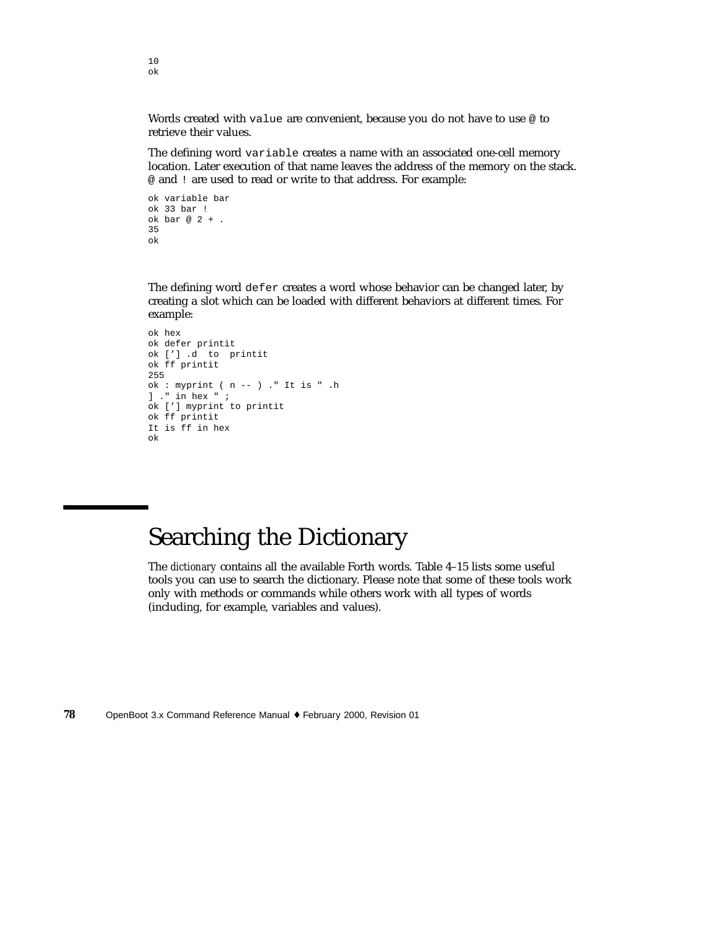Words created with value are convenient, because you do not have to use @ to retrieve their values.

The defining word variable creates a name with an associated one-cell memory location. Later execution of that name leaves the address of the memory on the stack. @ and ! are used to read or write to that address. For example:

```
ok variable bar
ok 33 bar !
ok bar @ 2 + .
35
ok
```
The defining word defer creates a word whose behavior can be changed later, by creating a slot which can be loaded with different behaviors at different times. For example:

```
ok hex
ok defer printit
ok ['] .d to printit
ok ff printit
255
ok : myprint ( n -- ) ." It is " .h
] ." in hex " ;
ok ['] myprint to printit
ok ff printit
It is ff in hex
ok
```
## Searching the Dictionary

The *dictionary* contains all the available Forth words. Table 4–15 lists some useful tools you can use to search the dictionary. Please note that some of these tools work only with methods or commands while others work with all types of words (including, for example, variables and values).

**78** OpenBoot 3.x Command Reference Manual ♦ February 2000, Revision 01

10 ok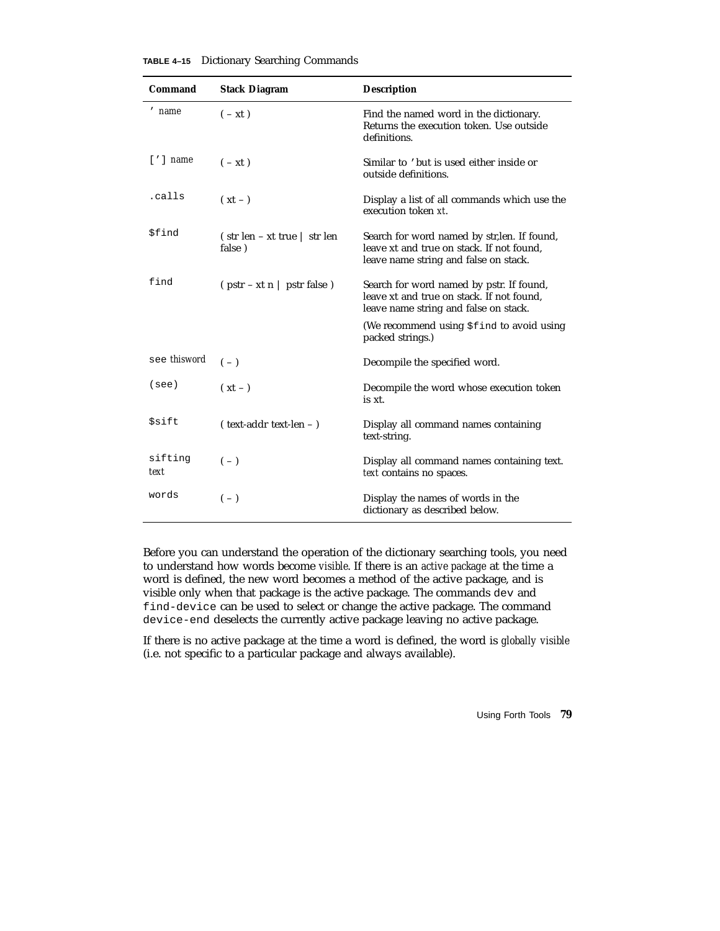| Command                  | <b>Stack Diagram</b>                                                         | <b>Description</b>                                                                                                                 |
|--------------------------|------------------------------------------------------------------------------|------------------------------------------------------------------------------------------------------------------------------------|
| ' name                   | $(-xt)$                                                                      | Find the named word in the dictionary.<br>Returns the execution token. Use outside<br>definitions.                                 |
| $\lceil$ ' $\rceil$ name | $(-xt)$                                                                      | Similar to 'but is used either inside or<br>outside definitions.                                                                   |
| .calls                   | $(xt - )$                                                                    | Display a list of all commands which use the<br>execution token xt.                                                                |
| \$find                   | $\int \text{str}\, \text{len} - \text{xt}\, \text{true}$   str len<br>false) | Search for word named by str, len. If found,<br>leave xt and true on stack. If not found,<br>leave name string and false on stack. |
| find                     | $(\text{pstr} - \text{xt} \cdot \text{n} \mid \text{pstr false})$            | Search for word named by pstr. If found,<br>leave xt and true on stack. If not found.<br>leave name string and false on stack.     |
|                          |                                                                              | (We recommend using \$find to avoid using<br>packed strings.)                                                                      |
| see thisword             | $(-)$                                                                        | Decompile the specified word.                                                                                                      |
| (see)                    | $(xt - )$                                                                    | Decompile the word whose execution token<br>is xt.                                                                                 |
| <i><b>Ssift</b></i>      | (text-addr text-len - )                                                      | Display all command names containing<br>text-string.                                                                               |
| sifting<br>text          | $(-)$                                                                        | Display all command names containing text.<br>text contains no spaces.                                                             |
| words                    | $(-)$                                                                        | Display the names of words in the<br>dictionary as described below.                                                                |

**TABLE 4–15** Dictionary Searching Commands

Before you can understand the operation of the dictionary searching tools, you need to understand how words become *visible*. If there is an *active package* at the time a word is defined, the new word becomes a method of the active package, and is visible only when that package is the active package. The commands dev and find-device can be used to select or change the active package. The command device-end deselects the currently active package leaving no active package.

If there is no active package at the time a word is defined, the word is *globally visible* (i.e. not specific to a particular package and always available).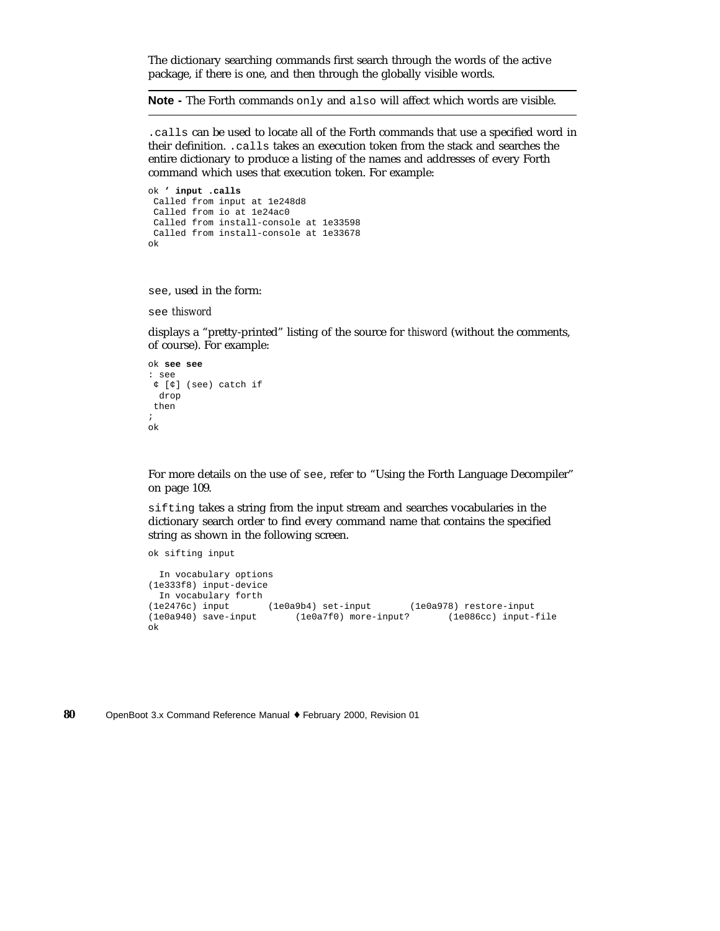The dictionary searching commands first search through the words of the active package, if there is one, and then through the globally visible words.

**Note -** The Forth commands only and also will affect which words are visible.

.calls can be used to locate all of the Forth commands that use a specified word in their definition. .calls takes an execution token from the stack and searches the entire dictionary to produce a listing of the names and addresses of every Forth command which uses that execution token. For example:

```
ok ' input .calls
Called from input at 1e248d8
Called from io at 1e24ac0
 Called from install-console at 1e33598
Called from install-console at 1e33678
ok
```
see, used in the form:

see *thisword*

displays a "pretty-printed" listing of the source for *thisword* (without the comments, of course). For example:

```
ok see see
: see
¢ [¢] (see) catch if
 drop
 then
;
ok
```
For more details on the use of see, refer to "Using the Forth Language Decompiler" on page 109.

sifting takes a string from the input stream and searches vocabularies in the dictionary search order to find every command name that contains the specified string as shown in the following screen.

ok sifting input

```
In vocabulary options
(1e333f8) input-device
 In vocabulary forth
(1e2476c) input (1e0a9b4) set-input (1e0a978) restore-input
(1e0a940) save-input (1e0a7f0) more-input? (1e086cc) input-file
ok
```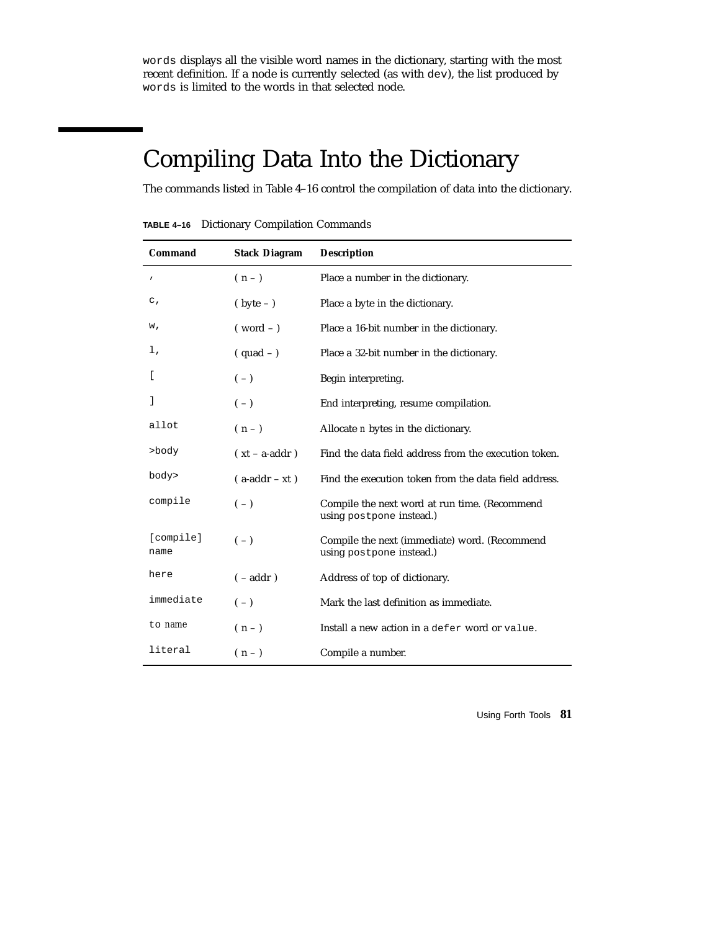words displays all the visible word names in the dictionary, starting with the most recent definition. If a node is currently selected (as with dev), the list produced by words is limited to the words in that selected node.

# Compiling Data Into the Dictionary

The commands listed in Table 4–16 control the compilation of data into the dictionary.

**TABLE 4–16** Dictionary Compilation Commands

| Command           | <b>Stack Diagram</b> | <b>Description</b>                                                        |
|-------------------|----------------------|---------------------------------------------------------------------------|
| $\prime$          | $(n-1)$              | Place a number in the dictionary.                                         |
| $\mathsf{c}$ ,    | $(\text{byte} - )$   | Place a byte in the dictionary.                                           |
| w,                | $(vord -)$           | Place a 16-bit number in the dictionary.                                  |
| ı,                | $(quad -)$           | Place a 32-bit number in the dictionary.                                  |
| ſ                 | $(-)$                | Begin interpreting.                                                       |
| J                 | $(-)$                | End interpreting, resume compilation.                                     |
| allot             | $(n-1)$              | Allocate <i>n</i> bytes in the dictionary.                                |
| >body             | $(xt - a-addr)$      | Find the data field address from the execution token.                     |
| body>             | $(a-addr - xt)$      | Find the execution token from the data field address.                     |
| compile           | $(-)$                | Compile the next word at run time. (Recommend<br>using postpone instead.) |
| [compile]<br>name | $(-)$                | Compile the next (immediate) word. (Recommend<br>using postpone instead.) |
| here              | $(-addr)$            | Address of top of dictionary.                                             |
| immediate         | $(-)$                | Mark the last definition as immediate.                                    |
| to name           | $(n-1)$              | Install a new action in a defer word or value.                            |
| literal           | $(n - )$             | Compile a number.                                                         |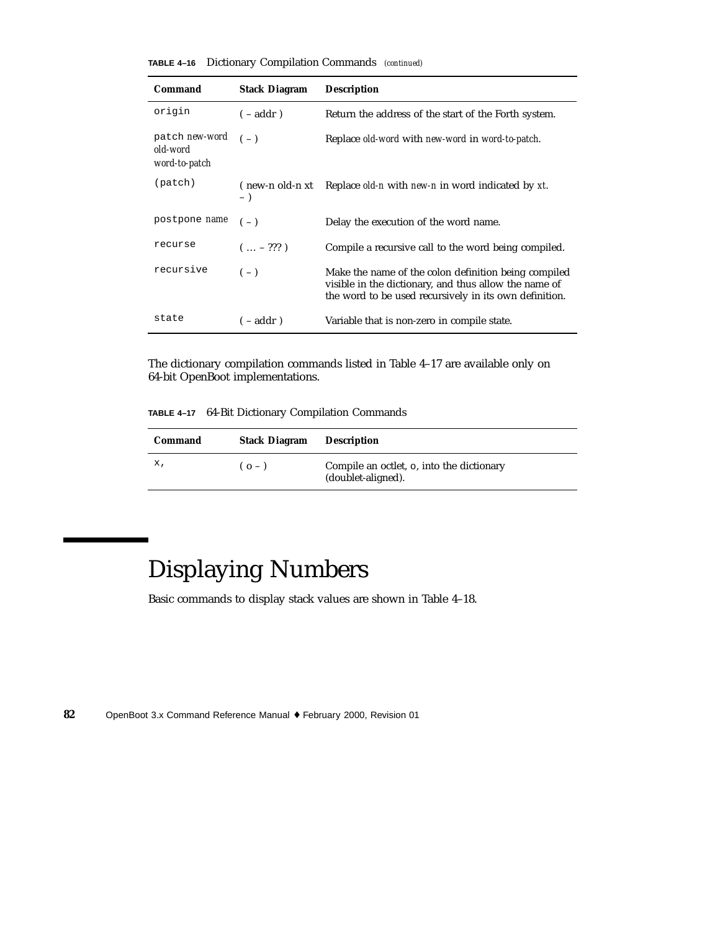| <b>TABLE 4-16</b> | Dictionary Compilation Commands (continued) |  |  |  |  |
|-------------------|---------------------------------------------|--|--|--|--|
|-------------------|---------------------------------------------|--|--|--|--|

| Command                                     | <b>Stack Diagram</b>     | <b>Description</b>                                                                                                                                                      |
|---------------------------------------------|--------------------------|-------------------------------------------------------------------------------------------------------------------------------------------------------------------------|
| origin                                      | $(-addr)$                | Return the address of the start of the Forth system.                                                                                                                    |
| patch new-word<br>old-word<br>word-to-patch | $(-)$                    | Replace old-word with new-word in word-to-patch.                                                                                                                        |
| (path)                                      | (new-n old-n xt<br>$-$ ) | Replace <i>old-n</i> with <i>new-n</i> in word indicated by xt.                                                                                                         |
| postpone <i>name</i>                        | $(-)$                    | Delay the execution of the word name.                                                                                                                                   |
| recurse                                     | $( - ??? )$              | Compile a recursive call to the word being compiled.                                                                                                                    |
| recursive                                   | $(-)$                    | Make the name of the colon definition being compiled<br>visible in the dictionary, and thus allow the name of<br>the word to be used recursively in its own definition. |
| state                                       | $(-addr)$                | Variable that is non-zero in compile state.                                                                                                                             |

The dictionary compilation commands listed in Table 4–17 are available only on 64-bit OpenBoot implementations.

**TABLE 4–17** 64-Bit Dictionary Compilation Commands

| Command | <b>Stack Diagram</b> | <b>Description</b>                                              |
|---------|----------------------|-----------------------------------------------------------------|
| х,      | $(o - )$             | Compile an octlet, o, into the dictionary<br>(doublet-aligned). |

# Displaying Numbers

Basic commands to display stack values are shown in Table 4–18.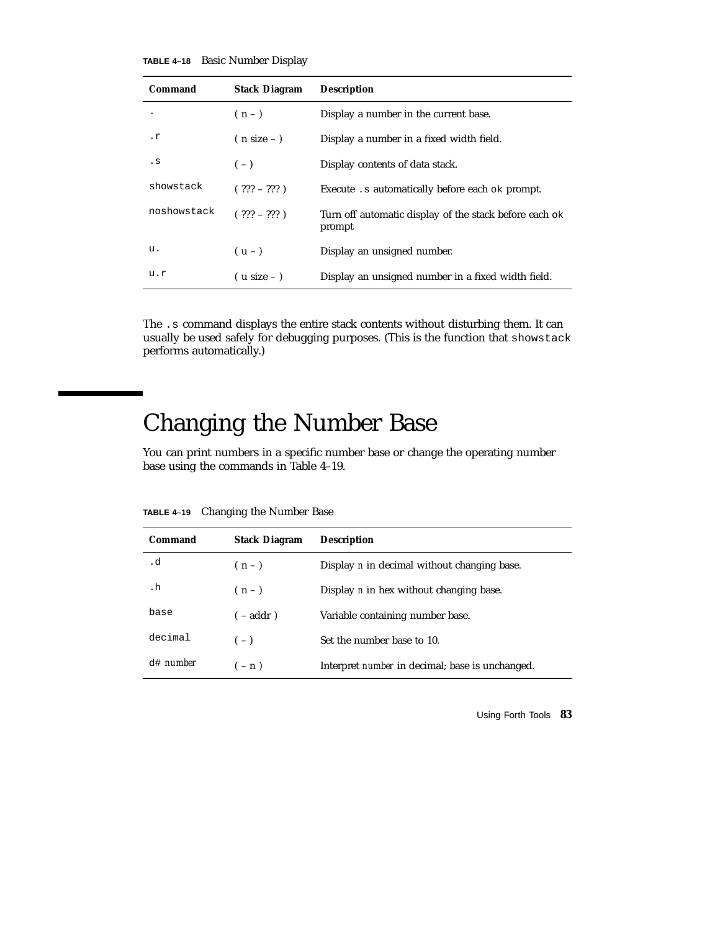**TABLE 4–18** Basic Number Display

| Command     | <b>Stack Diagram</b> | <b>Description</b>                                               |
|-------------|----------------------|------------------------------------------------------------------|
|             | $(n-1)$              | Display a number in the current base.                            |
| $\cdot$ r   | $(n size -)$         | Display a number in a fixed width field.                         |
| . s         | $(-)$                | Display contents of data stack.                                  |
| showstack   | $( ??? - ??? )$      | Execute . s automatically before each ok prompt.                 |
| noshowstack | $(?)22 - ?22)$       | Turn off automatic display of the stack before each ok<br>prompt |
| u.          | $(u - )$             | Display an unsigned number.                                      |
| u.r         | $($ u size – $)$     | Display an unsigned number in a fixed width field.               |

The .s command displays the entire stack contents without disturbing them. It can usually be used safely for debugging purposes. (This is the function that showstack performs automatically.)

## Changing the Number Base

You can print numbers in a specific number base or change the operating number base using the commands in Table 4–19.

| Command             | <b>Stack Diagram</b> | <b>Description</b>                                     |
|---------------------|----------------------|--------------------------------------------------------|
| .d                  | $(n-1)$              | Display <i>n</i> in decimal without changing base.     |
| . h                 | $(n-1)$              | Display <i>n</i> in hex without changing base.         |
| base                | $(-addr)$            | Variable containing number base.                       |
| decimal             | $(-)$                | Set the number base to 10.                             |
| $d$ # <i>number</i> | $(-n)$               | Interpret <i>number</i> in decimal; base is unchanged. |

**TABLE 4–19** Changing the Number Base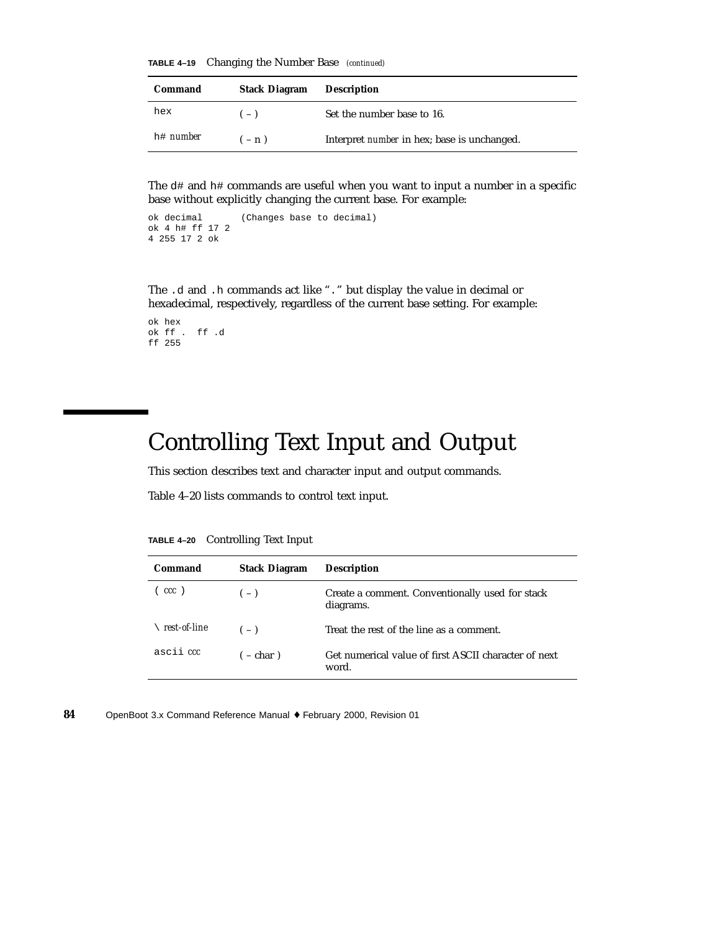**TABLE 4–19** Changing the Number Base *(continued)*

| Command          | <b>Stack Diagram</b> | <b>Description</b>                                 |
|------------------|----------------------|----------------------------------------------------|
| hex              | $(-)$                | Set the number base to 16.                         |
| h# <i>number</i> | $- n$ )              | Interpret <i>number</i> in hex; base is unchanged. |

The  $d\#$  and  $h\#$  commands are useful when you want to input a number in a specific base without explicitly changing the current base. For example:

```
ok decimal (Changes base to decimal)
ok 4 h# ff 17 2
4 255 17 2 ok
```
The .d and .h commands act like "." but display the value in decimal or hexadecimal, respectively, regardless of the current base setting. For example:

```
ok hex
ok ff . ff .d
ff 255
```
### Controlling Text Input and Output

This section describes text and character input and output commands.

Table 4–20 lists commands to control text input.

| Command      | <b>Stack Diagram</b> | <b>Description</b>                                            |
|--------------|----------------------|---------------------------------------------------------------|
| (ccc)        | $(-)$                | Create a comment. Conventionally used for stack<br>diagrams.  |
| rest-of-line | $(-)$                | Treat the rest of the line as a comment.                      |
| ascii ccc    | $(-char)$            | Get numerical value of first ASCII character of next<br>word. |

**TABLE 4–20** Controlling Text Input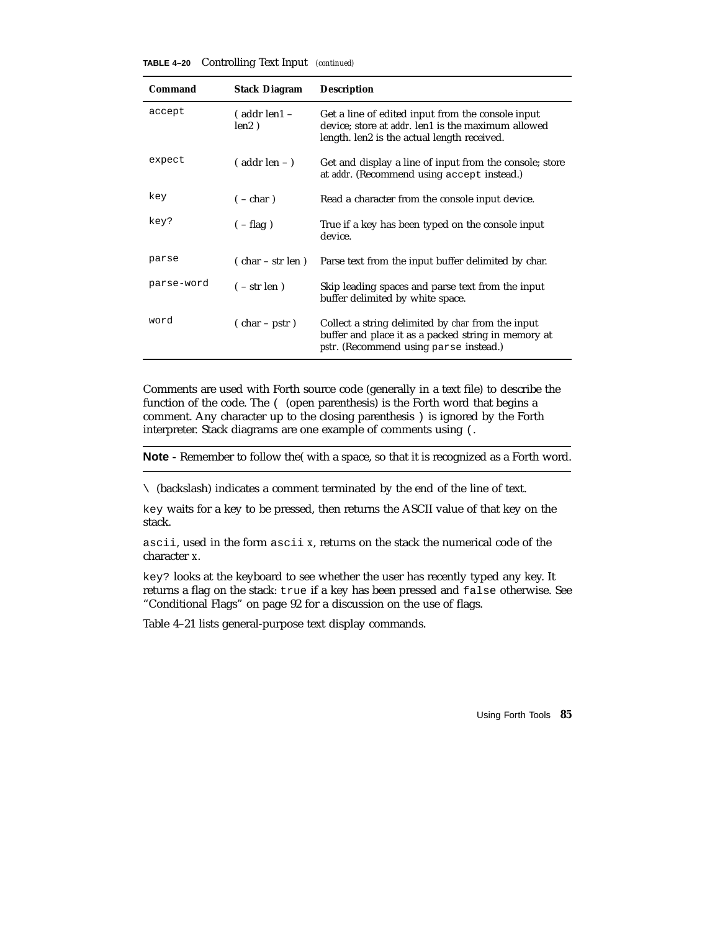**TABLE 4–20** Controlling Text Input *(continued)*

| Command    | <b>Stack Diagram</b>          | <b>Description</b>                                                                                                                                               |
|------------|-------------------------------|------------------------------------------------------------------------------------------------------------------------------------------------------------------|
| accept     | $($ addr len $1 -$<br>len2)   | Get a line of edited input from the console input<br>device; store at addr. len1 is the maximum allowed<br>length. len2 is the actual length received.           |
| expect     | $($ addr len $ )$             | Get and display a line of input from the console; store<br>at <i>addr</i> . (Recommend using accept instead.)                                                    |
| key        | $(-char)$                     | Read a character from the console input device.                                                                                                                  |
| key?       | $(-flag)$                     | True if a key has been typed on the console input<br>device.                                                                                                     |
| parse      | $\frac{1}{2}$ char – str len) | Parse text from the input buffer delimited by char.                                                                                                              |
| parse-word | $(-str len)$                  | Skip leading spaces and parse text from the input<br>buffer delimited by white space.                                                                            |
| word       | $(char - pstr)$               | Collect a string delimited by <i>char</i> from the input<br>buffer and place it as a packed string in memory at<br><i>pstr.</i> (Recommend using parse instead.) |

Comments are used with Forth source code (generally in a text file) to describe the function of the code. The ( (open parenthesis) is the Forth word that begins a comment. Any character up to the closing parenthesis ) is ignored by the Forth interpreter. Stack diagrams are one example of comments using (.

**Note -** Remember to follow the( with a space, so that it is recognized as a Forth word.

\ (backslash) indicates a comment terminated by the end of the line of text.

key waits for a key to be pressed, then returns the ASCII value of that key on the stack.

ascii, used in the form ascii *x*, returns on the stack the numerical code of the character *x*.

key? looks at the keyboard to see whether the user has recently typed any key. It returns a flag on the stack: true if a key has been pressed and false otherwise. See "Conditional Flags" on page 92 for a discussion on the use of flags.

Table 4–21 lists general-purpose text display commands.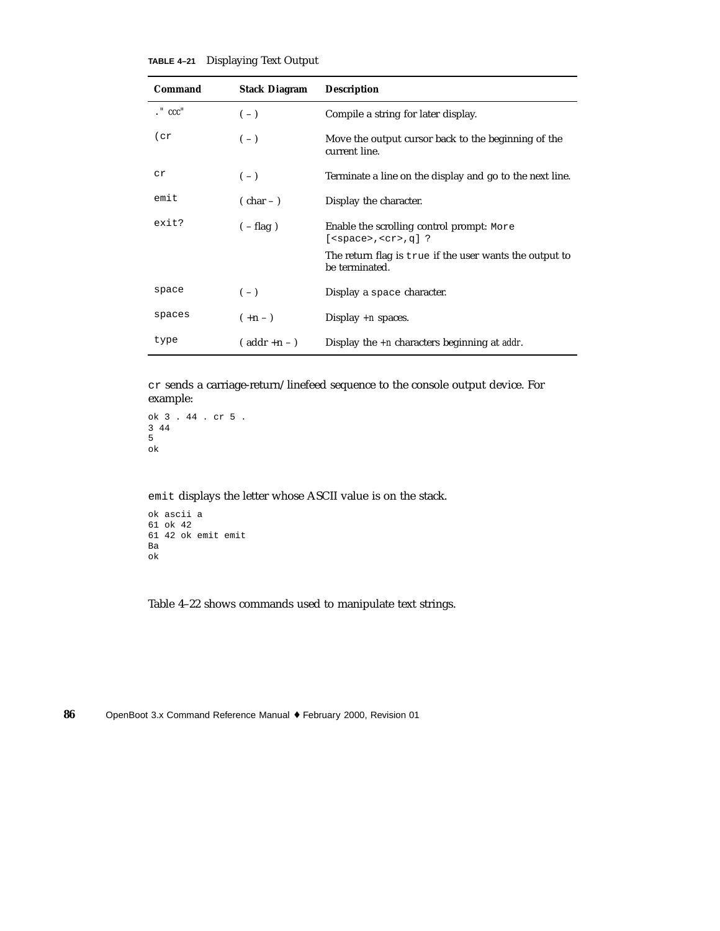| <b>TABLE 4-21</b> |  |  |  | <b>Displaying Text Output</b> |
|-------------------|--|--|--|-------------------------------|
|-------------------|--|--|--|-------------------------------|

| Command           | <b>Stack Diagram</b> | <b>Description</b>                                                        |
|-------------------|----------------------|---------------------------------------------------------------------------|
| $\cdot$ " $ccc$ " | $(-)$                | Compile a string for later display.                                       |
| (cr)              | $(-)$                | Move the output cursor back to the beginning of the<br>current line.      |
| Сr                | $(-)$                | Terminate a line on the display and go to the next line.                  |
| emit              | $(\text{char}-)$     | Display the character.                                                    |
| exit?             | $(-flag)$            | Enable the scrolling control prompt: More<br>$[<$ space>, $<$ cr>, q] ?   |
|                   |                      | The return flag is true if the user wants the output to<br>be terminated. |
| space             | $(-)$                | Display a space character.                                                |
| spaces            | $(+n - )$            | Display $+n$ spaces.                                                      |
| type              | $($ addr +n - $)$    | Display the $+n$ characters beginning at addr.                            |

cr sends a carriage-return/linefeed sequence to the console output device. For example:

```
ok 3 . 44 . cr 5 .
3 44
5
ok
```
emit displays the letter whose ASCII value is on the stack.

```
ok ascii a
61 ok 42
61 42 ok emit emit
Ba
ok
```
Table 4–22 shows commands used to manipulate text strings.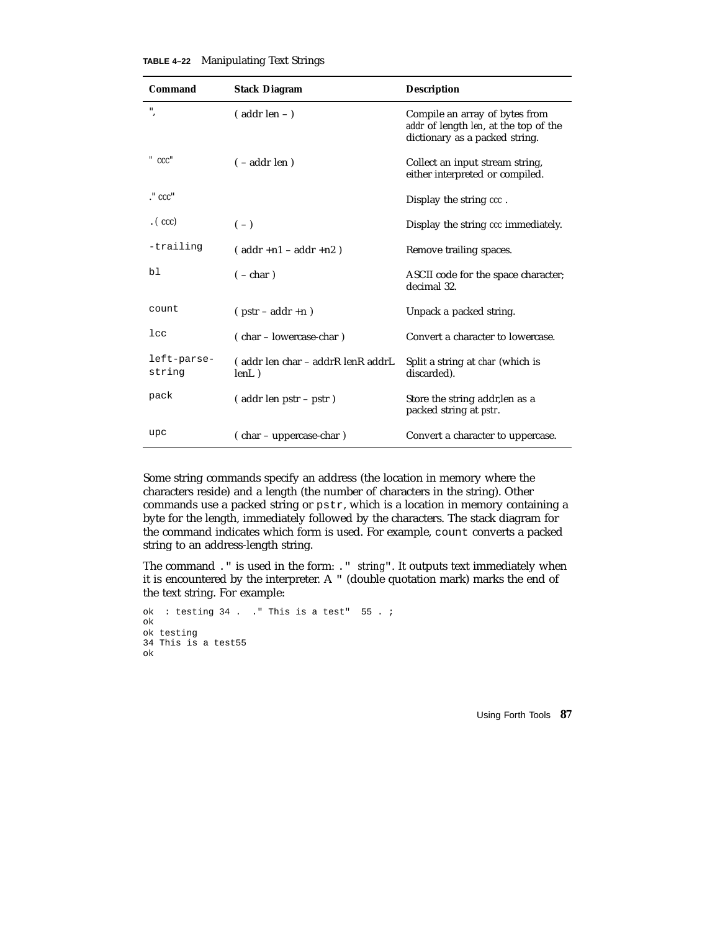**TABLE 4–22** Manipulating Text Strings

| Command               | <b>Stack Diagram</b>                       | <b>Description</b>                                                                                        |
|-----------------------|--------------------------------------------|-----------------------------------------------------------------------------------------------------------|
| н<br>$\cdot$          | $($ addr len $ )$                          | Compile an array of bytes from<br>addr of length len, at the top of the<br>dictionary as a packed string. |
| $"$ $ccc"$            | $(-addr \operatorname{len})$               | Collect an input stream string,<br>either interpreted or compiled.                                        |
| $\cdot$ " $ccc$ "     |                                            | Display the string ccc.                                                                                   |
| (ccc)                 | $(-)$                                      | Display the string ccc immediately.                                                                       |
| -trailing             | $($ addr +n1 - addr +n2)                   | Remove trailing spaces.                                                                                   |
| bl                    | $(-char)$                                  | ASCII code for the space character;<br>decimal 32.                                                        |
| count                 | $(pstr - addr + n)$                        | Unpack a packed string.                                                                                   |
| $_{1cc}$              | (char – lowercase-char)                    | Convert a character to lowercase.                                                                         |
| left-parse-<br>string | (addr len char – addrR lenR addrL<br>lenL) | Split a string at <i>char</i> (which is<br>discarded).                                                    |
| pack                  | (addr len pstr – pstr)                     | Store the string addr, len as a<br>packed string at <i>pstr.</i>                                          |
| upc                   | (char – uppercase-char)                    | Convert a character to uppercase.                                                                         |

Some string commands specify an address (the location in memory where the characters reside) and a length (the number of characters in the string). Other commands use a packed string or pstr, which is a location in memory containing a byte for the length, immediately followed by the characters. The stack diagram for the command indicates which form is used. For example, count converts a packed string to an address-length string.

The command ." is used in the form: ." *string*". It outputs text immediately when it is encountered by the interpreter. A " (double quotation mark) marks the end of the text string. For example:

```
ok : testing 34 . ." This is a test" 55 . ;
ok
ok testing
34 This is a test55
ok
```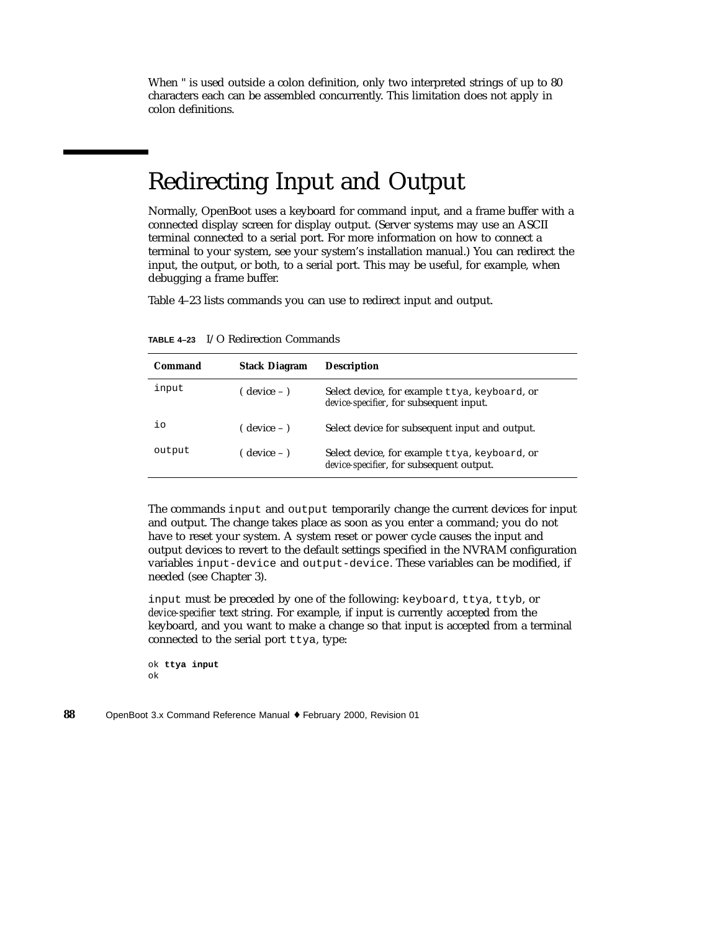When " is used outside a colon definition, only two interpreted strings of up to 80 characters each can be assembled concurrently. This limitation does not apply in colon definitions.

### Redirecting Input and Output

Normally, OpenBoot uses a keyboard for command input, and a frame buffer with a connected display screen for display output. (Server systems may use an ASCII terminal connected to a serial port. For more information on how to connect a terminal to your system, see your system's installation manual.) You can redirect the input, the output, or both, to a serial port. This may be useful, for example, when debugging a frame buffer.

Table 4–23 lists commands you can use to redirect input and output.

| Command | <b>Stack Diagram</b> | <b>Description</b>                                                                        |
|---------|----------------------|-------------------------------------------------------------------------------------------|
| input   | ( device – )         | Select device, for example ttya, keyboard, or<br>device-specifier, for subsequent input.  |
| iο      | ( device – )         | Select device for subsequent input and output.                                            |
| output  | $($ device $ )$      | Select device, for example ttya, keyboard, or<br>device-specifier, for subsequent output. |

**TABLE 4–23** I/O Redirection Commands

The commands input and output temporarily change the current devices for input and output. The change takes place as soon as you enter a command; you do not have to reset your system. A system reset or power cycle causes the input and output devices to revert to the default settings specified in the NVRAM configuration variables input-device and output-device. These variables can be modified, if needed (see Chapter 3).

input must be preceded by one of the following: keyboard, ttya, ttyb, or *device-specifier* text string. For example, if input is currently accepted from the keyboard, and you want to make a change so that input is accepted from a terminal connected to the serial port ttya, type:

```
ok ttya input
ok
```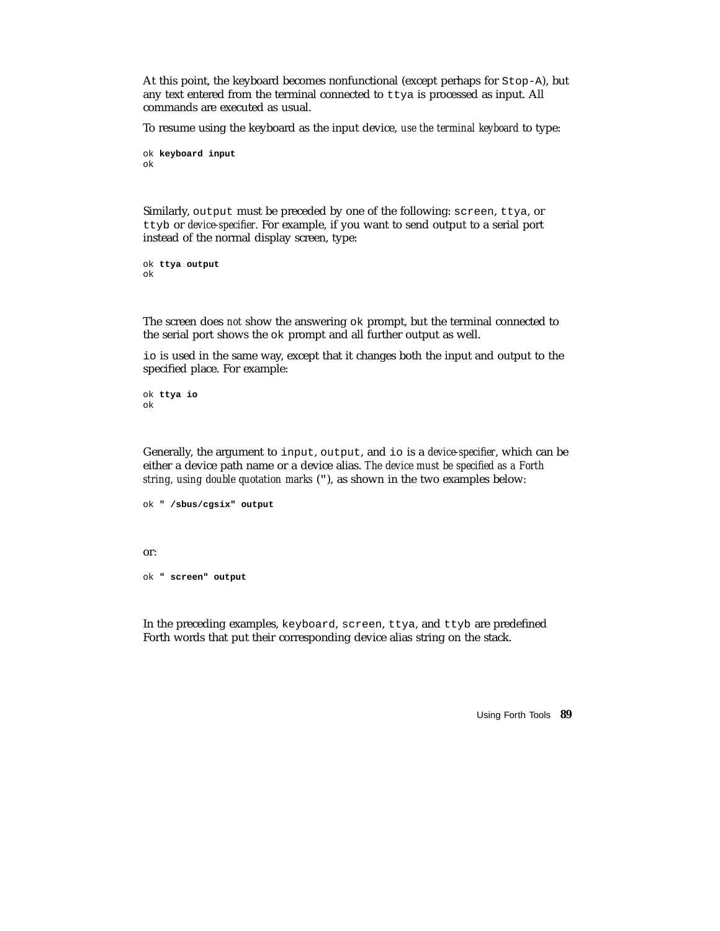At this point, the keyboard becomes nonfunctional (except perhaps for Stop-A), but any text entered from the terminal connected to ttya is processed as input. All commands are executed as usual.

To resume using the keyboard as the input device, *use the terminal keyboard* to type:

```
ok keyboard input
ok
```
Similarly, output must be preceded by one of the following: screen, ttya, or ttyb or *device-specifier*. For example, if you want to send output to a serial port instead of the normal display screen, type:

```
ok ttya output
ok
```
The screen does *not* show the answering ok prompt, but the terminal connected to the serial port shows the ok prompt and all further output as well.

io is used in the same way, except that it changes both the input and output to the specified place. For example:

ok **ttya io** ok

Generally, the argument to input, output, and io is a *device-specifier*, which can be either a device path name or a device alias. *The device must be specified as a Forth string, using double quotation marks* ("), as shown in the two examples below:

```
ok " /sbus/cgsix" output
or:
ok " screen" output
```
In the preceding examples, keyboard, screen, ttya, and ttyb are predefined Forth words that put their corresponding device alias string on the stack.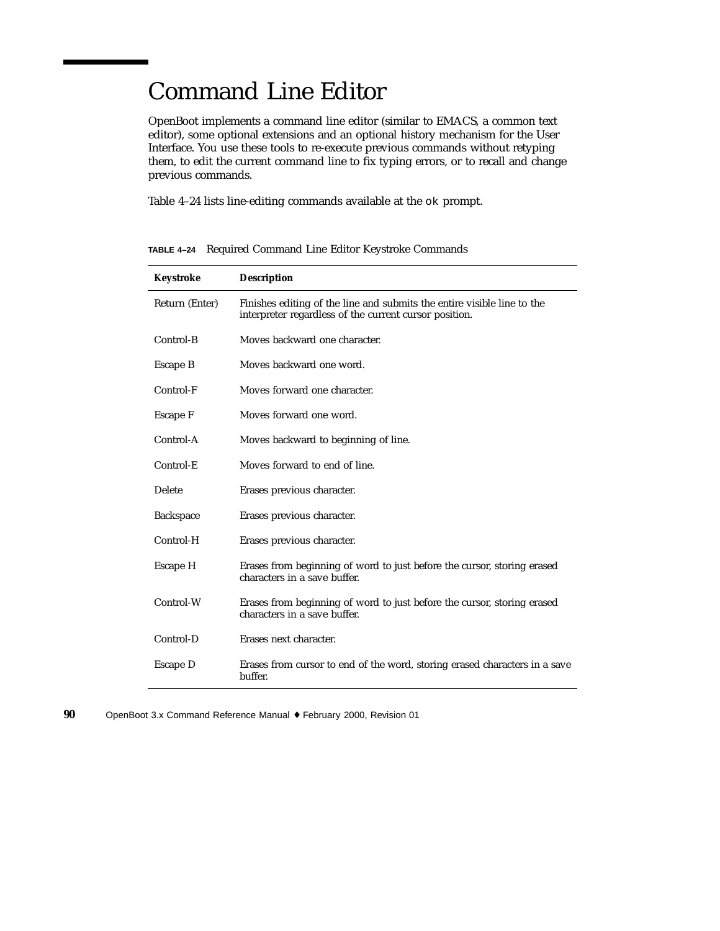### Command Line Editor

OpenBoot implements a command line editor (similar to EMACS, a common text editor), some optional extensions and an optional history mechanism for the User Interface. You use these tools to re-execute previous commands without retyping them, to edit the current command line to fix typing errors, or to recall and change previous commands.

Table 4–24 lists line-editing commands available at the ok prompt.

| Keystroke        | <b>Description</b>                                                                                                                |
|------------------|-----------------------------------------------------------------------------------------------------------------------------------|
| Return (Enter)   | Finishes editing of the line and submits the entire visible line to the<br>interpreter regardless of the current cursor position. |
| Control-B        | Moves backward one character.                                                                                                     |
| Escape B         | Moves backward one word.                                                                                                          |
| Control-F        | Moves forward one character.                                                                                                      |
| Escape F         | Moves forward one word.                                                                                                           |
| Control-A        | Moves backward to beginning of line.                                                                                              |
| Control-E        | Moves forward to end of line.                                                                                                     |
| <b>Delete</b>    | Erases previous character.                                                                                                        |
| <b>Backspace</b> | Erases previous character.                                                                                                        |
| Control-H        | Erases previous character.                                                                                                        |
| Escape H         | Erases from beginning of word to just before the cursor, storing erased<br>characters in a save buffer.                           |
| Control-W        | Erases from beginning of word to just before the cursor, storing erased<br>characters in a save buffer.                           |
| Control-D        | Erases next character.                                                                                                            |
| Escape D         | Erases from cursor to end of the word, storing erased characters in a save<br>buffer.                                             |

**TABLE 4–24** Required Command Line Editor Keystroke Commands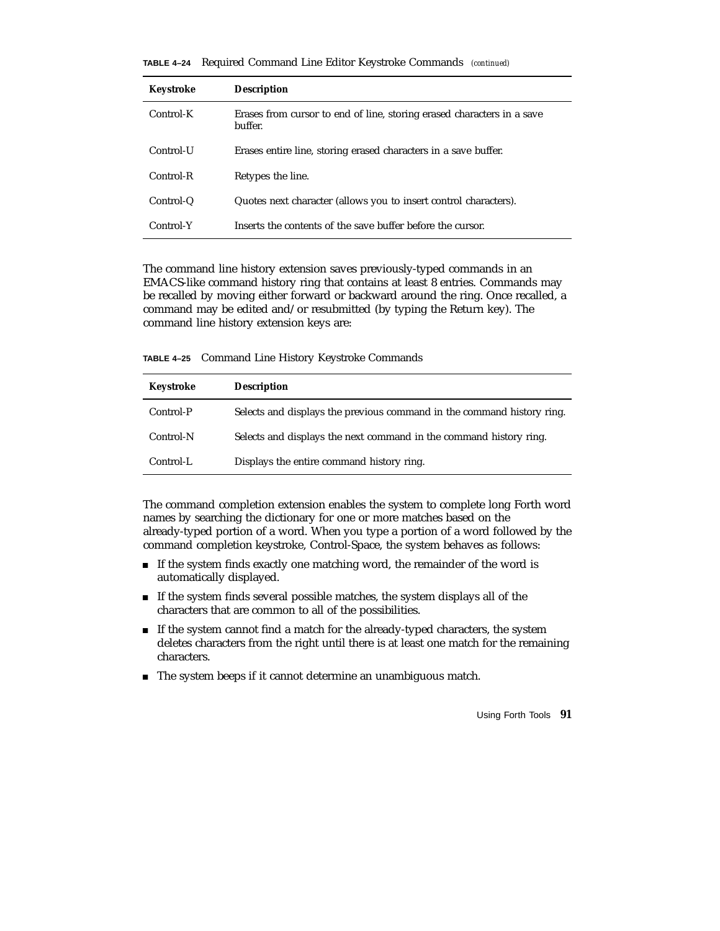**TABLE 4–24** Required Command Line Editor Keystroke Commands *(continued)*

| Keystroke | <b>Description</b>                                                                |
|-----------|-----------------------------------------------------------------------------------|
| Control-K | Erases from cursor to end of line, storing erased characters in a save<br>buffer. |
| Control-U | Erases entire line, storing erased characters in a save buffer.                   |
| Control-R | Retypes the line.                                                                 |
| Control-Q | Quotes next character (allows you to insert control characters).                  |
| Control-Y | Inserts the contents of the save buffer before the cursor.                        |

The command line history extension saves previously-typed commands in an EMACS-like command history ring that contains at least 8 entries. Commands may be recalled by moving either forward or backward around the ring. Once recalled, a command may be edited and/or resubmitted (by typing the Return key). The command line history extension keys are:

**TABLE 4–25** Command Line History Keystroke Commands

| Keystroke | <b>Description</b>                                                     |
|-----------|------------------------------------------------------------------------|
| Control-P | Selects and displays the previous command in the command history ring. |
| Control-N | Selects and displays the next command in the command history ring.     |
| Control-L | Displays the entire command history ring.                              |

The command completion extension enables the system to complete long Forth word names by searching the dictionary for one or more matches based on the already-typed portion of a word. When you type a portion of a word followed by the command completion keystroke, Control-Space, the system behaves as follows:

- If the system finds exactly one matching word, the remainder of the word is automatically displayed.
- If the system finds several possible matches, the system displays all of the characters that are common to all of the possibilities.
- If the system cannot find a match for the already-typed characters, the system deletes characters from the right until there is at least one match for the remaining characters.
- The system beeps if it cannot determine an unambiguous match.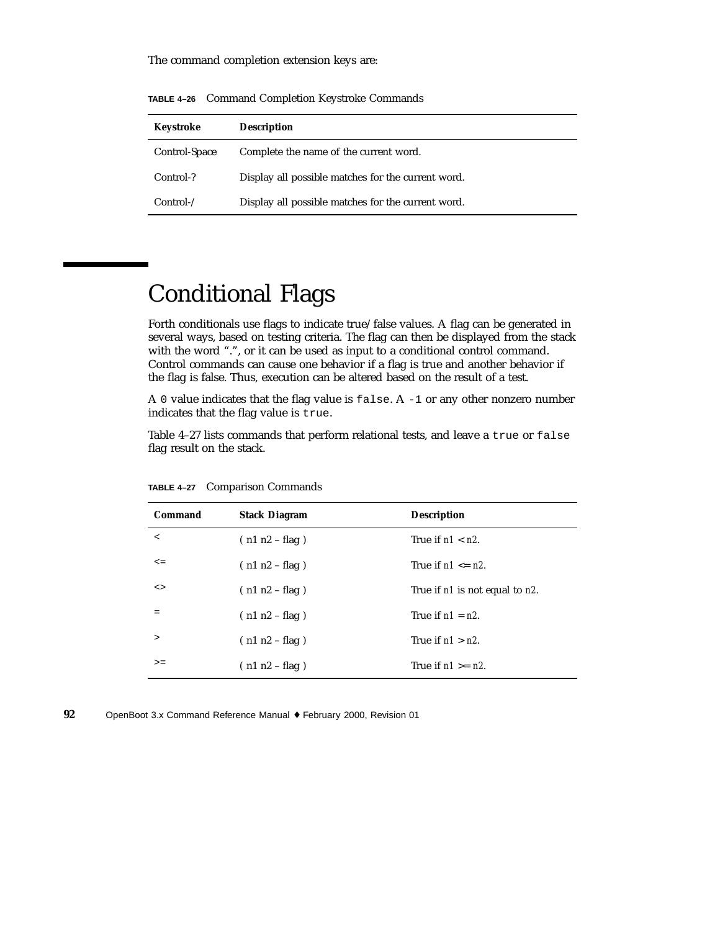The command completion extension keys are:

| Keystroke     | <b>Description</b>                                 |
|---------------|----------------------------------------------------|
| Control-Space | Complete the name of the current word.             |
| Control-?     | Display all possible matches for the current word. |
| Control       | Display all possible matches for the current word. |

**TABLE 4–26** Command Completion Keystroke Commands

## Conditional Flags

Forth conditionals use flags to indicate true/false values. A flag can be generated in several ways, based on testing criteria. The flag can then be displayed from the stack with the word ".", or it can be used as input to a conditional control command. Control commands can cause one behavior if a flag is true and another behavior if the flag is false. Thus, execution can be altered based on the result of a test.

A 0 value indicates that the flag value is false. A -1 or any other nonzero number indicates that the flag value is true.

Table 4–27 lists commands that perform relational tests, and leave a true or false flag result on the stack.

| Command | <b>Stack Diagram</b> | <b>Description</b>             |
|---------|----------------------|--------------------------------|
| $\prec$ | $(n1 n2 - flag)$     | True if $n1 < n2$ .            |
| $\leq$  | $(n1 n2 - flag)$     | True if $n1 \leq n2$ .         |
| $\leq$  | $(n1 n2 - flag)$     | True if n1 is not equal to n2. |
| =       | $(n1 n2 - flag)$     | True if $n1 = n2$ .            |
| $\geq$  | $(n1 n2 - flag)$     | True if $n1 > n2$ .            |
| $>=$    | $(n1 n2 - flag)$     | True if $n1 \ge n2$ .          |

**TABLE 4–27** Comparison Commands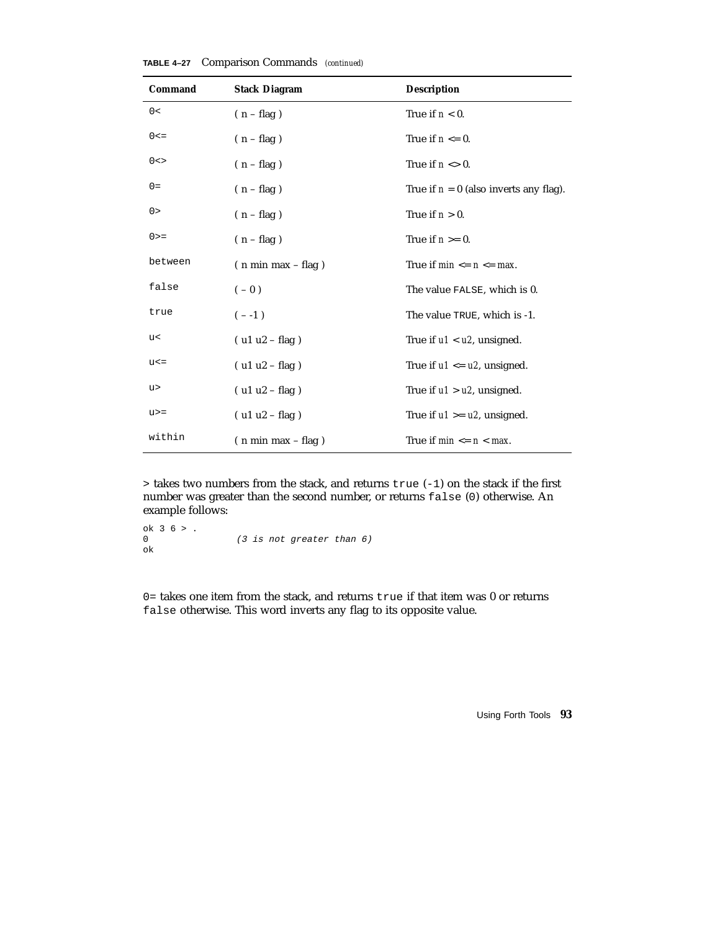| Command   | <b>Stack Diagram</b> | <b>Description</b>                       |  |
|-----------|----------------------|------------------------------------------|--|
| 0<        | $(n - flag)$         | True if $n < 0$ .                        |  |
| $0 < =$   | $(n - flag)$         | True if $n \leq 0$ .                     |  |
| $0 < \gt$ | $(n - flag)$         | True if $n \leq 0$ .                     |  |
| $0 =$     | $(n - flag)$         | True if $n = 0$ (also inverts any flag). |  |
| 0>        | $(n - flag)$         | True if $n > 0$ .                        |  |
| $0 > =$   | $(n - flag)$         | True if $n \geq 0$ .                     |  |
| between   | $(n min max - flag)$ | True if $min \le n \le max$ .            |  |
| false     | $(-0)$               | The value FALSE, which is 0.             |  |
| true      | $(- -1)$             | The value TRUE, which is -1.             |  |
| u<        | $( u1 u2 - flag )$   | True if $u1 < u2$ , unsigned.            |  |
| $u < =$   | $( u1 u2 - flag )$   | True if $u1 \le u2$ , unsigned.          |  |
| u>        | $(ulu2 - flag)$      | True if $u1 > u2$ , unsigned.            |  |
| $u>=$     | $( u1 u2 - flag )$   | True if $u1 \geq u2$ , unsigned.         |  |
| within    | $(n min max - flag)$ | True if $min \le n \le max$ .            |  |

**TABLE 4–27** Comparison Commands *(continued)*

> takes two numbers from the stack, and returns true (-1) on the stack if the first number was greater than the second number, or returns false (0) otherwise. An example follows:

```
ok 3 6 > .
0 (3 is not greater than 6)
ok
```
0= takes one item from the stack, and returns true if that item was 0 or returns false otherwise. This word inverts any flag to its opposite value.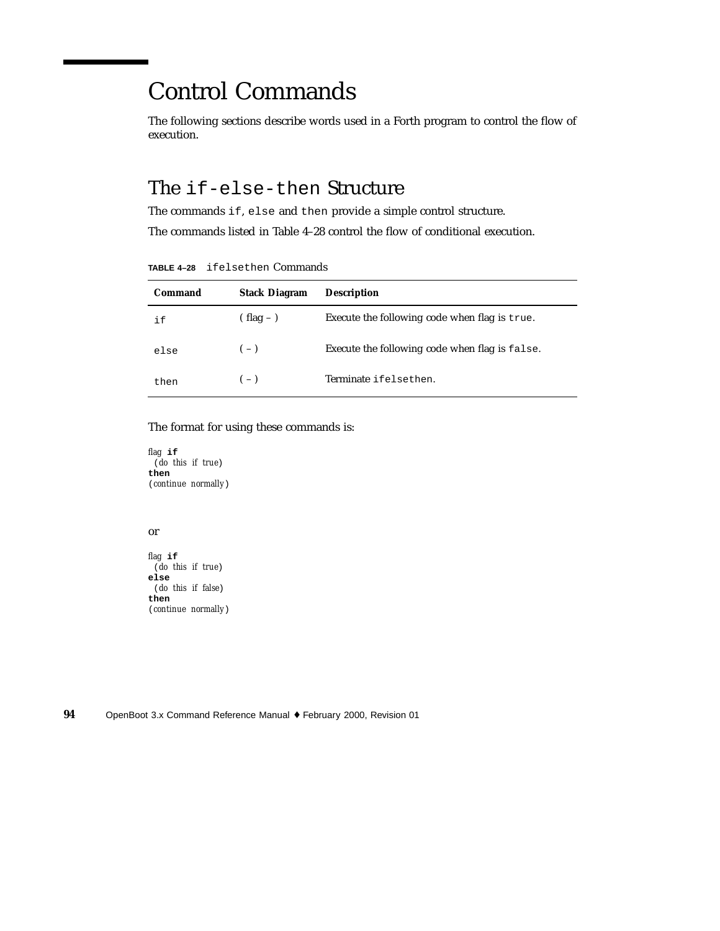### Control Commands

The following sections describe words used in a Forth program to control the flow of execution.

#### The if-else-then Structure

The commands if, else and then provide a simple control structure.

The commands listed in Table 4–28 control the flow of conditional execution.

**TABLE 4–28** ifelsethen Commands

| Command | <b>Stack Diagram</b> | <b>Description</b>                             |
|---------|----------------------|------------------------------------------------|
| i f     | $(hag -)$            | Execute the following code when flag is true.  |
| else    | $(-)$                | Execute the following code when flag is false. |
| then    | $(-)$                | Terminate ifelsethen.                          |

#### The format for using these commands is:

*flag* **if** (*do this if true*) **then** (*continue normally*)

#### or

*flag* **if** (*do this if true*) **else** (*do this if false*) **then** (*continue normally*)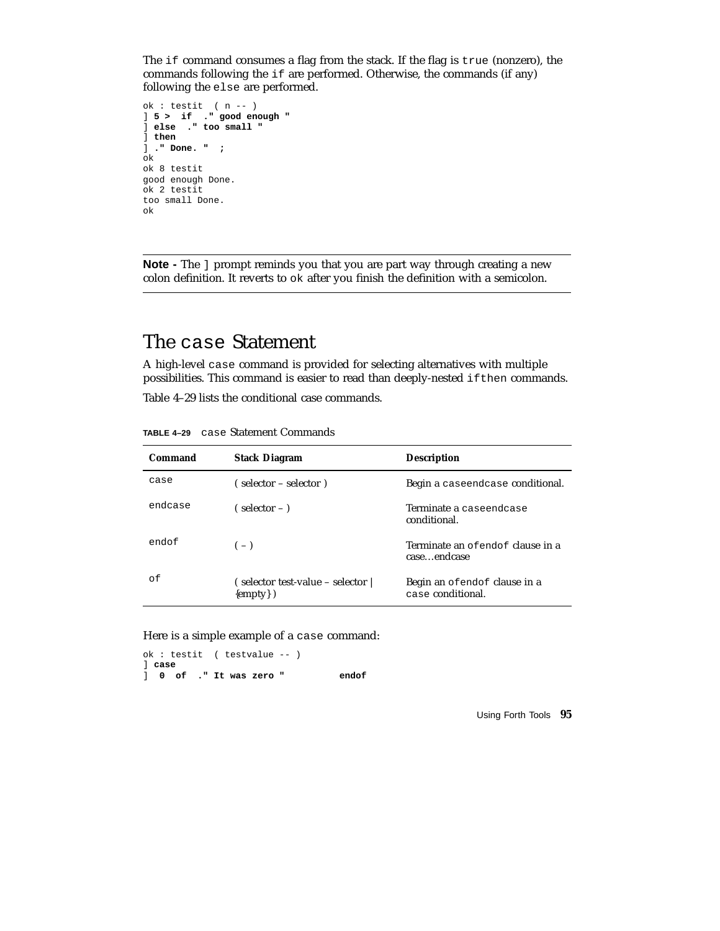The if command consumes a flag from the stack. If the flag is true (nonzero), the commands following the if are performed. Otherwise, the commands (if any) following the else are performed.

```
ok : testit ( n -- )
] 5 > if ." good enough "
] else ." too small "
] then
] ." Done. " ;
ok
ok 8 testit
good enough Done.
ok 2 testit
too small Done.
ok
```
**Note -** The ] prompt reminds you that you are part way through creating a new colon definition. It reverts to ok after you finish the definition with a semicolon.

#### The case Statement

A high-level case command is provided for selecting alternatives with multiple possibilities. This command is easier to read than deeply-nested ifthen commands.

Table 4–29 lists the conditional case commands.

| Command | <b>Stack Diagram</b>                         | <b>Description</b>                                |  |
|---------|----------------------------------------------|---------------------------------------------------|--|
| case    | (selector – selector)                        | Begin a caseendcase conditional.                  |  |
| endcase | $\epsilon$ selector $-$ )                    | Terminate a caseendcase<br>conditional.           |  |
| endof   | $(-)$                                        | Terminate an of endof clause in a<br>caseendcase  |  |
| οf      | (selector test-value – selector<br>${empty}$ | Begin an ofendof clause in a<br>case conditional. |  |

**TABLE 4–29** case Statement Commands

Here is a simple example of a case command:

ok : testit ( testvalue -- ) ] **case** ] **0 of ." It was zero " endof**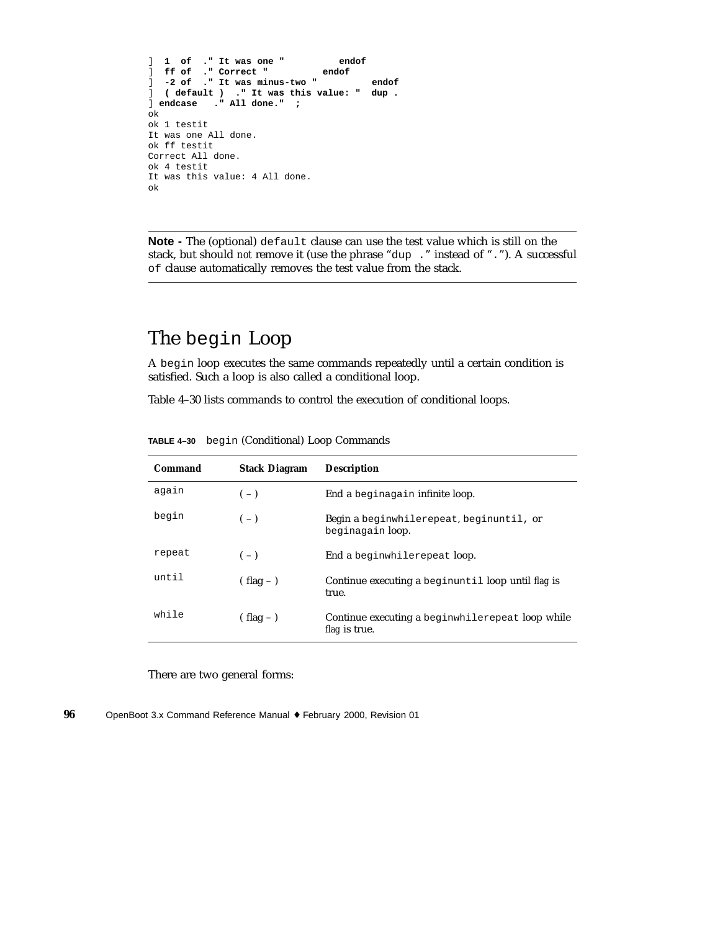```
] 1 of ." It was one " endof
] ff of ." Correct "
] -2 of ." It was minus-two " endof
\vert ( default ) ." It was this value: "
] endcase ." All done." ;
ok
ok 1 testit
It was one All done.
ok ff testit
Correct All done.
ok 4 testit
It was this value: 4 All done.
ok
```
**Note -** The (optional) default clause can use the test value which is still on the stack, but should *not* remove it (use the phrase "dup ." instead of "."). A successful of clause automatically removes the test value from the stack.

#### The begin Loop

A begin loop executes the same commands repeatedly until a certain condition is satisfied. Such a loop is also called a conditional loop.

Table 4–30 lists commands to control the execution of conditional loops.

| Command | <b>Stack Diagram</b> | <b>Description</b>                                                       |  |
|---------|----------------------|--------------------------------------------------------------------------|--|
| again   | $(-)$                | End a beginagain infinite loop.                                          |  |
| begin   | $(-)$                | Begin a beginwhilerepeat, beginuntil, or<br>beginagain loop.             |  |
| repeat  | $(-)$                | End a beginwhilerepeat loop.                                             |  |
| until   | $(hag -)$            | Continue executing a beginuntil loop until flag is<br>true.              |  |
| while   | $(hag -)$            | Continue executing a beginwhilerepeat loop while<br><i>flag</i> is true. |  |

**TABLE 4–30** begin (Conditional) Loop Commands

There are two general forms: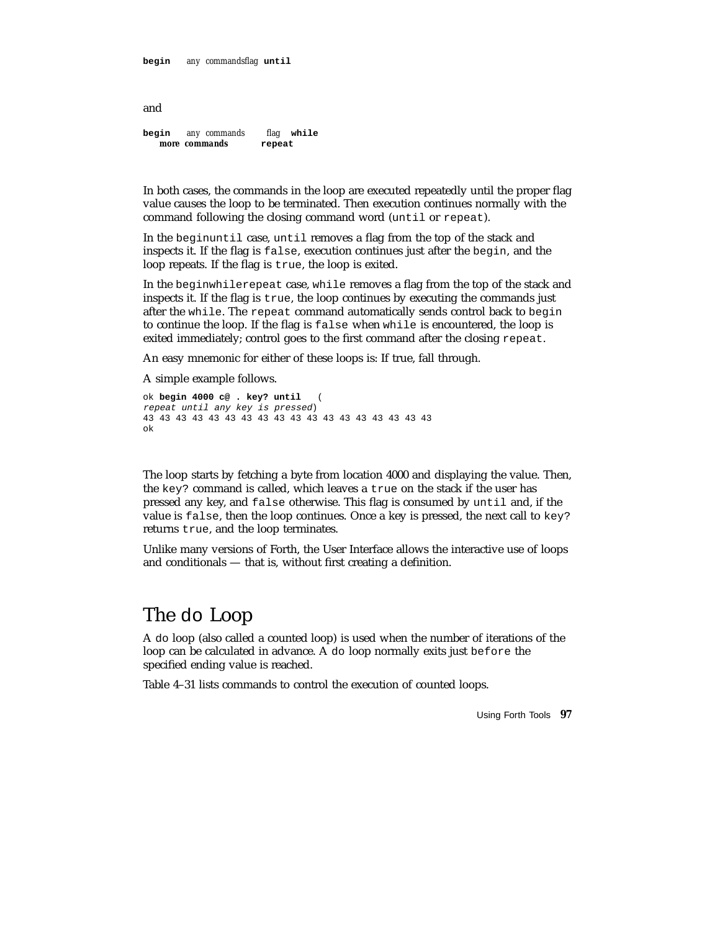**begin** *any commandsflag* **until**

and

**begin** *any commands flag* **while** *more commands* **repeat**

In both cases, the commands in the loop are executed repeatedly until the proper flag value causes the loop to be terminated. Then execution continues normally with the command following the closing command word (until or repeat).

In the beginuntil case, until removes a flag from the top of the stack and inspects it. If the flag is false, execution continues just after the begin, and the loop repeats. If the flag is true, the loop is exited.

In the beginwhilerepeat case, while removes a flag from the top of the stack and inspects it. If the flag is true, the loop continues by executing the commands just after the while. The repeat command automatically sends control back to begin to continue the loop. If the flag is false when while is encountered, the loop is exited immediately; control goes to the first command after the closing repeat.

An easy mnemonic for either of these loops is: If true, fall through.

A simple example follows.

```
ok begin 4000 c@ . key? until (
repeat until any key is pressed)
43 43 43 43 43 43 43 43 43 43 43 43 43 43 43 43 43 43
ok
```
The loop starts by fetching a byte from location 4000 and displaying the value. Then, the key? command is called, which leaves a true on the stack if the user has pressed any key, and false otherwise. This flag is consumed by until and, if the value is false, then the loop continues. Once a key is pressed, the next call to key? returns true, and the loop terminates.

Unlike many versions of Forth, the User Interface allows the interactive use of loops and conditionals — that is, without first creating a definition.

#### The do Loop

A do loop (also called a counted loop) is used when the number of iterations of the loop can be calculated in advance. A do loop normally exits just before the specified ending value is reached.

Table 4–31 lists commands to control the execution of counted loops.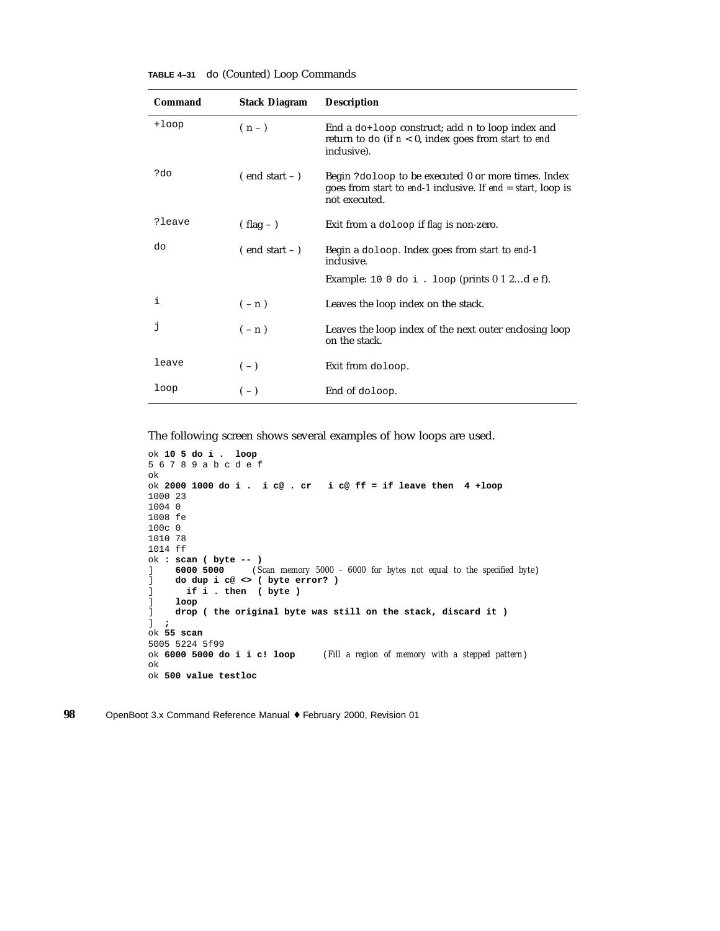| <b>TABLE 4-31</b> |  | do (Counted) Loop Commands |  |  |  |
|-------------------|--|----------------------------|--|--|--|
|-------------------|--|----------------------------|--|--|--|

| Command | <b>Stack Diagram</b> | <b>Description</b>                                                                                                                                                |  |
|---------|----------------------|-------------------------------------------------------------------------------------------------------------------------------------------------------------------|--|
| +loop   | $(n-1)$              | End a $dof$ -loop construct; add n to loop index and<br>return to do (if $n < 0$ , index goes from start to end<br>inclusive).                                    |  |
| ?do     | $($ end start $ )$   | Begin ? doloop to be executed 0 or more times. Index<br>goes from <i>start</i> to <i>end-1</i> inclusive. If <i>end</i> = <i>start</i> , loop is<br>not executed. |  |
| ?leave  | $( flag - )$         | Exit from a doloop if flag is non-zero.                                                                                                                           |  |
| do      | $($ end start $ )$   | Begin a doloop. Index goes from <i>start</i> to end-1<br>inclusive.                                                                                               |  |
|         |                      | Example: 10 0 do i . loop (prints $0$ 1 2d e f).                                                                                                                  |  |
| i       | $(-n)$               | Leaves the loop index on the stack.                                                                                                                               |  |
| j       | $(-n)$               | Leaves the loop index of the next outer enclosing loop<br>on the stack.                                                                                           |  |
| leave   | $(-)$                | Exit from doloop.                                                                                                                                                 |  |
| loop    | $(-)$                | End of doloop.                                                                                                                                                    |  |

The following screen shows several examples of how loops are used.

```
ok 10 5 do i . loop
56789abcdef
ok
ok 2000 1000 do i . i c@ . cr i c@ ff = if leave then 4 +loop
1000 23
1004 0
1008 fe
100c 0
1010 78
1014 ff
ok : scan ( byte -- )
] 6000 5000 (Scan memory 5000 - 6000 for bytes not equal to the specified byte)
] do dup i c@ <> ( byte error? )
] if i . then ( byte )
     ] loop
] drop ( the original byte was still on the stack, discard it )
] ;
ok 55 scan
5005 5224 5f99<br>ok 6000 5000 do i i c! loop
                                 (Fill a region of memory with a stepped pattern)
ok
ok 500 value testloc
```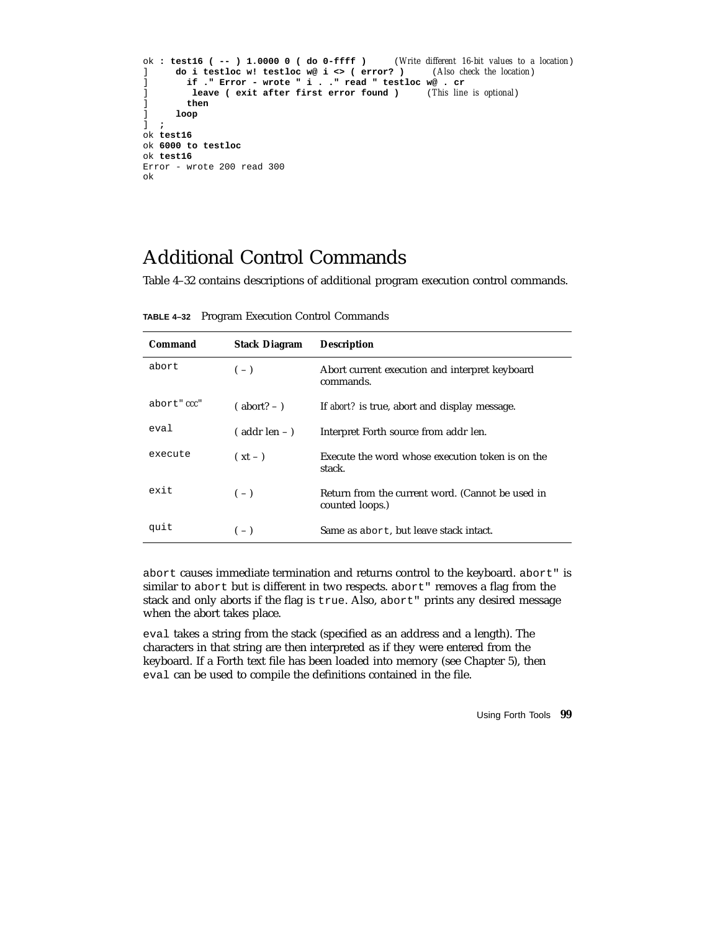```
ok : test16 ( -- ) 1.0000 0 ( do 0-ffff ) (Write different 16-bit values to a location)
] do i testloc w! testloc w@ i <> ( error? ) (Also check the location)
] if ." Error - wrote " i . ." read " testloc w@ . cr
] leave ( exit after first error found ) (This line is optional)
] then
      ] loop
] ;
ok test16
ok 6000 to testloc
ok test16
Error - wrote 200 read 300
ok
```
### Additional Control Commands

Table 4–32 contains descriptions of additional program execution control commands.

**TABLE 4–32** Program Execution Control Commands

| Command     | <b>Stack Diagram</b> | <b>Description</b>                                                  |
|-------------|----------------------|---------------------------------------------------------------------|
| abort.      | $(-)$                | Abort current execution and interpret keyboard<br>commands.         |
| abort" ccc" | $(abort? - )$        | If abort? is true, abort and display message.                       |
| eval        | $($ addr len $ )$    | Interpret Forth source from addr len.                               |
| execute     | $(xt - )$            | Execute the word whose execution token is on the<br>stack.          |
| exit        | $(-)$                | Return from the current word. (Cannot be used in<br>counted loops.) |
| quit        | $(-)$                | Same as abort, but leave stack intact.                              |

abort causes immediate termination and returns control to the keyboard. abort" is similar to abort but is different in two respects. abort" removes a flag from the stack and only aborts if the flag is true. Also, abort" prints any desired message when the abort takes place.

eval takes a string from the stack (specified as an address and a length). The characters in that string are then interpreted as if they were entered from the keyboard. If a Forth text file has been loaded into memory (see Chapter 5), then eval can be used to compile the definitions contained in the file.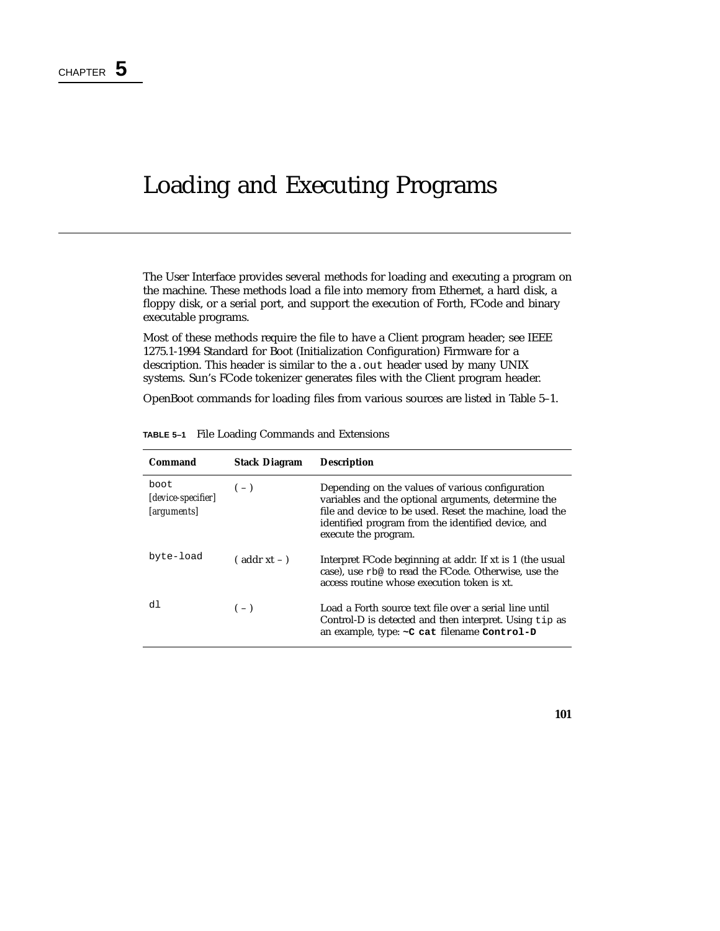### Loading and Executing Programs

The User Interface provides several methods for loading and executing a program on the machine. These methods load a file into memory from Ethernet, a hard disk, a floppy disk, or a serial port, and support the execution of Forth, FCode and binary executable programs.

Most of these methods require the file to have a Client program header; see IEEE 1275.1-1994 Standard for Boot (Initialization Configuration) Firmware for a description. This header is similar to the a. out header used by many UNIX systems. Sun's FCode tokenizer generates files with the Client program header.

OpenBoot commands for loading files from various sources are listed in Table 5–1.

| Command                                        | <b>Stack Diagram</b> | <b>Description</b>                                                                                                                                                                                                                               |
|------------------------------------------------|----------------------|--------------------------------------------------------------------------------------------------------------------------------------------------------------------------------------------------------------------------------------------------|
| boot<br>[device-specifier]<br><i>arguments</i> | $(-)$                | Depending on the values of various configuration<br>variables and the optional arguments, determine the<br>file and device to be used. Reset the machine, load the<br>identified program from the identified device, and<br>execute the program. |
| byte-load                                      | $($ addr xt – $)$    | Interpret FCode beginning at addr. If xt is 1 (the usual<br>case), use rb@ to read the FCode. Otherwise, use the<br>access routine whose execution token is xt.                                                                                  |
| d1                                             | $(-)$                | Load a Forth source text file over a serial line until<br>Control-D is detected and then interpret. Using tip as<br>an example, type: ~ C cat filename Control-D                                                                                 |

**TABLE 5–1** File Loading Commands and Extensions

**101**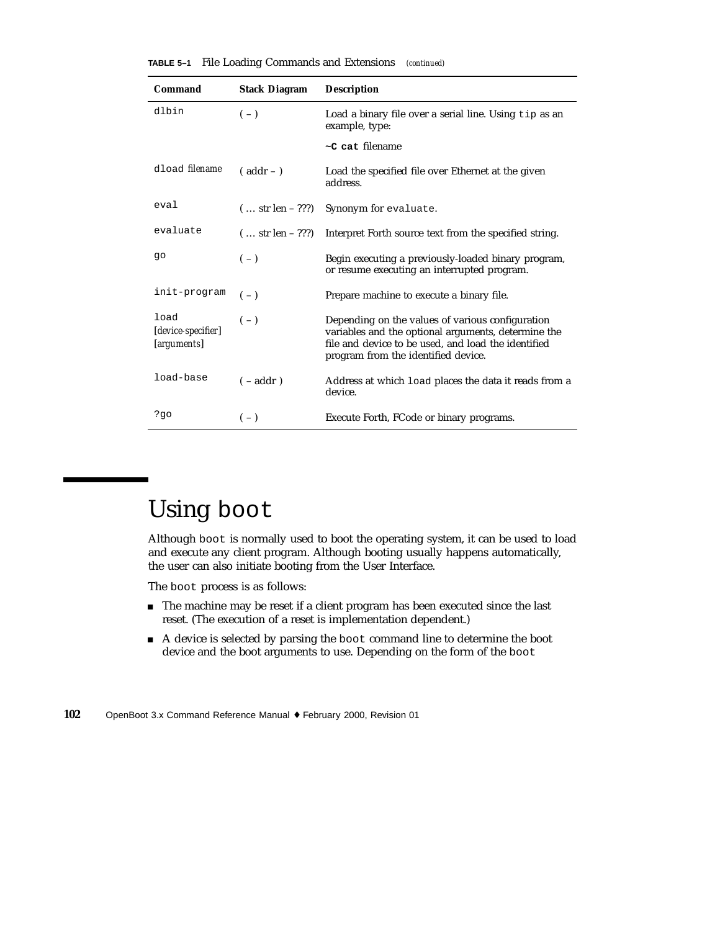| TABLE 5-1 |  | File Loading Commands and Extensions |  | (continued) |
|-----------|--|--------------------------------------|--|-------------|
|-----------|--|--------------------------------------|--|-------------|

| Command                                   | <b>Stack Diagram</b> | <b>Description</b>                                                                                                                                                                                    |
|-------------------------------------------|----------------------|-------------------------------------------------------------------------------------------------------------------------------------------------------------------------------------------------------|
| dlbin                                     | $(-)$                | Load a binary file over a serial line. Using tip as an<br>example, type:                                                                                                                              |
|                                           |                      | $\sim$ C cat filename                                                                                                                                                                                 |
| dload <i>filename</i>                     | $($ addr $ )$        | Load the specified file over Ethernet at the given<br>address.                                                                                                                                        |
| eval                                      | $( str len - ???)$   | Synonym for evaluate.                                                                                                                                                                                 |
| evaluate                                  | $( str len - ???)$   | Interpret Forth source text from the specified string.                                                                                                                                                |
| qo                                        | $(-)$                | Begin executing a previously-loaded binary program,<br>or resume executing an interrupted program.                                                                                                    |
| init-program                              | $(-)$                | Prepare machine to execute a binary file.                                                                                                                                                             |
| load<br>[device-specifier]<br>[arguments] | $(-)$                | Depending on the values of various configuration<br>variables and the optional arguments, determine the<br>file and device to be used, and load the identified<br>program from the identified device. |
| load-base                                 | $(-addr)$            | Address at which load places the data it reads from a<br>device.                                                                                                                                      |
| ?go                                       | $(-)$                | Execute Forth, FCode or binary programs.                                                                                                                                                              |

## Using boot

Although boot is normally used to boot the operating system, it can be used to load and execute any client program. Although booting usually happens automatically, the user can also initiate booting from the User Interface.

The boot process is as follows:

- The machine may be reset if a client program has been executed since the last reset. (The execution of a reset is implementation dependent.)
- A device is selected by parsing the boot command line to determine the boot device and the boot arguments to use. Depending on the form of the boot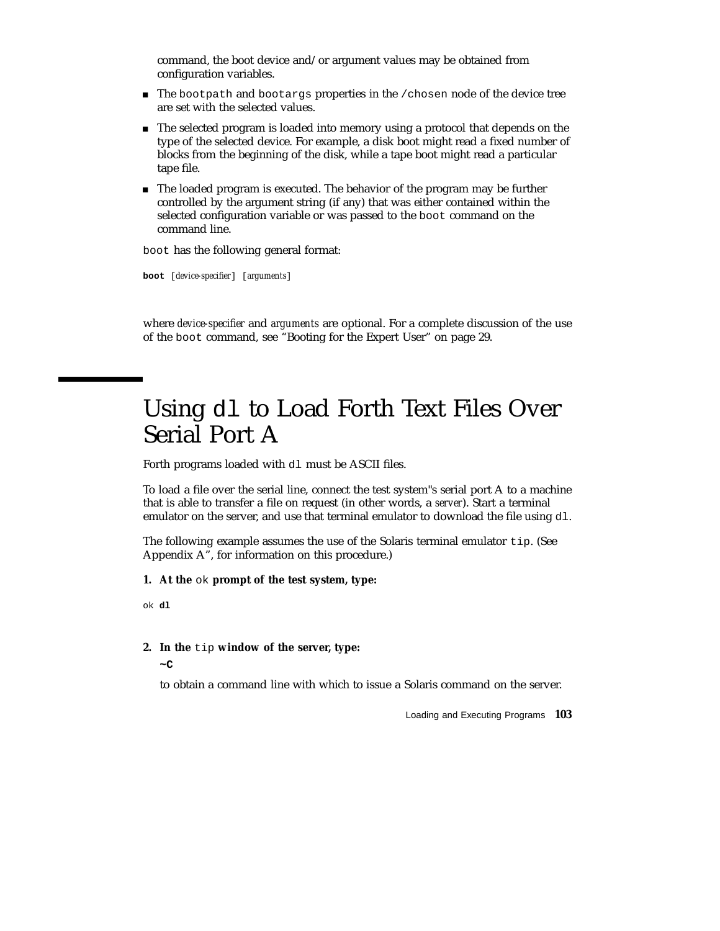command, the boot device and/or argument values may be obtained from configuration variables.

- $\blacksquare$  The bootpath and bootargs properties in the /chosen node of the device tree are set with the selected values.
- The selected program is loaded into memory using a protocol that depends on the type of the selected device. For example, a disk boot might read a fixed number of blocks from the beginning of the disk, while a tape boot might read a particular tape file.
- The loaded program is executed. The behavior of the program may be further controlled by the argument string (if any) that was either contained within the selected configuration variable or was passed to the boot command on the command line.

boot has the following general format:

**boot** [*device-specifier*] [*arguments*]

where *device-specifier* and *arguments* are optional. For a complete discussion of the use of the boot command, see "Booting for the Expert User" on page 29.

### Using dl to Load Forth Text Files Over Serial Port A

Forth programs loaded with dl must be ASCII files.

To load a file over the serial line, connect the test system"s serial port A to a machine that is able to transfer a file on request (in other words, a *server*). Start a terminal emulator on the server, and use that terminal emulator to download the file using dl.

The following example assumes the use of the Solaris terminal emulator tip. (See Appendix A", for information on this procedure.)

- **1. At the** ok **prompt of the test system, type:**
- ok **dl**
- **2. In the** tip **window of the server, type: ~C**

to obtain a command line with which to issue a Solaris command on the server.

Loading and Executing Programs **103**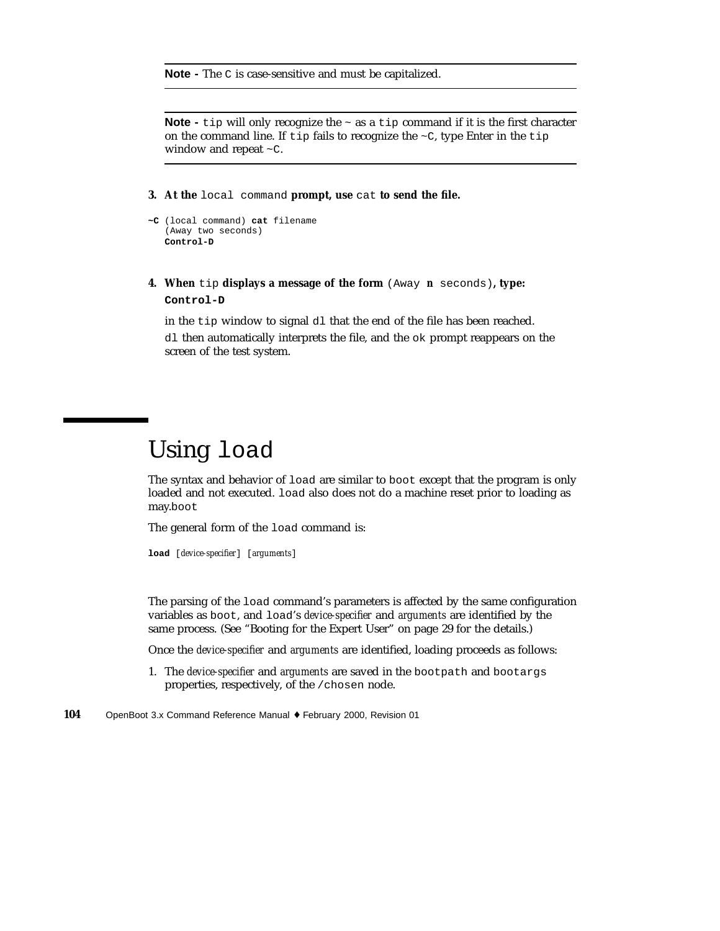**Note -** The C is case-sensitive and must be capitalized.

**Note -** tip will only recognize the ~ as a tip command if it is the first character on the command line. If tip fails to recognize the  $\sim$ C, type Enter in the tip window and repeat ~C.

**3. At the** local command **prompt, use** cat **to send the file.**

```
~C (local command) cat filename
   (Away two seconds)
  Control-D
```
**4. When** tip **displays a message of the form** (Away *n* seconds)**, type: Control-D**

in the tip window to signal dl that the end of the file has been reached.

dl then automatically interprets the file, and the ok prompt reappears on the screen of the test system.

### Using load

The syntax and behavior of load are similar to boot except that the program is only loaded and not executed. load also does not do a machine reset prior to loading as may.boot

The general form of the load command is:

**load** [*device-specifier*] [*arguments*]

The parsing of the load command's parameters is affected by the same configuration variables as boot, and load's *device-specifier* and *arguments* are identified by the same process. (See "Booting for the Expert User" on page 29 for the details.)

Once the *device-specifier* and *arguments* are identified, loading proceeds as follows:

- 1. The *device-specifier* and *arguments* are saved in the bootpath and bootargs properties, respectively, of the /chosen node.
- **104** OpenBoot 3.x Command Reference Manual ♦ February 2000, Revision 01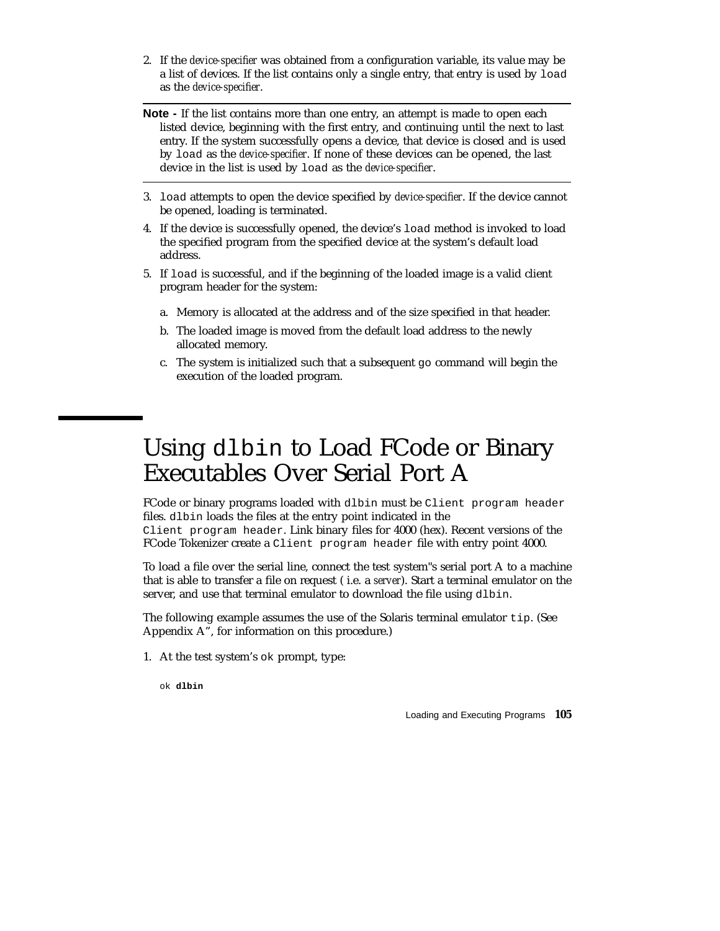- 2. If the *device-specifier* was obtained from a configuration variable, its value may be a list of devices. If the list contains only a single entry, that entry is used by load as the *device-specifier*.
- **Note -** If the list contains more than one entry, an attempt is made to open each listed device, beginning with the first entry, and continuing until the next to last entry. If the system successfully opens a device, that device is closed and is used by load as the *device-specifier*. If none of these devices can be opened, the last device in the list is used by load as the *device-specifier*.
- 3. load attempts to open the device specified by *device-specifier*. If the device cannot be opened, loading is terminated.
- 4. If the device is successfully opened, the device's load method is invoked to load the specified program from the specified device at the system's default load address.
- 5. If load is successful, and if the beginning of the loaded image is a valid client program header for the system:
	- a. Memory is allocated at the address and of the size specified in that header.
	- b. The loaded image is moved from the default load address to the newly allocated memory.
	- c. The system is initialized such that a subsequent go command will begin the execution of the loaded program.

### Using dlbin to Load FCode or Binary Executables Over Serial Port A

FCode or binary programs loaded with dlbin must be Client program header files. dlbin loads the files at the entry point indicated in the

Client program header. Link binary files for 4000 (hex). Recent versions of the FCode Tokenizer create a Client program header file with entry point 4000.

To load a file over the serial line, connect the test system"s serial port A to a machine that is able to transfer a file on request ( i.e. a *server*). Start a terminal emulator on the server, and use that terminal emulator to download the file using dlbin.

The following example assumes the use of the Solaris terminal emulator tip. (See Appendix A", for information on this procedure.)

1. At the test system's ok prompt, type:

ok **dlbin**

Loading and Executing Programs **105**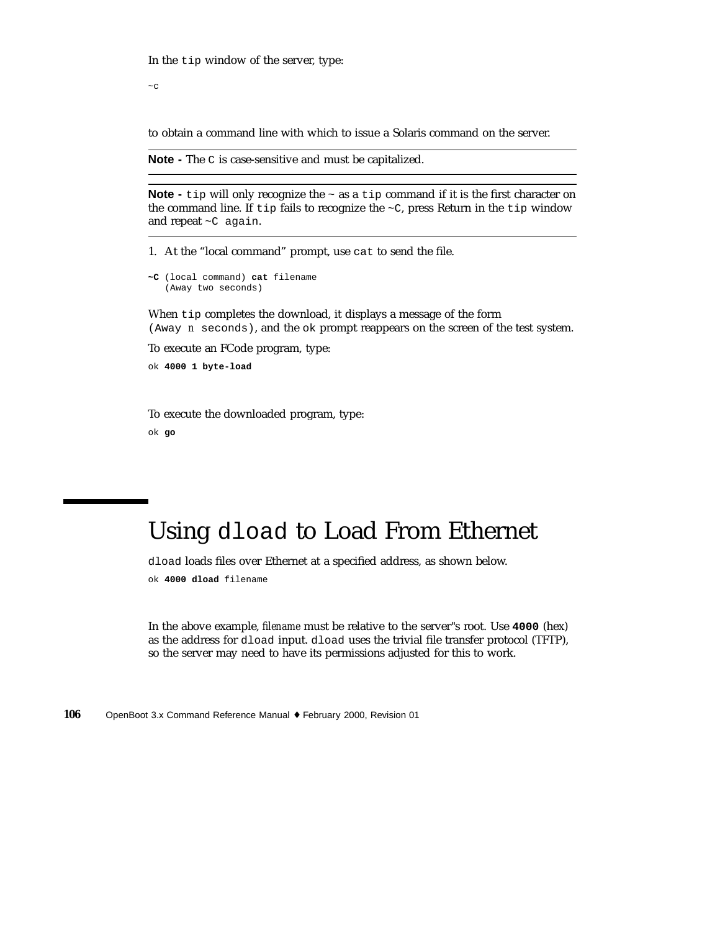In the tip window of the server, type:

 $\sim$   $\sim$   $\sim$ 

to obtain a command line with which to issue a Solaris command on the server.

**Note -** The C is case-sensitive and must be capitalized.

**Note -** tip will only recognize the  $\sim$  as a tip command if it is the first character on the command line. If tip fails to recognize the  $\sim$ C, press Return in the tip window and repeat ~C again.

1. At the "local command" prompt, use cat to send the file.

```
~C (local command) cat filename
   (Away two seconds)
```
When tip completes the download, it displays a message of the form (Away *n* seconds), and the ok prompt reappears on the screen of the test system.

To execute an FCode program, type:

ok **4000 1 byte-load**

To execute the downloaded program, type: ok **go**

### Using dload to Load From Ethernet

dload loads files over Ethernet at a specified address, as shown below. ok **4000 dload** filename

In the above example, *filename* must be relative to the server"s root. Use **4000** (hex) as the address for dload input. dload uses the trivial file transfer protocol (TFTP), so the server may need to have its permissions adjusted for this to work.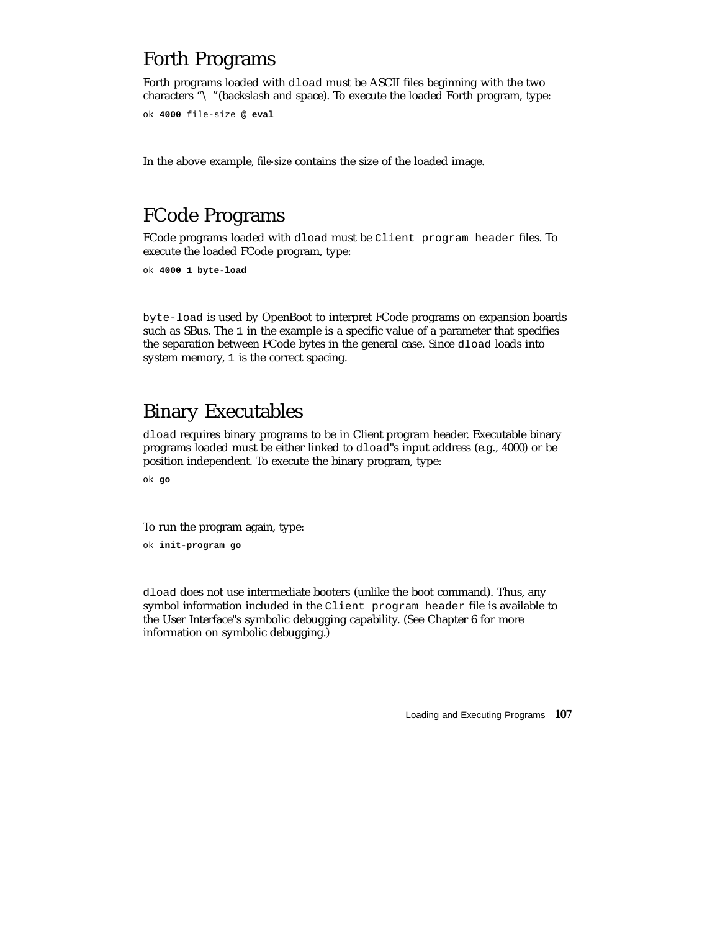### Forth Programs

Forth programs loaded with dload must be ASCII files beginning with the two characters "\ "(backslash and space). To execute the loaded Forth program, type:

```
ok 4000 file-size @ eval
```
In the above example, *file-size* contains the size of the loaded image.

### FCode Programs

FCode programs loaded with dload must be Client program header files. To execute the loaded FCode program, type:

```
ok 4000 1 byte-load
```
byte-load is used by OpenBoot to interpret FCode programs on expansion boards such as SBus. The 1 in the example is a specific value of a parameter that specifies the separation between FCode bytes in the general case. Since dload loads into system memory, 1 is the correct spacing.

### Binary Executables

dload requires binary programs to be in Client program header. Executable binary programs loaded must be either linked to dload"s input address (e.g., 4000) or be position independent. To execute the binary program, type:

ok **go**

To run the program again, type:

ok **init-program go**

dload does not use intermediate booters (unlike the boot command). Thus, any symbol information included in the Client program header file is available to the User Interface"s symbolic debugging capability. (See Chapter 6 for more information on symbolic debugging.)

Loading and Executing Programs **107**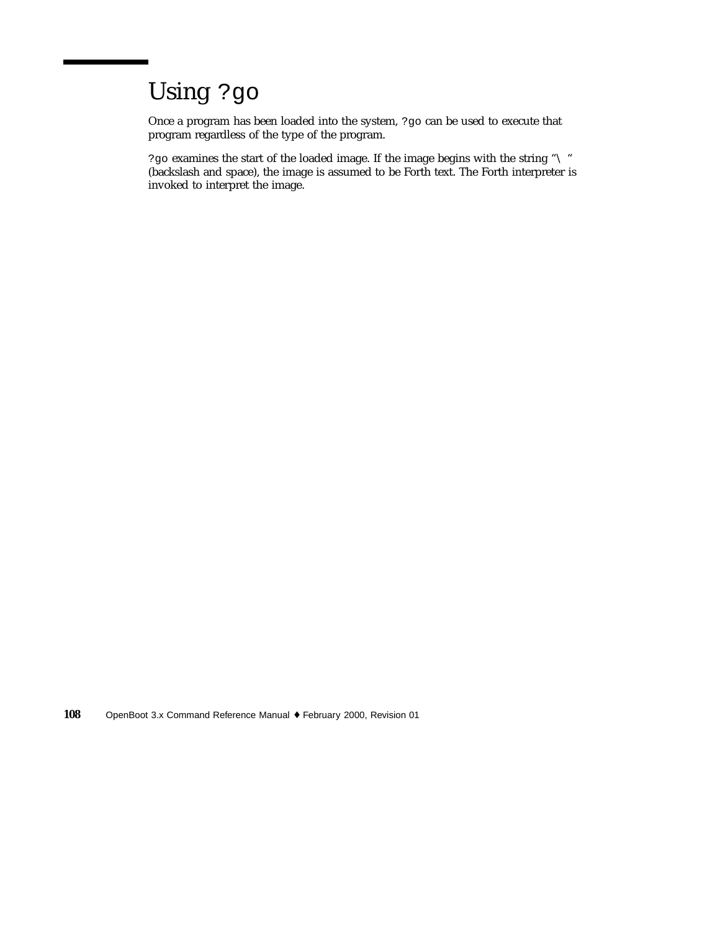# Using ?go

Once a program has been loaded into the system, ?go can be used to execute that program regardless of the type of the program.

?go examines the start of the loaded image. If the image begins with the string "\ " (backslash and space), the image is assumed to be Forth text. The Forth interpreter is invoked to interpret the image.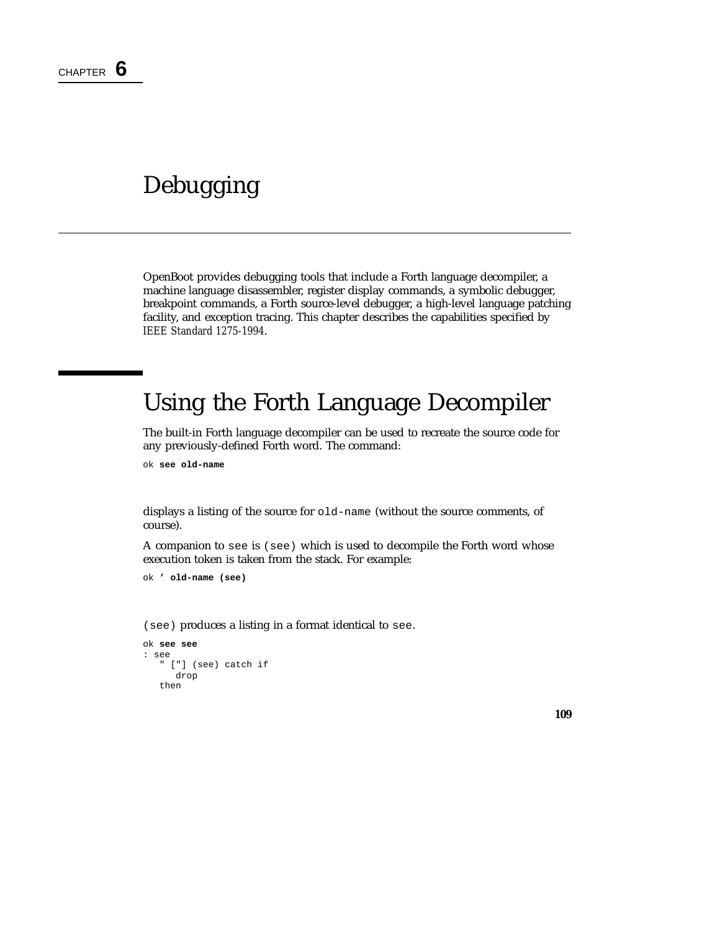# Debugging

OpenBoot provides debugging tools that include a Forth language decompiler, a machine language disassembler, register display commands, a symbolic debugger, breakpoint commands, a Forth source-level debugger, a high-level language patching facility, and exception tracing. This chapter describes the capabilities specified by *IEEE Standard 1275-1994*.

# Using the Forth Language Decompiler

The built-in Forth language decompiler can be used to recreate the source code for any previously-defined Forth word. The command:

ok **see old-name**

displays a listing of the source for old-name (without the source comments, of course).

A companion to see is (see) which is used to decompile the Forth word whose execution token is taken from the stack. For example:

```
ok ' old-name (see)
```
(see) produces a listing in a format identical to see.

```
ok see see
: see
   " ["] (see) catch if
     drop
   then
```
**109**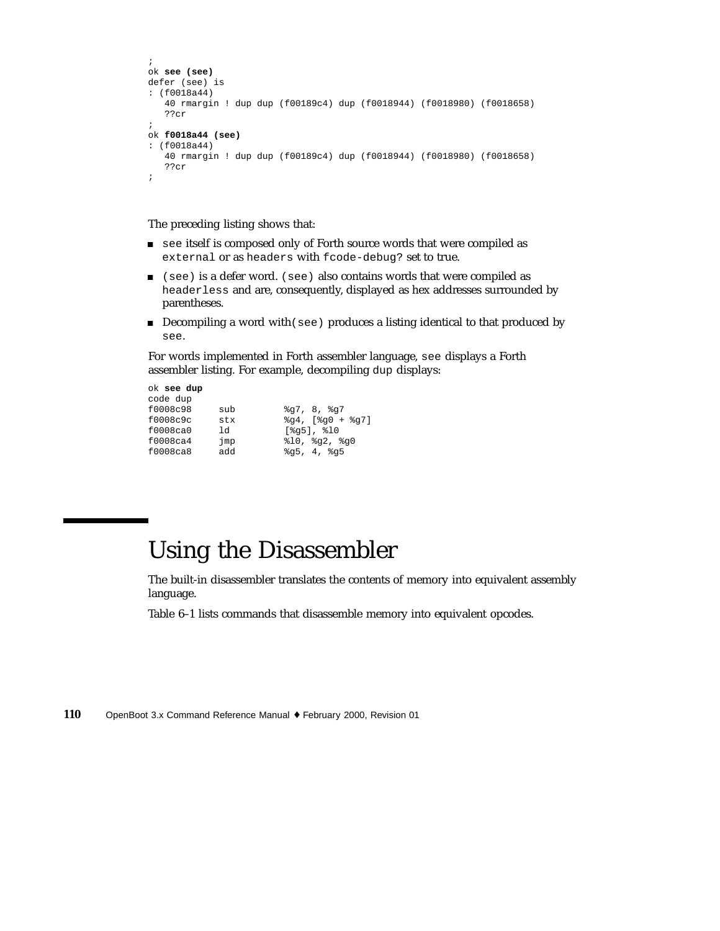```
;
ok see (see)
defer (see) is
: (f0018a44)
   40 rmargin ! dup dup (f00189c4) dup (f0018944) (f0018980) (f0018658)
   ??cr
;
ok f0018a44 (see)
: (f0018a44)
   40 rmargin ! dup dup (f00189c4) dup (f0018944) (f0018980) (f0018658)
   ??cr
;
```
The preceding listing shows that:

- see itself is composed only of Forth source words that were compiled as external or as headers with fcode-debug? set to true.
- (see) is a defer word. (see) also contains words that were compiled as headerless and are, consequently, displayed as hex addresses surrounded by parentheses.
- Decompiling a word with (see) produces a listing identical to that produced by see.

For words implemented in Forth assembler language, see displays a Forth assembler listing. For example, decompiling dup displays:

ok **see dup** code dup

| f0008c98 | sub | 8q7, 8, 8q7                            |
|----------|-----|----------------------------------------|
| f0008c9c | stx | $\qquad24.$ [ $\qquad90 + \qquad297$ ] |
| f0008ca0 | 1d  | $[$ %q5], $\$10$                       |
| f0008ca4 | jmp | $\$10.$ $\$q2.$ $\$q0$                 |
| f0008ca8 | add | 8q5, 4, 8q5                            |
|          |     |                                        |

### Using the Disassembler

The built-in disassembler translates the contents of memory into equivalent assembly language.

Table 6–1 lists commands that disassemble memory into equivalent opcodes.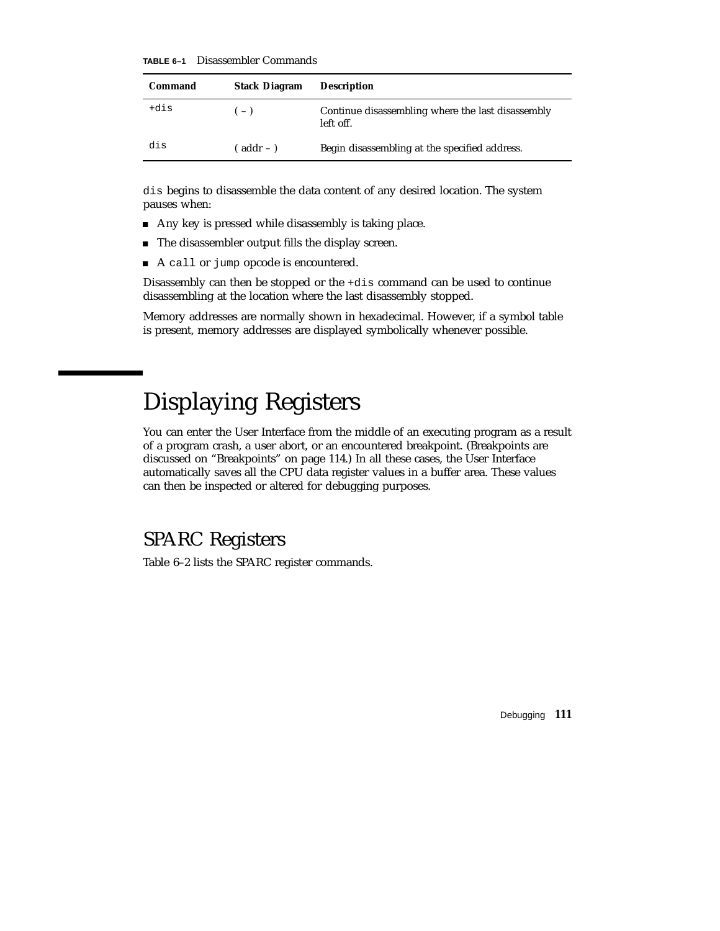**TABLE 6–1** Disassembler Commands

| Command | <b>Stack Diagram</b> | <b>Description</b>                                             |
|---------|----------------------|----------------------------------------------------------------|
| +dis    | $(-)$                | Continue disassembling where the last disassembly<br>left off. |
| dis     | $($ addr – $)$       | Begin disassembling at the specified address.                  |

dis begins to disassemble the data content of any desired location. The system pauses when:

- Any key is pressed while disassembly is taking place.
- The disassembler output fills the display screen.
- A call or jump opcode is encountered.

Disassembly can then be stopped or the +dis command can be used to continue disassembling at the location where the last disassembly stopped.

Memory addresses are normally shown in hexadecimal. However, if a symbol table is present, memory addresses are displayed symbolically whenever possible.

## Displaying Registers

You can enter the User Interface from the middle of an executing program as a result of a program crash, a user abort, or an encountered breakpoint. (Breakpoints are discussed on "Breakpoints" on page 114.) In all these cases, the User Interface automatically saves all the CPU data register values in a buffer area. These values can then be inspected or altered for debugging purposes.

### SPARC Registers

Table 6–2 lists the SPARC register commands.

Debugging **111**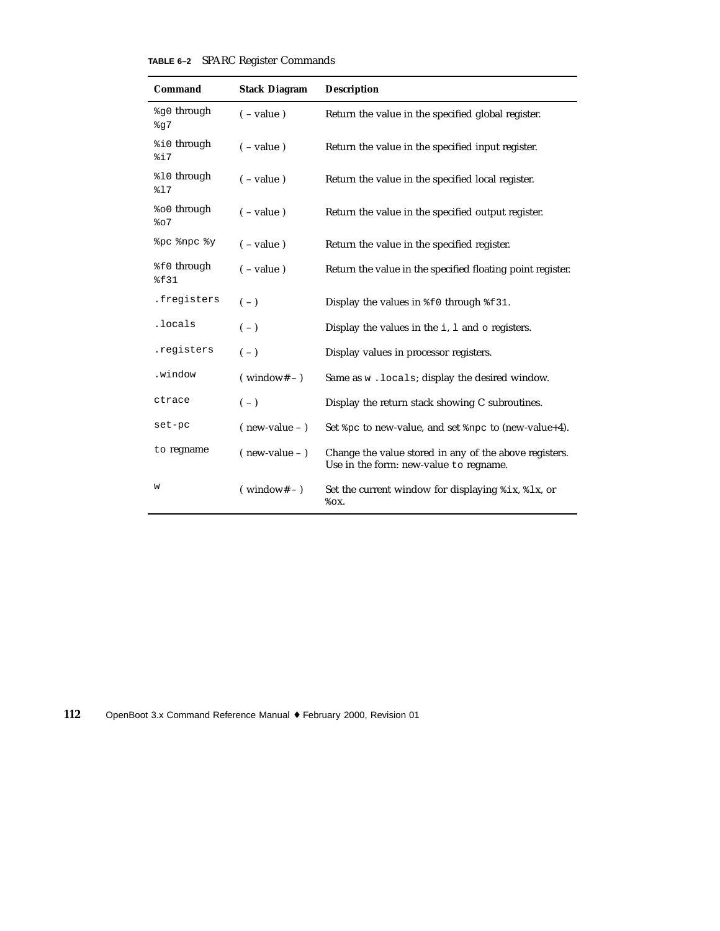#### **TABLE 6–2** SPARC Register Commands

| Command                       | <b>Stack Diagram</b>  | <b>Description</b>                                                                               |
|-------------------------------|-----------------------|--------------------------------------------------------------------------------------------------|
| %90 through<br>8q7            | $(-value)$            | Return the value in the specified global register.                                               |
| %i0 through<br>%i7            | $(-value)$            | Return the value in the specified input register.                                                |
| \$10 through<br>817           | $(-value)$            | Return the value in the specified local register.                                                |
| <sup>8</sup> ∂ through<br>807 | $(-value)$            | Return the value in the specified output register.                                               |
| &pc &npc &y                   | $(-value)$            | Return the value in the specified register.                                                      |
| %f0 through<br>\$£31          | $(-value)$            | Return the value in the specified floating point register.                                       |
| .freqisters                   | $(-)$                 | Display the values in $\S$ f 0 through $\S$ f 31.                                                |
| .locals                       | $(-)$                 | Display the values in the $i$ , $l$ and $o$ registers.                                           |
| .registers                    | $(-)$                 | Display values in processor registers.                                                           |
| .window                       | $(\text{window#} - )$ | Same as w.locals; display the desired window.                                                    |
| ctrace                        | $(-)$                 | Display the return stack showing C subroutines.                                                  |
| set-pc                        | $($ new-value $ )$    | Set %pc to new-value, and set %npc to (new-value+4).                                             |
| to regname                    | $($ new-value $ )$    | Change the value stored in any of the above registers.<br>Use in the form: new-value to regname. |
| W                             | $(windown# - )$       | Set the current window for displaying $\forall$ ix, $\forall$ lx, or<br>$\delta$ OX.             |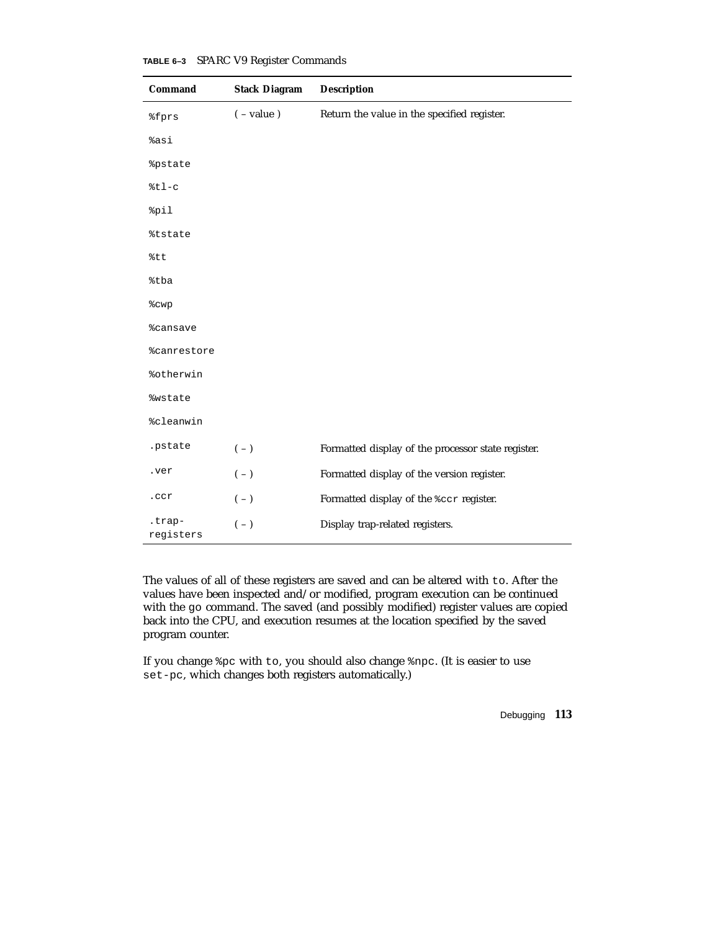| Command                   | <b>Stack Diagram</b> | <b>Description</b>                                 |
|---------------------------|----------------------|----------------------------------------------------|
| <i><b>%fprs</b></i>       | $(-value)$           | Return the value in the specified register.        |
| sasi                      |                      |                                                    |
| <i><b>&amp;pstate</b></i> |                      |                                                    |
| $%t1-c$                   |                      |                                                    |
| %pil                      |                      |                                                    |
| <i><b>%tstate</b></i>     |                      |                                                    |
| %tt                       |                      |                                                    |
| %tba                      |                      |                                                    |
| %cwp                      |                      |                                                    |
| <i><b>%cansave</b></i>    |                      |                                                    |
| <i><b>%canrestore</b></i> |                      |                                                    |
| %otherwin                 |                      |                                                    |
| <i><b>%wstate</b></i>     |                      |                                                    |
| <i><b>%cleanwin</b></i>   |                      |                                                    |
| .pstate                   | $(\, - \,)$          | Formatted display of the processor state register. |
| .ver                      | $(-)$                | Formatted display of the version register.         |
| .ccr                      | $(-)$                | Formatted display of the \$ccr register.           |
| .trap-<br>registers       | $(-)$                | Display trap-related registers.                    |

**TABLE 6–3** SPARC V9 Register Commands

The values of all of these registers are saved and can be altered with to. After the values have been inspected and/or modified, program execution can be continued with the go command. The saved (and possibly modified) register values are copied back into the CPU, and execution resumes at the location specified by the saved program counter.

If you change %pc with to, you should also change %npc. (It is easier to use set-pc, which changes both registers automatically.)

Debugging **113**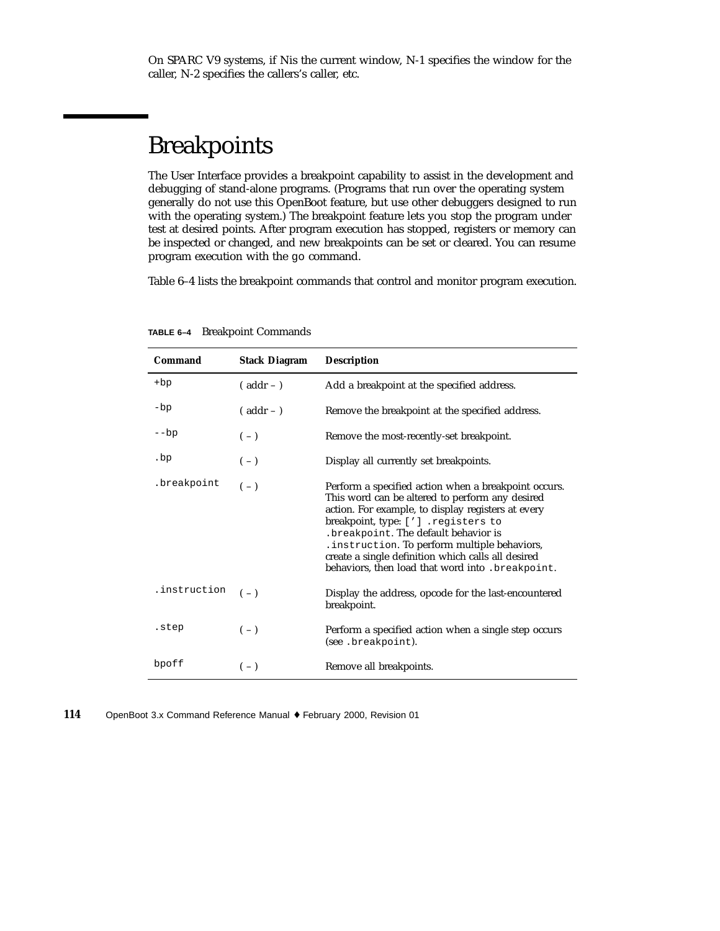## Breakpoints

The User Interface provides a breakpoint capability to assist in the development and debugging of stand-alone programs. (Programs that run over the operating system generally do not use this OpenBoot feature, but use other debuggers designed to run with the operating system.) The breakpoint feature lets you stop the program under test at desired points. After program execution has stopped, registers or memory can be inspected or changed, and new breakpoints can be set or cleared. You can resume program execution with the go command.

Table 6–4 lists the breakpoint commands that control and monitor program execution.

| Command        | <b>Stack Diagram</b> | <b>Description</b>                                                                                                                                                                                                                                                                                                                                                                                        |
|----------------|----------------------|-----------------------------------------------------------------------------------------------------------------------------------------------------------------------------------------------------------------------------------------------------------------------------------------------------------------------------------------------------------------------------------------------------------|
| $+bp$          | $($ addr $ )$        | Add a breakpoint at the specified address.                                                                                                                                                                                                                                                                                                                                                                |
| $-bp$          | $($ addr $ )$        | Remove the breakpoint at the specified address.                                                                                                                                                                                                                                                                                                                                                           |
| $-\mathsf{bp}$ | $(-)$                | Remove the most-recently-set breakpoint.                                                                                                                                                                                                                                                                                                                                                                  |
| .bp            | $(-)$                | Display all currently set breakpoints.                                                                                                                                                                                                                                                                                                                                                                    |
| .breakpoint    | $(-)$                | Perform a specified action when a breakpoint occurs.<br>This word can be altered to perform any desired<br>action. For example, to display registers at every<br>breakpoint, type: ['] .registers to<br>. breakpoint. The default behavior is<br>. instruction. To perform multiple behaviors,<br>create a single definition which calls all desired<br>behaviors, then load that word into . breakpoint. |
| .instruction   | $(-)$                | Display the address, opcode for the last-encountered<br>breakpoint.                                                                                                                                                                                                                                                                                                                                       |
| .step          | $(-)$                | Perform a specified action when a single step occurs<br>(see .breakpoint).                                                                                                                                                                                                                                                                                                                                |
| bpoff          | $(-)$                | Remove all breakpoints.                                                                                                                                                                                                                                                                                                                                                                                   |

**TABLE 6–4** Breakpoint Commands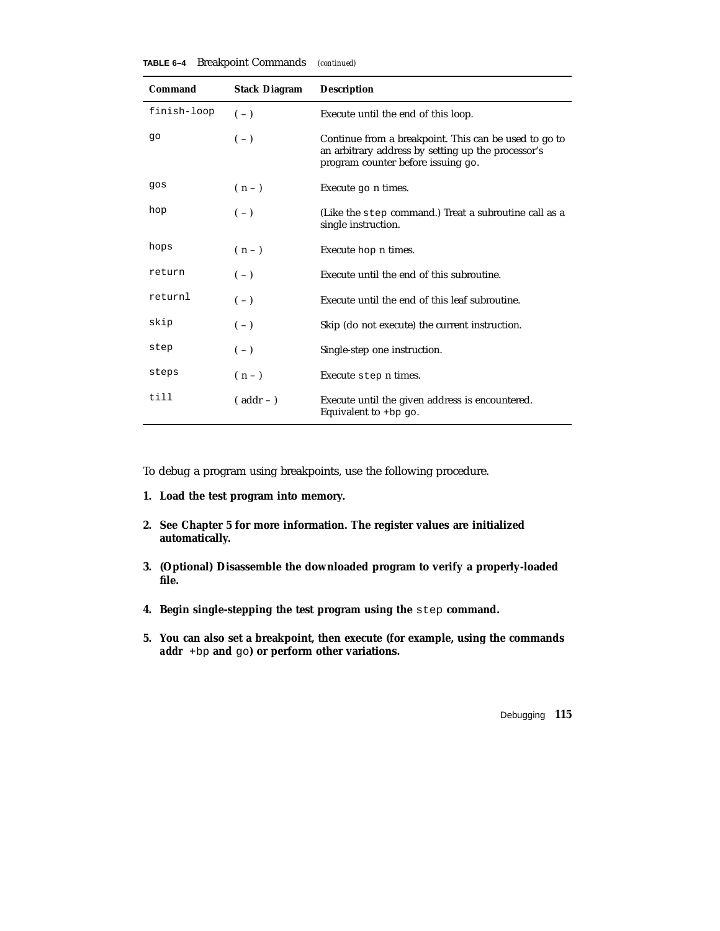| TABLE 6-4 |  | <b>Breakpoint Commands</b> |  | (continued) |
|-----------|--|----------------------------|--|-------------|
|-----------|--|----------------------------|--|-------------|

| Command     | <b>Stack Diagram</b> | <b>Description</b>                                                                                                                                |
|-------------|----------------------|---------------------------------------------------------------------------------------------------------------------------------------------------|
| finish-loop | $(-)$                | Execute until the end of this loop.                                                                                                               |
| 90          | $(-)$                | Continue from a breakpoint. This can be used to go to<br>an arbitrary address by setting up the processor's<br>program counter before issuing go. |
| gos         | $(n-$                | Execute go n times.                                                                                                                               |
| hop         | $(-)$                | (Like the step command.) Treat a subroutine call as a<br>single instruction.                                                                      |
| hops        | $(n-1)$              | Execute hop n times.                                                                                                                              |
| return      | $(-)$                | Execute until the end of this subroutine.                                                                                                         |
| returnl     | $(-)$                | Execute until the end of this leaf subroutine.                                                                                                    |
| skip        | $(-)$                | Skip (do not execute) the current instruction.                                                                                                    |
| step        | $(-)$                | Single-step one instruction.                                                                                                                      |
| steps       | $(n-1)$              | Execute step n times.                                                                                                                             |
| till        | $($ addr $ )$        | Execute until the given address is encountered.<br>Equivalent to +bp go.                                                                          |

To debug a program using breakpoints, use the following procedure.

- **1. Load the test program into memory.**
- **2. See Chapter 5 for more information. The register values are initialized automatically.**
- **3. (Optional) Disassemble the downloaded program to verify a properly-loaded file.**
- **4. Begin single-stepping the test program using the** step **command.**
- **5. You can also set a breakpoint, then execute (for example, using the commands** *addr* +bp **and** go**) or perform other variations.**

Debugging **115**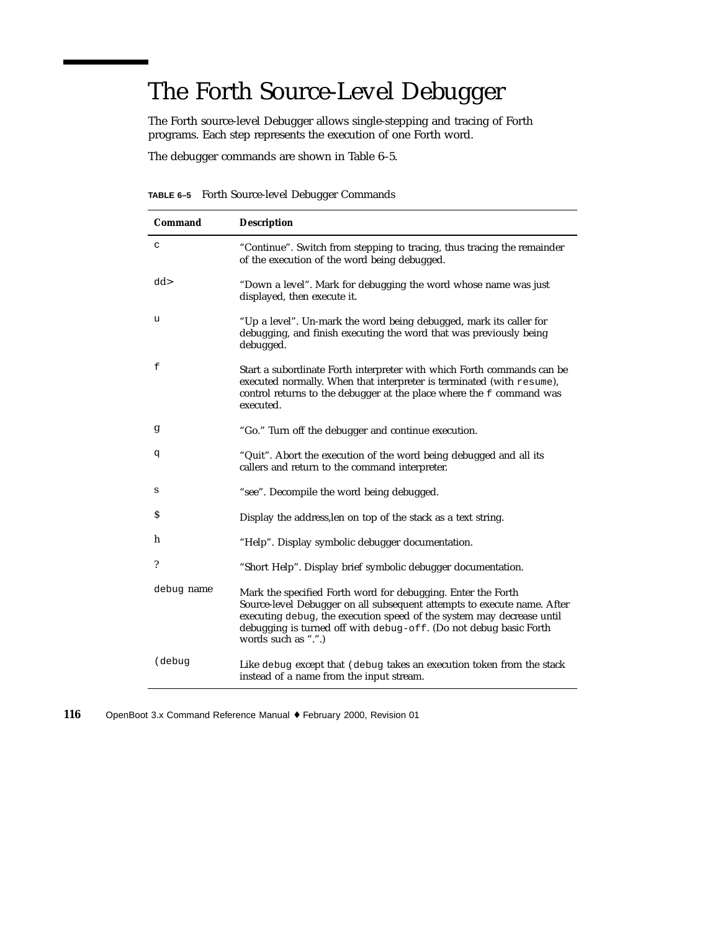# The Forth Source-Level Debugger

The Forth source-level Debugger allows single-stepping and tracing of Forth programs. Each step represents the execution of one Forth word.

The debugger commands are shown in Table 6–5.

**TABLE 6–5** Forth Source-level Debugger Commands

| Command                  | <b>Description</b>                                                                                                                                                                                                                                                                                           |
|--------------------------|--------------------------------------------------------------------------------------------------------------------------------------------------------------------------------------------------------------------------------------------------------------------------------------------------------------|
| C                        | "Continue". Switch from stepping to tracing, thus tracing the remainder<br>of the execution of the word being debugged.                                                                                                                                                                                      |
| dd>                      | "Down a level". Mark for debugging the word whose name was just<br>displayed, then execute it.                                                                                                                                                                                                               |
| u                        | "Up a level". Un-mark the word being debugged, mark its caller for<br>debugging, and finish executing the word that was previously being<br>debugged.                                                                                                                                                        |
| f                        | Start a subordinate Forth interpreter with which Forth commands can be<br>executed normally. When that interpreter is terminated (with resume),<br>control returns to the debugger at the place where the f command was<br>executed.                                                                         |
| g                        | "Go." Turn off the debugger and continue execution.                                                                                                                                                                                                                                                          |
| đ                        | "Quit". Abort the execution of the word being debugged and all its<br>callers and return to the command interpreter.                                                                                                                                                                                         |
| S                        | "see". Decompile the word being debugged.                                                                                                                                                                                                                                                                    |
| \$                       | Display the address, len on top of the stack as a text string.                                                                                                                                                                                                                                               |
| h                        | "Help". Display symbolic debugger documentation.                                                                                                                                                                                                                                                             |
| $\overline{\phantom{a}}$ | "Short Help". Display brief symbolic debugger documentation.                                                                                                                                                                                                                                                 |
| debug name               | Mark the specified Forth word for debugging. Enter the Forth<br>Source-level Debugger on all subsequent attempts to execute name. After<br>executing debug, the execution speed of the system may decrease until<br>debugging is turned off with debug-off. (Do not debug basic Forth<br>words such as ".".) |
| (debug                   | Like debug except that (debug takes an execution token from the stack<br>instead of a name from the input stream.                                                                                                                                                                                            |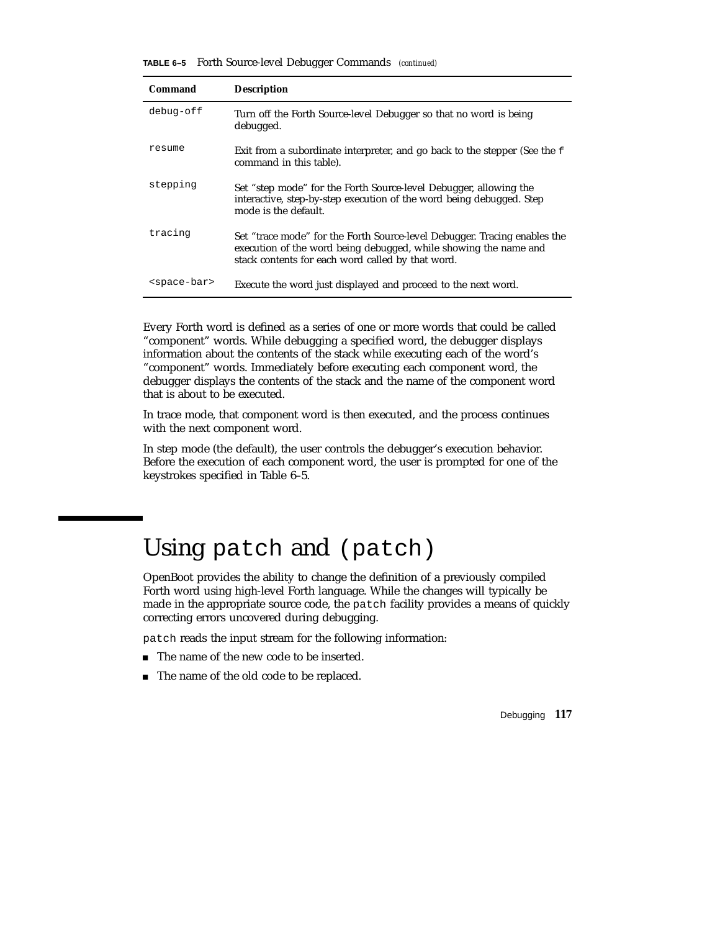**TABLE 6–5** Forth Source-level Debugger Commands *(continued)*

| Command                 | <b>Description</b>                                                                                                                                                                                 |
|-------------------------|----------------------------------------------------------------------------------------------------------------------------------------------------------------------------------------------------|
| debug-off               | Turn off the Forth Source-level Debugger so that no word is being<br>debugged.                                                                                                                     |
| resume                  | Exit from a subordinate interpreter, and go back to the stepper (See the f<br>command in this table).                                                                                              |
| stepping                | Set "step mode" for the Forth Source-level Debugger, allowing the<br>interactive, step-by-step execution of the word being debugged. Step<br>mode is the default.                                  |
| tracing                 | Set "trace mode" for the Forth Source-level Debugger. Tracing enables the<br>execution of the word being debugged, while showing the name and<br>stack contents for each word called by that word. |
| <space-bar></space-bar> | Execute the word just displayed and proceed to the next word.                                                                                                                                      |

Every Forth word is defined as a series of one or more words that could be called "component" words. While debugging a specified word, the debugger displays information about the contents of the stack while executing each of the word's "component" words. Immediately before executing each component word, the debugger displays the contents of the stack and the name of the component word that is about to be executed.

In trace mode, that component word is then executed, and the process continues with the next component word.

In step mode (the default), the user controls the debugger's execution behavior. Before the execution of each component word, the user is prompted for one of the keystrokes specified in Table 6–5.

### Using patch and (patch)

OpenBoot provides the ability to change the definition of a previously compiled Forth word using high-level Forth language. While the changes will typically be made in the appropriate source code, the patch facility provides a means of quickly correcting errors uncovered during debugging.

patch reads the input stream for the following information:

- The name of the new code to be inserted.
- The name of the old code to be replaced.

Debugging **117**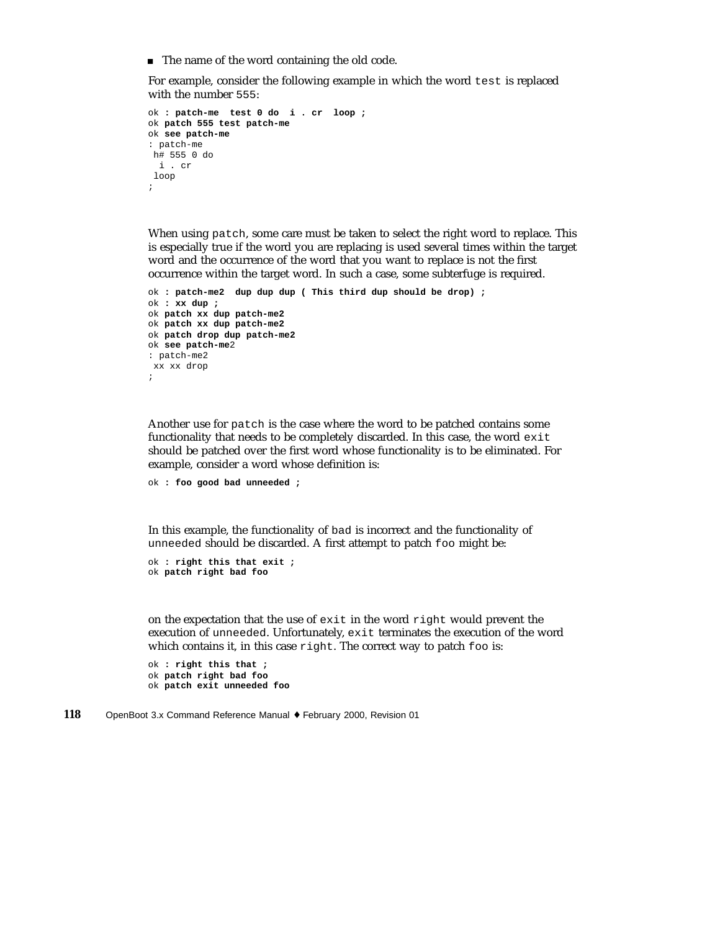■ The name of the word containing the old code.

For example, consider the following example in which the word test is replaced with the number 555:

```
ok : patch-me test 0 do i . cr loop ;
ok patch 555 test patch-me
ok see patch-me
: patch-me
h# 555 0 do
 i . cr
loop
;
```
When using patch, some care must be taken to select the right word to replace. This is especially true if the word you are replacing is used several times within the target word and the occurrence of the word that you want to replace is not the first occurrence within the target word. In such a case, some subterfuge is required.

```
ok : patch-me2 dup dup dup ( This third dup should be drop) ;
ok : xx dup ;
ok patch xx dup patch-me2
ok patch xx dup patch-me2
ok patch drop dup patch-me2
ok see patch-me2
: patch-me2
xx xx drop
;
```
Another use for patch is the case where the word to be patched contains some functionality that needs to be completely discarded. In this case, the word exit should be patched over the first word whose functionality is to be eliminated. For example, consider a word whose definition is:

```
ok : foo good bad unneeded ;
```
In this example, the functionality of bad is incorrect and the functionality of unneeded should be discarded. A first attempt to patch foo might be:

```
ok : right this that exit ;
ok patch right bad foo
```
on the expectation that the use of exit in the word right would prevent the execution of unneeded. Unfortunately, exit terminates the execution of the word which contains it, in this case right. The correct way to patch foo is:

```
ok : right this that ;
ok patch right bad foo
ok patch exit unneeded foo
```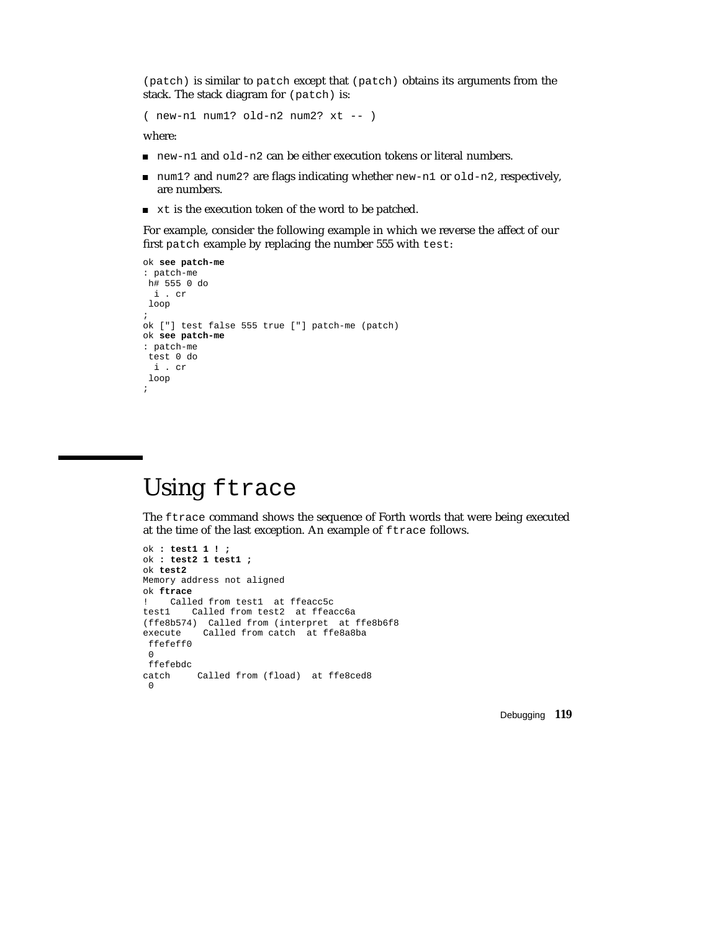(patch) is similar to patch except that (patch) obtains its arguments from the stack. The stack diagram for (patch) is:

( new-n1 num1? old-n2 num2? xt -- )

where:

- $\Box$  new-n1 and old-n2 can be either execution tokens or literal numbers.
- num1? and num2? are flags indicating whether new-n1 or  $old-n2$ , respectively, are numbers.
- **xt is the execution token of the word to be patched.**

For example, consider the following example in which we reverse the affect of our first patch example by replacing the number 555 with test:

```
ok see patch-me
: patch-me
h# 555 0 do
 i . cr
loop
;
ok ["] test false 555 true ["] patch-me (patch)
ok see patch-me
: patch-me
test 0 do
 i . cr
loop
;
```
## Using ftrace

The ftrace command shows the sequence of Forth words that were being executed at the time of the last exception. An example of ftrace follows.

```
ok : test1 1 ! ;
ok : test2 1 test1 ;
ok test2
Memory address not aligned
ok ftrace
! Called from test1 at ffeacc5c
test1 Called from test2 at ffeacc6a
(ffe8b574) Called from (interpret at ffe8b6f8
        Called from catch at ffe8a8ba
ffefeff0
0
ffefebdc
catch Called from (fload) at ffe8ced8
0
```
Debugging **119**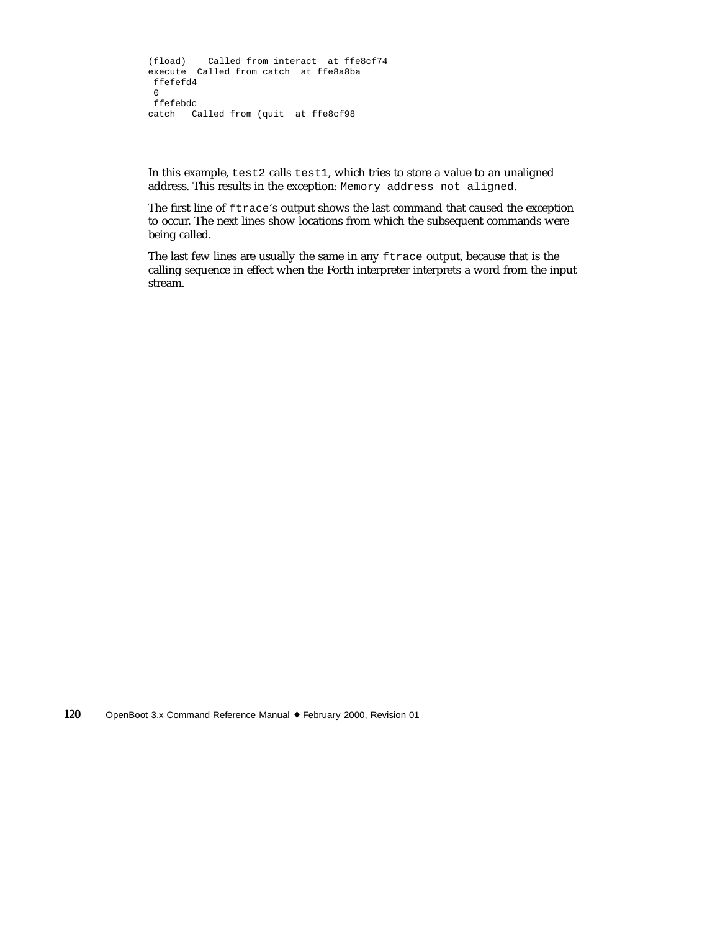```
(fload) Called from interact at ffe8cf74
execute Called from catch at ffe8a8ba
 ffefefd4
 0
ffefebdc
catch Called from (quit at ffe8cf98
```
In this example, test2 calls test1, which tries to store a value to an unaligned address. This results in the exception: Memory address not aligned.

The first line of ftrace's output shows the last command that caused the exception to occur. The next lines show locations from which the subsequent commands were being called.

The last few lines are usually the same in any ftrace output, because that is the calling sequence in effect when the Forth interpreter interprets a word from the input stream.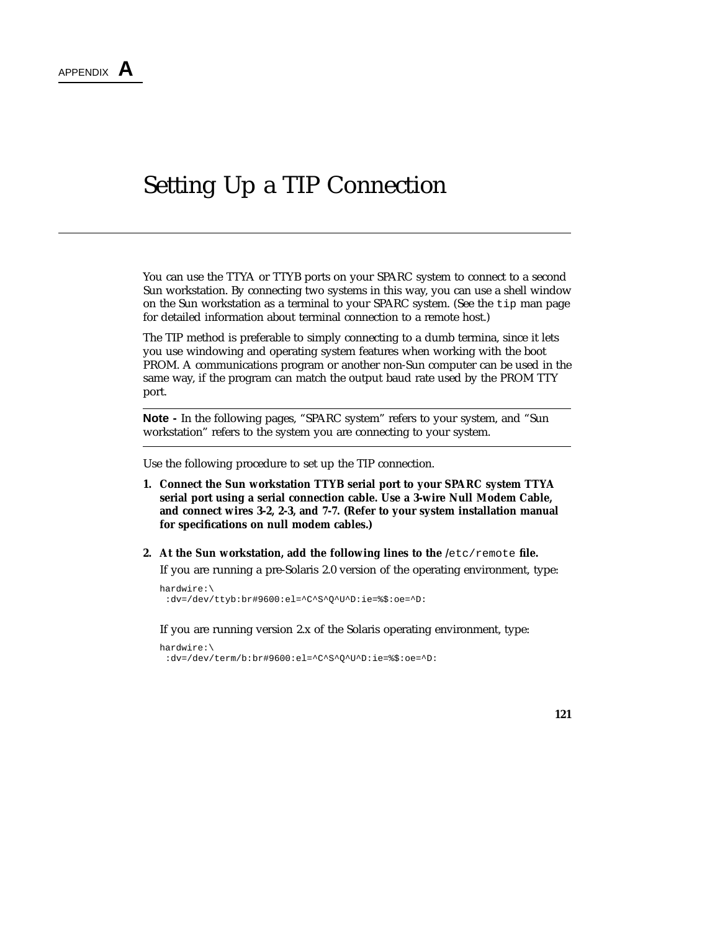### Setting Up a TIP Connection

You can use the TTYA or TTYB ports on your SPARC system to connect to a second Sun workstation. By connecting two systems in this way, you can use a shell window on the Sun workstation as a terminal to your SPARC system. (See the tip man page for detailed information about terminal connection to a remote host.)

The TIP method is preferable to simply connecting to a dumb termina, since it lets you use windowing and operating system features when working with the boot PROM. A communications program or another non-Sun computer can be used in the same way, if the program can match the output baud rate used by the PROM TTY port.

**Note -** In the following pages, "SPARC system" refers to your system, and "Sun workstation" refers to the system you are connecting to your system.

Use the following procedure to set up the TIP connection.

- **1. Connect the Sun workstation TTYB serial port to your SPARC system TTYA serial port using a serial connection cable. Use a 3-wire Null Modem Cable, and connect wires 3-2, 2-3, and 7-7. (Refer to your system installation manual for specifications on null modem cables.)**
- **2. At the Sun workstation, add the following lines to the /**etc/remote **file.**

If you are running a pre-Solaris 2.0 version of the operating environment, type:

```
hardwire:\
 :dv=/dev/ttyb:br#9600:el=^C^S^Q^U^D:ie=%$:oe=^D:
```
If you are running version 2.x of the Solaris operating environment, type:

```
hardwire:\
 :dv=/dev/term/b:br#9600:el=^C^S^Q^U^D:ie=%$:oe=^D:
```
**121**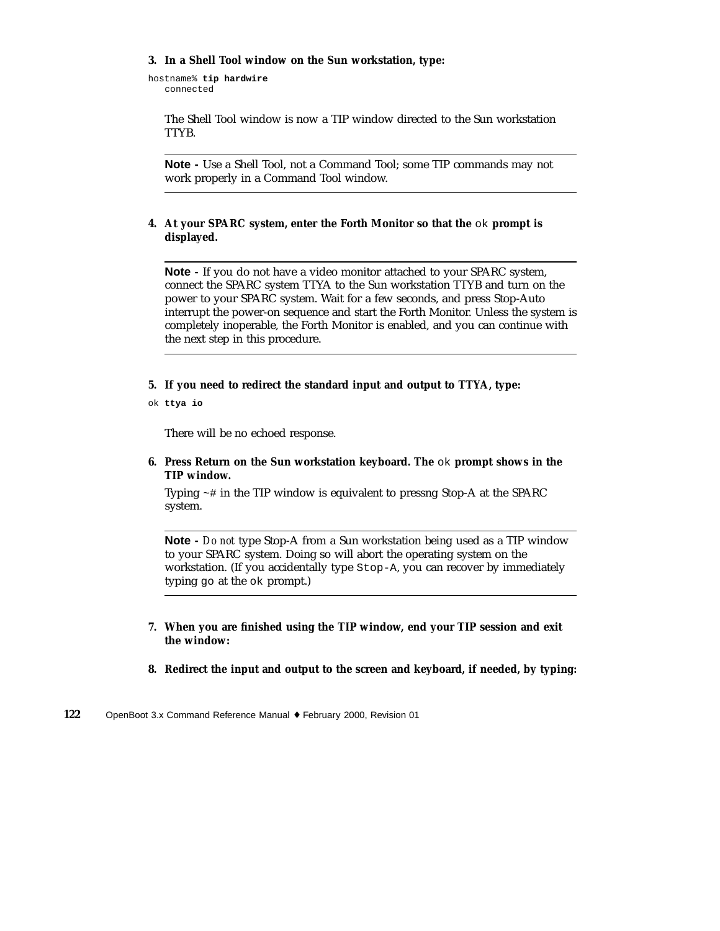#### **3. In a Shell Tool window on the Sun workstation, type:**

```
hostname% tip hardwire
   connected
```
The Shell Tool window is now a TIP window directed to the Sun workstation TTYB.

**Note -** Use a Shell Tool, not a Command Tool; some TIP commands may not work properly in a Command Tool window.

**4. At your SPARC system, enter the Forth Monitor so that the** ok **prompt is displayed.**

**Note -** If you do not have a video monitor attached to your SPARC system, connect the SPARC system TTYA to the Sun workstation TTYB and turn on the power to your SPARC system. Wait for a few seconds, and press Stop-Auto interrupt the power-on sequence and start the Forth Monitor. Unless the system is completely inoperable, the Forth Monitor is enabled, and you can continue with the next step in this procedure.

**5. If you need to redirect the standard input and output to TTYA, type:**

ok **ttya io**

There will be no echoed response.

**6. Press Return on the Sun workstation keyboard. The** ok **prompt shows in the TIP window.**

Typing ~# in the TIP window is equivalent to pressng Stop-A at the SPARC system.

**Note -** *Do not* type Stop-A from a Sun workstation being used as a TIP window to your SPARC system. Doing so will abort the operating system on the workstation. (If you accidentally type Stop-A, you can recover by immediately typing go at the ok prompt.)

- **7. When you are finished using the TIP window, end your TIP session and exit the window:**
- **8. Redirect the input and output to the screen and keyboard, if needed, by typing:**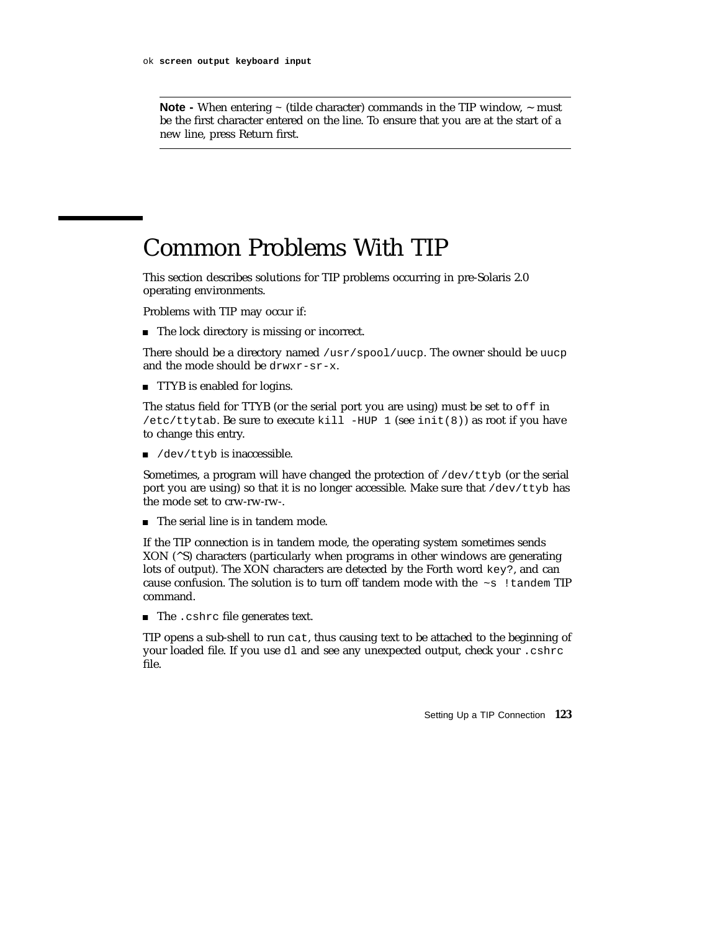**Note -** When entering  $\sim$  (tilde character) commands in the TIP window,  $\sim$  must be the first character entered on the line. To ensure that you are at the start of a new line, press Return first.

### Common Problems With TIP

This section describes solutions for TIP problems occurring in pre-Solaris 2.0 operating environments.

Problems with TIP may occur if:

■ The lock directory is missing or incorrect.

There should be a directory named /usr/spool/uucp. The owner should be uucp and the mode should be drwxr-sr-x.

**TTYP** is enabled for logins.

The status field for TTYB (or the serial port you are using) must be set to off in /etc/ttytab. Be sure to execute kill -HUP 1 (see init(8)) as root if you have to change this entry.

 $\blacksquare$  /dev/ttyb is inaccessible.

Sometimes, a program will have changed the protection of  $/$ dev $/$ ttyb (or the serial port you are using) so that it is no longer accessible. Make sure that  $/$ dev $/$ ttyb has the mode set to crw-rw-rw-.

The serial line is in tandem mode.

If the TIP connection is in tandem mode, the operating system sometimes sends XON (^S) characters (particularly when programs in other windows are generating lots of output). The XON characters are detected by the Forth word key?, and can cause confusion. The solution is to turn off tandem mode with the  $\sim$ s !tandem TIP command.

The .cshrc file generates text.

TIP opens a sub-shell to run cat, thus causing text to be attached to the beginning of your loaded file. If you use dl and see any unexpected output, check your .cshrc file.

Setting Up a TIP Connection **123**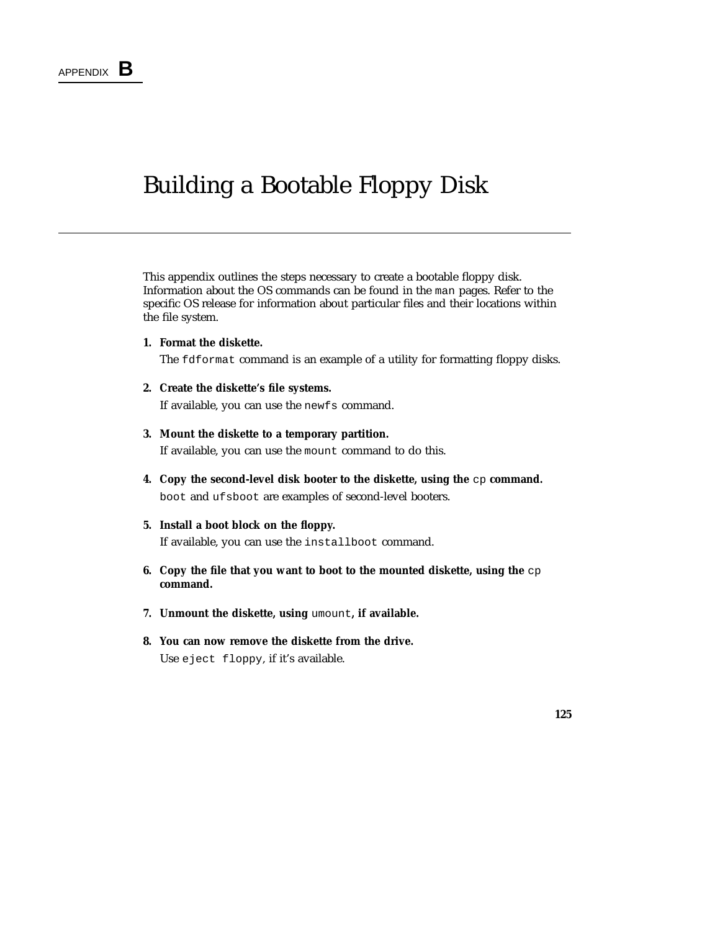### Building a Bootable Floppy Disk

This appendix outlines the steps necessary to create a bootable floppy disk. Information about the OS commands can be found in the man pages. Refer to the specific OS release for information about particular files and their locations within the file system.

**1. Format the diskette.**

The fdformat command is an example of a utility for formatting floppy disks.

- **2. Create the diskette's file systems.** If available, you can use the newfs command.
- **3. Mount the diskette to a temporary partition.** If available, you can use the mount command to do this.
- **4. Copy the second-level disk booter to the diskette, using the cp command.** boot and ufsboot are examples of second-level booters.
- **5. Install a boot block on the floppy.** If available, you can use the installboot command.
- **6. Copy the file that you want to boot to the mounted diskette, using the** cp **command.**
- **7. Unmount the diskette, using** umount**, if available.**
- **8. You can now remove the diskette from the drive.** Use eject floppy, if it's available.

**125**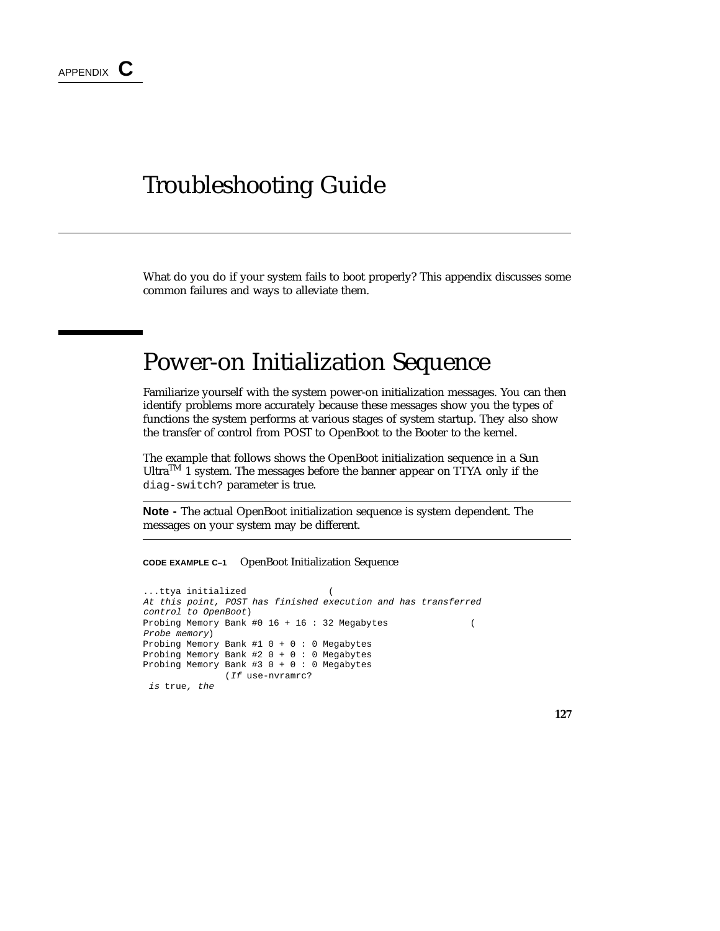### Troubleshooting Guide

What do you do if your system fails to boot properly? This appendix discusses some common failures and ways to alleviate them.

### Power-on Initialization Sequence

Familiarize yourself with the system power-on initialization messages. You can then identify problems more accurately because these messages show you the types of functions the system performs at various stages of system startup. They also show the transfer of control from POST to OpenBoot to the Booter to the kernel.

The example that follows shows the OpenBoot initialization sequence in a Sun UltraTM 1 system. The messages before the banner appear on TTYA only if the diag-switch? parameter is true.

**Note -** The actual OpenBoot initialization sequence is system dependent. The messages on your system may be different.

**CODE EXAMPLE C–1** OpenBoot Initialization Sequence

```
...ttya initialized (
At this point, POST has finished execution and has transferred
control to OpenBoot)
Probing Memory Bank #0 16 + 16 : 32 Megabytes (
Probe memory)
Probing Memory Bank #1 0 + 0 : 0 Megabytes
Probing Memory Bank #2 0 + 0 : 0 Megabytes
Probing Memory Bank #3 0 + 0 : 0 Megabytes
              (If use-nvramrc?
is true, the
```
**127**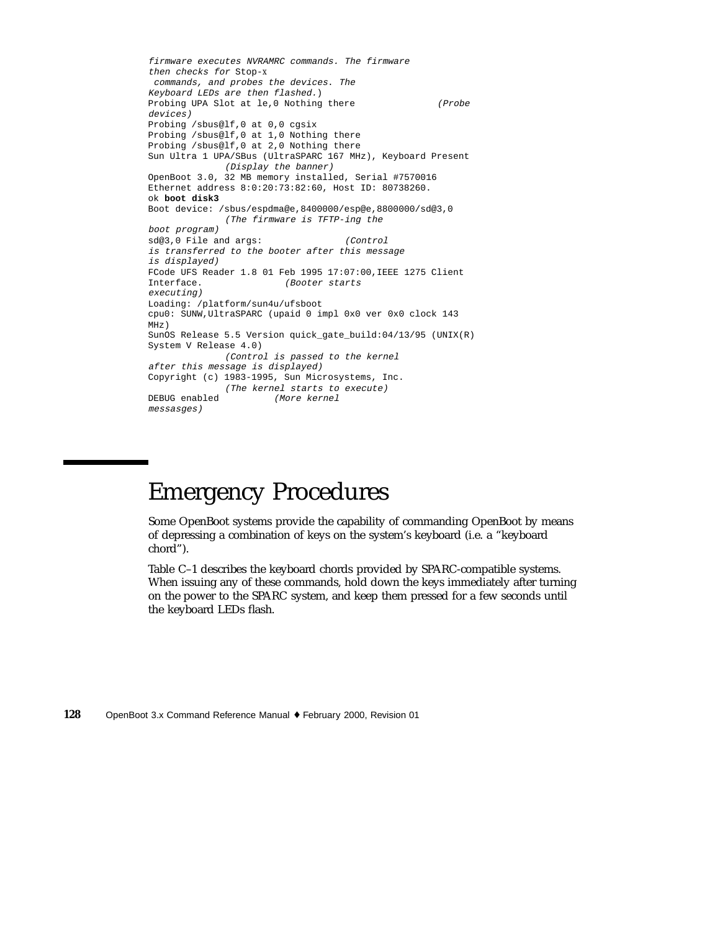```
firmware executes NVRAMRC commands. The firmware
then checks for Stop-x
commands, and probes the devices. The
Keyboard LEDs are then flashed.)
Probing UPA Slot at le,0 Nothing there (Probe
devices)
Probing /sbus@lf,0 at 0,0 cgsix
Probing /sbus@lf,0 at 1,0 Nothing there
Probing /sbus@lf,0 at 2,0 Nothing there
Sun Ultra 1 UPA/SBus (UltraSPARC 167 MHz), Keyboard Present
              (Display the banner)
OpenBoot 3.0, 32 MB memory installed, Serial #7570016
Ethernet address 8:0:20:73:82:60, Host ID: 80738260.
ok boot disk3
Boot device: /sbus/espdma@e,8400000/esp@e,8800000/sd@3,0
             (The firmware is TFTP-ing the
boot program)
sd@3,0 File and args: (Control
is transferred to the booter after this message
is displayed)
FCode UFS Reader 1.8 01 Feb 1995 17:07:00, IEEE 1275 Client<br>
(Booter starts
                        Booter starts
executing)
Loading: /platform/sun4u/ufsboot
cpu0: SUNW,UltraSPARC (upaid 0 impl 0x0 ver 0x0 clock 143
\mathtt{MHz} )
SunOS Release 5.5 Version quick_gate_build:04/13/95 (UNIX(R)
System V Release 4.0)
            (Control is passed to the kernel
after this message is displayed)
Copyright (c) 1983-1995, Sun Microsystems, Inc.
             (The kernel starts to execute)
DEBUG enabled (More kernel
messasges)
```
## Emergency Procedures

Some OpenBoot systems provide the capability of commanding OpenBoot by means of depressing a combination of keys on the system's keyboard (i.e. a "keyboard chord").

Table C–1 describes the keyboard chords provided by SPARC-compatible systems. When issuing any of these commands, hold down the keys immediately after turning on the power to the SPARC system, and keep them pressed for a few seconds until the keyboard LEDs flash.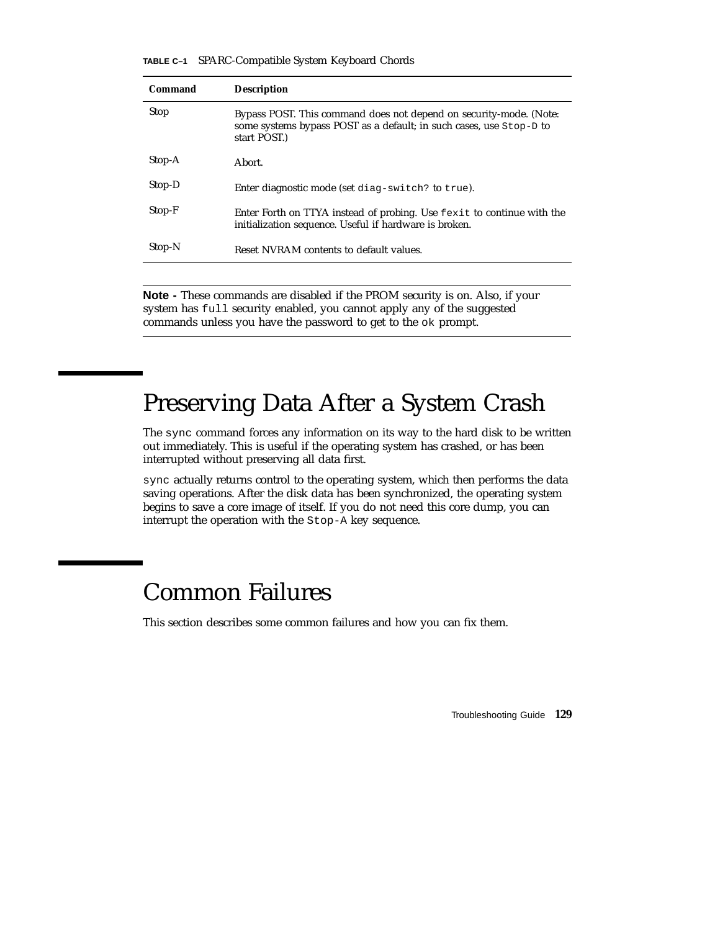**TABLE C–1** SPARC-Compatible System Keyboard Chords

| Command     | <b>Description</b>                                                                                                                                        |
|-------------|-----------------------------------------------------------------------------------------------------------------------------------------------------------|
| <b>Stop</b> | Bypass POST. This command does not depend on security-mode. (Note:<br>some systems bypass POST as a default; in such cases, use Stop-D to<br>start POST.) |
| Stop-A      | Abort.                                                                                                                                                    |
| Stop-D      | Enter diagnostic mode (set diag-switch? to true).                                                                                                         |
| Stop-F      | Enter Forth on TTYA instead of probing. Use fexit to continue with the<br>initialization sequence. Useful if hardware is broken.                          |
| Stop-N      | Reset NVRAM contents to default values.                                                                                                                   |
|             |                                                                                                                                                           |

**Note -** These commands are disabled if the PROM security is on. Also, if your system has full security enabled, you cannot apply any of the suggested commands unless you have the password to get to the ok prompt.

### Preserving Data After a System Crash

The sync command forces any information on its way to the hard disk to be written out immediately. This is useful if the operating system has crashed, or has been interrupted without preserving all data first.

sync actually returns control to the operating system, which then performs the data saving operations. After the disk data has been synchronized, the operating system begins to save a core image of itself. If you do not need this core dump, you can interrupt the operation with the Stop-A key sequence.

### Common Failures

This section describes some common failures and how you can fix them.

Troubleshooting Guide **129**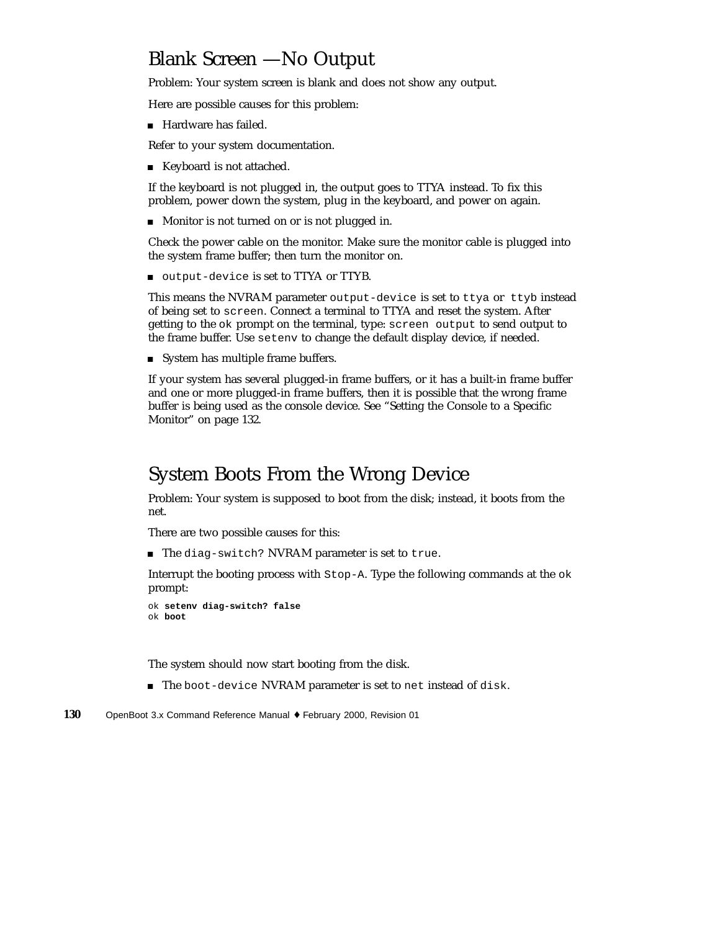### Blank Screen —No Output

Problem: Your system screen is blank and does not show any output.

Here are possible causes for this problem:

Hardware has failed.

Refer to your system documentation.

■ Keyboard is not attached.

If the keyboard is not plugged in, the output goes to TTYA instead. To fix this problem, power down the system, plug in the keyboard, and power on again.

**Monitor is not turned on or is not plugged in.** 

Check the power cable on the monitor. Make sure the monitor cable is plugged into the system frame buffer; then turn the monitor on.

output-device is set to TTYA or TTYB.

This means the NVRAM parameter output-device is set to ttya or ttyb instead of being set to screen. Connect a terminal to TTYA and reset the system. After getting to the ok prompt on the terminal, type: screen output to send output to the frame buffer. Use setenv to change the default display device, if needed.

System has multiple frame buffers.

If your system has several plugged-in frame buffers, or it has a built-in frame buffer and one or more plugged-in frame buffers, then it is possible that the wrong frame buffer is being used as the console device. See "Setting the Console to a Specific Monitor" on page 132.

### System Boots From the Wrong Device

Problem: Your system is supposed to boot from the disk; instead, it boots from the net.

There are two possible causes for this:

The diag-switch? NVRAM parameter is set to true.

Interrupt the booting process with Stop-A. Type the following commands at the ok prompt:

```
ok setenv diag-switch? false
ok boot
```
The system should now start booting from the disk.

- The boot-device NVRAM parameter is set to net instead of disk.
- **130** OpenBoot 3.x Command Reference Manual ♦ February 2000, Revision 01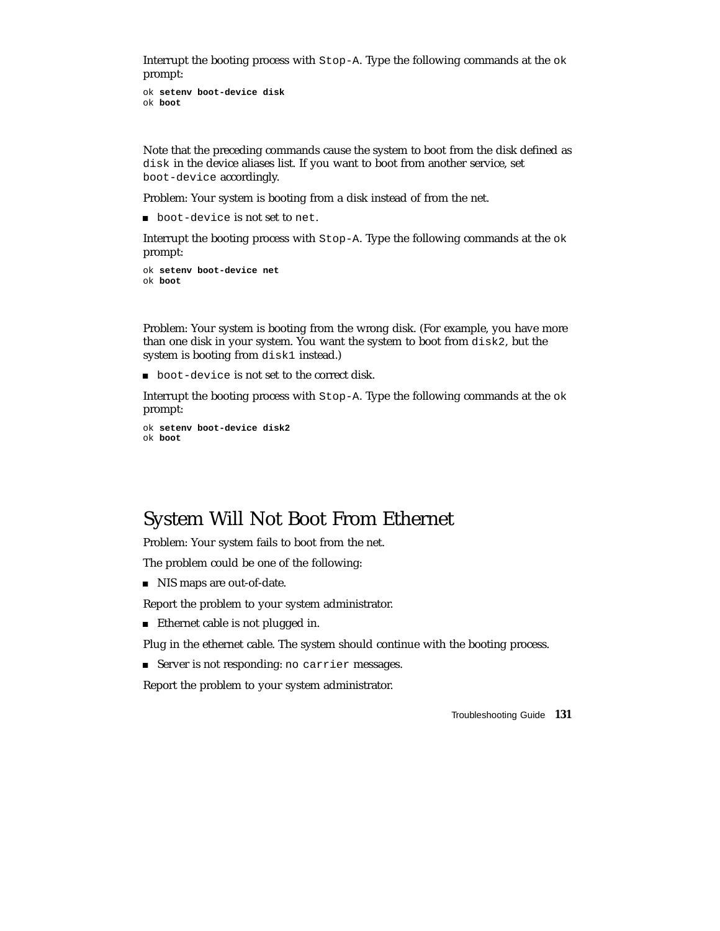Interrupt the booting process with Stop-A. Type the following commands at the ok prompt:

```
ok setenv boot-device disk
ok boot
```
Note that the preceding commands cause the system to boot from the disk defined as disk in the device aliases list. If you want to boot from another service, set boot-device accordingly.

Problem: Your system is booting from a disk instead of from the net.

boot-device is not set to net.

Interrupt the booting process with Stop-A. Type the following commands at the ok prompt:

```
ok setenv boot-device net
ok boot
```
Problem: Your system is booting from the wrong disk. (For example, you have more than one disk in your system. You want the system to boot from disk2, but the system is booting from disk1 instead.)

boot-device is not set to the correct disk.

Interrupt the booting process with Stop-A. Type the following commands at the ok prompt:

```
ok setenv boot-device disk2
ok boot
```
### System Will Not Boot From Ethernet

Problem: Your system fails to boot from the net.

The problem could be one of the following:

NIS maps are out-of-date.

Report the problem to your system administrator.

■ Ethernet cable is not plugged in.

Plug in the ethernet cable. The system should continue with the booting process.

Server is not responding: no carrier messages.

Report the problem to your system administrator.

Troubleshooting Guide **131**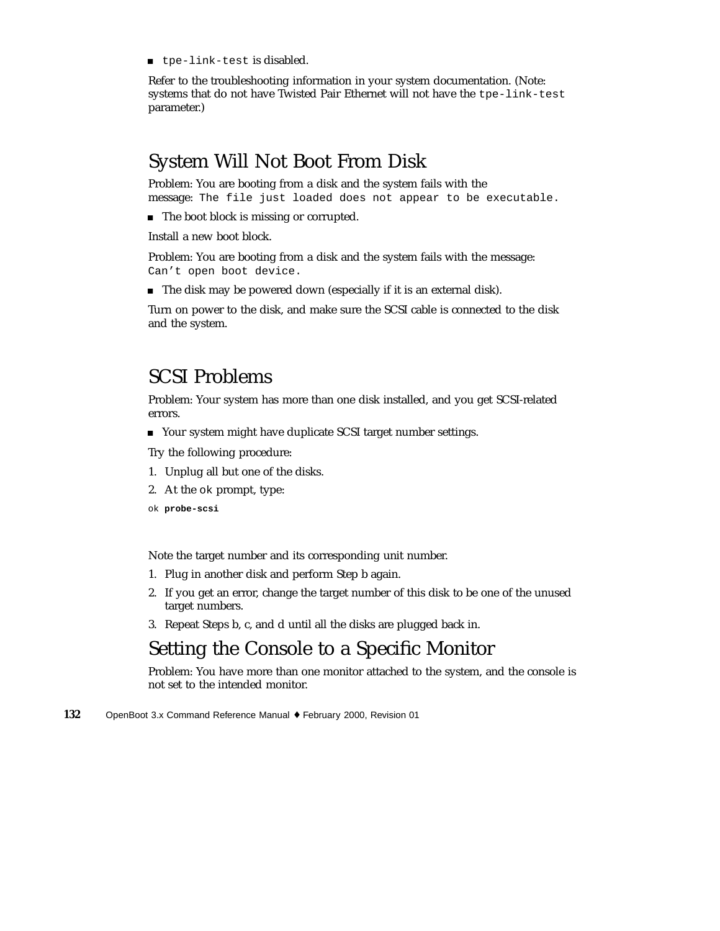tpe-link-test is disabled.

Refer to the troubleshooting information in your system documentation. (Note: systems that do not have Twisted Pair Ethernet will not have the tpe-link-test parameter.)

### System Will Not Boot From Disk

Problem: You are booting from a disk and the system fails with the message: The file just loaded does not appear to be executable.

■ The boot block is missing or corrupted.

Install a new boot block.

Problem: You are booting from a disk and the system fails with the message: Can't open boot device.

The disk may be powered down (especially if it is an external disk).

Turn on power to the disk, and make sure the SCSI cable is connected to the disk and the system.

### SCSI Problems

Problem: Your system has more than one disk installed, and you get SCSI-related errors.

■ Your system might have duplicate SCSI target number settings.

Try the following procedure:

- 1. Unplug all but one of the disks.
- 2. At the ok prompt, type:
- ok **probe-scsi**

Note the target number and its corresponding unit number.

- 1. Plug in another disk and perform Step b again.
- 2. If you get an error, change the target number of this disk to be one of the unused target numbers.
- 3. Repeat Steps b, c, and d until all the disks are plugged back in.

### Setting the Console to a Specific Monitor

Problem: You have more than one monitor attached to the system, and the console is not set to the intended monitor.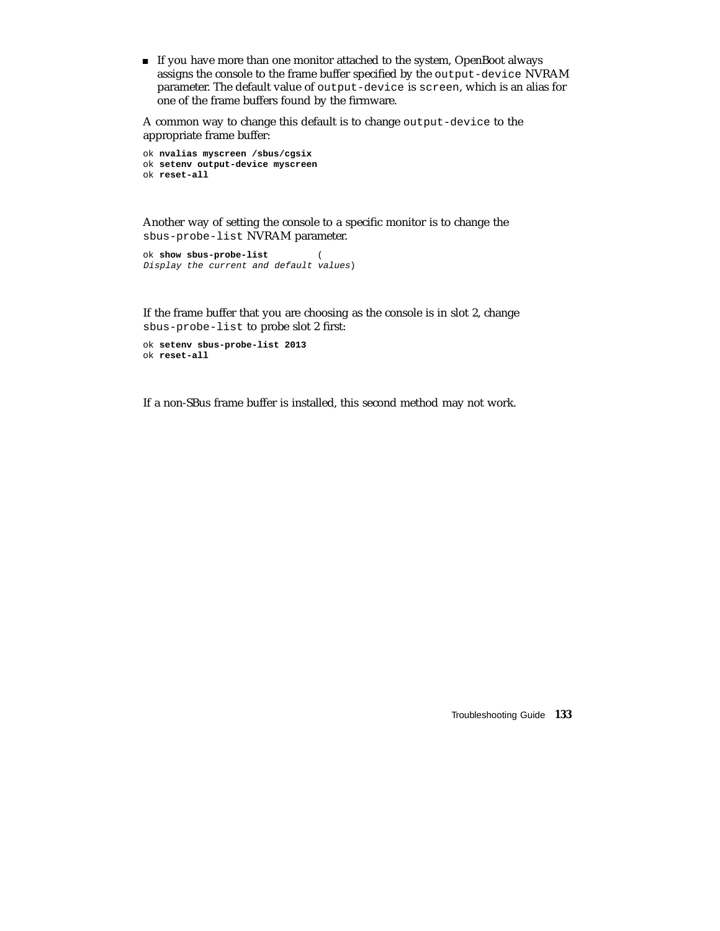If you have more than one monitor attached to the system, OpenBoot always assigns the console to the frame buffer specified by the output-device NVRAM parameter. The default value of output-device is screen, which is an alias for one of the frame buffers found by the firmware.

A common way to change this default is to change output-device to the appropriate frame buffer:

```
ok nvalias myscreen /sbus/cgsix
ok setenv output-device myscreen
ok reset-all
```
Another way of setting the console to a specific monitor is to change the sbus-probe-list NVRAM parameter.

```
ok show sbus-probe-list (
Display the current and default values)
```
If the frame buffer that you are choosing as the console is in slot 2, change sbus-probe-list to probe slot 2 first:

```
ok setenv sbus-probe-list 2013
ok reset-all
```
If a non-SBus frame buffer is installed, this second method may not work.

Troubleshooting Guide **133**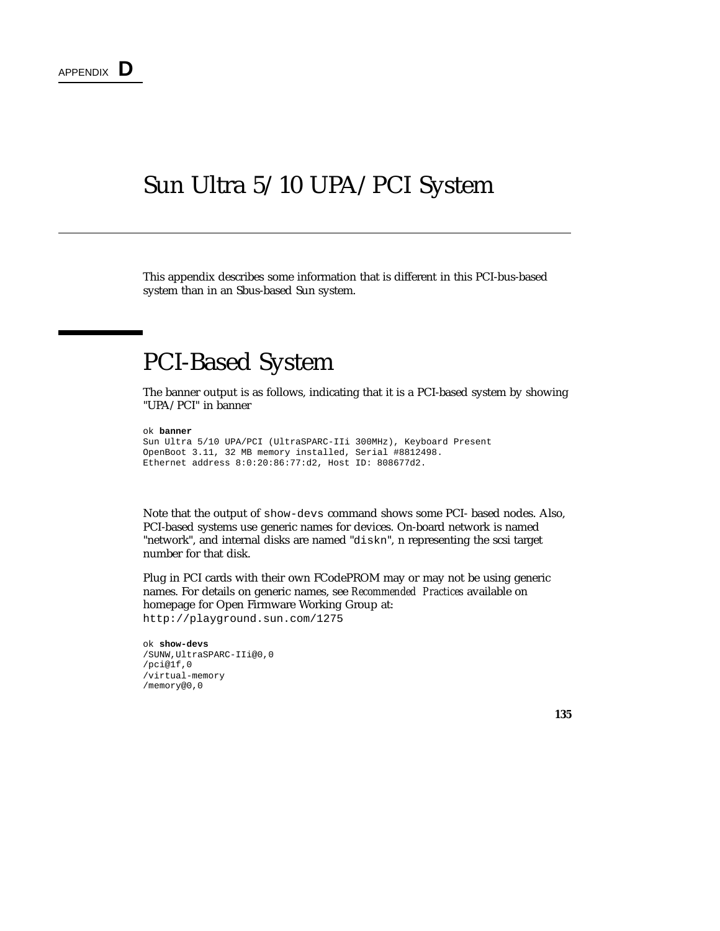### Sun Ultra 5/10 UPA/PCI System

This appendix describes some information that is different in this PCI-bus-based system than in an Sbus-based Sun system.

### PCI-Based System

The banner output is as follows, indicating that it is a PCI-based system by showing "UPA/PCI" in banner

```
ok banner
```

```
Sun Ultra 5/10 UPA/PCI (UltraSPARC-IIi 300MHz), Keyboard Present
OpenBoot 3.11, 32 MB memory installed, Serial #8812498.
Ethernet address 8:0:20:86:77:d2, Host ID: 808677d2.
```
Note that the output of show-devs command shows some PCI- based nodes. Also, PCI-based systems use generic names for devices. On-board network is named "network", and internal disks are named "diskn", n representing the scsi target number for that disk.

Plug in PCI cards with their own FCodePROM may or may not be using generic names. For details on generic names, see *Recommended Practices* available on homepage for Open Firmware Working Group at: http://playground.sun.com/1275

```
ok show-devs
/SUNW,UltraSPARC-IIi@0,0
/pci@1f,0
/virtual-memory
/memory@0,0
```
**135**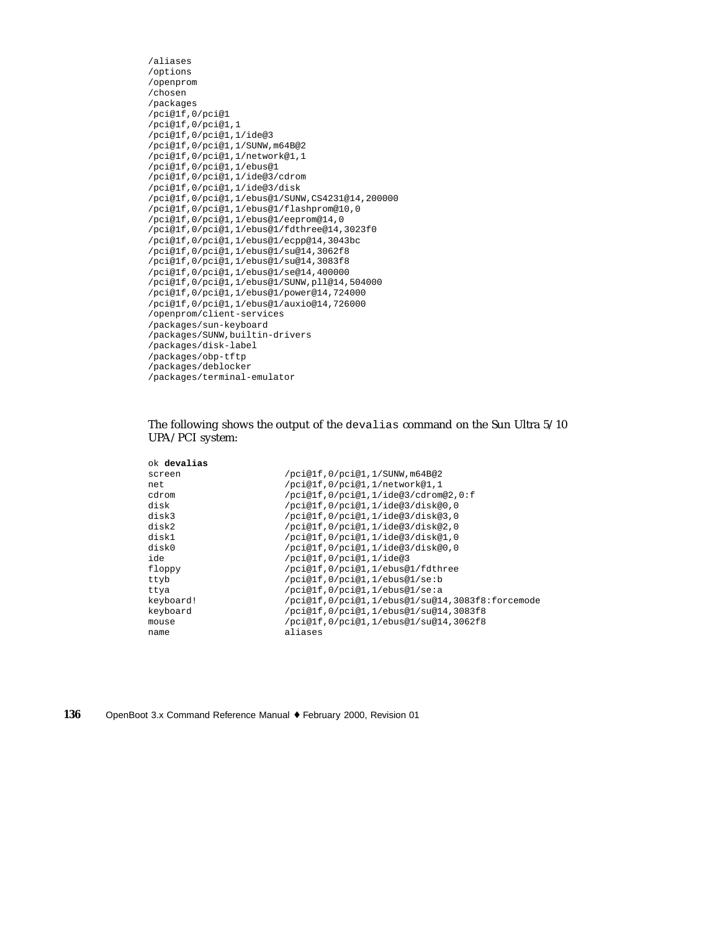```
/aliases
/options
/openprom
/chosen
/packages
/pci@1f,0/pci@1
/pci@1f,0/pci@1,1
/pci@1f,0/pci@1,1/ide@3
/pci@1f,0/pci@1,1/SUNW,m64B@2
/pci@1f,0/pci@1,1/network@1,1
/pci@1f,0/pci@1,1/ebus@1
/pci@1f,0/pci@1,1/ide@3/cdrom
/pci@1f,0/pci@1,1/ide@3/disk
/pci@1f,0/pci@1,1/ebus@1/SUNW,CS4231@14,200000
/pci@1f,0/pci@1,1/ebus@1/flashprom@10,0
/pci@1f,0/pci@1,1/ebus@1/eeprom@14,0
/pci@1f,0/pci@1,1/ebus@1/fdthree@14,3023f0
/pci@1f,0/pci@1,1/ebus@1/ecpp@14,3043bc
/pci@1f,0/pci@1,1/ebus@1/su@14,3062f8
/pci@1f,0/pci@1,1/ebus@1/su@14,3083f8
/pci@1f,0/pci@1,1/ebus@1/se@14,400000
/pci@1f,0/pci@1,1/ebus@1/SUNW,pll@14,504000
/pci@1f,0/pci@1,1/ebus@1/power@14,724000
/pci@1f,0/pci@1,1/ebus@1/auxio@14,726000
/openprom/client-services
/packages/sun-keyboard
/packages/SUNW,builtin-drivers
/packages/disk-label
/packages/obp-tftp
/packages/deblocker
/packages/terminal-emulator
```
#### The following shows the output of the devalias command on the Sun Ultra 5/10 UPA/PCI system:

| ok <b>devalias</b> |                                                 |
|--------------------|-------------------------------------------------|
|                    | /pci@1f,0/pci@1,1/SUNW,m64B@2                   |
|                    | /pci@1f,0/pci@1,1/network@1,1                   |
|                    | /pci@1f,0/pci@1,1/ide@3/cdrom@2,0:f             |
|                    | /pci@lf,0/pci@l,1/ide@3/disk@0,0                |
|                    | /pci@lf,0/pci@l,1/ide@3/disk@3,0                |
|                    | /pci@lf,0/pci@l,1/ide@3/disk@2,0                |
|                    | /pci@lf,0/pci@l,1/ide@3/disk@1,0                |
|                    | /pci@1f,0/pci@1,1/ide@3/disk@0,0                |
|                    | /pci@lf, 0/pci@1, 1/ide@3                       |
|                    | /pci@lf,0/pci@1,1/ebus@1/fdthree                |
|                    | /pci@lf,0/pci@l,1/ebus@l/se:b                   |
|                    | /pci@lf,0/pci@l,1/ebus@l/se:a                   |
| keyboard!          | /pci@lf,0/pci@l,1/ebus@l/su@l4,3083f8:forcemode |
| keyboard           | /pci@lf,0/pci@l,1/ebus@l/su@l4,3083f8           |
|                    | /pci@1f,0/pci@1,1/ebus@1/su@14,3062f8           |
|                    | aliases                                         |
|                    |                                                 |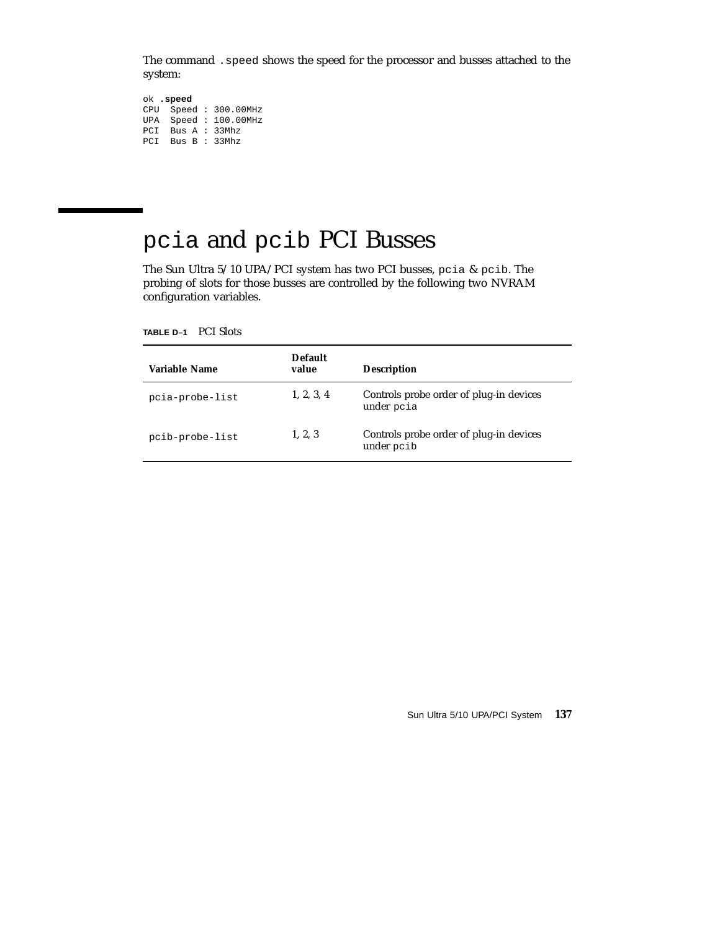The command .speed shows the speed for the processor and busses attached to the system:

```
ok .speed
CPU Speed : 300.00MHz
UPA Speed : 100.00MHz
PCI Bus A : 33Mhz
PCI Bus B : 33Mhz
```
# pcia and pcib PCI Busses

The Sun Ultra 5/10 UPA/PCI system has two PCI busses, pcia & pcib. The probing of slots for those busses are controlled by the following two NVRAM configuration variables.

**TABLE D–1** PCI Slots

| Variable Name   | <b>Default</b><br>value | <b>Description</b>                                    |
|-----------------|-------------------------|-------------------------------------------------------|
| pcia-probe-list | 1, 2, 3, 4              | Controls probe order of plug-in devices<br>under pcia |
| pcib-probe-list | 1, 2, 3                 | Controls probe order of plug-in devices<br>under pcib |

Sun Ultra 5/10 UPA/PCI System **137**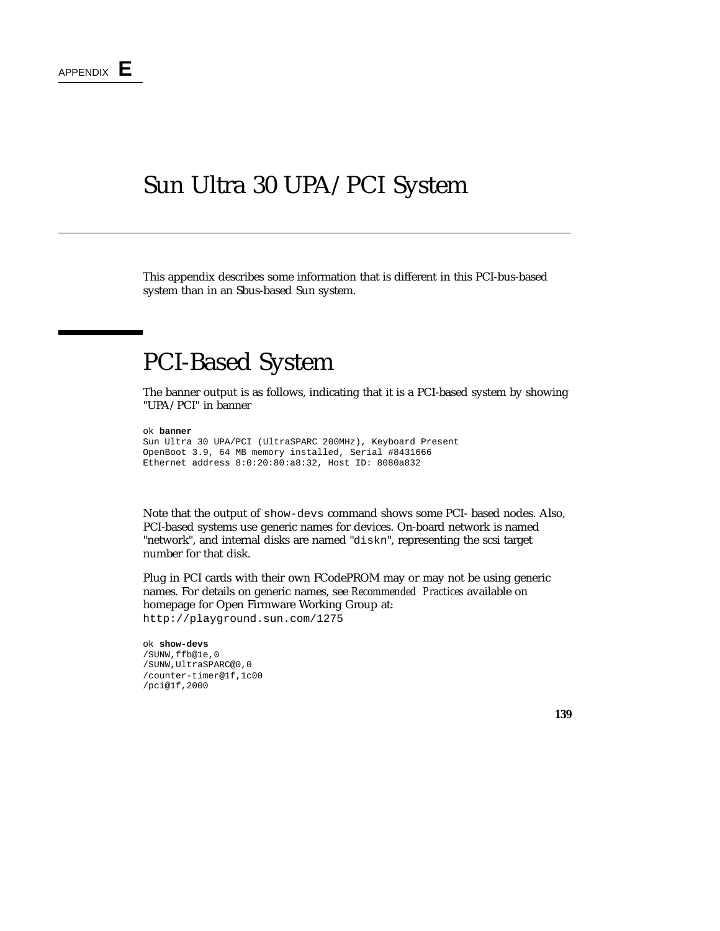### Sun Ultra 30 UPA/PCI System

This appendix describes some information that is different in this PCI-bus-based system than in an Sbus-based Sun system.

## PCI-Based System

The banner output is as follows, indicating that it is a PCI-based system by showing "UPA/PCI" in banner

ok **banner**

```
Sun Ultra 30 UPA/PCI (UltraSPARC 200MHz), Keyboard Present
OpenBoot 3.9, 64 MB memory installed, Serial #8431666
Ethernet address 8:0:20:80:a8:32, Host ID: 8080a832
```
Note that the output of show-devs command shows some PCI- based nodes. Also, PCI-based systems use generic names for devices. On-board network is named "network", and internal disks are named "diskn", representing the scsi target number for that disk.

Plug in PCI cards with their own FCodePROM may or may not be using generic names. For details on generic names, see *Recommended Practices* available on homepage for Open Firmware Working Group at: http://playground.sun.com/1275

```
ok show-devs
/SUNW,ffb@1e,0
/SUNW,UltraSPARC@0,0
/counter-timer@1f,1c00
/pci@1f,2000
```
**139**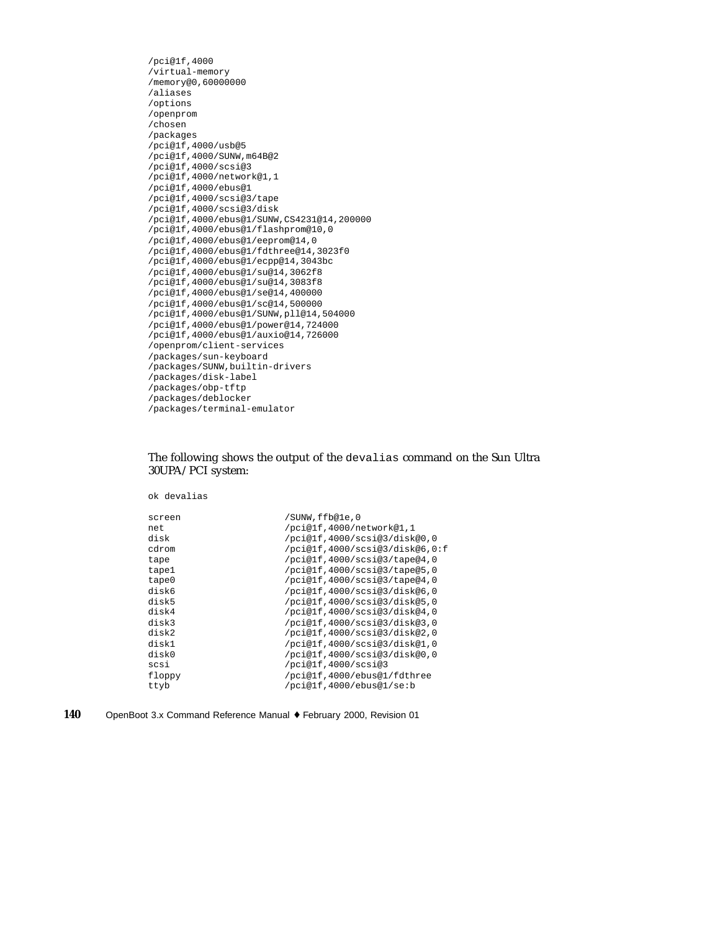```
/pci@1f,4000
/virtual-memory
/memory@0,60000000
/aliases
/options
/openprom
/chosen
/packages
/pci@1f,4000/usb@5
/pci@1f,4000/SUNW,m64B@2
/pci@1f,4000/scsi@3
/pci@1f,4000/network@1,1
/pci@1f,4000/ebus@1
/pci@1f,4000/scsi@3/tape
/pci@1f,4000/scsi@3/disk
/pci@1f,4000/ebus@1/SUNW,CS4231@14,200000
/pci@1f,4000/ebus@1/flashprom@10,0
/pci@1f,4000/ebus@1/eeprom@14,0
/pci@1f,4000/ebus@1/fdthree@14,3023f0
/pci@1f,4000/ebus@1/ecpp@14,3043bc
/pci@1f,4000/ebus@1/su@14,3062f8
/pci@1f,4000/ebus@1/su@14,3083f8
/pci@1f,4000/ebus@1/se@14,400000
/pci@1f,4000/ebus@1/sc@14,500000
/pci@1f,4000/ebus@1/SUNW,pll@14,504000
/pci@1f,4000/ebus@1/power@14,724000
/pci@1f,4000/ebus@1/auxio@14,726000
/openprom/client-services
/packages/sun-keyboard
/packages/SUNW,builtin-drivers
/packages/disk-label
/packages/obp-tftp
/packages/deblocker
/packages/terminal-emulator
```
#### The following shows the output of the devalias command on the Sun Ultra 30UPA/PCI system:

ok devalias

| /SUNW, ffb@le, 0               |
|--------------------------------|
| /pci@1f,4000/network@1,1       |
| /pci@1f,4000/scsi@3/disk@0,0   |
| /pci@1f,4000/scsi@3/disk@6,0:f |
| /pci@lf,4000/scsi@3/tape@4,0   |
| /pci@lf,4000/scsi@3/tape@5,0   |
| /pci@lf,4000/scsi@3/tape@4,0   |
| /pci@lf,4000/scsi@3/disk@6,0   |
| /pci@1f,4000/scsi@3/disk@5,0   |
| /pci@1f,4000/scsi@3/disk@4,0   |
| /pci@1f,4000/scsi@3/disk@3,0   |
| /pci@1f,4000/scsi@3/disk@2,0   |
| /pci@1f,4000/scsi@3/disk@1,0   |
| /pci@1f,4000/scsi@3/disk@0,0   |
| /pci@1f,4000/scsi@3            |
| /pci@1f,4000/ebus@1/fdthree    |
| /pci@lf,4000/ebus@l/se:b       |
|                                |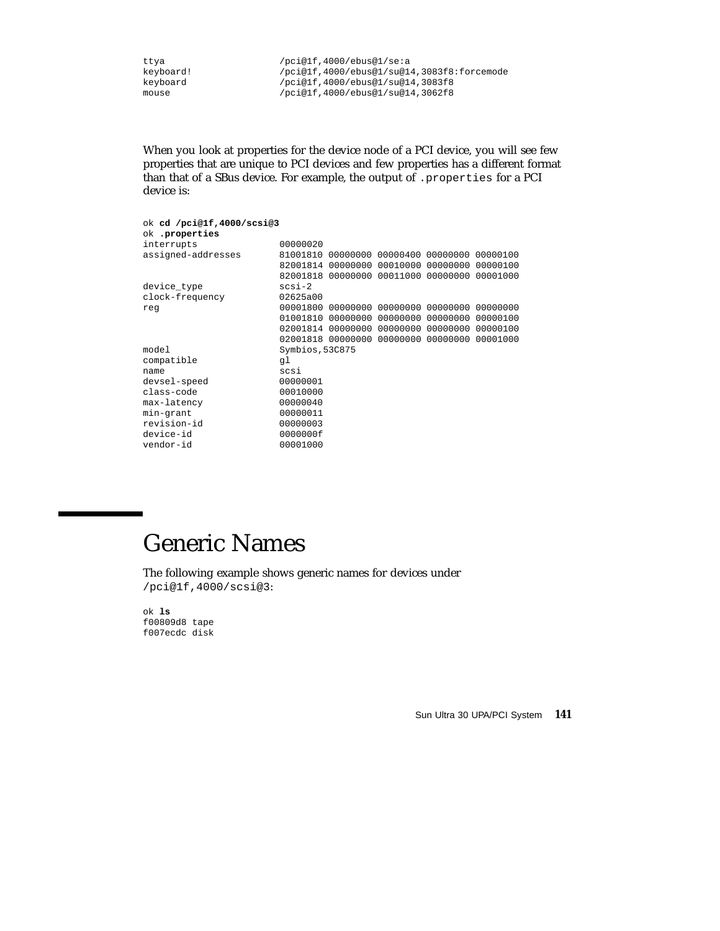ttya /pci@1f,4000/ebus@1/se:a<br>keyboard! /pci@1f,4000/ebus@1/su@1 keyboard!<br>  $/$ pci@1f,4000/ebus@1/su@14,3083f8:forcemode<br>  $/$ pci@1f,4000/ebus@1/su@14,3083f8 keyboard /pci@1f,4000/ebus@1/su@14,3083f8<br>mouse /pci@1f,4000/ebus@1/su@14,3062f8 /pci@1f,4000/ebus@1/su@14,3062f8

When you look at properties for the device node of a PCI device, you will see few properties that are unique to PCI devices and few properties has a different format than that of a SBus device. For example, the output of .properties for a PCI device is:

| ok cd /pci@1f,4000/scsi@3 |                 |                                     |                                              |          |
|---------------------------|-----------------|-------------------------------------|----------------------------------------------|----------|
| ok .properties            |                 |                                     |                                              |          |
| interrupts                | 00000020        |                                     |                                              |          |
| assigned-addresses        | 81001810        | 00000000 00000400 00000000          |                                              | 00000100 |
|                           |                 | 82001814 00000000 00010000          | 00000000                                     | 00000100 |
|                           |                 | 82001818 00000000 00011000 00000000 |                                              | 00001000 |
| device_type               | $scsi-2$        |                                     |                                              |          |
| clock-frequency           | 02625a00        |                                     |                                              |          |
| reg                       | 00001800        | 00000000                            | 00000000 00000000                            | 00000000 |
|                           |                 | 01001810 00000000                   | 00000000 00000000                            | 00000100 |
|                           |                 | 02001814 00000000 00000000 00000000 |                                              | 00000100 |
|                           |                 |                                     | 02001818 00000000 00000000 00000000 00001000 |          |
| model                     | Symbios, 53C875 |                                     |                                              |          |
| compatible                | ql              |                                     |                                              |          |
| name                      | scsi            |                                     |                                              |          |
| devsel-speed              | 00000001        |                                     |                                              |          |
| class-code                | 00010000        |                                     |                                              |          |
| max-latency               | 00000040        |                                     |                                              |          |
| min-grant                 | 00000011        |                                     |                                              |          |
| revision-id               | 00000003        |                                     |                                              |          |
| device-id                 | 0000000f        |                                     |                                              |          |
| vendor-id                 | 00001000        |                                     |                                              |          |

## Generic Names

The following example shows generic names for devices under /pci@1f,4000/scsi@3:

ok **ls** f00809d8 tape f007ecdc disk

Sun Ultra 30 UPA/PCI System **141**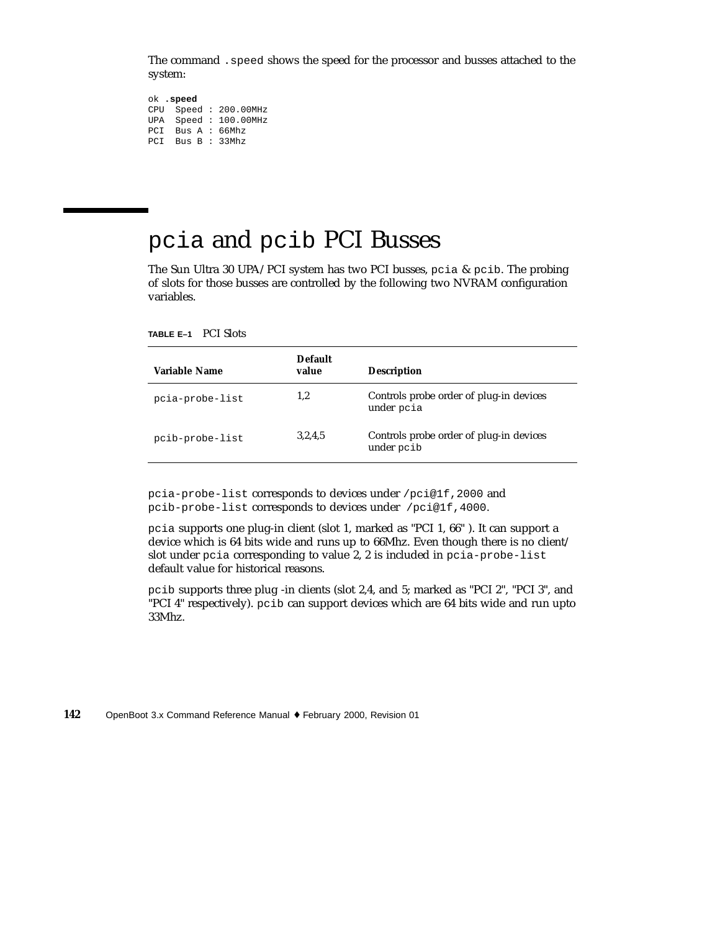The command .speed shows the speed for the processor and busses attached to the system:

```
ok .speed
CPU Speed : 200.00MHz
UPA Speed : 100.00MHz
PCI Bus A : 66Mhz
PCI Bus B : 33Mhz
```
### pcia and pcib PCI Busses

The Sun Ultra 30 UPA/PCI system has two PCI busses, pcia  $\&$  pcib. The probing of slots for those busses are controlled by the following two NVRAM configuration variables.

**TABLE E–1** PCI Slots

| Variable Name   | <b>Default</b><br>value | <b>Description</b>                                    |
|-----------------|-------------------------|-------------------------------------------------------|
| pcia-probe-list | 1,2                     | Controls probe order of plug-in devices<br>under poia |
| pcib-probe-list | 3,2,4,5                 | Controls probe order of plug-in devices<br>under pcib |

pcia-probe-list corresponds to devices under /pci@1f,2000 and pcib-probe-list corresponds to devices under /pci@1f,4000.

pcia supports one plug-in client (slot 1, marked as "PCI 1, 66" ). It can support a device which is 64 bits wide and runs up to 66Mhz. Even though there is no client/ slot under pcia corresponding to value 2, 2 is included in pcia-probe-list default value for historical reasons.

pcib supports three plug -in clients (slot 2,4, and 5; marked as "PCI 2", "PCI 3", and "PCI 4" respectively). pcib can support devices which are 64 bits wide and run upto 33Mhz.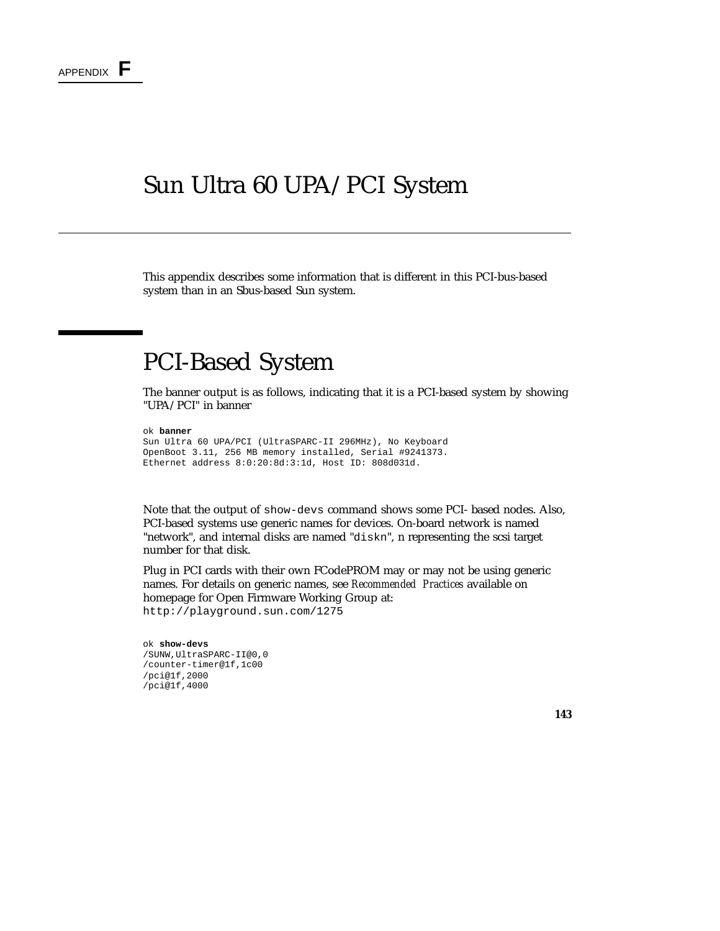### Sun Ultra 60 UPA/PCI System

This appendix describes some information that is different in this PCI-bus-based system than in an Sbus-based Sun system.

### PCI-Based System

The banner output is as follows, indicating that it is a PCI-based system by showing "UPA/PCI" in banner

#### ok **banner**

```
Sun Ultra 60 UPA/PCI (UltraSPARC-II 296MHz), No Keyboard
OpenBoot 3.11, 256 MB memory installed, Serial #9241373.
Ethernet address 8:0:20:8d:3:1d, Host ID: 808d031d.
```
Note that the output of show-devs command shows some PCI- based nodes. Also, PCI-based systems use generic names for devices. On-board network is named "network", and internal disks are named "diskn", n representing the scsi target number for that disk.

Plug in PCI cards with their own FCodePROM may or may not be using generic names. For details on generic names, see *Recommended Practices* available on homepage for Open Firmware Working Group at: http://playground.sun.com/1275

#### ok **show-devs** /SUNW,UltraSPARC-II@0,0 /counter-timer@1f,1c00 /pci@1f,2000 /pci@1f,4000

**143**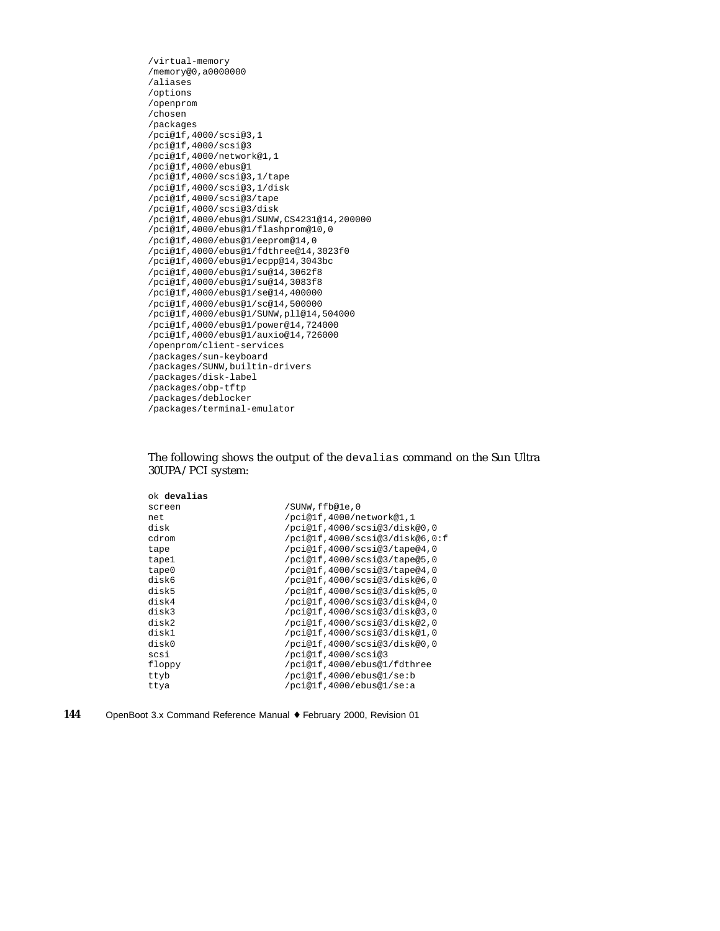```
/virtual-memory
/memory@0,a0000000
/aliases
/options
/openprom
/chosen
/packages
/pci@1f,4000/scsi@3,1
/pci@1f,4000/scsi@3
/pci@1f,4000/network@1,1
/pci@1f,4000/ebus@1
/pci@1f,4000/scsi@3,1/tape
/pci@1f,4000/scsi@3,1/disk
/pci@1f,4000/scsi@3/tape
/pci@1f,4000/scsi@3/disk
/pci@1f,4000/ebus@1/SUNW,CS4231@14,200000
/pci@1f,4000/ebus@1/flashprom@10,0
/pci@1f,4000/ebus@1/eeprom@14,0
/pci@1f,4000/ebus@1/fdthree@14,3023f0
/pci@1f,4000/ebus@1/ecpp@14,3043bc
/pci@1f,4000/ebus@1/su@14,3062f8
/pci@1f,4000/ebus@1/su@14,3083f8
/pci@1f,4000/ebus@1/se@14,400000
/pci@1f,4000/ebus@1/sc@14,500000
/pci@1f,4000/ebus@1/SUNW,pll@14,504000
/pci@1f,4000/ebus@1/power@14,724000
/pci@1f,4000/ebus@1/auxio@14,726000
/openprom/client-services
/packages/sun-keyboard
/packages/SUNW,builtin-drivers
/packages/disk-label
/packages/obp-tftp
/packages/deblocker
/packages/terminal-emulator
```
#### The following shows the output of the devalias command on the Sun Ultra 30UPA/PCI system:

| ok <b>devalias</b> |                                |
|--------------------|--------------------------------|
| screen             | /SUNW,ffb@le,0                 |
| net.               | /pci@1f,4000/network@1,1       |
| disk               | /pci@lf,4000/scsi@3/disk@0,0   |
| cdrom              | /pci@lf,4000/scsi@3/disk@6,0:f |
| tape               | /pci@lf,4000/scsi@3/tape@4,0   |
| tape1              | /pci@lf,4000/scsi@3/tape@5,0   |
| tape0              | /pci@lf,4000/scsi@3/tape@4,0   |
| disk6              | /pci@lf,4000/scsi@3/disk@6,0   |
| disk5              | /pci@1f,4000/scsi@3/disk@5,0   |
| disk4              | /pci@lf,4000/scsi@3/disk@4,0   |
| disk3              | /pci@lf,4000/scsi@3/disk@3,0   |
| disk2              | /pci@lf,4000/scsi@3/disk@2,0   |
| disk1              | /pci@lf,4000/scsi@3/disk@1,0   |
| disk0              | /pci@lf,4000/scsi@3/disk@0,0   |
| scsi               | /pci@1f,4000/scsi@3            |
| floppy             | /pci@1f,4000/ebus@1/fdthree    |
| ttyb               | /pci@1f,4000/ebus@1/se:b       |
| ttya               | /pci@lf,4000/ebus@1/se:a       |
|                    |                                |

| 144<br>OpenBoot 3.x Command Reference Manual ♦ February 2000, Revision 01 |  |
|---------------------------------------------------------------------------|--|
|---------------------------------------------------------------------------|--|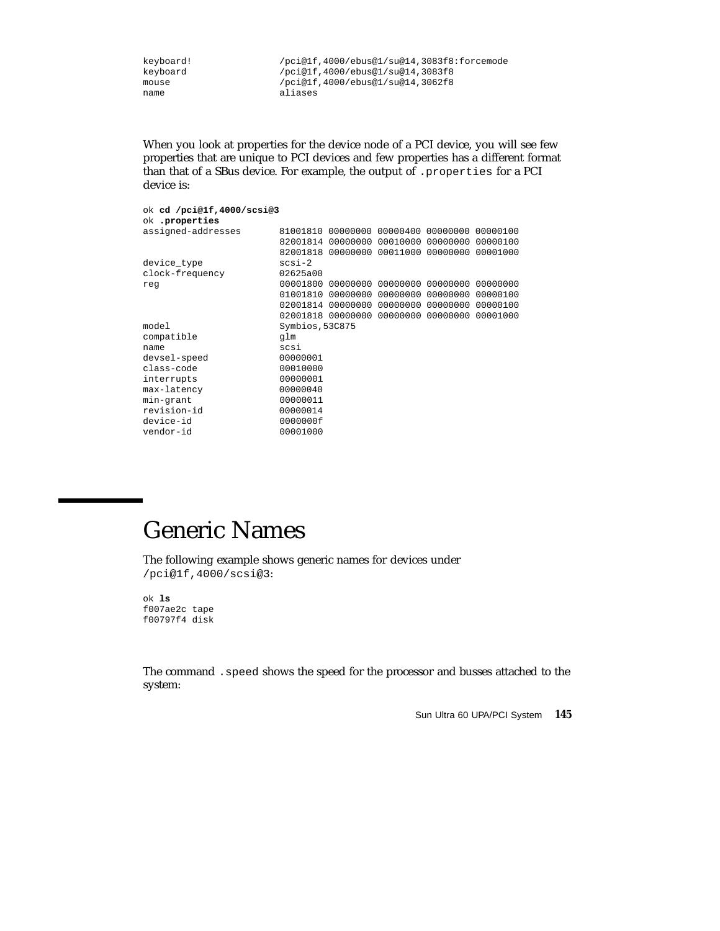keyboard! /pci@1f,4000/ebus@1/su@14,3083f8:forcemode keyboard /pci@1f,4000/ebus@1/su@14,3083f8<br>mouse /pci@1f,4000/ebus@1/su@14,3062f8 mouse /pci@1f,4000/ebus@1/su@14,3062f8<br>
aliases aliases

When you look at properties for the device node of a PCI device, you will see few properties that are unique to PCI devices and few properties has a different format than that of a SBus device. For example, the output of .properties for a PCI device is:

| ok cd /pci@1f,4000/scsi@3<br>ok .properties |                 |                                     |                            |          |          |
|---------------------------------------------|-----------------|-------------------------------------|----------------------------|----------|----------|
| assigned-addresses                          |                 | 81001810 00000000 00000400 00000000 |                            |          | 00000100 |
|                                             |                 | 00000000                            | 00010000                   | 00000000 | 00000100 |
|                                             | 82001814        |                                     |                            |          |          |
|                                             |                 | 82001818 00000000 00011000          |                            | 00000000 | 00001000 |
| device_type                                 | $scsi-2$        |                                     |                            |          |          |
| clock-frequency                             | 02625a00        |                                     |                            |          |          |
| req                                         | 00001800        |                                     | 00000000 00000000 00000000 |          | 00000000 |
|                                             | 01001810        | 00000000                            | 00000000                   | 00000000 | 00000100 |
|                                             | 02001814        | 00000000                            | 00000000                   | 00000000 | 00000100 |
|                                             |                 | 02001818 00000000                   | 00000000                   | 00000000 | 00001000 |
| model                                       | Symbios, 53C875 |                                     |                            |          |          |
| compatible                                  | qlm             |                                     |                            |          |          |
| name                                        | scsi            |                                     |                            |          |          |
| devsel-speed                                | 00000001        |                                     |                            |          |          |
| class-code                                  | 00010000        |                                     |                            |          |          |
| interrupts                                  | 00000001        |                                     |                            |          |          |
| max-latency                                 | 00000040        |                                     |                            |          |          |
| min-grant                                   | 00000011        |                                     |                            |          |          |
| revision-id                                 | 00000014        |                                     |                            |          |          |
| device-id                                   | 0000000f        |                                     |                            |          |          |
| vendor-id                                   | 00001000        |                                     |                            |          |          |

### Generic Names

The following example shows generic names for devices under /pci@1f,4000/scsi@3:

ok **ls** f007ae2c tape f00797f4 disk

The command .speed shows the speed for the processor and busses attached to the system:

Sun Ultra 60 UPA/PCI System **145**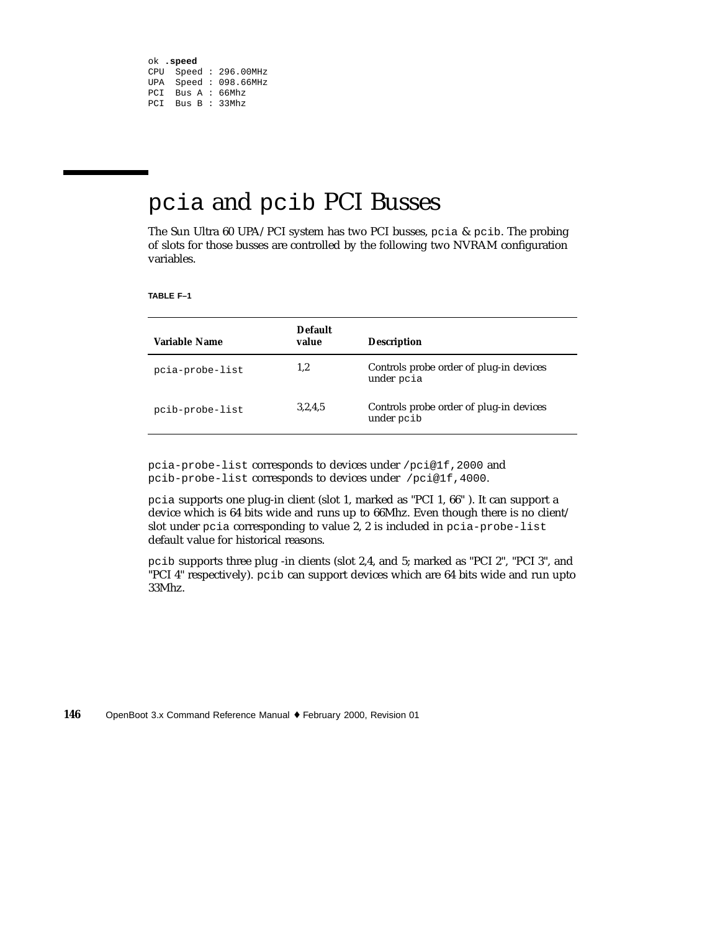```
ok .speed
CPU Speed : 296.00MHz
UPA Speed : 098.66MHz
PCI Bus A : 66Mhz
PCI Bus B : 33Mhz
```
#### pcia and pcib PCI Busses

The Sun Ultra 60 UPA/PCI system has two PCI busses, pcia & pcib. The probing of slots for those busses are controlled by the following two NVRAM configuration variables.

**TABLE F–1**

| Variable Name   | <b>Default</b><br>value | <b>Description</b>                                    |
|-----------------|-------------------------|-------------------------------------------------------|
| pcia-probe-list | 1,2                     | Controls probe order of plug-in devices<br>under poia |
| pcib-probe-list | 3,2,4,5                 | Controls probe order of plug-in devices<br>under pcib |

pcia-probe-list corresponds to devices under /pci@1f,2000 and pcib-probe-list corresponds to devices under /pci@1f,4000.

pcia supports one plug-in client (slot 1, marked as "PCI 1, 66" ). It can support a device which is 64 bits wide and runs up to 66Mhz. Even though there is no client/ slot under pcia corresponding to value 2, 2 is included in pcia-probe-list default value for historical reasons.

pcib supports three plug -in clients (slot 2,4, and 5; marked as "PCI 2", "PCI 3", and "PCI 4" respectively). pcib can support devices which are 64 bits wide and run upto 33Mhz.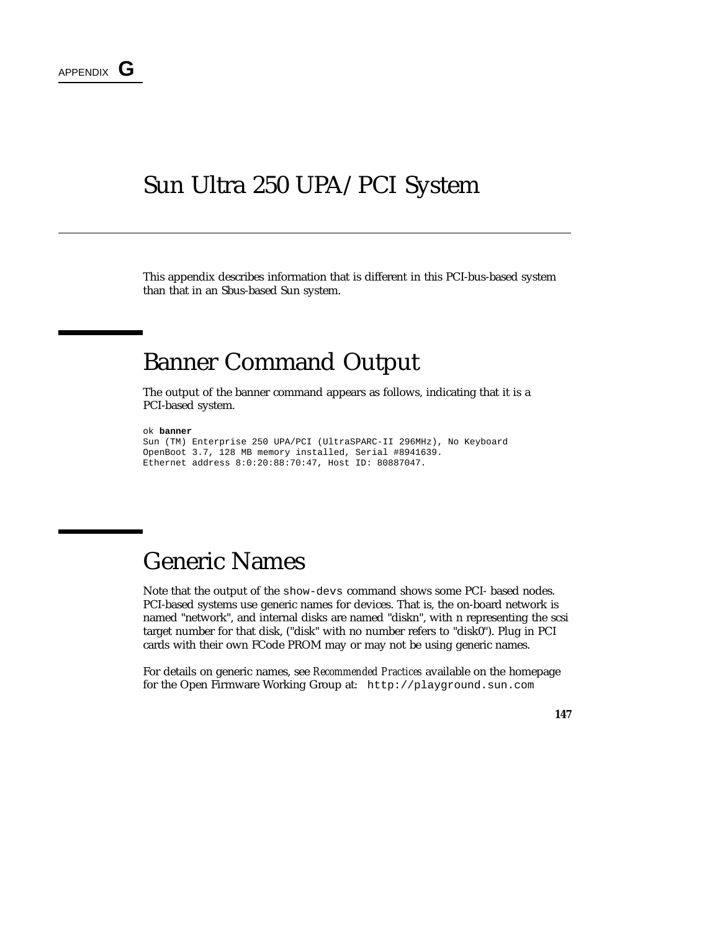#### Sun Ultra 250 UPA/PCI System

This appendix describes information that is different in this PCI-bus-based system than that in an Sbus-based Sun system.

### Banner Command Output

The output of the banner command appears as follows, indicating that it is a PCI-based system.

```
ok banner
```

```
Sun (TM) Enterprise 250 UPA/PCI (UltraSPARC-II 296MHz), No Keyboard
OpenBoot 3.7, 128 MB memory installed, Serial #8941639.
Ethernet address 8:0:20:88:70:47, Host ID: 80887047.
```
## Generic Names

Note that the output of the show-devs command shows some PCI- based nodes. PCI-based systems use generic names for devices. That is, the on-board network is named "network", and internal disks are named "diskn", with n representing the scsi target number for that disk, ("disk" with no number refers to "disk0"). Plug in PCI cards with their own FCode PROM may or may not be using generic names.

For details on generic names, see *Recommended Practices* available on the homepage for the Open Firmware Working Group at: http://playground.sun.com

**147**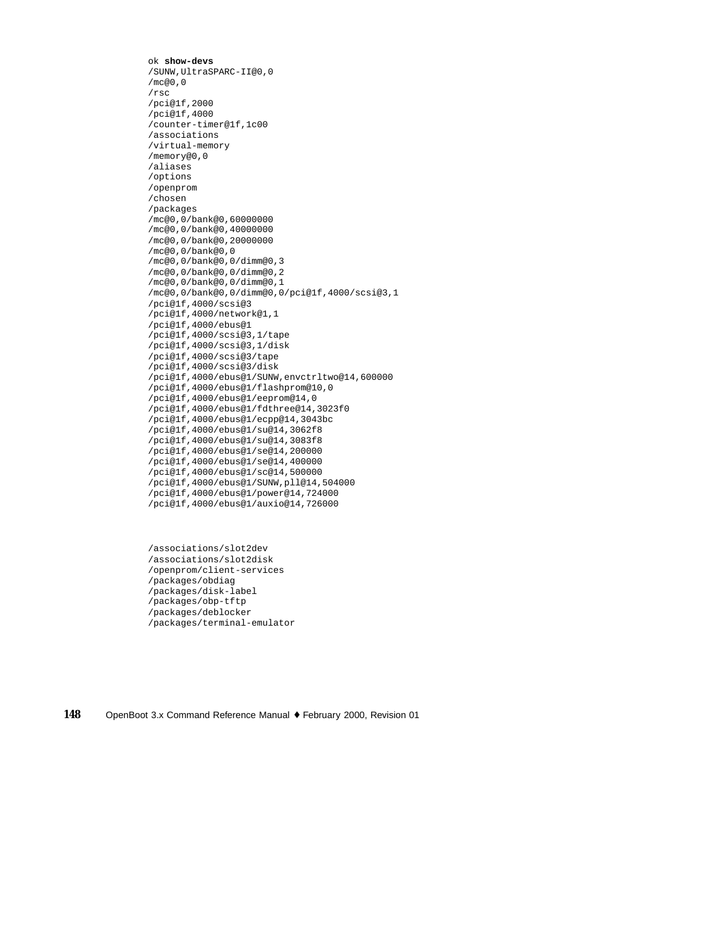ok **show-devs** /SUNW,UltraSPARC-II@0,0 /mc@0,0 /rsc /pci@1f,2000 /pci@1f,4000 /counter-timer@1f,1c00 /associations /virtual-memory /memory@0,0 /aliases /options /openprom /chosen /packages /mc@0,0/bank@0,60000000 /mc@0,0/bank@0,40000000 /mc@0,0/bank@0,20000000 /mc@0,0/bank@0,0 /mc@0,0/bank@0,0/dimm@0,3 /mc@0,0/bank@0,0/dimm@0,2 /mc@0,0/bank@0,0/dimm@0,1 /mc@0,0/bank@0,0/dimm@0,0/pci@1f,4000/scsi@3,1 /pci@1f,4000/scsi@3 /pci@1f,4000/network@1,1 /pci@1f,4000/ebus@1 /pci@1f,4000/scsi@3,1/tape /pci@1f,4000/scsi@3,1/disk /pci@1f,4000/scsi@3/tape /pci@1f,4000/scsi@3/disk /pci@1f,4000/ebus@1/SUNW,envctrltwo@14,600000 /pci@1f,4000/ebus@1/flashprom@10,0 /pci@1f,4000/ebus@1/eeprom@14,0 /pci@1f,4000/ebus@1/fdthree@14,3023f0 /pci@1f,4000/ebus@1/ecpp@14,3043bc /pci@1f,4000/ebus@1/su@14,3062f8 /pci@1f,4000/ebus@1/su@14,3083f8 /pci@1f,4000/ebus@1/se@14,200000 /pci@1f,4000/ebus@1/se@14,400000 /pci@1f,4000/ebus@1/sc@14,500000 /pci@1f,4000/ebus@1/SUNW,pll@14,504000 /pci@1f,4000/ebus@1/power@14,724000 /pci@1f,4000/ebus@1/auxio@14,726000

/associations/slot2dev /associations/slot2disk /openprom/client-services /packages/obdiag /packages/disk-label /packages/obp-tftp /packages/deblocker /packages/terminal-emulator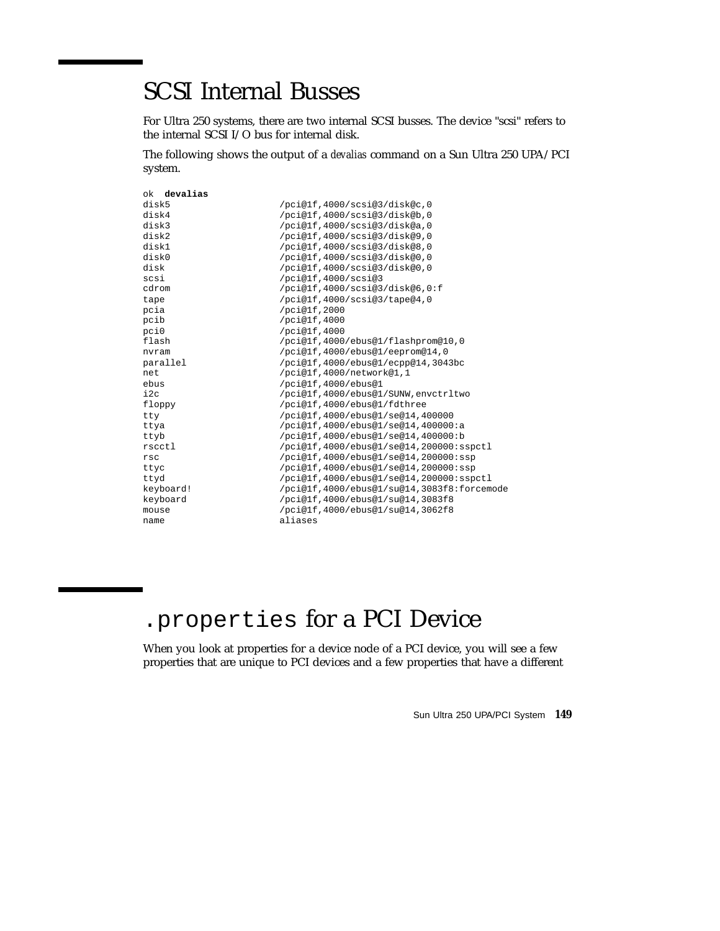## SCSI Internal Busses

For Ultra 250 systems, there are two internal SCSI busses. The device "scsi" refers to the internal SCSI I/O bus for internal disk.

The following shows the output of a *devalias* command on a Sun Ultra 250 UPA/PCI system.

| /pci@lf,4000/scsi@3/disk@c,0               |
|--------------------------------------------|
| /pci@lf,4000/scsi@3/disk@b,0               |
| /pci@lf,4000/scsi@3/disk@a,0               |
| /pci@lf.4000/scsi@3/disk@9.0               |
| /pci@lf,4000/scsi@3/disk@8,0               |
| /pci@lf,4000/scsi@3/disk@0,0               |
| /pci@lf,4000/scsi@3/disk@0,0               |
| /pci@1f,4000/scsi@3                        |
| /pci@lf,4000/scsi@3/disk@6,0:f             |
| /pci@lf,4000/scsi@3/tape@4,0               |
| /pci@1f,2000                               |
| /pci@1f,4000                               |
| /pci@1f,4000                               |
| /pci@lf,4000/ebus@1/flashprom@10,0         |
| /pci@1f,4000/ebus@1/eeprom@14,0            |
| /pci@1f,4000/ebus@1/ecpp@14,3043bc         |
| /pci@1f,4000/network@1,1                   |
| /pci@1f,4000/ebus@1                        |
| /pci@lf,4000/ebus@1/SUNW,envctrltwo        |
| /pci@lf,4000/ebus@1/fdthree                |
| /pci@1f,4000/ebus@1/se@14,400000           |
| /pci@1f,4000/ebus@1/se@14,400000:a         |
| /pci@lf,4000/ebus@1/se@14,400000:b         |
| /pci@1f,4000/ebus@1/se@14,200000:sspctl    |
| /pci@lf,4000/ebus@1/se@14,200000:ssp       |
| /pci@lf,4000/ebus@1/se@14,200000:ssp       |
| /pci@1f,4000/ebus@1/se@14,200000:sspctl    |
| /pci@lf,4000/ebus@1/su@14,3083f8:forcemode |
| /pci@1f,4000/ebus@1/su@14,3083f8           |
| /pci@lf,4000/ebus@1/su@14,3062f8           |
| aliases                                    |
|                                            |

# .properties for a PCI Device

When you look at properties for a device node of a PCI device, you will see a few properties that are unique to PCI devices and a few properties that have a different

Sun Ultra 250 UPA/PCI System **149**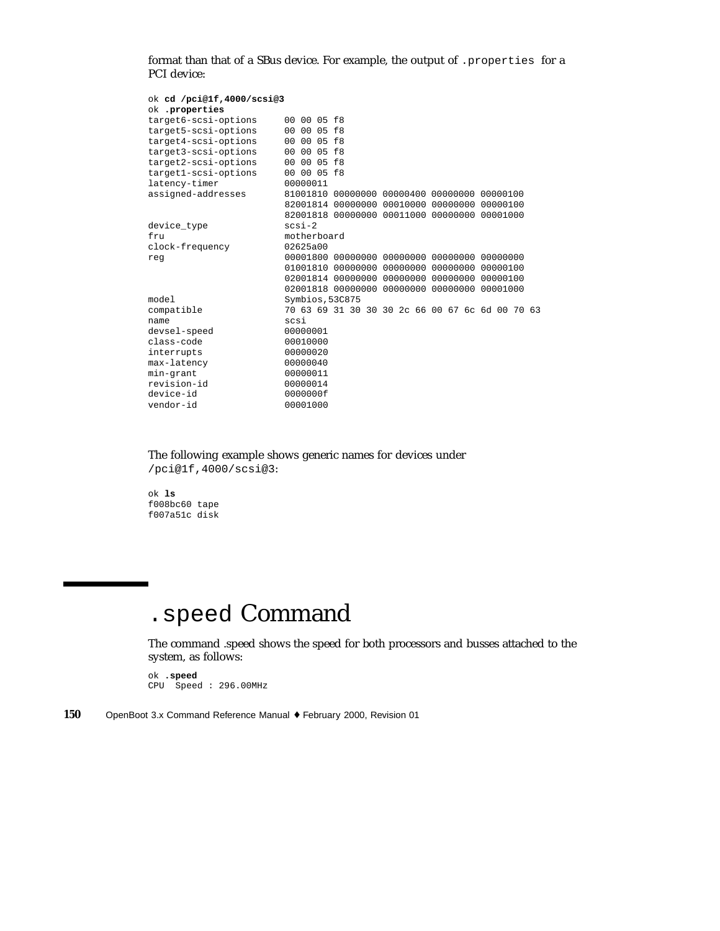format than that of a SBus device. For example, the output of .properties for a PCI device:

| ok cd /pci@1f,4000/scsi@3 |                 |                                              |  |                                                 |  |
|---------------------------|-----------------|----------------------------------------------|--|-------------------------------------------------|--|
| ok .properties            |                 |                                              |  |                                                 |  |
| target6-scsi-options      | 00 00 05 f8     |                                              |  |                                                 |  |
| target5-scsi-options      | 00 00 05 f8     |                                              |  |                                                 |  |
| target4-scsi-options      | 00 00 05 f8     |                                              |  |                                                 |  |
| target3-scsi-options      | 00 00 05 f8     |                                              |  |                                                 |  |
| target2-scsi-options      | 00 00 05 f8     |                                              |  |                                                 |  |
| target1-scsi-options      | 00 00 05 f8     |                                              |  |                                                 |  |
| latency-timer             | 00000011        |                                              |  |                                                 |  |
| assigned-addresses        |                 | 81001810 00000000 00000400 00000000 00000100 |  |                                                 |  |
|                           |                 | 82001814 00000000 00010000 00000000 00000100 |  |                                                 |  |
|                           |                 | 82001818 00000000 00011000 00000000 00001000 |  |                                                 |  |
| device_type               | $scsi-2$        |                                              |  |                                                 |  |
| fru                       | motherboard     |                                              |  |                                                 |  |
| clock-frequency           | 02625a00        |                                              |  |                                                 |  |
| reg                       |                 |                                              |  |                                                 |  |
|                           |                 | 01001810 00000000 00000000 00000000 00000100 |  |                                                 |  |
|                           |                 | 02001814 00000000 00000000 00000000 00000100 |  |                                                 |  |
|                           |                 | 02001818 00000000 00000000 00000000 00001000 |  |                                                 |  |
| model                     | Symbios, 53C875 |                                              |  |                                                 |  |
| compatible                |                 |                                              |  | 70 63 69 31 30 30 30 2c 66 00 67 6c 6d 00 70 63 |  |
| name                      | scsi            |                                              |  |                                                 |  |
| devsel-speed              | 00000001        |                                              |  |                                                 |  |
| class-code                | 00010000        |                                              |  |                                                 |  |
| interrupts                | 00000020        |                                              |  |                                                 |  |
| max-latency               | 00000040        |                                              |  |                                                 |  |
| min-grant                 | 00000011        |                                              |  |                                                 |  |
| revision-id               | 00000014        |                                              |  |                                                 |  |
| device-id                 | 0000000f        |                                              |  |                                                 |  |
| vendor-id                 | 00001000        |                                              |  |                                                 |  |

The following example shows generic names for devices under /pci@1f,4000/scsi@3:

ok **ls** f008bc60 tape f007a51c disk

# .speed Command

The command .speed shows the speed for both processors and busses attached to the system, as follows:

ok **.speed** CPU Speed : 296.00MHz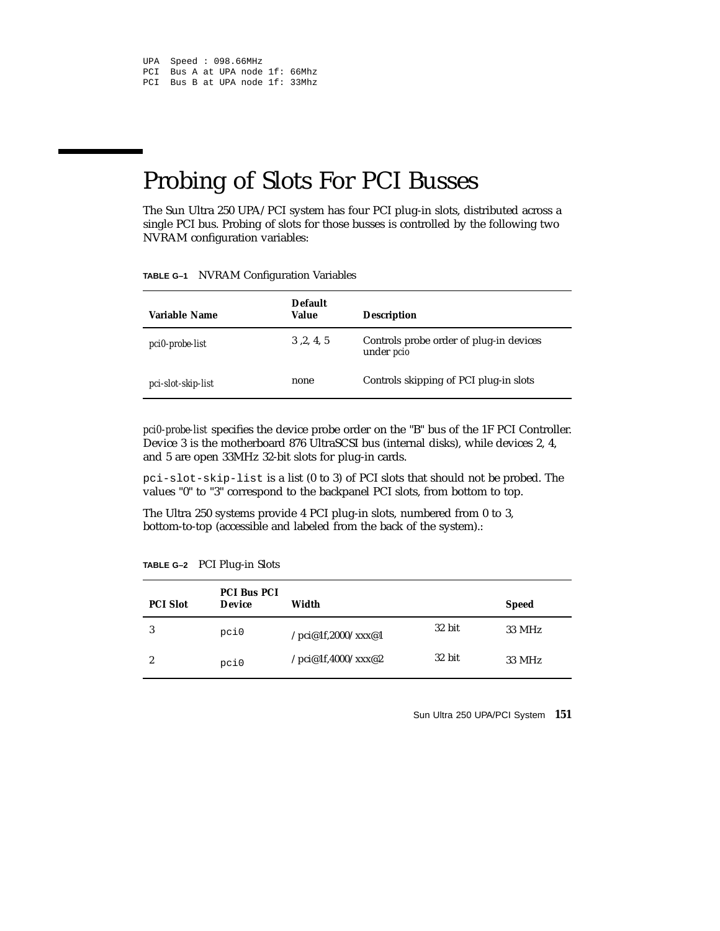## Probing of Slots For PCI Busses

The Sun Ultra 250 UPA/PCI system has four PCI plug-in slots, distributed across a single PCI bus. Probing of slots for those busses is controlled by the following two NVRAM configuration variables:

**TABLE G–1** NVRAM Configuration Variables

| Variable Name      | <b>Default</b><br>Value | <b>Description</b>                                           |
|--------------------|-------------------------|--------------------------------------------------------------|
| pci0-probe-list    | 3, 2, 4, 5              | Controls probe order of plug-in devices<br>under <i>pcio</i> |
| pci-slot-skip-list | none                    | Controls skipping of PCI plug-in slots                       |

*pci0-probe-list* specifies the device probe order on the "B" bus of the 1F PCI Controller. Device 3 is the motherboard 876 UltraSCSI bus (internal disks), while devices 2, 4, and 5 are open 33MHz 32-bit slots for plug-in cards.

pci-slot-skip-list is a list (0 to 3) of PCI slots that should not be probed. The values "0" to "3" correspond to the backpanel PCI slots, from bottom to top.

The Ultra 250 systems provide 4 PCI plug-in slots, numbered from 0 to 3, bottom-to-top (accessible and labeled from the back of the system).:

| <b>PCI Slot</b> | <b>PCI Bus PCI</b><br><b>Device</b> | Width              |        | <b>Speed</b> |
|-----------------|-------------------------------------|--------------------|--------|--------------|
| 3               | pci0                                | /pci@1f,2000/xxx@1 | 32 bit | 33 MHz       |
| 2               | pci0                                | /pci@1f,4000/xxx@2 | 32 bit | 33 MHz       |

**TABLE G–2** PCI Plug-in Slots

Sun Ultra 250 UPA/PCI System **151**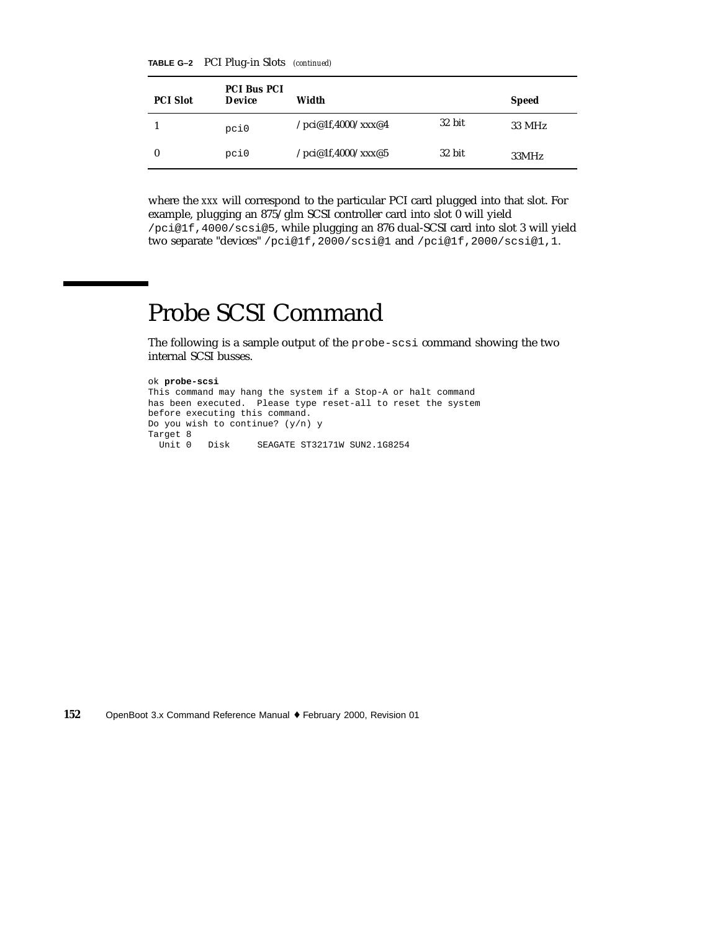**TABLE G–2** PCI Plug-in Slots *(continued)*

| <b>PCI Slot</b> | <b>PCI Bus PCI</b><br><b>Device</b> | Width              |        | <b>Speed</b> |
|-----------------|-------------------------------------|--------------------|--------|--------------|
|                 | pci0                                | /pci@1f,4000/xxx@4 | 32 bit | 33 MHz       |
| $\bf{0}$        | pci0                                | /pci@1f,4000/xxx@5 | 32 bit | 33MHz        |

where the *xxx* will correspond to the particular PCI card plugged into that slot. For example, plugging an 875/glm SCSI controller card into slot 0 will yield /pci@1f,4000/scsi@5, while plugging an 876 dual-SCSI card into slot 3 will yield two separate "devices" /pci@1f,2000/scsi@1 and /pci@1f,2000/scsi@1,1.

# Probe SCSI Command

The following is a sample output of the probe-scsi command showing the two internal SCSI busses.

```
ok probe-scsi
This command may hang the system if a Stop-A or halt command
has been executed. Please type reset-all to reset the system
before executing this command.
Do you wish to continue? (y/n) y
Target 8<br>Unit 0 Disk
                   SEAGATE ST32171W SUN2.1G8254
```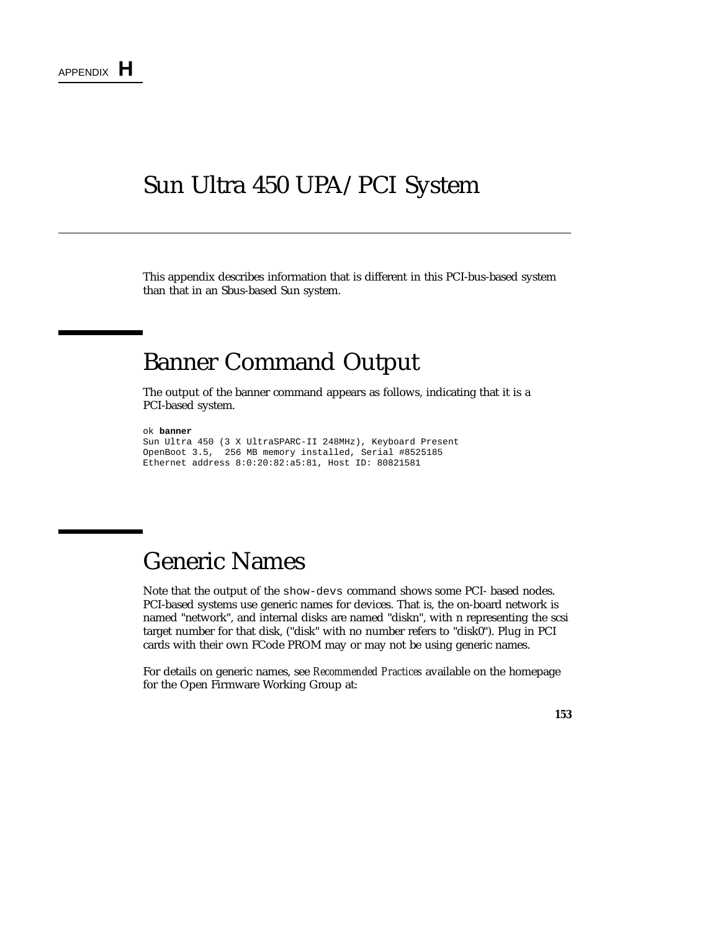#### Sun Ultra 450 UPA/PCI System

This appendix describes information that is different in this PCI-bus-based system than that in an Sbus-based Sun system.

#### Banner Command Output

The output of the banner command appears as follows, indicating that it is a PCI-based system.

```
ok banner
Sun Ultra 450 (3 X UltraSPARC-II 248MHz), Keyboard Present
OpenBoot 3.5, 256 MB memory installed, Serial #8525185
Ethernet address 8:0:20:82:a5:81, Host ID: 80821581
```
## Generic Names

Note that the output of the show-devs command shows some PCI- based nodes. PCI-based systems use generic names for devices. That is, the on-board network is named "network", and internal disks are named "diskn", with n representing the scsi target number for that disk, ("disk" with no number refers to "disk0"). Plug in PCI cards with their own FCode PROM may or may not be using generic names.

For details on generic names, see *Recommended Practices* available on the homepage for the Open Firmware Working Group at:

**153**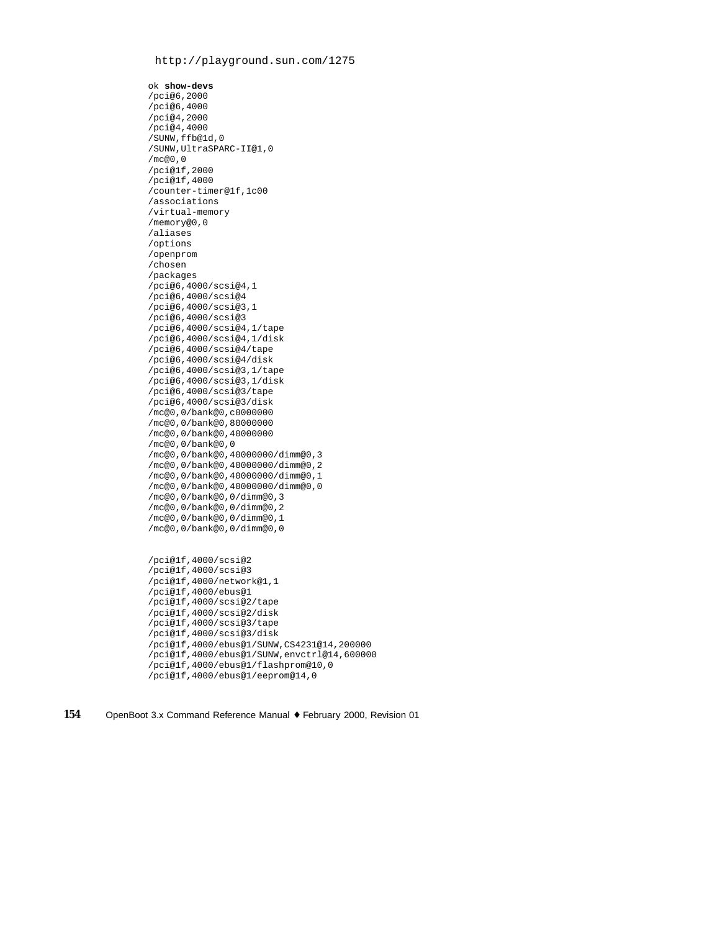#### http://playground.sun.com/1275

ok **show-devs** /pci@6,2000 /pci@6,4000 /pci@4,2000 /pci@4,4000 /SUNW,ffb@1d,0 /SUNW,UltraSPARC-II@1,0  $/m \cap \cap \cap$ /pci@1f,2000 /pci@1f,4000 /counter-timer@1f,1c00 /associations /virtual-memory /memory@0,0 /aliases /options /openprom /chosen /packages /pci@6,4000/scsi@4,1 /pci@6,4000/scsi@4 /pci@6,4000/scsi@3,1 /pci@6,4000/scsi@3 /pci@6,4000/scsi@4,1/tape /pci@6,4000/scsi@4,1/disk /pci@6,4000/scsi@4/tape /pci@6,4000/scsi@4/disk /pci@6,4000/scsi@3,1/tape /pci@6,4000/scsi@3,1/disk /pci@6,4000/scsi@3/tape /pci@6,4000/scsi@3/disk /mc@0,0/bank@0,c0000000 /mc@0,0/bank@0,80000000 /mc@0,0/bank@0,40000000 /mc@0,0/bank@0,0 /mc@0,0/bank@0,40000000/dimm@0,3 /mc@0,0/bank@0,40000000/dimm@0,2 /mc@0,0/bank@0,40000000/dimm@0,1 /mc@0,0/bank@0,40000000/dimm@0,0 /mc@0,0/bank@0,0/dimm@0,3 /mc@0,0/bank@0,0/dimm@0,2 /mc@0,0/bank@0,0/dimm@0,1 /mc@0,0/bank@0,0/dimm@0,0 /pci@1f,4000/scsi@2 /pci@1f,4000/scsi@3 /pci@1f,4000/network@1,1 /pci@1f,4000/ebus@1 /pci@1f,4000/scsi@2/tape /pci@1f,4000/scsi@2/disk /pci@1f,4000/scsi@3/tape /pci@1f,4000/scsi@3/disk /pci@1f,4000/ebus@1/SUNW,CS4231@14,200000 /pci@1f,4000/ebus@1/SUNW,envctrl@14,600000 /pci@1f,4000/ebus@1/flashprom@10,0

**154** OpenBoot 3.x Command Reference Manual ♦ February 2000, Revision 01

/pci@1f,4000/ebus@1/eeprom@14,0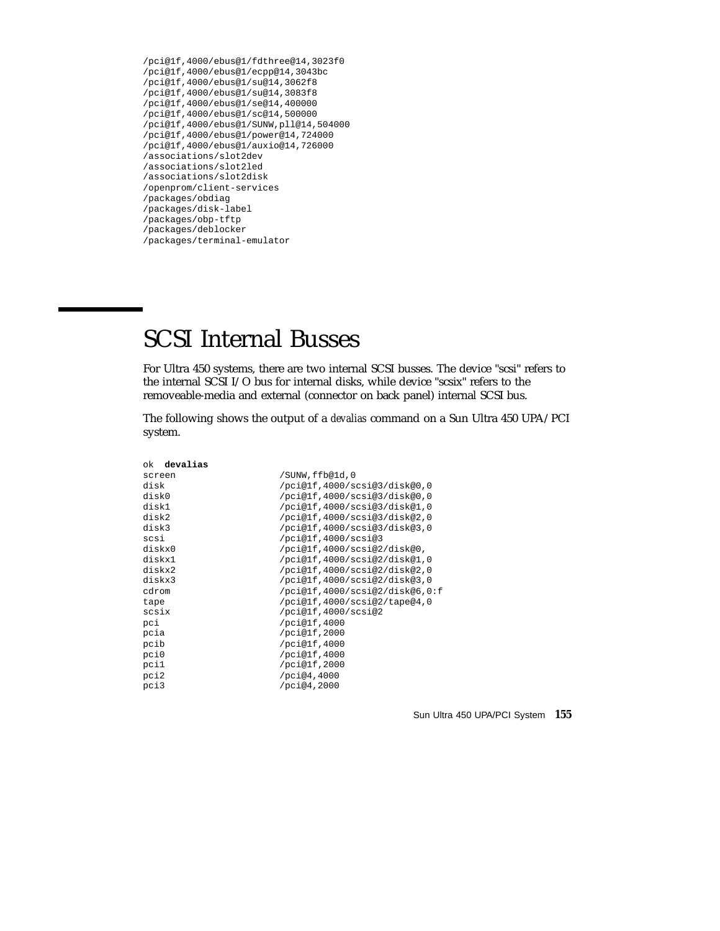```
/pci@1f,4000/ebus@1/fdthree@14,3023f0
/pci@1f,4000/ebus@1/ecpp@14,3043bc
/pci@1f,4000/ebus@1/su@14,3062f8
/pci@1f,4000/ebus@1/su@14,3083f8
/pci@1f,4000/ebus@1/se@14,400000
/pci@1f,4000/ebus@1/sc@14,500000
/pci@1f,4000/ebus@1/SUNW,pll@14,504000
/pci@1f,4000/ebus@1/power@14,724000
/pci@1f,4000/ebus@1/auxio@14,726000
/associations/slot2dev
/associations/slot2led
/associations/slot2disk
/openprom/client-services
/packages/obdiag
/packages/disk-label
/packages/obp-tftp
/packages/deblocker
/packages/terminal-emulator
```
## SCSI Internal Busses

For Ultra 450 systems, there are two internal SCSI busses. The device "scsi" refers to the internal SCSI I/O bus for internal disks, while device "scsix" refers to the removeable-media and external (connector on back panel) internal SCSI bus.

The following shows the output of a *devalias* command on a Sun Ultra 450 UPA/PCI system.

| ok <b>devalias</b> |                                |
|--------------------|--------------------------------|
| screen             | /SUNW,ffb@1d,0                 |
| disk               | /pci@1f,4000/scsi@3/disk@0,0   |
| disk0              | /pci@lf,4000/scsi@3/disk@0,0   |
| disk1              | /pci@lf,4000/scsi@3/disk@1,0   |
| disk2              | /pci@1f,4000/scsi@3/disk@2,0   |
| disk3              | /pci@lf,4000/scsi@3/disk@3,0   |
| scsi               | /pci@1f,4000/scsi@3            |
| diskx0             | /pci@1f,4000/scsi@2/disk@0,    |
| diskx1             | /pci@lf,4000/scsi@2/disk@1,0   |
| diskx2             | /pci@1f,4000/scsi@2/disk@2,0   |
| diskx3             | /pci@lf,4000/scsi@2/disk@3,0   |
| cdrom              | /pci@lf,4000/scsi@2/disk@6,0:f |
| tape               | /pci@lf,4000/scsi@2/tape@4,0   |
| scsix              | /pci@1f,4000/scsi@2            |
| pci                | /pci@1f,4000                   |
| pcia               | /pci@1f,2000                   |
| pcib               | /pci@1f,4000                   |
| pci0               | /pci@1f,4000                   |
| pci1               | /pci@1f,2000                   |
| pci2               | /pci@4,4000                    |
| pci3               | /pci@4,2000                    |

Sun Ultra 450 UPA/PCI System **155**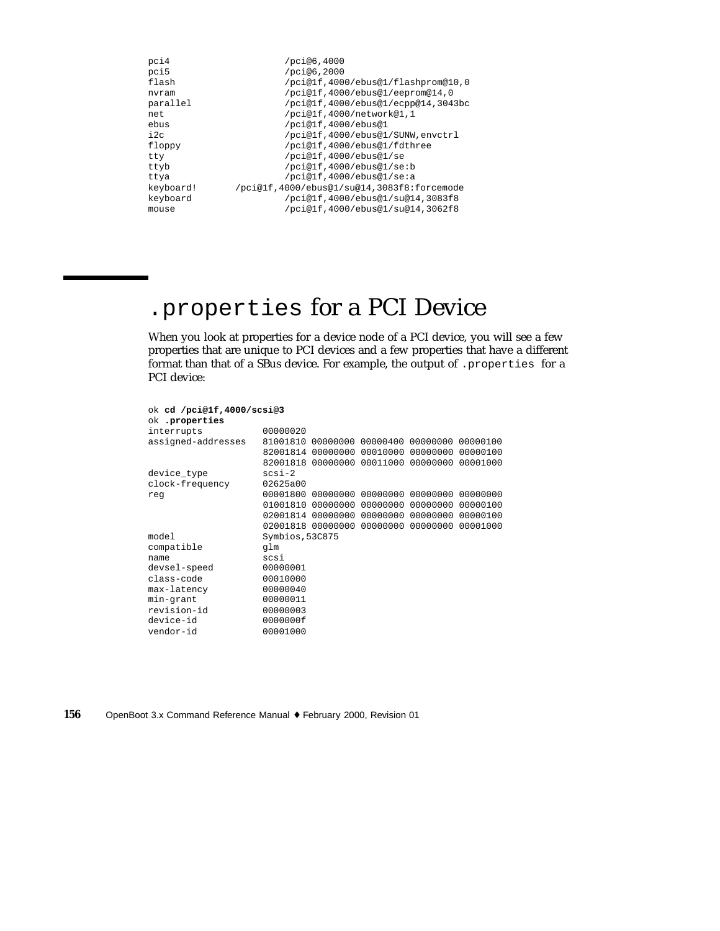| pci4      | /pci@6,4000                                |
|-----------|--------------------------------------------|
| pci5      | /pci@6,2000                                |
| flash     | /pci@1f,4000/ebus@1/flashprom@10,0         |
| nvram     | /pci@lf,4000/ebus@1/eeprom@14,0            |
| parallel  | /pci@1f,4000/ebus@1/ecpp@14,3043bc         |
| net       | /pci@1f,4000/network@1,1                   |
| ebus      | /pci@1f,4000/ebus@1                        |
| i2c       | /pci@1f,4000/ebus@1/SUNW,envctrl           |
| floppy    | /pci@lf,4000/ebus@1/fdthree                |
| tty       | /pci@lf,4000/ebus@1/se                     |
| ttyb      | /pci@lf,4000/ebus@l/se:b                   |
| ttya      | /pci@lf,4000/ebus@l/se:a                   |
| keyboard! | /pci@lf,4000/ebus@1/su@14,3083f8:forcemode |
| keyboard  | /pci@1f,4000/ebus@1/su@14,3083f8           |
| mouse     | /pci@1f,4000/ebus@1/su@14,3062f8           |
|           |                                            |

# .properties for a PCI Device

When you look at properties for a device node of a PCI device, you will see a few properties that are unique to PCI devices and a few properties that have a different format than that of a SBus device. For example, the output of .properties for a PCI device:

| ok cd /pci@1f,4000/scsi@3 |                 |                                              |          |                            |          |
|---------------------------|-----------------|----------------------------------------------|----------|----------------------------|----------|
| ok .properties            |                 |                                              |          |                            |          |
| interrupts                | 00000020        |                                              |          |                            |          |
| assigned-addresses        |                 | 81001810 00000000 00000400 00000000 00000100 |          |                            |          |
|                           |                 | 82001814 00000000                            |          | 00010000 00000000          | 00000100 |
|                           |                 | 82001818 00000000                            |          | 00011000 00000000 00001000 |          |
| device_type               | $scsi-2$        |                                              |          |                            |          |
| clock-frequency           | 02625a00        |                                              |          |                            |          |
| req                       | 00001800        | 00000000                                     |          | 00000000 00000000          | 00000000 |
|                           | 01001810        | 00000000                                     | 00000000 | 00000000                   | 00000100 |
|                           |                 | 02001814 00000000                            |          | 00000000 00000000          | 00000100 |
|                           |                 | 02001818 00000000 00000000 00000000          |          |                            | 00001000 |
| model                     | Symbios, 53C875 |                                              |          |                            |          |
| compatible                | qlm             |                                              |          |                            |          |
| name                      | scsi            |                                              |          |                            |          |
| devsel-speed              | 00000001        |                                              |          |                            |          |
| class-code                | 00010000        |                                              |          |                            |          |
| max-latency               | 00000040        |                                              |          |                            |          |
| min-grant                 | 00000011        |                                              |          |                            |          |
| revision-id               | 00000003        |                                              |          |                            |          |
| device-id                 | 0000000f        |                                              |          |                            |          |
| vendor-id                 | 00001000        |                                              |          |                            |          |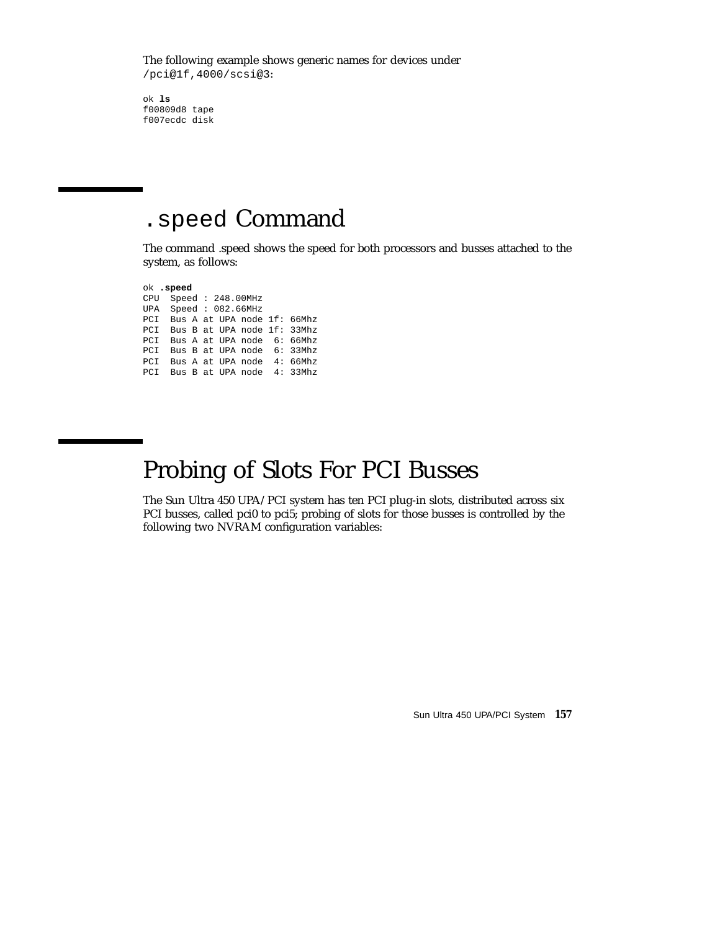The following example shows generic names for devices under /pci@1f,4000/scsi@3:

ok **ls** f00809d8 tape f007ecdc disk

### .speed Command

The command .speed shows the speed for both processors and busses attached to the system, as follows:

ok **.speed** CPU Speed : 248.00MHz UPA Speed : 082.66MHz PCI Bus A at UPA node 1f: 66Mhz PCI Bus B at UPA node 1f: 33Mhz PCI Bus A at UPA node 6: 66Mhz PCI Bus B at UPA node 6: 33Mhz PCI Bus A at UPA node 4: 66Mhz PCI Bus B at UPA node 4: 33Mhz

## Probing of Slots For PCI Busses

The Sun Ultra 450 UPA/PCI system has ten PCI plug-in slots, distributed across six PCI busses, called pci0 to pci5; probing of slots for those busses is controlled by the following two NVRAM configuration variables:

Sun Ultra 450 UPA/PCI System **157**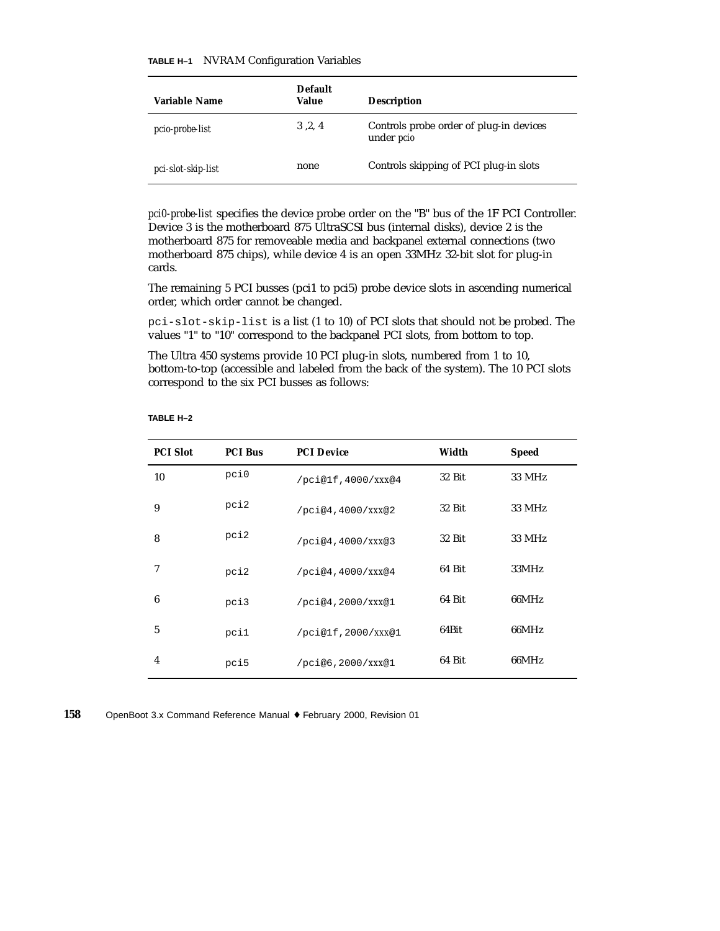#### **TABLE H–1** NVRAM Configuration Variables

| Variable Name      | <b>Default</b><br>Value | <b>Description</b>                                           |
|--------------------|-------------------------|--------------------------------------------------------------|
| pcio-probe-list    | 3, 2, 4                 | Controls probe order of plug-in devices<br>under <i>pcio</i> |
| pci-slot-skip-list | none                    | Controls skipping of PCI plug-in slots                       |

*pci0-probe-list* specifies the device probe order on the "B" bus of the 1F PCI Controller. Device 3 is the motherboard 875 UltraSCSI bus (internal disks), device 2 is the motherboard 875 for removeable media and backpanel external connections (two motherboard 875 chips), while device 4 is an open 33MHz 32-bit slot for plug-in cards.

The remaining 5 PCI busses (pci1 to pci5) probe device slots in ascending numerical order, which order cannot be changed.

pci-slot-skip-list is a list (1 to 10) of PCI slots that should not be probed. The values "1" to "10" correspond to the backpanel PCI slots, from bottom to top.

The Ultra 450 systems provide 10 PCI plug-in slots, numbered from 1 to 10, bottom-to-top (accessible and labeled from the back of the system). The 10 PCI slots correspond to the six PCI busses as follows:

#### **TABLE H–2**

| <b>PCI Slot</b> | <b>PCI Bus</b> | <b>PCI Device</b>  | Width  | <b>Speed</b> |
|-----------------|----------------|--------------------|--------|--------------|
| 10              | pci0           | /pci@1f,4000/XXX@4 | 32 Bit | 33 MHz       |
| 9               | pci2           | /pci@4,4000/XXX@2  | 32 Bit | 33 MHz       |
| 8               | pci2           | /pci@4,4000/XXX@3  | 32 Bit | 33 MHz       |
| 7               | pci2           | /pci@4,4000/XXX@4  | 64 Bit | 33MHz        |
| 6               | pci3           | /pci@4,2000/XXX@1  | 64 Bit | 66MHz        |
| 5               | pci1           | /pci@1f,2000/XXX@1 | 64Bit  | 66MHz        |
| $\overline{4}$  | pci5           | /pci@6,2000/XXX@1  | 64 Bit | 66MHz        |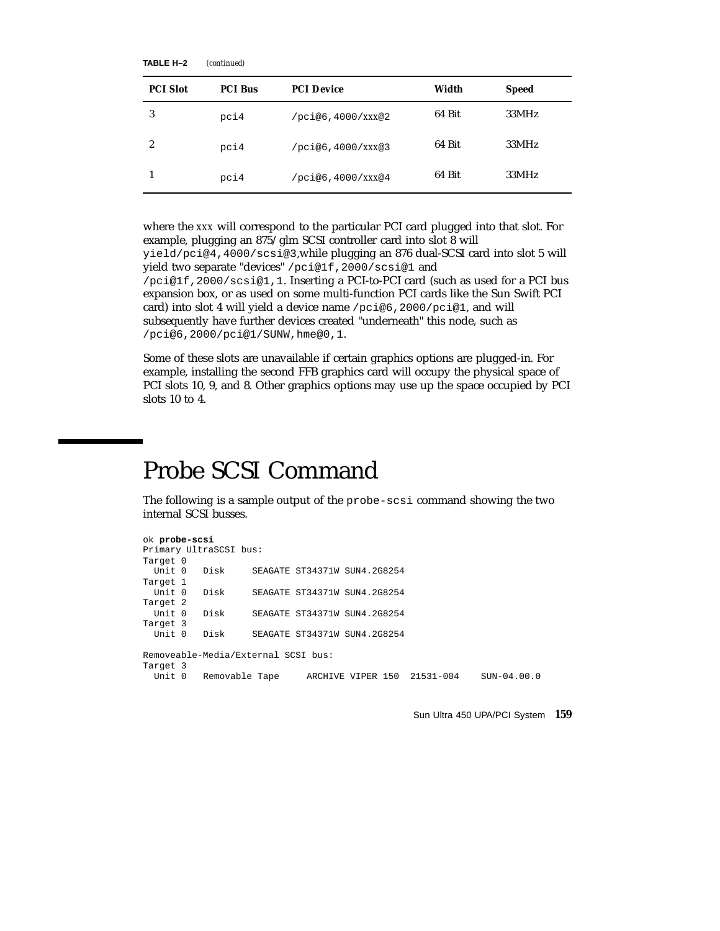| TABLE H-2 | (continued) |
|-----------|-------------|
|-----------|-------------|

| <b>PCI Slot</b>  | <b>PCI Bus</b> | <b>PCI Device</b> | Width  | <b>Speed</b> |
|------------------|----------------|-------------------|--------|--------------|
| 3                | pci4           | /pci@6,4000/XXX@2 | 64 Bit | 33MHz        |
| $\boldsymbol{2}$ | pci4           | /pci@6,4000/XXX@3 | 64 Bit | 33MHz        |
|                  | pci4           | /pci@6,4000/XXX@4 | 64 Bit | 33MHz        |

where the *xxx* will correspond to the particular PCI card plugged into that slot. For example, plugging an 875/glm SCSI controller card into slot 8 will yield/pci@4,4000/scsi@3,while plugging an 876 dual-SCSI card into slot 5 will yield two separate "devices" /pci@1f,2000/scsi@1 and /pci@1f,2000/scsi@1,1. Inserting a PCI-to-PCI card (such as used for a PCI bus expansion box, or as used on some multi-function PCI cards like the Sun Swift PCI

card) into slot 4 will yield a device name /pci@6,2000/pci@1, and will subsequently have further devices created "underneath" this node, such as /pci@6,2000/pci@1/SUNW,hme@0,1.

Some of these slots are unavailable if certain graphics options are plugged-in. For example, installing the second FFB graphics card will occupy the physical space of PCI slots 10, 9, and 8. Other graphics options may use up the space occupied by PCI slots 10 to 4.

### Probe SCSI Command

The following is a sample output of the probe-scsi command showing the two internal SCSI busses.

```
ok probe-scsi
Primary UltraSCSI bus:
Target 0
 Unit 0 Disk SEAGATE ST34371W SUN4.2G8254
Target 1
 Unit 0 Disk SEAGATE ST34371W SUN4.2G8254
Target 2
 Unit 0 Disk SEAGATE ST34371W SUN4.2G8254
Target 3
 Unit 0 Disk SEAGATE ST34371W SUN4.2G8254
Removeable-Media/External SCSI bus:
Target 3<br>Unit 0
         Removable Tape ARCHIVE VIPER 150 21531-004 SUN-04.00.0
```
Sun Ultra 450 UPA/PCI System **159**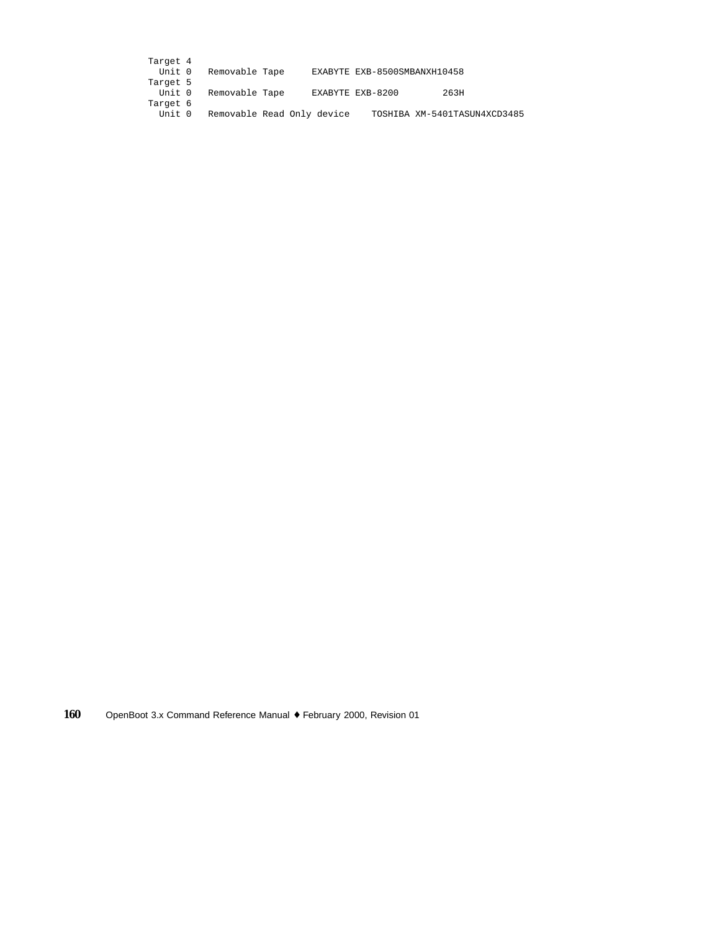| Target 4 |                       |                            |                              |                              |
|----------|-----------------------|----------------------------|------------------------------|------------------------------|
|          | Unit 0 Removable Tape |                            | EXABYTE EXB-8500SMBANXH10458 |                              |
| Target 5 |                       |                            |                              |                              |
|          | Unit 0 Removable Tape |                            | EXABYTE EXB-8200             | 263H                         |
| Target 6 |                       |                            |                              |                              |
| Unit 0   |                       | Removable Read Only device |                              | TOSHIBA XM-5401TASUN4XCD3485 |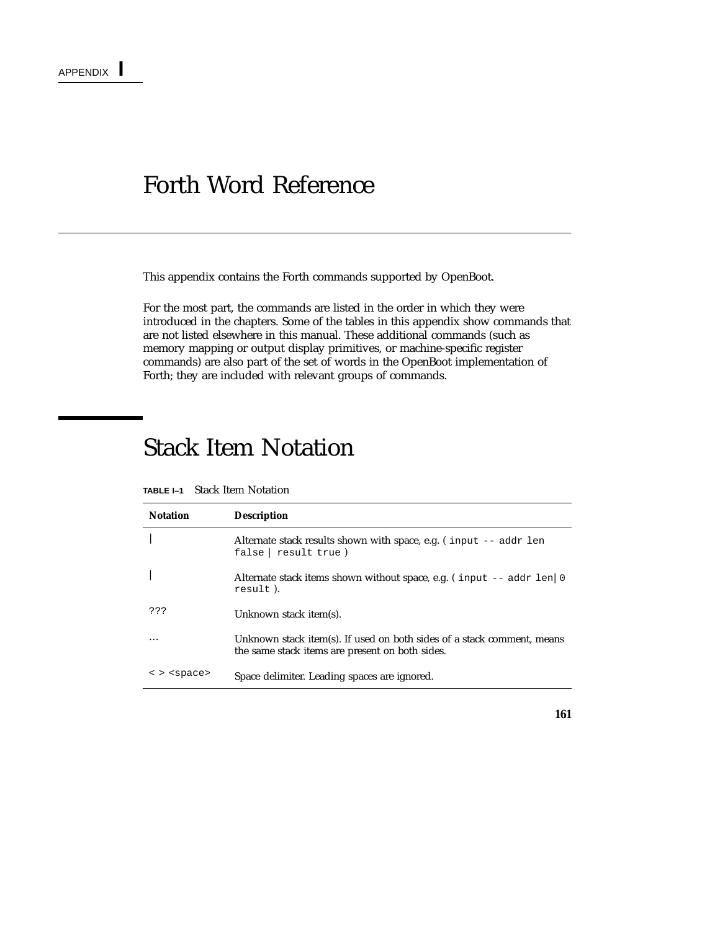### Forth Word Reference

This appendix contains the Forth commands supported by OpenBoot.

For the most part, the commands are listed in the order in which they were introduced in the chapters. Some of the tables in this appendix show commands that are not listed elsewhere in this manual. These additional commands (such as memory mapping or output display primitives, or machine-specific register commands) are also part of the set of words in the OpenBoot implementation of Forth; they are included with relevant groups of commands.

### Stack Item Notation

| <b>Notation</b>     | <b>Description</b>                                                                                                        |
|---------------------|---------------------------------------------------------------------------------------------------------------------------|
|                     | Alternate stack results shown with space, e.g. (input -- addr len<br>false   result true)                                 |
|                     | Alternate stack items shown without space, e.g. (input -- addr len   0<br>result).                                        |
| ???                 | Unknown stack item(s).                                                                                                    |
|                     | Unknown stack item(s). If used on both sides of a stack comment, means<br>the same stack items are present on both sides. |
| < > <space></space> | Space delimiter. Leading spaces are ignored.                                                                              |

**TABLE I–1** Stack Item Notation

**161**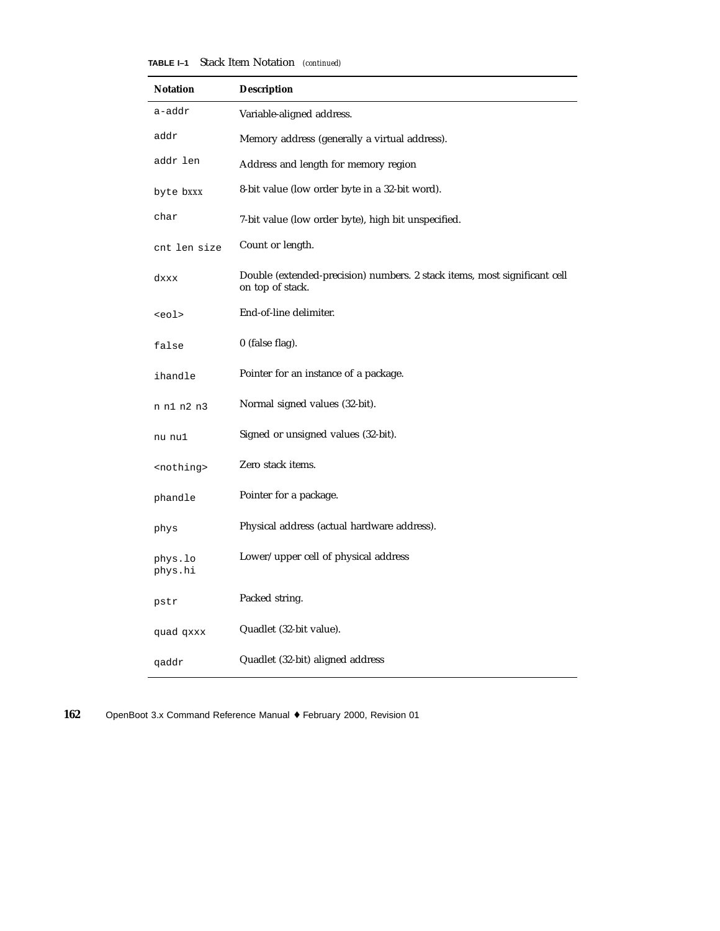| TABLE I-1 |  | Stack Item Notation (continued) |  |
|-----------|--|---------------------------------|--|
|-----------|--|---------------------------------|--|

| <b>Notation</b>     | <b>Description</b>                                                                            |
|---------------------|-----------------------------------------------------------------------------------------------|
| a-addr              | Variable-aligned address.                                                                     |
| addr                | Memory address (generally a virtual address).                                                 |
| addr len            | Address and length for memory region                                                          |
| byte bxxx           | 8-bit value (low order byte in a 32-bit word).                                                |
| char                | 7-bit value (low order byte), high bit unspecified.                                           |
| cnt len size        | Count or length.                                                                              |
| dxxx                | Double (extended-precision) numbers. 2 stack items, most significant cell<br>on top of stack. |
| <eol></eol>         | End-of-line delimiter.                                                                        |
| false               | 0 (false flag).                                                                               |
| ihandle             | Pointer for an instance of a package.                                                         |
| n n1 n2 n3          | Normal signed values (32-bit).                                                                |
| nu nul              | Signed or unsigned values (32-bit).                                                           |
| <nothing></nothing> | Zero stack items.                                                                             |
| phandle             | Pointer for a package.                                                                        |
| phys                | Physical address (actual hardware address).                                                   |
| phys.lo<br>phys.hi  | Lower/upper cell of physical address                                                          |
| pstr                | Packed string.                                                                                |
| quad qxxx           | Quadlet (32-bit value).                                                                       |
| qaddr               | Quadlet (32-bit) aligned address                                                              |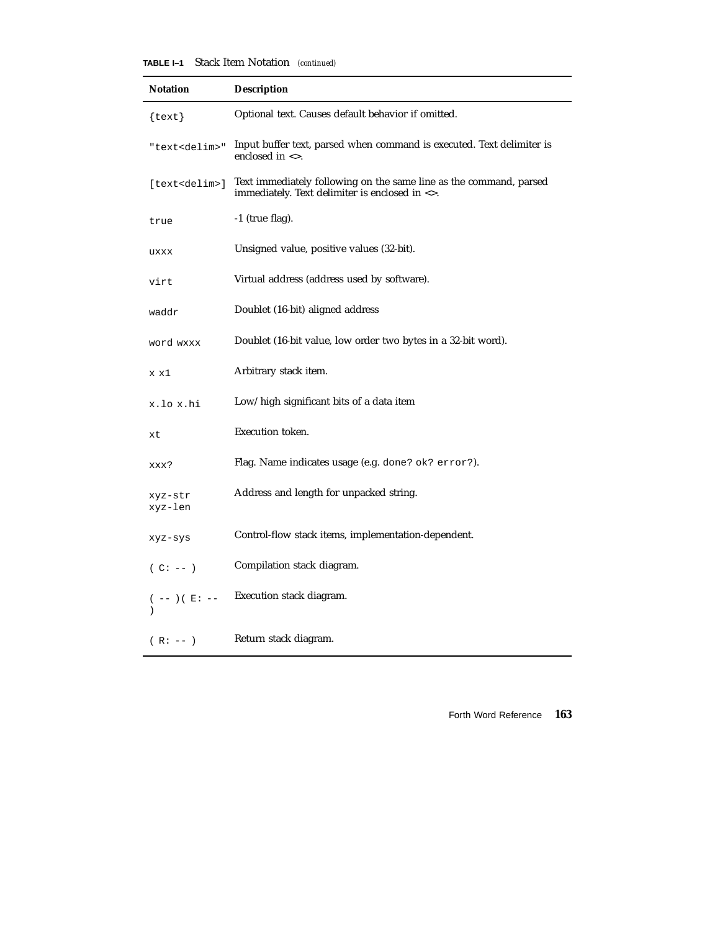**TABLE I–1** Stack Item Notation *(continued)*

| <b>Notation</b>            | <b>Description</b>                                                                                                   |
|----------------------------|----------------------------------------------------------------------------------------------------------------------|
| $\{texttext{text}\}$       | Optional text. Causes default behavior if omitted.                                                                   |
| "text <delim>"</delim>     | Input buffer text, parsed when command is executed. Text delimiter is<br>enclosed in $\langle \rangle$ .             |
| [text <delim>]</delim>     | Text immediately following on the same line as the command, parsed<br>immediately. Text delimiter is enclosed in <>. |
| true                       | $-1$ (true flag).                                                                                                    |
| uxxx                       | Unsigned value, positive values (32-bit).                                                                            |
| virt                       | Virtual address (address used by software).                                                                          |
| waddr                      | Doublet (16-bit) aligned address                                                                                     |
| word wxxx                  | Doublet (16-bit value, low order two bytes in a 32-bit word).                                                        |
| x x1                       | Arbitrary stack item.                                                                                                |
| x.lo x.hi                  | Low/high significant bits of a data item                                                                             |
| xt                         | Execution token.                                                                                                     |
| xxx?                       | Flag. Name indicates usage (e.g. done? ok? error?).                                                                  |
| xyz-str<br>xyz-len         | Address and length for unpacked string.                                                                              |
| xyz-sys                    | Control-flow stack items, implementation-dependent.                                                                  |
| $(C: --)$                  | Compilation stack diagram.                                                                                           |
| ( $--$ ) ( $\,$ E : $\,--$ | Execution stack diagram.                                                                                             |
| $(R: --)$                  | Return stack diagram.                                                                                                |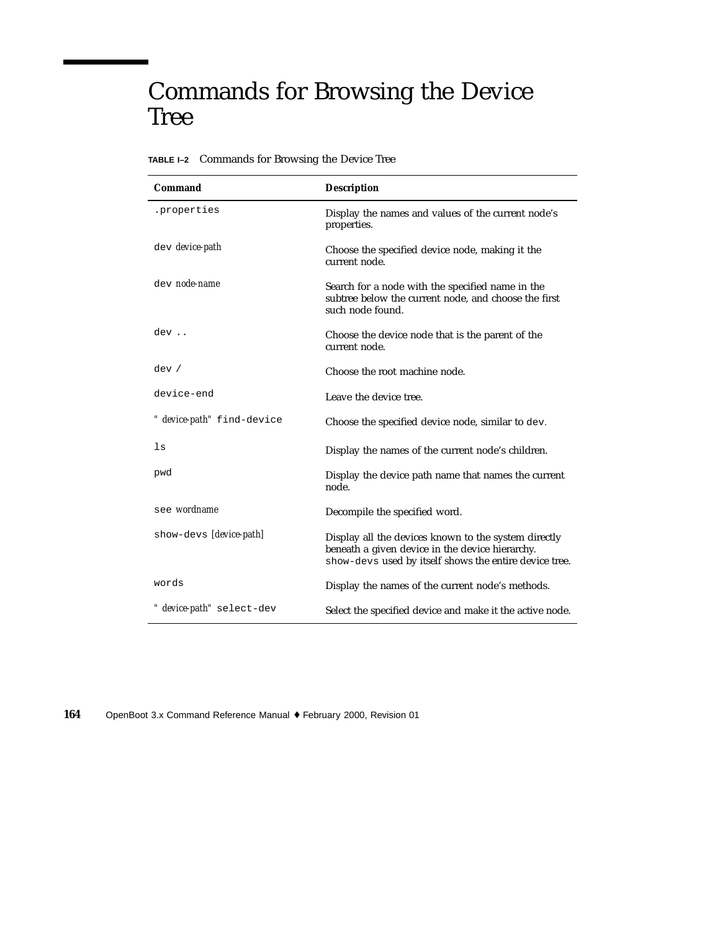## Commands for Browsing the Device Tree

|  | TABLE I-2 Commands for Browsing the Device Tree |  |  |  |  |  |
|--|-------------------------------------------------|--|--|--|--|--|
|--|-------------------------------------------------|--|--|--|--|--|

| Command                    | <b>Description</b>                                                                                                                                                |
|----------------------------|-------------------------------------------------------------------------------------------------------------------------------------------------------------------|
| .properties                | Display the names and values of the current node's<br>properties.                                                                                                 |
| dev device-path            | Choose the specified device node, making it the<br>current node.                                                                                                  |
| dev node-name              | Search for a node with the specified name in the<br>subtree below the current node, and choose the first<br>such node found.                                      |
| dev                        | Choose the device node that is the parent of the<br>current node.                                                                                                 |
| dev /                      | Choose the root machine node.                                                                                                                                     |
| device-end                 | Leave the device tree.                                                                                                                                            |
| " device-path" find-device | Choose the specified device node, similar to dev.                                                                                                                 |
| ls                         | Display the names of the current node's children.                                                                                                                 |
| pwd                        | Display the device path name that names the current<br>node.                                                                                                      |
| see wordname               | Decompile the specified word.                                                                                                                                     |
| show-devs [device-path]    | Display all the devices known to the system directly<br>beneath a given device in the device hierarchy.<br>show-devs used by itself shows the entire device tree. |
| words                      | Display the names of the current node's methods.                                                                                                                  |
| " device-path" select-dev  | Select the specified device and make it the active node.                                                                                                          |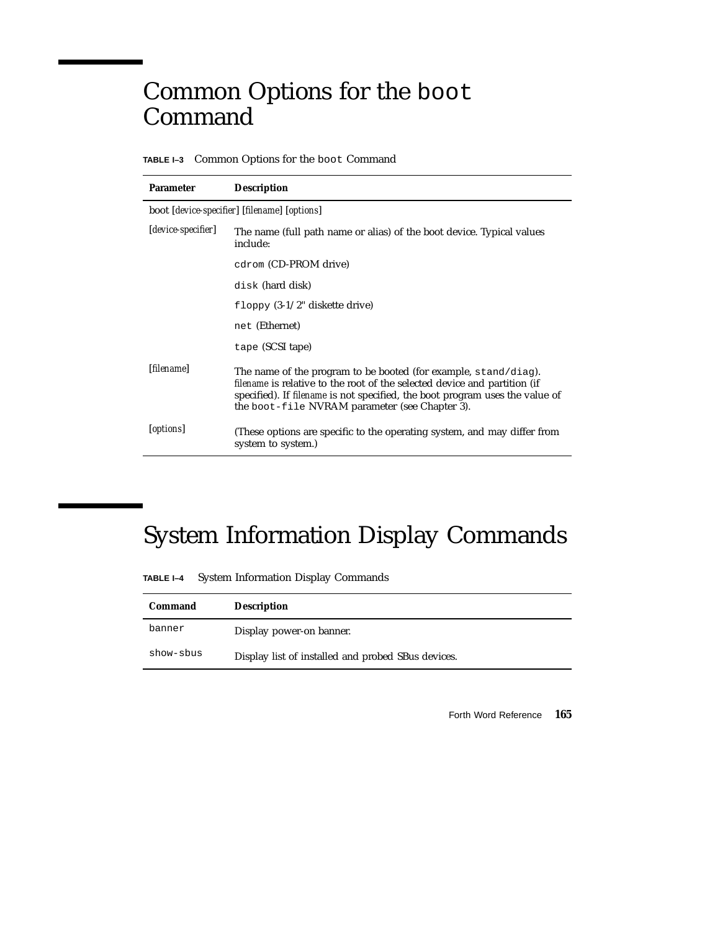## Common Options for the boot Command

**TABLE I–3** Common Options for the boot Command

| <b>Parameter</b>    | <b>Description</b>                                                                                                                                                                                                                                                                |
|---------------------|-----------------------------------------------------------------------------------------------------------------------------------------------------------------------------------------------------------------------------------------------------------------------------------|
|                     | boot [device-specifier] [filename] [options]                                                                                                                                                                                                                                      |
| [device-specifier]  | The name (full path name or alias) of the boot device. Typical values<br>include:                                                                                                                                                                                                 |
|                     | cdrom (CD-PROM drive)                                                                                                                                                                                                                                                             |
|                     | disk (hard disk)                                                                                                                                                                                                                                                                  |
|                     | floppy $(3-1/2)$ " diskette drive)                                                                                                                                                                                                                                                |
|                     | net (Ethernet)                                                                                                                                                                                                                                                                    |
|                     | tape (SCSI tape)                                                                                                                                                                                                                                                                  |
| [ <i>filename</i> ] | The name of the program to be booted (for example, $stand/diag$ ).<br>filename is relative to the root of the selected device and partition (if<br>specified). If filename is not specified, the boot program uses the value of<br>the boot-file NVRAM parameter (see Chapter 3). |
| [ <i>options</i> ]  | (These options are specific to the operating system, and may differ from<br>system to system.)                                                                                                                                                                                    |

# System Information Display Commands

**TABLE I–4** System Information Display Commands

| Command   | <b>Description</b>                                 |
|-----------|----------------------------------------------------|
| banner    | Display power-on banner.                           |
| show-sbus | Display list of installed and probed SBus devices. |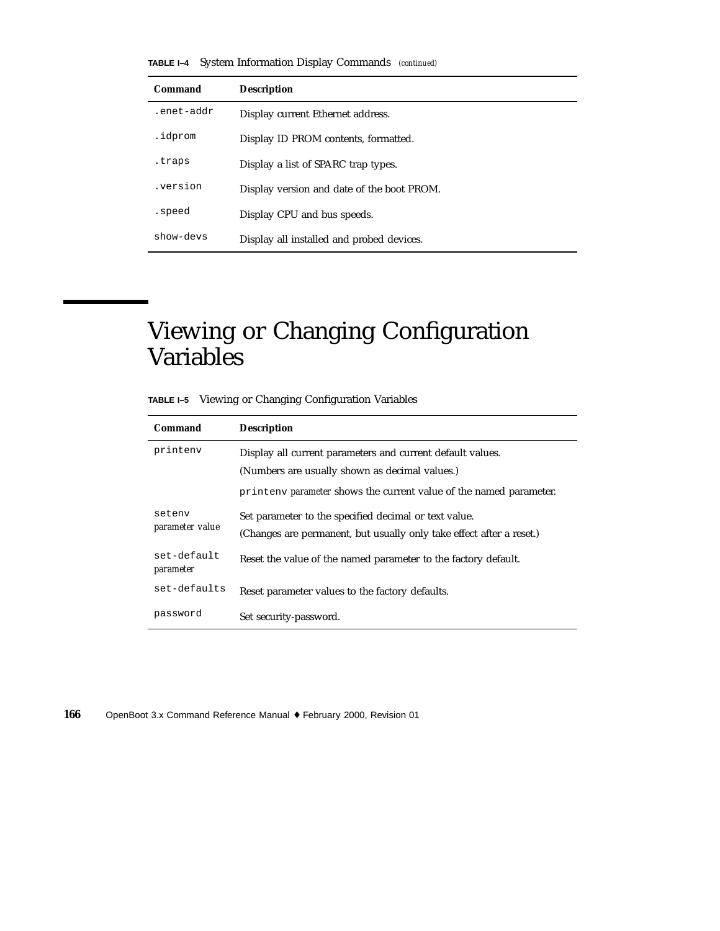**TABLE I–4** System Information Display Commands *(continued)*

| Command    | <b>Description</b>                         |
|------------|--------------------------------------------|
| .enet-addr | Display current Ethernet address.          |
| .idprom    | Display ID PROM contents, formatted.       |
| .traps     | Display a list of SPARC trap types.        |
| .version   | Display version and date of the boot PROM. |
| .speed     | Display CPU and bus speeds.                |
| show-devs  | Display all installed and probed devices.  |

## Viewing or Changing Configuration Variables

| TABLE I-5 Viewing or Changing Configuration Variables |  |
|-------------------------------------------------------|--|
|                                                       |  |

| Command                   | <b>Description</b>                                                                                                                                                                                         |  |
|---------------------------|------------------------------------------------------------------------------------------------------------------------------------------------------------------------------------------------------------|--|
| printenv                  | Display all current parameters and current default values.<br>(Numbers are usually shown as decimal values.)                                                                                               |  |
| setenv<br>parameter value | printeny <i>parameter</i> shows the current value of the named parameter.<br>Set parameter to the specified decimal or text value.<br>(Changes are permanent, but usually only take effect after a reset.) |  |
| set-default<br>parameter  | Reset the value of the named parameter to the factory default.                                                                                                                                             |  |
| set-defaults              | Reset parameter values to the factory defaults.                                                                                                                                                            |  |
| password                  | Set security-password.                                                                                                                                                                                     |  |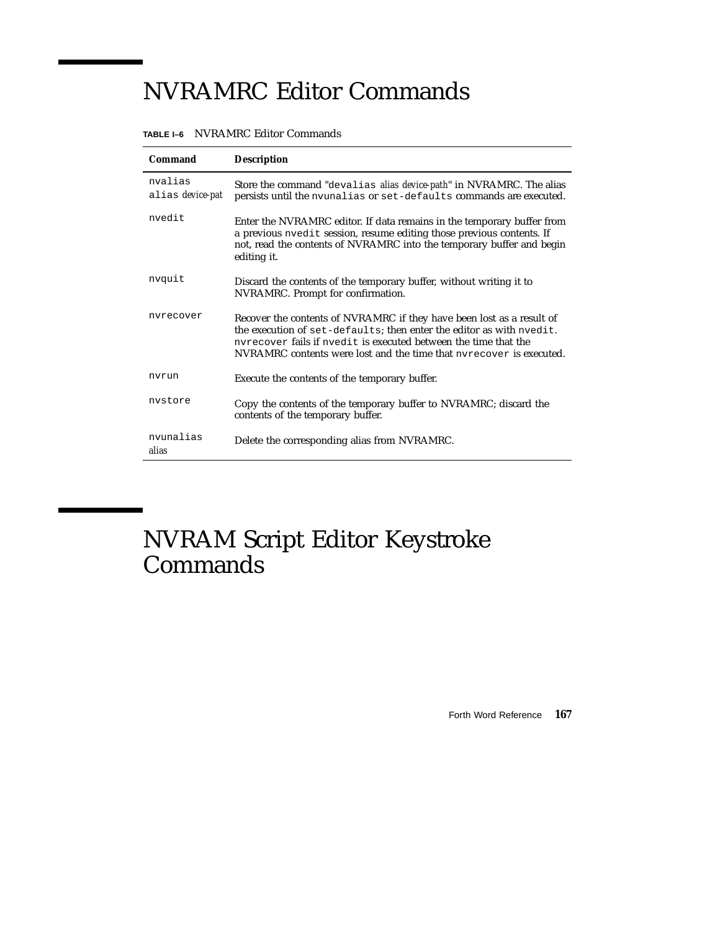# NVRAMRC Editor Commands

| Command                     | <b>Description</b>                                                                                                                                                                                                                                                                      |
|-----------------------------|-----------------------------------------------------------------------------------------------------------------------------------------------------------------------------------------------------------------------------------------------------------------------------------------|
| nvalias<br>alias device-pat | Store the command "devalias alias device-path" in NVRAMRC. The alias<br>persists until the nvunalias or set-defaults commands are executed.                                                                                                                                             |
| nvedit                      | Enter the NVRAMRC editor. If data remains in the temporary buffer from<br>a previous nyedit session, resume editing those previous contents. If<br>not, read the contents of NVRAMRC into the temporary buffer and begin<br>editing it.                                                 |
| nvquit                      | Discard the contents of the temporary buffer, without writing it to<br>NVRAMRC. Prompt for confirmation.                                                                                                                                                                                |
| nvrecover                   | Recover the contents of NVRAMRC if they have been lost as a result of<br>the execution of set-defaults; then enter the editor as with nyedit.<br>nyrecover fails if nyedit is executed between the time that the<br>NVRAMRC contents were lost and the time that nyrecover is executed. |
| nvrun                       | Execute the contents of the temporary buffer.                                                                                                                                                                                                                                           |
| nystore                     | Copy the contents of the temporary buffer to NVRAMRC; discard the<br>contents of the temporary buffer.                                                                                                                                                                                  |
| nvunalias<br>alias          | Delete the corresponding alias from NVRAMRC.                                                                                                                                                                                                                                            |

#### **TABLE I–6** NVRAMRC Editor Commands

NVRAM Script Editor Keystroke Commands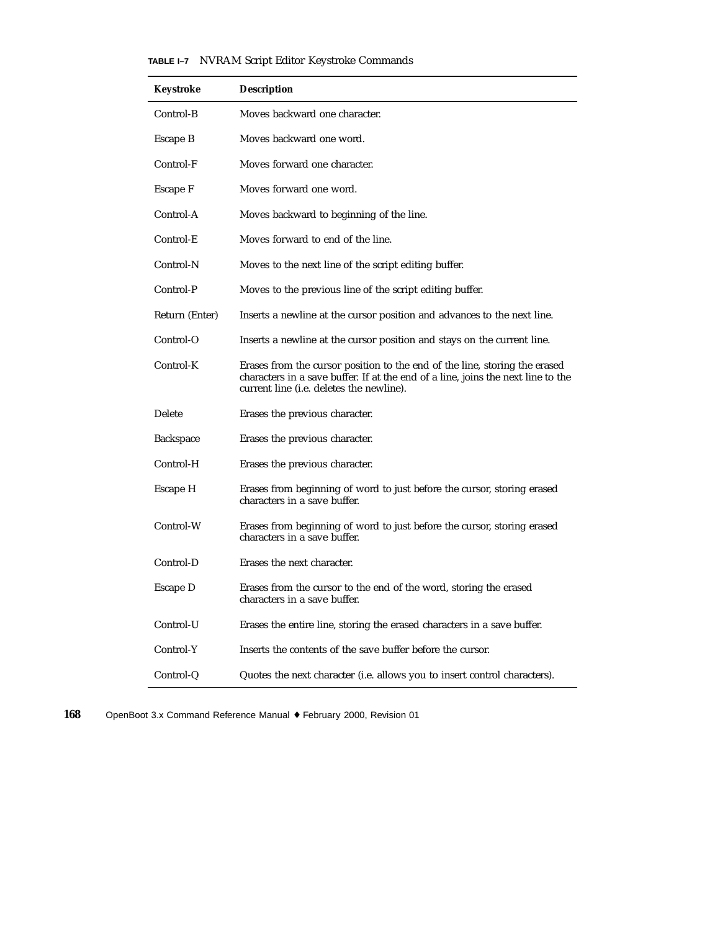|  |  |  |  |  | TABLE I-7 NVRAM Script Editor Keystroke Commands |
|--|--|--|--|--|--------------------------------------------------|
|--|--|--|--|--|--------------------------------------------------|

| Keystroke      | <b>Description</b>                                                                                                                                                                                         |
|----------------|------------------------------------------------------------------------------------------------------------------------------------------------------------------------------------------------------------|
| Control-B      | Moves backward one character.                                                                                                                                                                              |
| Escape B       | Moves backward one word.                                                                                                                                                                                   |
| Control-F      | Moves forward one character.                                                                                                                                                                               |
| Escape F       | Moves forward one word.                                                                                                                                                                                    |
| Control-A      | Moves backward to beginning of the line.                                                                                                                                                                   |
| Control-E      | Moves forward to end of the line.                                                                                                                                                                          |
| Control-N      | Moves to the next line of the script editing buffer.                                                                                                                                                       |
| Control-P      | Moves to the previous line of the script editing buffer.                                                                                                                                                   |
| Return (Enter) | Inserts a newline at the cursor position and advances to the next line.                                                                                                                                    |
| Control-O      | Inserts a newline at the cursor position and stays on the current line.                                                                                                                                    |
| Control-K      | Erases from the cursor position to the end of the line, storing the erased<br>characters in a save buffer. If at the end of a line, joins the next line to the<br>current line (i.e. deletes the newline). |
| Delete         | Erases the previous character.                                                                                                                                                                             |
| Backspace      | Erases the previous character.                                                                                                                                                                             |
| Control-H      | Erases the previous character.                                                                                                                                                                             |
| Escape H       | Erases from beginning of word to just before the cursor, storing erased<br>characters in a save buffer.                                                                                                    |
| Control-W      | Erases from beginning of word to just before the cursor, storing erased<br>characters in a save buffer.                                                                                                    |
| Control-D      | Erases the next character.                                                                                                                                                                                 |
| Escape D       | Erases from the cursor to the end of the word, storing the erased<br>characters in a save buffer.                                                                                                          |
| Control-U      | Erases the entire line, storing the erased characters in a save buffer.                                                                                                                                    |
| Control-Y      | Inserts the contents of the save buffer before the cursor.                                                                                                                                                 |
| Control-Q      | Quotes the next character (i.e. allows you to insert control characters).                                                                                                                                  |

**168** OpenBoot 3.x Command Reference Manual ♦ February 2000, Revision 01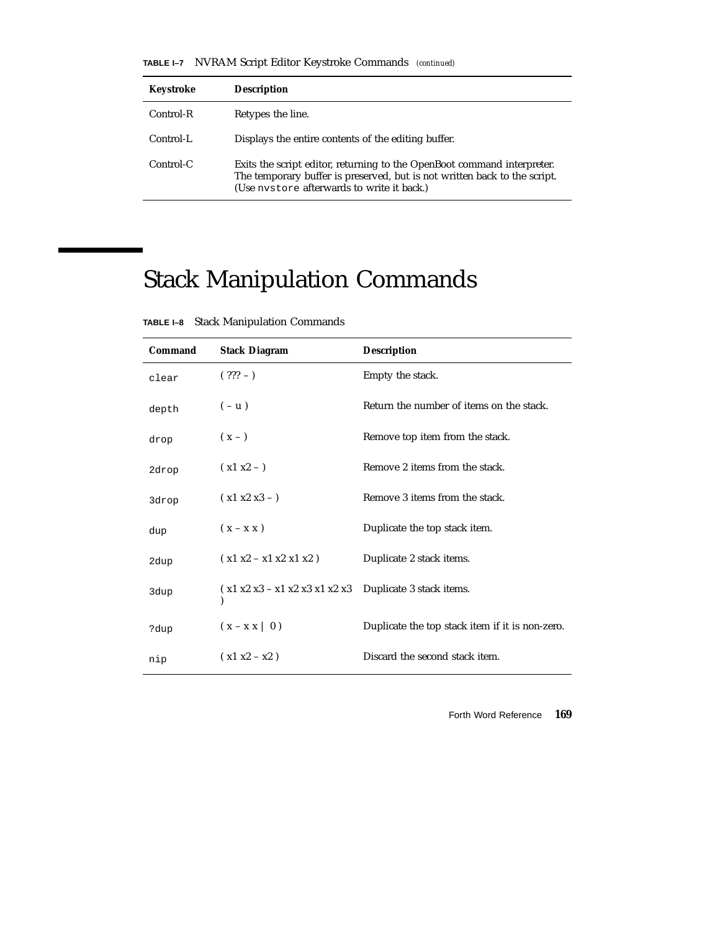**TABLE I–7** NVRAM Script Editor Keystroke Commands *(continued)*

| Keystroke | <b>Description</b>                                                                                                                                                                                 |
|-----------|----------------------------------------------------------------------------------------------------------------------------------------------------------------------------------------------------|
| Control-R | Retypes the line.                                                                                                                                                                                  |
| Control-L | Displays the entire contents of the editing buffer.                                                                                                                                                |
| Control-C | Exits the script editor, returning to the OpenBoot command interpreter.<br>The temporary buffer is preserved, but is not written back to the script.<br>(Use nystore afterwards to write it back.) |

# Stack Manipulation Commands

| Command | <b>Stack Diagram</b>            | <b>Description</b>                              |
|---------|---------------------------------|-------------------------------------------------|
| clear   | $(??? - )$                      | Empty the stack.                                |
| depth   | $(-u)$                          | Return the number of items on the stack.        |
| drop    | $(x - )$                        | Remove top item from the stack.                 |
| 2drop   | $(x1 x2 - )$                    | Remove 2 items from the stack.                  |
| 3drop   | $(x1 x2 x3 -)$                  | Remove 3 items from the stack.                  |
| dup     | $(x - x x)$                     | Duplicate the top stack item.                   |
| 2dup    | $(x1 x2 - x1 x2 x1 x2)$         | Duplicate 2 stack items.                        |
| 3dup    | $(x1 x2 x3 - x1 x2 x3 x1 x2 x3$ | Duplicate 3 stack items.                        |
| ?dup    | $(x - x x \mid 0)$              | Duplicate the top stack item if it is non-zero. |
| nip     | $(x1 x2 - x2)$                  | Discard the second stack item.                  |

**TABLE I–8** Stack Manipulation Commands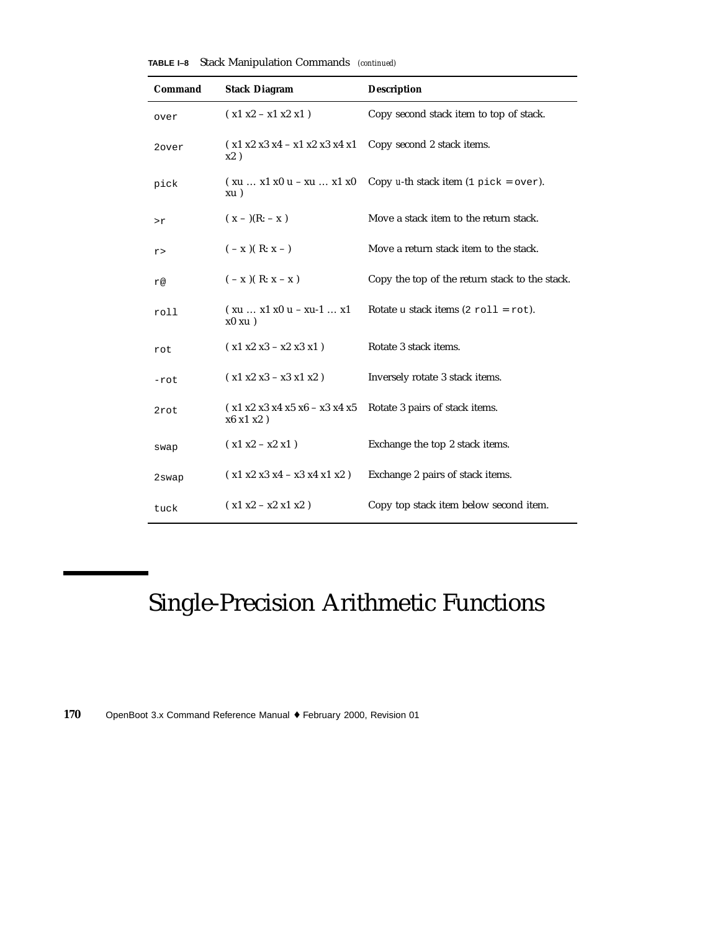| Command | <b>Stack Diagram</b>                                        | <b>Description</b>                                              |
|---------|-------------------------------------------------------------|-----------------------------------------------------------------|
| over    | $( x1 x2 - x1 x2 x1 )$                                      | Copy second stack item to top of stack.                         |
| 2over   | $(x1 x2 x3 x4 - x1 x2 x3 x4 x1$<br>x2)                      | Copy second 2 stack items.                                      |
| pick    | $(xu  x1 x0 u - xu  x1 x0$<br>xu)                           | Copy <i>u</i> -th stack item $(1 \text{ pick} = \text{over})$ . |
| >r      | $(x - )$ (R: - x)                                           | Move a stack item to the return stack.                          |
| r>      | $(-x)(R: x - )$                                             | Move a return stack item to the stack.                          |
| r@      | $(-x)(R: x - x)$                                            | Copy the top of the return stack to the stack.                  |
| roll    | $(xu  x1 x0 u - xu-1  x1$<br>$x0$ xu $)$                    | Rotate u stack items $(2 \text{ roll} = \text{rot})$ .          |
| rot     | $(x1 x2 x3 - x2 x3 x1)$                                     | Rotate 3 stack items.                                           |
| -rot    | $(x1 x2 x3 - x3 x1 x2)$                                     | Inversely rotate 3 stack items.                                 |
| 2rot    | $(x1 x2 x3 x4 x5 x6 - x3 x4 x5$<br>$x6 \times 1 \times 2$ ) | Rotate 3 pairs of stack items.                                  |
| swap    | $(x1 x2 - x2 x1)$                                           | Exchange the top 2 stack items.                                 |
| 2swap   | $(x1 x2 x3 x4 - x3 x4 x1 x2)$                               | Exchange 2 pairs of stack items.                                |
| tuck    | $(x1 x2 - x2 x1 x2)$                                        | Copy top stack item below second item.                          |

**TABLE I–8** Stack Manipulation Commands *(continued)*

# Single-Precision Arithmetic Functions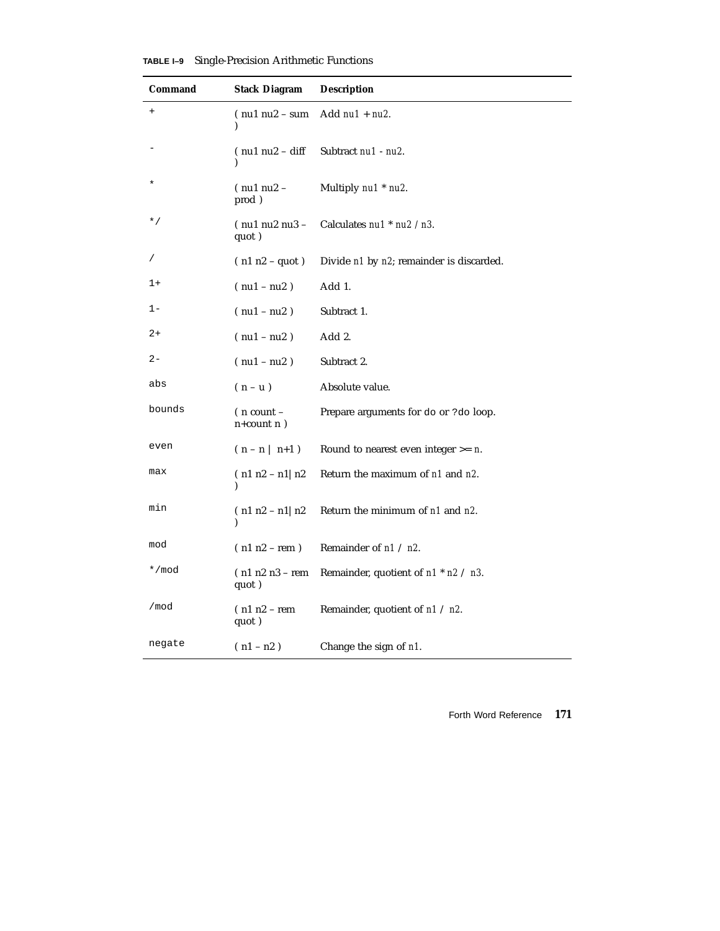| Command      | <b>Stack Diagram</b>               | <b>Description</b>                          |
|--------------|------------------------------------|---------------------------------------------|
| $\ddot{}$    | $(nu1 nu2 - sum)$<br>$\lambda$     | Add $nu1 + nu2$ .                           |
|              | $(nu1 nu2 - diff)$                 | Subtract nu1 - nu2.                         |
| $\star$      | $(nu1 nu2 -$<br>prod)              | Multiply nu1 * nu2.                         |
| $^{\star}$ / | $($ nu1 nu2 nu3 $-$<br>quot)       | Calculates nu1 * nu2 / n3.                  |
|              | $(n1 n2 - quot)$                   | Divide n1 by n2; remainder is discarded.    |
| $1+$         | $($ nu1 – nu2 $)$                  | Add 1.                                      |
| 1-           | $(nu1 - nu2)$                      | Subtract 1.                                 |
| 2+           | $(nu1 - nu2)$                      | Add 2.                                      |
| $2 -$        | $(nu1 - nu2)$                      | Subtract 2.                                 |
| abs          | $(n - u)$                          | Absolute value.                             |
| bounds       | ( n count –<br>$n$ +count n $)$    | Prepare arguments for do or ?do loop.       |
| even         | $(n - n   n+1)$                    | Round to nearest even integer $>= n$ .      |
| max          | $(n1 n2 - n1) n2$                  | Return the maximum of n1 and n2.            |
| min          | $(n1 n2 - n1) n2$<br>$\mathcal{E}$ | Return the minimum of n1 and n2.            |
| mod          | $(n1 n2 - rem)$                    | Remainder of $n1 / n2$ .                    |
| */mod        | $(n1 n2 n3 - rem)$<br>quot)        | Remainder, quotient of $n1$ * $n2$ / $n3$ . |
| /mod         | $(n1 n2 - rem)$<br>quot)           | Remainder, quotient of $n1 / n2$ .          |
| negate       | $(n1 - n2)$                        | Change the sign of n1.                      |

**TABLE I–9** Single-Precision Arithmetic Functions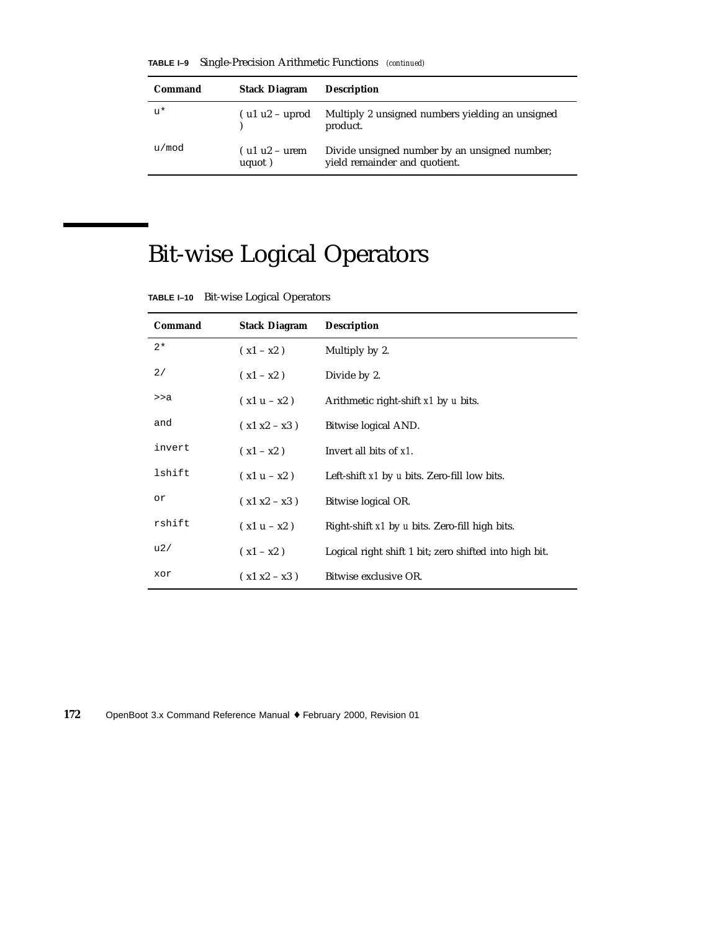**TABLE I–9** Single-Precision Arithmetic Functions *(continued)*

| Command | <b>Stack Diagram</b>       | <b>Description</b>                                                             |
|---------|----------------------------|--------------------------------------------------------------------------------|
| $11*$   | $($ u1 u2 – uprod          | Multiply 2 unsigned numbers yielding an unsigned<br>product.                   |
| u/mod   | $($ u1 u2 – urem<br>uquot) | Divide unsigned number by an unsigned number;<br>yield remainder and quotient. |

# Bit-wise Logical Operators

| <b>Command</b> | <b>Stack Diagram</b> | <b>Description</b>                                     |
|----------------|----------------------|--------------------------------------------------------|
| $2*$           | $(x1 - x2)$          | Multiply by 2.                                         |
| 2/             | $(x1 - x2)$          | Divide by 2.                                           |
| >>a            | $(x1u - x2)$         | Arithmetic right-shift x1 by u bits.                   |
| and            | $(x1 x2 - x3)$       | Bitwise logical AND.                                   |
| invert         | $(x1 - x2)$          | Invert all bits of x1.                                 |
| lshift         | $(x1 u - x2)$        | Left-shift $x1$ by u bits. Zero-fill low bits.         |
| or             | $(x1 x2 - x3)$       | Bitwise logical OR.                                    |
| rshift         | $(x1 u - x2)$        | Right-shift x1 by u bits. Zero-fill high bits.         |
| u2/            | $(x1 - x2)$          | Logical right shift 1 bit; zero shifted into high bit. |
| xor            | $(x1 x2 - x3)$       | Bitwise exclusive OR.                                  |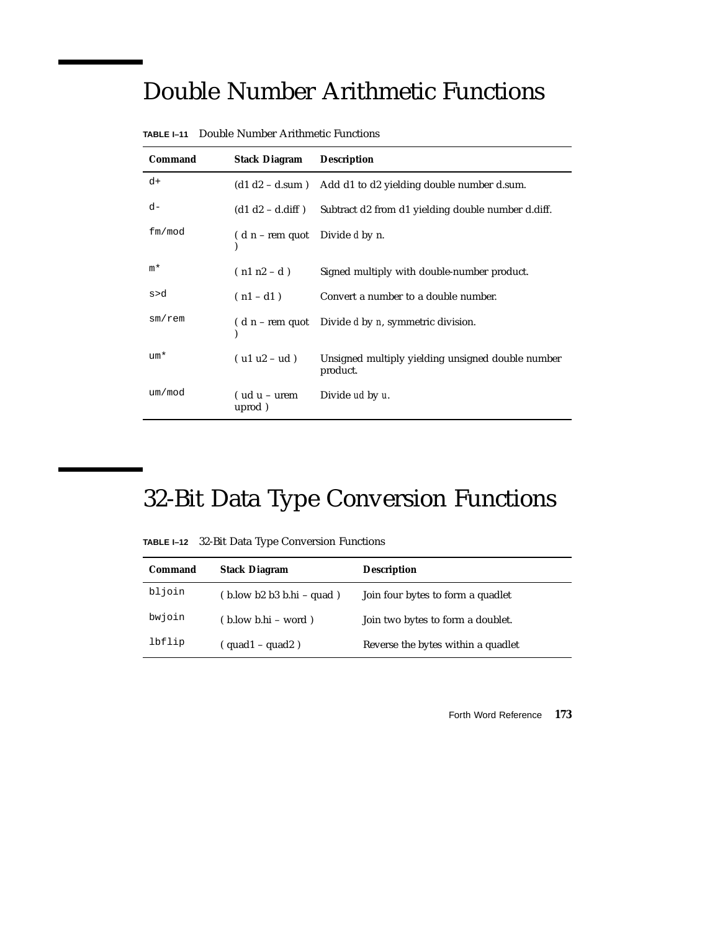# Double Number Arithmetic Functions

| Command      | <b>Stack Diagram</b>             | <b>Description</b>                                                    |
|--------------|----------------------------------|-----------------------------------------------------------------------|
| d+           |                                  | $(d1 d2 - d.sum)$ Add d1 to d2 yielding double number d.sum.          |
| d-           |                                  | $(d1 d2 - d.diff)$ Subtract d2 from d1 yielding double number d.diff. |
| fm/mol       | $(d n - rem$ quot Divide d by n. |                                                                       |
| $m*$         | $(n1 n2 - d)$                    | Signed multiply with double-number product.                           |
| s>d          | $(n1-d1)$                        | Convert a number to a double number.                                  |
| $sm$ / $rem$ |                                  | $(d n - rem$ quot Divide d by n, symmetric division.                  |
| $um*$        | $( ulu2 - ud)$                   | Unsigned multiply yielding unsigned double number<br>product.         |
| um/mol       | $(udu - urem)$<br>uprod)         | Divide ud by u.                                                       |

**TABLE I–11** Double Number Arithmetic Functions

# 32-Bit Data Type Conversion Functions

**TABLE I–12** 32-Bit Data Type Conversion Functions

| Command | <b>Stack Diagram</b>                                                | <b>Description</b>                 |
|---------|---------------------------------------------------------------------|------------------------------------|
| bljoin  | $(b \text{.} \text{low } b2 b3 b \text{.} \text{hi} - \text{quad})$ | Join four bytes to form a quadlet  |
| bwjoin  | $(b. low b.hi - word)$                                              | Join two bytes to form a doublet.  |
| lbflip  | $($ quad $1$ – quad $2$ )                                           | Reverse the bytes within a quadlet |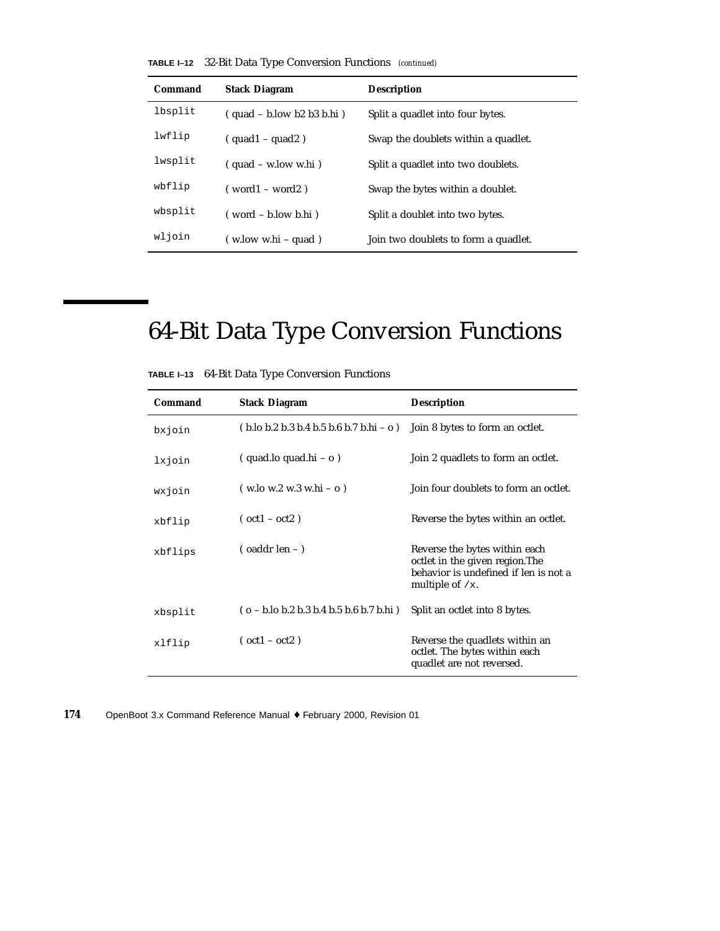|  | <b>TABLE I-12</b> 32-Bit Data Type Conversion Functions (continued) |  |  |  |  |
|--|---------------------------------------------------------------------|--|--|--|--|
|--|---------------------------------------------------------------------|--|--|--|--|

| Command | <b>Stack Diagram</b>         | <b>Description</b>                   |
|---------|------------------------------|--------------------------------------|
| lbsplit | $(quad - b$ .low b2 b3 b.hi) | Split a quadlet into four bytes.     |
| lwflip  | $(quad 1 - quad 2)$          | Swap the doublets within a quadlet.  |
| lwsplit | $($ quad – w.low w.hi)       | Split a quadlet into two doublets.   |
| wbflip  | $(word1 - word2)$            | Swap the bytes within a doublet.     |
| wbsplit | $( word - b.lower b.hi)$     | Split a doublet into two bytes.      |
| wljoin  | $(w, low w.hi - quad)$       | Join two doublets to form a quadlet. |

# 64-Bit Data Type Conversion Functions

| Command | <b>Stack Diagram</b>                                                                     | <b>Description</b>                                                                                                              |
|---------|------------------------------------------------------------------------------------------|---------------------------------------------------------------------------------------------------------------------------------|
| bxjoin  | $(b.10 b.2 b.3 b.4 b.5 b.6 b.7 b.1 i - 0)$                                               | Join 8 bytes to form an octlet.                                                                                                 |
| lxjoin  | $(quad.lo quad.hi - o)$                                                                  | Join 2 quadlets to form an octlet.                                                                                              |
| wxjoin  | $(w \cdot 10 w \cdot 2 w \cdot 3 w \cdot 16 - 0)$                                        | Join four doublets to form an octlet.                                                                                           |
| xbflip  | $(oct1 - oct2)$                                                                          | Reverse the bytes within an octlet.                                                                                             |
| xbflips | $\sigma$ (oaddr len – )                                                                  | Reverse the bytes within each<br>octlet in the given region. The<br>behavior is undefined if len is not a<br>multiple of $/x$ . |
| xbsplit | $(o - b \cdot lo b \cdot 2 b \cdot 3 b \cdot 4 b \cdot 5 b \cdot 6 b \cdot 7 b \cdot h)$ | Split an octlet into 8 bytes.                                                                                                   |
| xlflip  | $(oct1 - oct2)$                                                                          | Reverse the quadlets within an<br>octlet. The bytes within each<br>quadlet are not reversed.                                    |

**TABLE I–13** 64-Bit Data Type Conversion Functions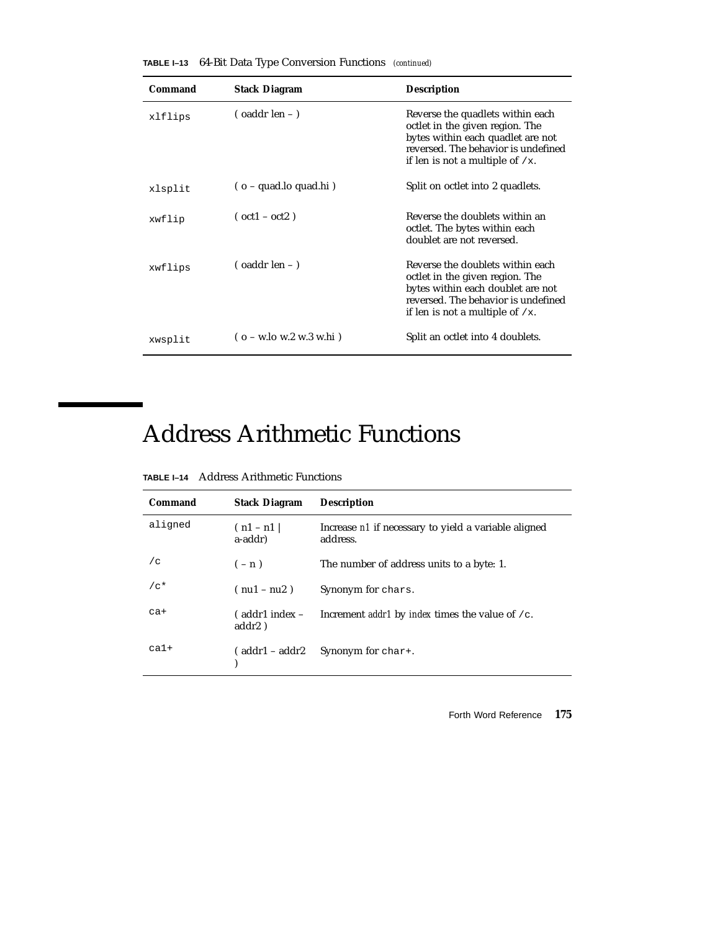| Command | <b>Stack Diagram</b>                          | <b>Description</b>                                                                                                                                                                    |
|---------|-----------------------------------------------|---------------------------------------------------------------------------------------------------------------------------------------------------------------------------------------|
| xlflips | $\frac{1}{2}$ (oaddr len – )                  | Reverse the quadlets within each<br>octlet in the given region. The<br>bytes within each quadlet are not<br>reversed. The behavior is undefined<br>if len is not a multiple of $/x$ . |
| xlsplit | $($ o – quad.lo quad.hi)                      | Split on octlet into 2 quadlets.                                                                                                                                                      |
| xwflip  | $(oct1 - oct2)$                               | Reverse the doublets within an<br>octlet. The bytes within each<br>doublet are not reversed.                                                                                          |
| xwflips | $\sigma$ (oaddr len – )                       | Reverse the doublets within each<br>octlet in the given region. The<br>bytes within each doublet are not<br>reversed. The behavior is undefined<br>if len is not a multiple of $/x$ . |
| xwsplit | $(o - w \cdot lo \le 2 w \cdot 3 w \cdot hi)$ | Split an octlet into 4 doublets.                                                                                                                                                      |

**TABLE I–13** 64-Bit Data Type Conversion Functions *(continued)*

# Address Arithmetic Functions

| <b>TABLE I-14</b> Address Arithmetic Functions |  |
|------------------------------------------------|--|
|                                                |  |

| Command | <b>Stack Diagram</b>          | <b>Description</b>                                               |
|---------|-------------------------------|------------------------------------------------------------------|
| aligned | $(n1 - n1)$<br>a-addr)        | Increase n1 if necessary to yield a variable aligned<br>address. |
| /c      | $(-n)$                        | The number of address units to a byte: 1.                        |
| $/c*$   | $(nu1 - nu2)$                 | Synonym for chars.                                               |
| $ca+$   | $($ addr1 index $-$<br>addr2) | Increment <i>addr1</i> by <i>index</i> times the value of $/c$ . |
| $ca1+$  | ( addr1 – addr2)              | Synonym for char+.                                               |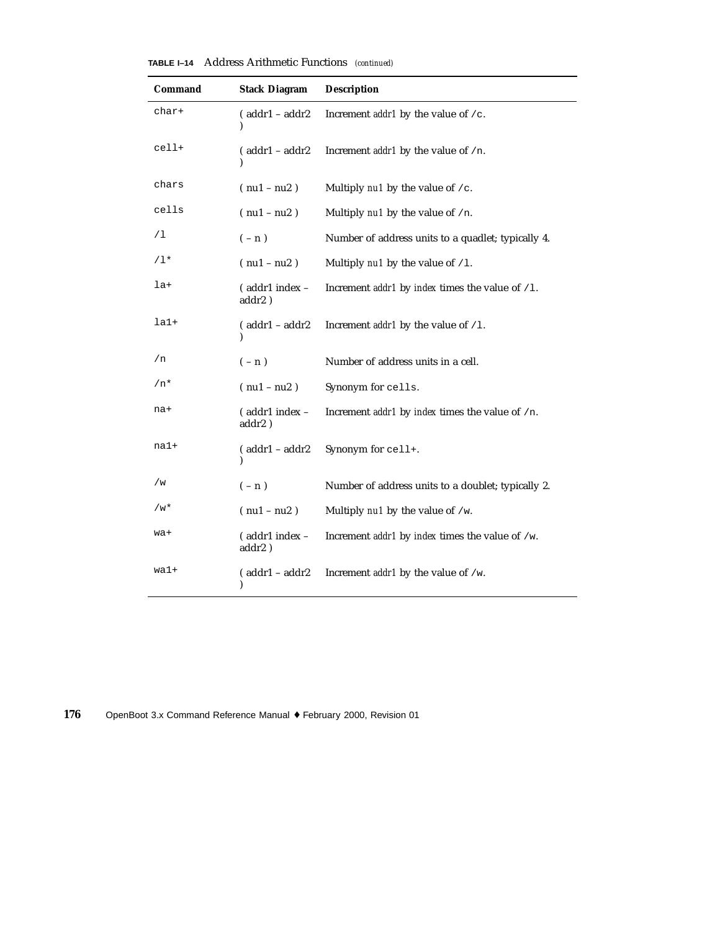| <b>TABLE I-14</b> Address Arithmetic Functions (continued) |  |  |  |  |
|------------------------------------------------------------|--|--|--|--|
|------------------------------------------------------------|--|--|--|--|

| Command | <b>Stack Diagram</b>                | <b>Description</b>                                               |
|---------|-------------------------------------|------------------------------------------------------------------|
| char+   | $($ addr $1 -$ addr $2$<br>)        | Increment <i>addr1</i> by the value of $/c$ .                    |
| cell+   | $($ addr $1 -$ addr $2$             | Increment <i>addr1</i> by the value of $/n$ .                    |
| chars   | $(nu1 - nu2)$                       | Multiply $nu1$ by the value of /c.                               |
| cells   | $(nu1 - nu2)$                       | Multiply nu1 by the value of /n.                                 |
| /1      | $(-n)$                              | Number of address units to a quadlet; typically 4.               |
| $/1*$   | $(nu1 - nu2)$                       | Multiply $nu1$ by the value of $/1$ .                            |
| la+     | (addr1 index -<br>addr2)            | Increment <i>addr1</i> by <i>index</i> times the value of $/1$ . |
| $1a1+$  | $($ addr $1 -$ addr $2$             | Increment <i>addr1</i> by the value of $/1$ .                    |
| /n      | $(-n)$                              | Number of address units in a cell.                               |
| $/n*$   | $(nu1 - nu2)$                       | Synonym for cells.                                               |
| na+     | (addr1 index -<br>addr2)            | Increment addr1 by index times the value of /n.                  |
| na1+    | $(addr1 - addr2)$                   | Synonym for cell+.                                               |
| /w      | $(-n)$                              | Number of address units to a doublet; typically 2.               |
| /w*     | $(nu1 - nu2)$                       | Multiply $nu1$ by the value of /w.                               |
| wa+     | (addr1 index -<br>addr2)            | Increment <i>addr1</i> by <i>index</i> times the value of /w.    |
| wal+    | $( addr1 - addr2)$<br>$\mathcal{E}$ | Increment <i>addr1</i> by the value of /w.                       |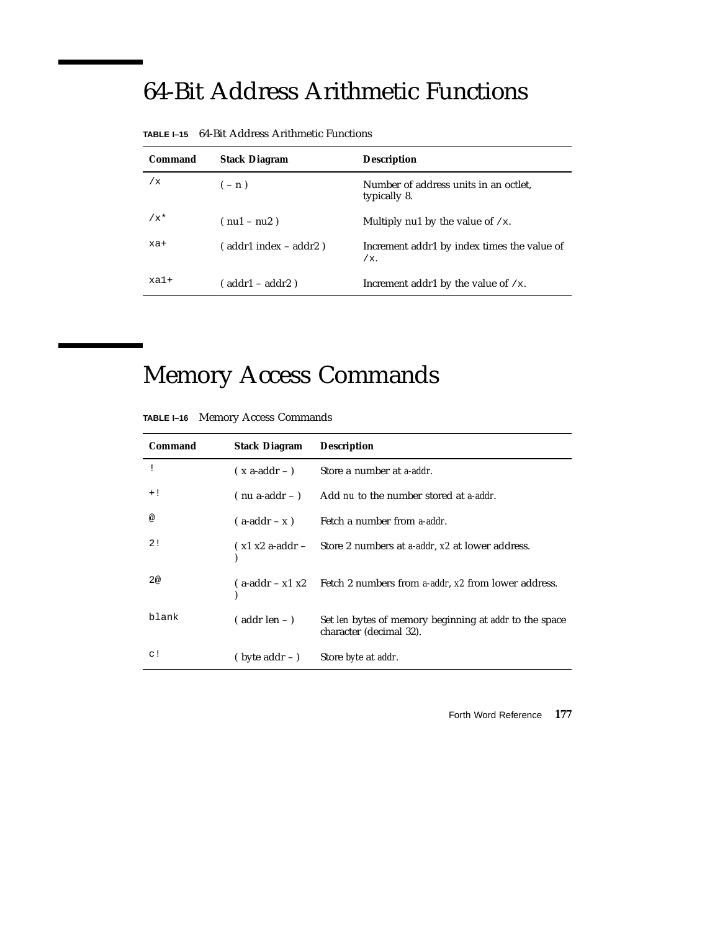# 64-Bit Address Arithmetic Functions

| Command | <b>Stack Diagram</b>    | <b>Description</b>                                    |
|---------|-------------------------|-------------------------------------------------------|
| /x      | $(-n)$                  | Number of address units in an octlet,<br>typically 8. |
| $/x^*$  | $(nu1 - nu2)$           | Multiply nu1 by the value of $/x$ .                   |
| xa+     | ( addr1 index – addr2 ) | Increment addr1 by index times the value of<br>$/x$ . |
| $xa1+$  | ( addr1 – addr2 )       | Increment addr1 by the value of $/x$ .                |

**TABLE I–15** 64-Bit Address Arithmetic Functions

# Memory Access Commands

**TABLE I–16** Memory Access Commands

| Command | <b>Stack Diagram</b>    | <b>Description</b>                                                                |
|---------|-------------------------|-----------------------------------------------------------------------------------|
|         | $(x \text{ a-addr} -)$  | Store a number at <i>a-addr</i> .                                                 |
| $+!$    | $($ nu a-addr $ )$      | Add nu to the number stored at a-addr.                                            |
| @       |                         | $(a-addr-x)$ Fetch a number from a-addr.                                          |
| 2!      |                         | $(x1 x2 a-addr - $ Store 2 numbers at a-addr, x2 at lower address.                |
| 2@      |                         | $(a-addr - x1 x2$ Fetch 2 numbers from a-addr, x2 from lower address.             |
| blank   | $($ addr len $ )$       | Set len bytes of memory beginning at addr to the space<br>character (decimal 32). |
| c!      | $(\text{byte addr} - )$ | Store <i>byte</i> at <i>addr</i> .                                                |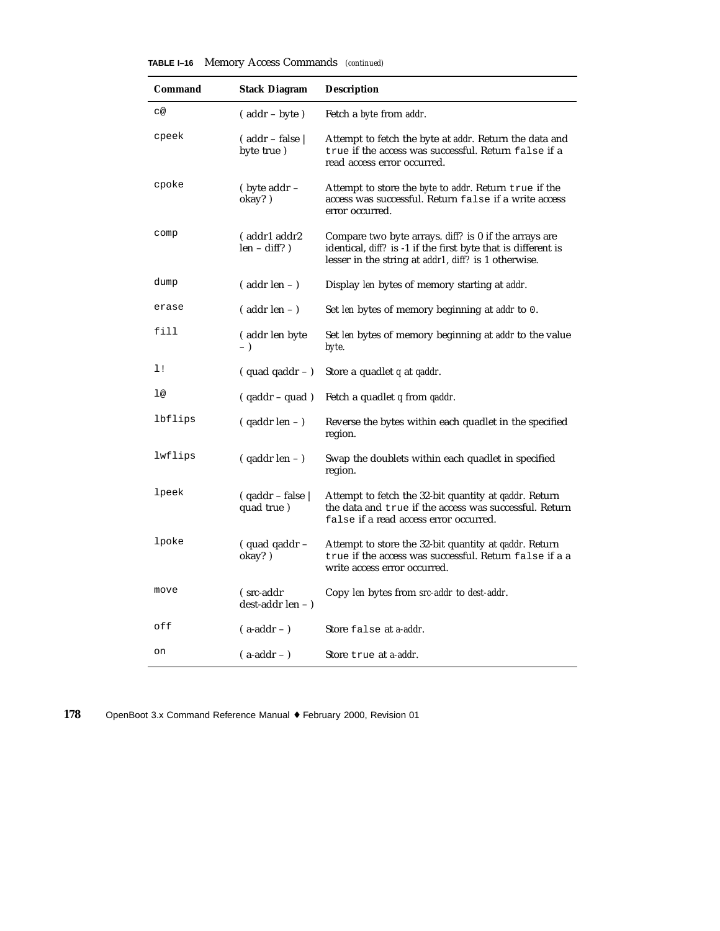| TABLE I-16 |  |  | Memory Access Commands (continued) |  |
|------------|--|--|------------------------------------|--|
|------------|--|--|------------------------------------|--|

| Command | <b>Stack Diagram</b>                       | <b>Description</b>                                                                                                                                                             |
|---------|--------------------------------------------|--------------------------------------------------------------------------------------------------------------------------------------------------------------------------------|
| с@      | $(addr - byte)$                            | Fetch a byte from addr.                                                                                                                                                        |
| cpeek   | $($ addr – false $\parallel$<br>byte true) | Attempt to fetch the byte at <i>addr</i> . Return the data and<br>true if the access was successful. Return false if a<br>read access error occurred.                          |
| cpoke   | $(\text{byte } addr -$<br>okay?)           | Attempt to store the <i>byte</i> to <i>addr</i> . Return true if the<br>access was successful. Return false if a write access<br>error occurred.                               |
| comp    | (addr1 addr2<br>$len - diff?$ )            | Compare two byte arrays. diff? is 0 if the arrays are<br>identical, diff? is -1 if the first byte that is different is<br>lesser in the string at addr1, diff? is 1 otherwise. |
| dump    | $($ addr len $-$ )                         | Display len bytes of memory starting at addr.                                                                                                                                  |
| erase   | $($ addr len $-$ )                         | Set len bytes of memory beginning at addr to 0.                                                                                                                                |
| fill    | (addr len byte<br>$-$ )                    | Set len bytes of memory beginning at addr to the value<br>byte.                                                                                                                |
| 1!      | $(quad q)$ quad qaddr $-$ )                | Store a quadlet $q$ at $q$ addr.                                                                                                                                               |
| 1@      | $( qaddr - quad )$                         | Fetch a quadlet $q$ from $q$ addr.                                                                                                                                             |
| lbflips | $( qaddr len - )$                          | Reverse the bytes within each quadlet in the specified<br>region.                                                                                                              |
| lwflips | $( qaddr len - )$                          | Swap the doublets within each quadlet in specified<br>region.                                                                                                                  |
| lpeek   | $( qaddr - false )$<br>quad true)          | Attempt to fetch the 32-bit quantity at qaddr. Return<br>the data and true if the access was successful. Return<br>false if a read access error occurred.                      |
| lpoke   | (quad qaddr -<br>okay?)                    | Attempt to store the 32-bit quantity at <i>qaddr</i> . Return<br>true if the access was successful. Return false if a a<br>write access error occurred.                        |
| move    | (src-addr<br>dest-addr len - )             | Copy len bytes from src-addr to dest-addr.                                                                                                                                     |
| off     | $($ a-addr $ )$                            | Store false at a-addr.                                                                                                                                                         |
| on      | $(a-addr - )$                              | Store true at a-addr.                                                                                                                                                          |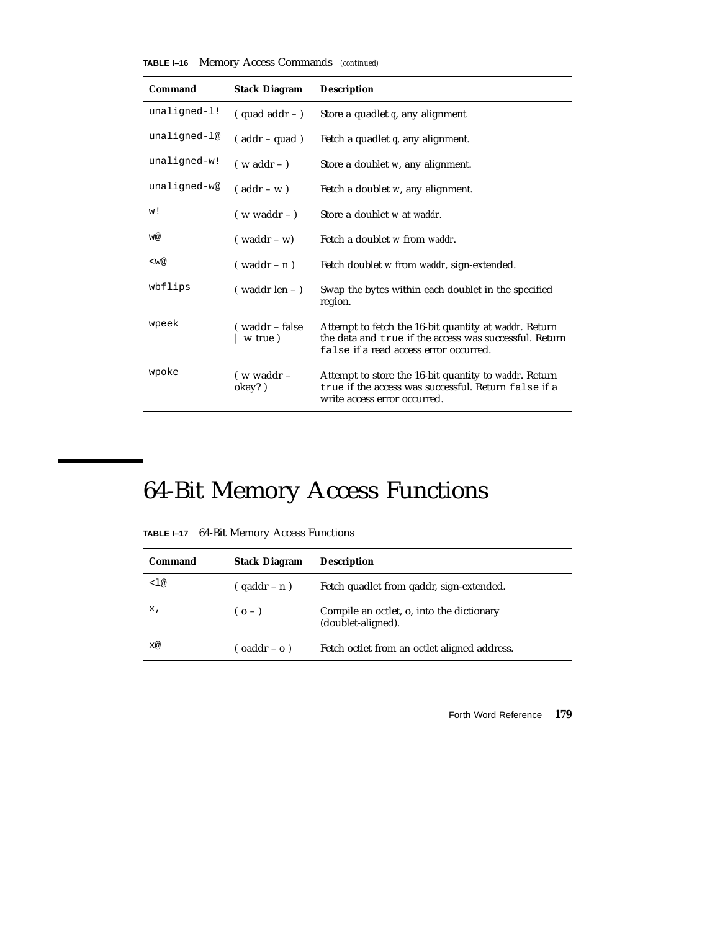|  |  |  | <b>TABLE I-16</b> Memory Access Commands (continued) |  |
|--|--|--|------------------------------------------------------|--|
|--|--|--|------------------------------------------------------|--|

| Command        | <b>Stack Diagram</b>      | <b>Description</b>                                                                                                                                        |
|----------------|---------------------------|-----------------------------------------------------------------------------------------------------------------------------------------------------------|
| unaligned-1!   | $(quad addr - )$          | Store a quadlet $q$ , any alignment                                                                                                                       |
| unaligned-l@   | $($ addr – quad)          | Fetch a quadlet $q$ , any alignment.                                                                                                                      |
| $unaligned-w!$ | $(w \text{ addr} - )$     | Store a doublet w, any alignment.                                                                                                                         |
| unaligned-w@   | $($ addr – w $)$          | Fetch a doublet w, any alignment.                                                                                                                         |
| w!             | $(w \text{ waddr} - )$    | Store a doublet w at waddr.                                                                                                                               |
| w@             | $(waddr - w)$             | Fetch a doublet w from waddr.                                                                                                                             |
| $<$ w@         | $($ waddr – n $)$         | Fetch doublet w from waddr, sign-extended.                                                                                                                |
| wbflips        | $($ waddr len $ )$        | Swap the bytes within each doublet in the specified<br>region.                                                                                            |
| wpeek          | (waddr – false<br>w true) | Attempt to fetch the 16-bit quantity at waddr. Return<br>the data and true if the access was successful. Return<br>false if a read access error occurred. |
| wpoke          | $($ w waddr $-$<br>okay?) | Attempt to store the 16-bit quantity to waddr. Return<br>true if the access was successful. Return false if a<br>write access error occurred.             |

# 64-Bit Memory Access Functions

| Command | <b>Stack Diagram</b> | <b>Description</b>                                              |
|---------|----------------------|-----------------------------------------------------------------|
| <1@     | $( qaddr - n )$      | Fetch quadlet from gaddr, sign-extended.                        |
| х,      | $(o - )$             | Compile an octlet, o, into the dictionary<br>(doublet-aligned). |
| x@      | $($ oaddr – o $)$    | Fetch octlet from an octlet aligned address.                    |

**TABLE I–17** 64-Bit Memory Access Functions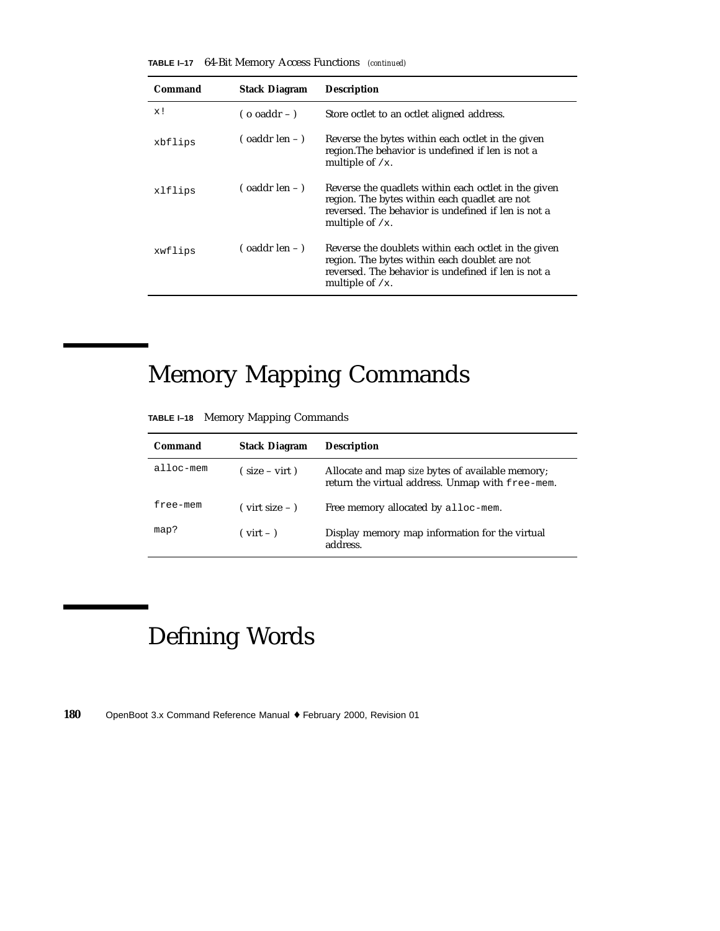| <b>TABLE I-17</b> 64-Bit Memory Access Functions (continued) |  |
|--------------------------------------------------------------|--|
|--------------------------------------------------------------|--|

| Command | <b>Stack Diagram</b>          | <b>Description</b>                                                                                                                                                                 |
|---------|-------------------------------|------------------------------------------------------------------------------------------------------------------------------------------------------------------------------------|
| x!      | $($ o oaddr $-$ )             | Store octlet to an octlet aligned address.                                                                                                                                         |
| xbflips | $\sigma$ oaddr len – $\sigma$ | Reverse the bytes within each octlet in the given<br>region. The behavior is undefined if len is not a<br>multiple of $/x$ .                                                       |
| xlflips | $\sigma$ (oaddr len – )       | Reverse the quadlets within each octlet in the given<br>region. The bytes within each quadlet are not<br>reversed. The behavior is undefined if len is not a<br>multiple of $/x$ . |
| xwflips | $\sigma$ (oaddr len – )       | Reverse the doublets within each octlet in the given<br>region. The bytes within each doublet are not<br>reversed. The behavior is undefined if len is not a<br>multiple of $/x$ . |

# Memory Mapping Commands

|  |  |  | TABLE I-18 Memory Mapping Commands |
|--|--|--|------------------------------------|
|--|--|--|------------------------------------|

| Command           | <b>Stack Diagram</b>                   | <b>Description</b>                                                                                          |
|-------------------|----------------------------------------|-------------------------------------------------------------------------------------------------------------|
| $\alpha$ lloc-mem | $(size - virt)$                        | Allocate and map <i>size</i> bytes of available memory;<br>return the virtual address. Unmap with free-mem. |
| free-mem          | $\frac{1}{2}$ virt size $ \frac{1}{2}$ | Free memory allocated by alloc-mem.                                                                         |
| map?              | $(virt - )$                            | Display memory map information for the virtual<br>address.                                                  |

# Defining Words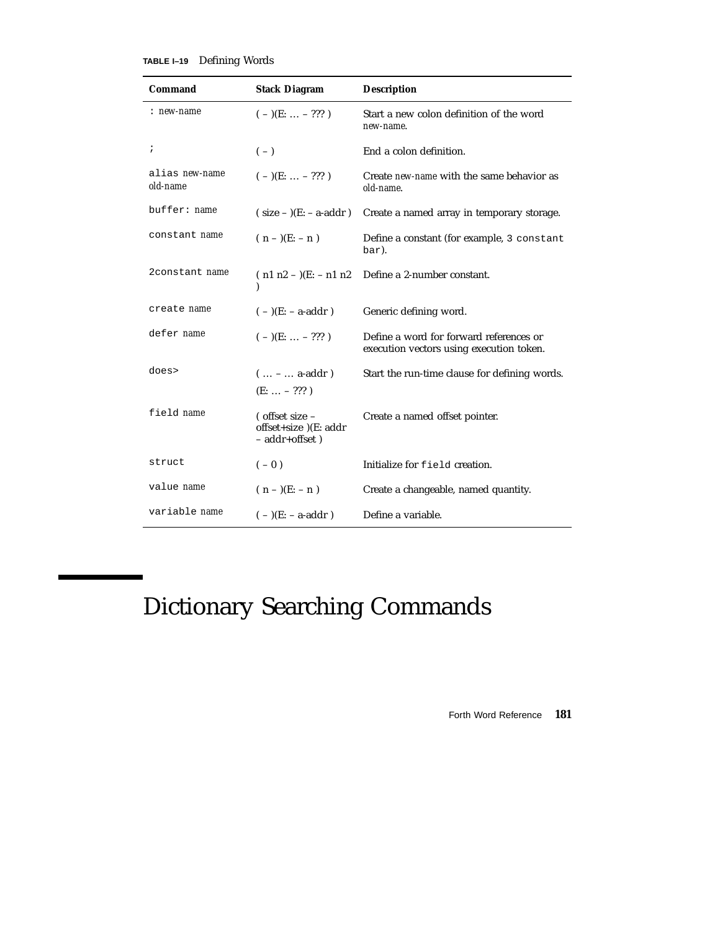#### **TABLE I–19** Defining Words

| Command                           | <b>Stack Diagram</b>                                            | <b>Description</b>                                                                  |
|-----------------------------------|-----------------------------------------------------------------|-------------------------------------------------------------------------------------|
| : new-name                        | $(-)(E:  - ???)$                                                | Start a new colon definition of the word<br>new-name.                               |
| $\ddot{ }$                        | $(-)$                                                           | End a colon definition.                                                             |
| alias <i>new-name</i><br>old-name | $(-)(E:  - ???)$                                                | Create new-name with the same behavior as<br>old-name.                              |
| buffer: <i>name</i>               | $(size -)(E:-a-addr)$                                           | Create a named array in temporary storage.                                          |
| constant name                     | $(n - )$ (E: - n)                                               | Define a constant (for example, 3 constant<br>bar).                                 |
| 2constant name                    | $(n1 n2 - )$ (E: - n1 n2)                                       | Define a 2-number constant.                                                         |
| create name                       | $(-)(E: -a-addr)$                                               | Generic defining word.                                                              |
| defer name                        | $(-)(E: \ldots - ???')$                                         | Define a word for forward references or<br>execution vectors using execution token. |
| does>                             | $( -  a = addr)$<br>$(E:  - ???)$                               | Start the run-time clause for defining words.                                       |
| field name                        | ( offset size -<br>offset+size )(E: addr<br>$-$ addr+offset $)$ | Create a named offset pointer.                                                      |
| struct                            | $(-0)$                                                          | Initialize for field creation.                                                      |
| value name                        | $(n - )$ (E: - n )                                              | Create a changeable, named quantity.                                                |
| variable name                     | $(-)(E: -a-addr)$                                               | Define a variable.                                                                  |

## Dictionary Searching Commands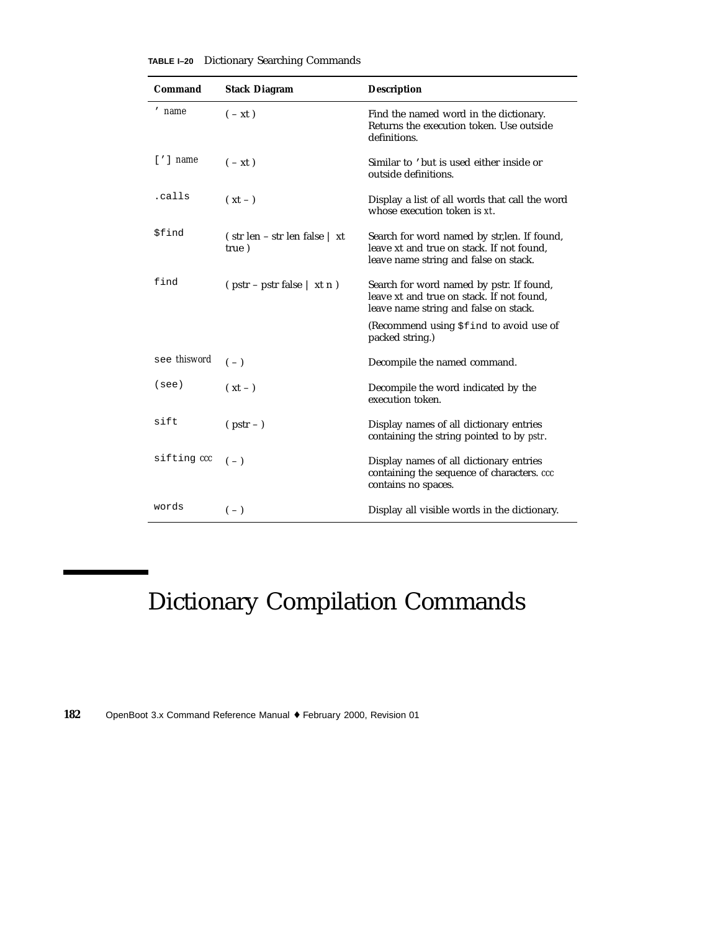| Command                  | <b>Stack Diagram</b>                                  | <b>Description</b>                                                                                                                 |
|--------------------------|-------------------------------------------------------|------------------------------------------------------------------------------------------------------------------------------------|
| ' name                   | $(-xt)$                                               | Find the named word in the dictionary.<br>Returns the execution token. Use outside<br>definitions.                                 |
| $\lceil$ ' $\rceil$ name | $(-xt)$                                               | Similar to 'but is used either inside or<br>outside definitions.                                                                   |
| .calls                   | $(xt - )$                                             | Display a list of all words that call the word<br>whose execution token is xt.                                                     |
| \$find                   | (str len – str len false   xt<br>true)                | Search for word named by str, len. If found,<br>leave xt and true on stack. If not found,<br>leave name string and false on stack. |
| find                     | $(\text{pstr} - \text{pstr false} \mid \text{xt } n)$ | Search for word named by pstr. If found,<br>leave xt and true on stack. If not found,<br>leave name string and false on stack.     |
|                          |                                                       | (Recommend using \$find to avoid use of<br>packed string.)                                                                         |
| see thisword             | $(-)$                                                 | Decompile the named command.                                                                                                       |
| (see)                    | $(xt - )$                                             | Decompile the word indicated by the<br>execution token.                                                                            |
| sift                     | $(pstr -)$                                            | Display names of all dictionary entries<br>containing the string pointed to by pstr.                                               |
| sifting ccc              | $(-)$                                                 | Display names of all dictionary entries<br>containing the sequence of characters. ccc<br>contains no spaces.                       |
| words                    | $(-)$                                                 | Display all visible words in the dictionary.                                                                                       |

**TABLE I–20** Dictionary Searching Commands

## Dictionary Compilation Commands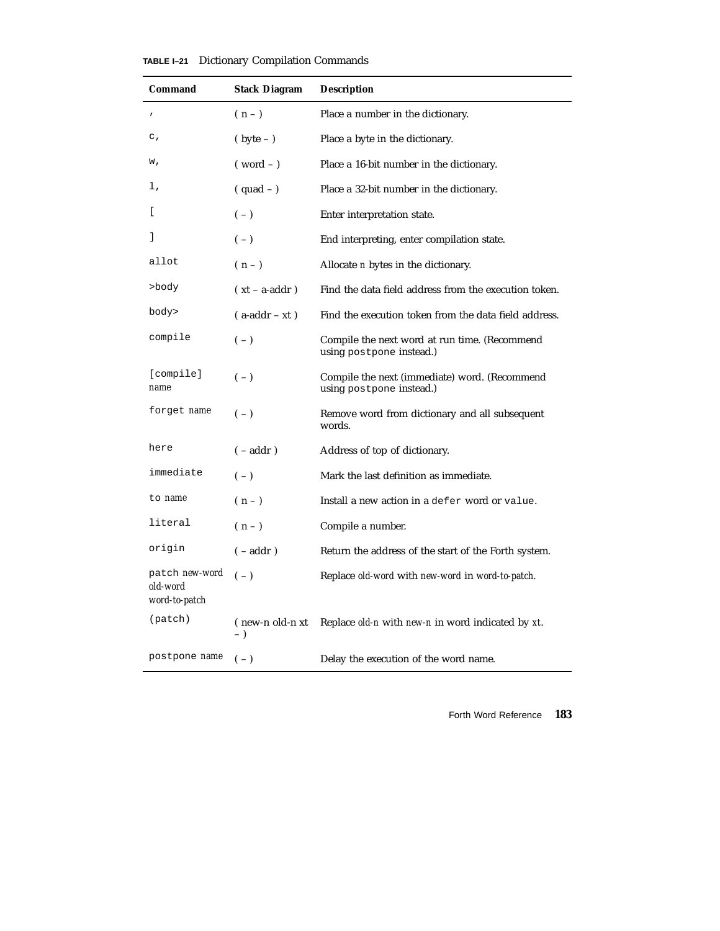| TABLE I-21 |  | Dictionary Compilation Commands |  |
|------------|--|---------------------------------|--|
|------------|--|---------------------------------|--|

| Command                                     | Stack Diagram            | <b>Description</b>                                                        |
|---------------------------------------------|--------------------------|---------------------------------------------------------------------------|
| $\pmb{\prime}$                              | $(n-1)$                  | Place a number in the dictionary.                                         |
| $\mathsf{C}$ ,                              | $(\text{byte} - )$       | Place a byte in the dictionary.                                           |
| w,                                          | $(word - )$              | Place a 16-bit number in the dictionary.                                  |
| ı,                                          | $(quad -)$               | Place a 32-bit number in the dictionary.                                  |
| L                                           | $(-)$                    | Enter interpretation state.                                               |
| 1                                           | $(-)$                    | End interpreting, enter compilation state.                                |
| allot                                       | $(n-1)$                  | Allocate <i>n</i> bytes in the dictionary.                                |
| >body                                       | $(xt - a-addr)$          | Find the data field address from the execution token.                     |
| body>                                       | $($ a-addr – xt)         | Find the execution token from the data field address.                     |
| compile                                     | $(-)$                    | Compile the next word at run time. (Recommend<br>using postpone instead.) |
| [compile]<br>name                           | $(-)$                    | Compile the next (immediate) word. (Recommend<br>using postpone instead.) |
| forget name                                 | $(-)$                    | Remove word from dictionary and all subsequent<br>words.                  |
| here                                        | $(-addr)$                | Address of top of dictionary.                                             |
| immediate                                   | $(-)$                    | Mark the last definition as immediate.                                    |
| to name                                     | $(n-1)$                  | Install a new action in a defer word or value.                            |
| literal                                     | $(n-1)$                  | Compile a number.                                                         |
| origin                                      | $(-addr)$                | Return the address of the start of the Forth system.                      |
| patch new-word<br>old-word<br>word-to-patch | $(-)$                    | Replace old-word with new-word in word-to-patch.                          |
| (path)                                      | (new-n old-n xt<br>$-$ ) | Replace old-n with new-n in word indicated by xt.                         |
| postpone name                               | $(-)$                    | Delay the execution of the word name.                                     |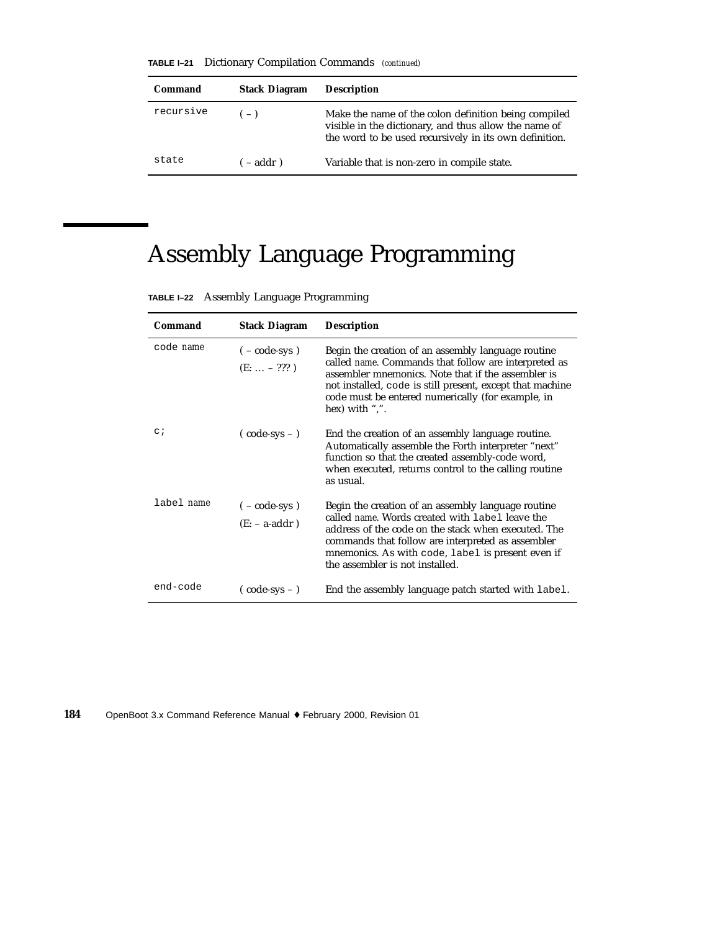**TABLE I–21** Dictionary Compilation Commands *(continued)*

| Command   | <b>Stack Diagram</b> | <b>Description</b>                                                                                                                                                      |
|-----------|----------------------|-------------------------------------------------------------------------------------------------------------------------------------------------------------------------|
| recursive | $(-)$                | Make the name of the colon definition being compiled<br>visible in the dictionary, and thus allow the name of<br>the word to be used recursively in its own definition. |
| state     | $-$ addr)            | Variable that is non-zero in compile state.                                                                                                                             |

## Assembly Language Programming

| TABLE I-22 Assembly Language Programming |
|------------------------------------------|
|------------------------------------------|

| Command          | <b>Stack Diagram</b>                         | <b>Description</b>                                                                                                                                                                                                                                                                                        |
|------------------|----------------------------------------------|-----------------------------------------------------------------------------------------------------------------------------------------------------------------------------------------------------------------------------------------------------------------------------------------------------------|
| code <i>name</i> | $(-\text{code-sys})$<br>$(E: \ldots - ??? )$ | Begin the creation of an assembly language routine<br>called name. Commands that follow are interpreted as<br>assembler mnemonics. Note that if the assembler is<br>not installed, code is still present, except that machine<br>code must be entered numerically (for example, in<br>hex) with ",".      |
| $\circ$ ;        | $\text{(code-sys -)}$                        | End the creation of an assembly language routine.<br>Automatically assemble the Forth interpreter "next"<br>function so that the created assembly-code word,<br>when executed, returns control to the calling routine<br>as usual.                                                                        |
| label name       | $(-\text{code-sys})$<br>$(E: -a-addr)$       | Begin the creation of an assembly language routine<br>called name. Words created with label leave the<br>address of the code on the stack when executed. The<br>commands that follow are interpreted as assembler<br>mnemonics. As with code, label is present even if<br>the assembler is not installed. |
| end-code         | $(\text{code-sys}-)$                         | End the assembly language patch started with label.                                                                                                                                                                                                                                                       |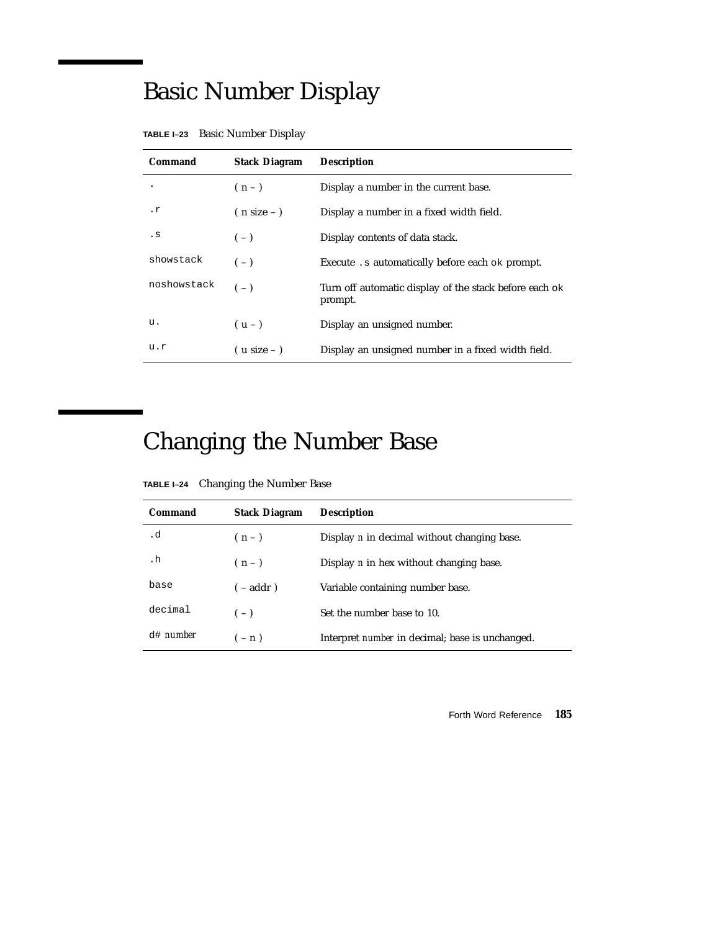## Basic Number Display

| Command                | <b>Stack Diagram</b> | <b>Description</b>                                                |
|------------------------|----------------------|-------------------------------------------------------------------|
|                        | $(n-1)$              | Display a number in the current base.                             |
| $\cdot$ $\mathfrak{r}$ | $(n size - )$        | Display a number in a fixed width field.                          |
| . s                    | $(-)$                | Display contents of data stack.                                   |
| showstack              | $(-)$                | Execute . s automatically before each ok prompt.                  |
| noshowstack            | $(-)$                | Turn off automatic display of the stack before each ok<br>prompt. |
| u.                     | $(u - )$             | Display an unsigned number.                                       |
| u.r                    | $($ u size – $)$     | Display an unsigned number in a fixed width field.                |

| TABLE I-23 Basic Number Display |  |  |  |
|---------------------------------|--|--|--|
|---------------------------------|--|--|--|

# Changing the Number Base

| TABLE I-24 | Changing the Number Base |  |  |  |
|------------|--------------------------|--|--|--|
|------------|--------------------------|--|--|--|

| Command             | <b>Stack Diagram</b> | <b>Description</b>                                     |
|---------------------|----------------------|--------------------------------------------------------|
| . d                 | $(n-1)$              | Display <i>n</i> in decimal without changing base.     |
| . h                 | $(n-1)$              | Display <i>n</i> in hex without changing base.         |
| base                | $(-addr)$            | Variable containing number base.                       |
| decimal             | $(-)$                | Set the number base to 10.                             |
| $d$ # <i>number</i> | $(-n)$               | Interpret <i>number</i> in decimal; base is unchanged. |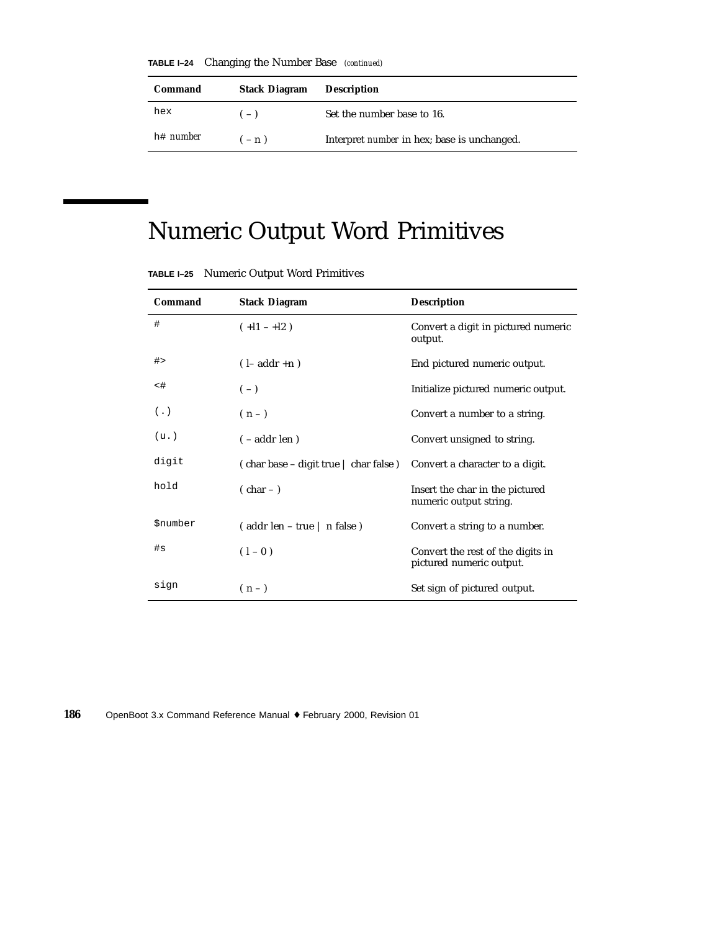**TABLE I–24** Changing the Number Base *(continued)*

| Command          | <b>Stack Diagram</b> | <b>Description</b>                                 |
|------------------|----------------------|----------------------------------------------------|
| hex              | $(-)$                | Set the number base to 16.                         |
| h# <i>number</i> | $(-n)$               | Interpret <i>number</i> in hex; base is unchanged. |

## Numeric Output Word Primitives

| Command                | <b>Stack Diagram</b>                                     | <b>Description</b>                                            |
|------------------------|----------------------------------------------------------|---------------------------------------------------------------|
| #                      | $(+11 - 12)$                                             | Convert a digit in pictured numeric<br>output.                |
| #                      | $(l - addr + n)$                                         | End pictured numeric output.                                  |
| <#                     | $(-)$                                                    | Initialize pictured numeric output.                           |
| $(\cdot)$              | $(n-)$                                                   | Convert a number to a string.                                 |
| (u.)                   | $(-addr \operatorname{len})$                             | Convert unsigned to string.                                   |
| digit                  | $\epsilon$ char base – digit true $\epsilon$ char false) | Convert a character to a digit.                               |
| hold                   | $(char -)$                                               | Insert the char in the pictured<br>numeric output string.     |
| <i><b>\$number</b></i> | (addr len – true   n false)                              | Convert a string to a number.                                 |
| #s                     | $(1 - 0)$                                                | Convert the rest of the digits in<br>pictured numeric output. |
| sign                   | $(n-1)$                                                  | Set sign of pictured output.                                  |

**TABLE I–25** Numeric Output Word Primitives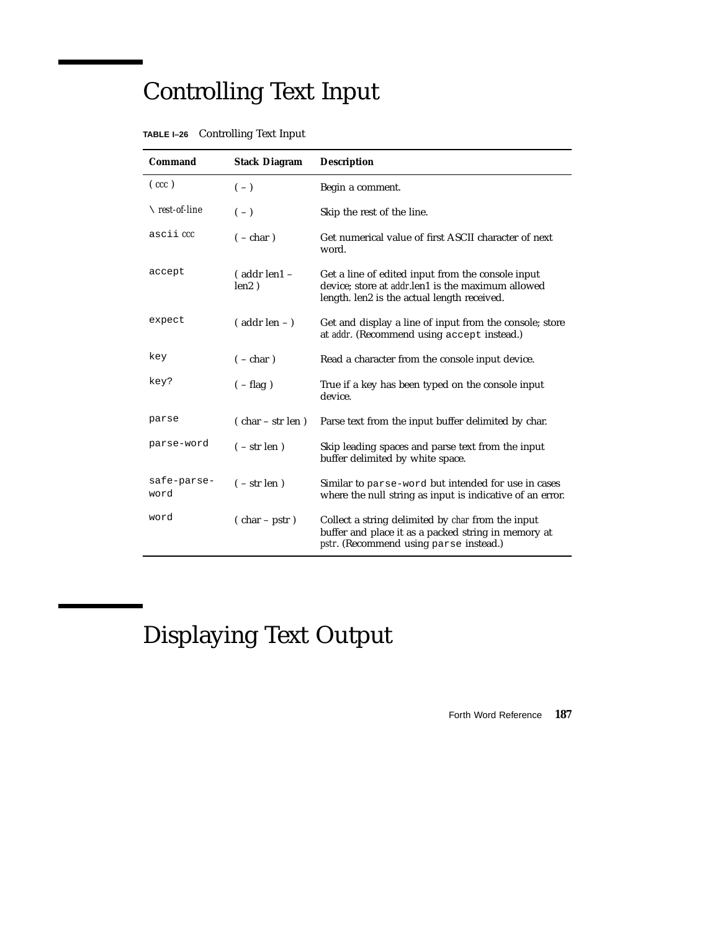# Controlling Text Input

|  | TABLE I-26 Controlling Text Input |  |
|--|-----------------------------------|--|
|--|-----------------------------------|--|

| Command                  | <b>Stack Diagram</b>          | <b>Description</b>                                                                                                                                            |
|--------------------------|-------------------------------|---------------------------------------------------------------------------------------------------------------------------------------------------------------|
| $(\,cc\,c)$              | $(-)$                         | Begin a comment.                                                                                                                                              |
| $\setminus$ rest-of-line | $(-)$                         | Skip the rest of the line.                                                                                                                                    |
| ascii <i>ccc</i>         | $(-char)$                     | Get numerical value of first ASCII character of next<br>word.                                                                                                 |
| accept                   | $($ addr len $1 -$<br>len2)   | Get a line of edited input from the console input<br>device; store at <i>addr</i> .len1 is the maximum allowed<br>length. len2 is the actual length received. |
| expect                   | $($ addr len $ )$             | Get and display a line of input from the console; store<br>at <i>addr</i> . (Recommend using accept instead.)                                                 |
| key                      | $(-char)$                     | Read a character from the console input device.                                                                                                               |
| key?                     | $(-flag)$                     | True if a key has been typed on the console input<br>device.                                                                                                  |
| parse                    | $( char - str len)$           | Parse text from the input buffer delimited by char.                                                                                                           |
| parse-word               | $(-str len)$                  | Skip leading spaces and parse text from the input<br>buffer delimited by white space.                                                                         |
| safe-parse-<br>word      | $(-str len)$                  | Similar to parse-word but intended for use in cases<br>where the null string as input is indicative of an error.                                              |
| word                     | $(\text{char} - \text{pstr})$ | Collect a string delimited by char from the input<br>buffer and place it as a packed string in memory at<br><i>pstr.</i> (Recommend using parse instead.)     |

# Displaying Text Output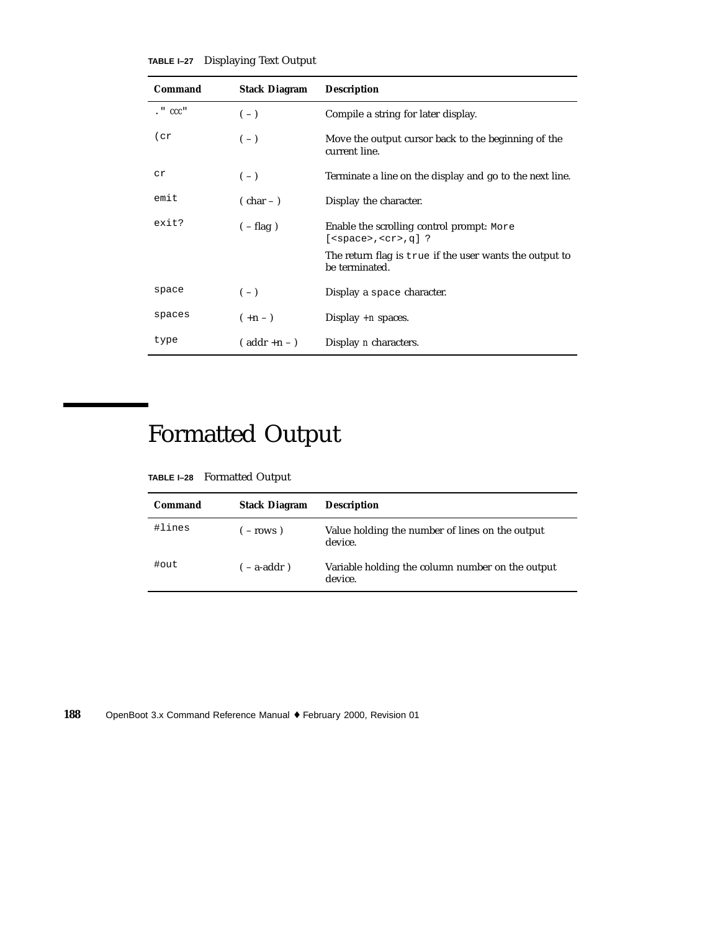| TABLE I-27 |  |  |  | <b>Displaying Text Output</b> |
|------------|--|--|--|-------------------------------|
|------------|--|--|--|-------------------------------|

| Command           | <b>Stack Diagram</b> | <b>Description</b>                                                        |
|-------------------|----------------------|---------------------------------------------------------------------------|
| $\cdot$ " $ccc$ " | $(-)$                | Compile a string for later display.                                       |
| (cr)              | $(-)$                | Move the output cursor back to the beginning of the<br>current line.      |
| сr                | $(-)$                | Terminate a line on the display and go to the next line.                  |
| emit              | $(\text{char}-)$     | Display the character.                                                    |
| exit?             | $(-flag)$            | Enable the scrolling control prompt: More<br>$[<$ space>, $<$ cr>, $q]$ ? |
|                   |                      | The return flag is true if the user wants the output to<br>be terminated. |
| space             | $(-)$                | Display a space character.                                                |
| spaces            | $(+n - )$            | Display $+n$ spaces.                                                      |
| type              | $($ addr +n - $)$    | Display <i>n</i> characters.                                              |

## Formatted Output

**TABLE I–28** Formatted Output

| Command | <b>Stack Diagram</b> | <b>Description</b>                                          |
|---------|----------------------|-------------------------------------------------------------|
| #lines  | $-rows$ )            | Value holding the number of lines on the output<br>device.  |
| #out    | $-$ a-addr)          | Variable holding the column number on the output<br>device. |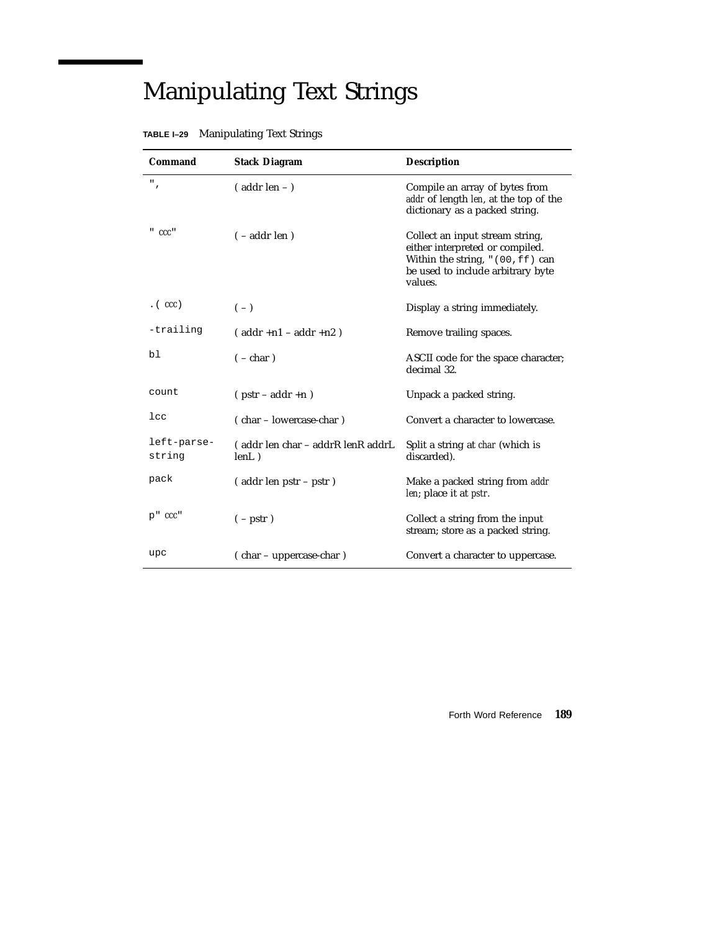# Manipulating Text Strings

| <b>Command</b>        | <b>Stack Diagram</b>                       | <b>Description</b>                                                                                                                                     |
|-----------------------|--------------------------------------------|--------------------------------------------------------------------------------------------------------------------------------------------------------|
| $^{\rm n}$ ,          | $($ addr len $ )$                          | Compile an array of bytes from<br>addr of length len, at the top of the<br>dictionary as a packed string.                                              |
| "CC"                  | $(-addr \operatorname{len})$               | Collect an input stream string,<br>either interpreted or compiled.<br>Within the string, "(00, ff) can<br>be used to include arbitrary byte<br>values. |
| $\cdot$ (ccc)         | $(-)$                                      | Display a string immediately.                                                                                                                          |
| -trailing             | $($ addr +n1 - addr +n2)                   | Remove trailing spaces.                                                                                                                                |
| bl                    | $(-char)$                                  | ASCII code for the space character;<br>decimal 32.                                                                                                     |
| count                 | $(pstr - addr + n)$                        | Unpack a packed string.                                                                                                                                |
| $_{1cc}$              | (char – lowercase-char)                    | Convert a character to lowercase.                                                                                                                      |
| left-parse-<br>string | (addr len char - addrR lenR addrL<br>lenL) | Split a string at <i>char</i> (which is<br>discarded).                                                                                                 |
| pack                  | (addr len pstr – pstr)                     | Make a packed string from addr<br>len; place it at <i>pstr.</i>                                                                                        |
| $p''$ $ccc''$         | $(-$ pstr $)$                              | Collect a string from the input<br>stream; store as a packed string.                                                                                   |
| upc                   | (char – uppercase-char)                    | Convert a character to uppercase.                                                                                                                      |

#### **TABLE I–29** Manipulating Text Strings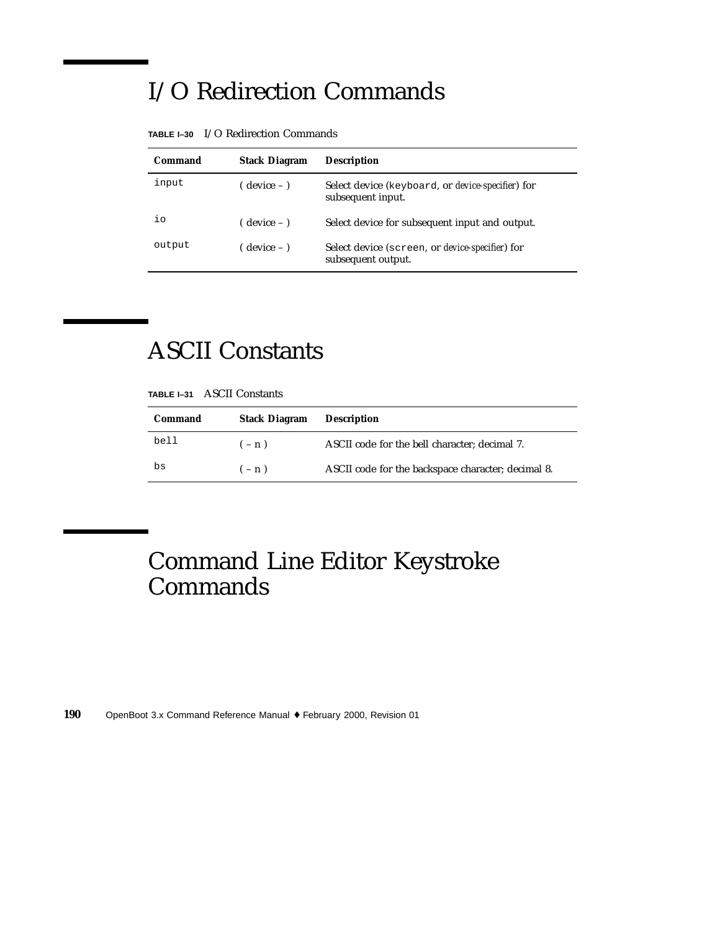### I/O Redirection Commands

| Command | <b>Stack Diagram</b> | <b>Description</b>                                                             |
|---------|----------------------|--------------------------------------------------------------------------------|
| input   | ( device – )         | Select device (keyboard, or <i>device-specifier</i> ) for<br>subsequent input. |
| iο      | $($ device $ )$      | Select device for subsequent input and output.                                 |
| output  | ( device – )         | Select device (screen, or <i>device-specifier</i> ) for<br>subsequent output.  |

**TABLE I–30** I/O Redirection Commands

#### ASCII Constants

| TABLE I-31 | <b>ASCII Constants</b> |
|------------|------------------------|
|            |                        |

| Command | <b>Stack Diagram</b> | <b>Description</b>                                 |
|---------|----------------------|----------------------------------------------------|
| bell    | $(-n)$               | ASCII code for the bell character; decimal 7.      |
| bs      | $(-n)$               | ASCII code for the backspace character; decimal 8. |

#### Command Line Editor Keystroke **Commands**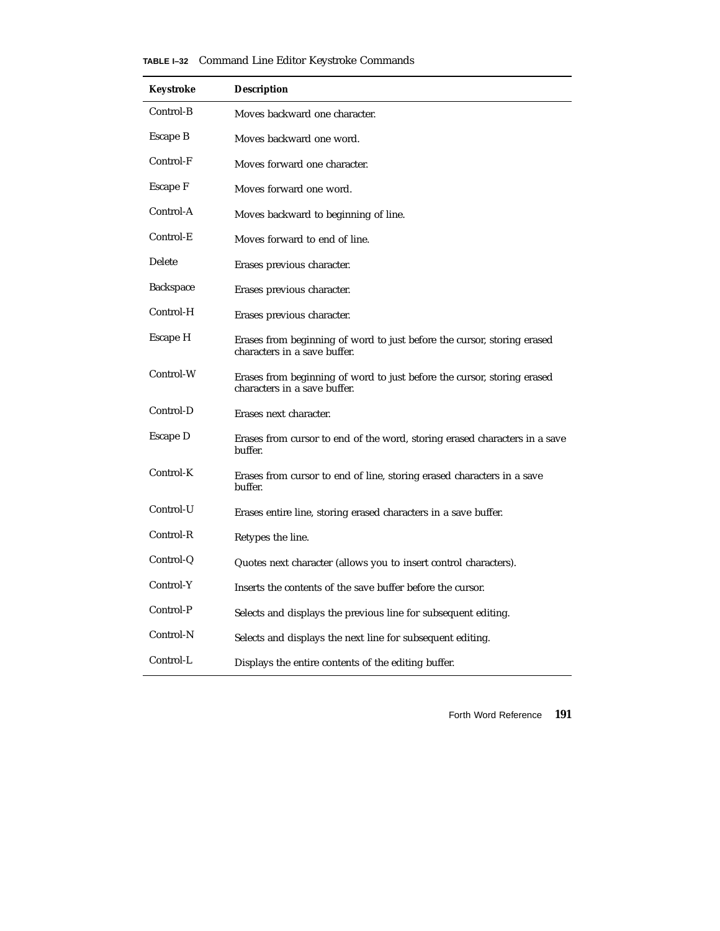| <b>TABLE I-32</b> Command Line Editor Keystroke Commands |  |  |  |
|----------------------------------------------------------|--|--|--|
|                                                          |  |  |  |

| Keystroke        | <b>Description</b>                                                                                      |
|------------------|---------------------------------------------------------------------------------------------------------|
| Control-B        | Moves backward one character.                                                                           |
| Escape B         | Moves backward one word.                                                                                |
| Control-F        | Moves forward one character.                                                                            |
| Escape F         | Moves forward one word.                                                                                 |
| Control-A        | Moves backward to beginning of line.                                                                    |
| Control-E        | Moves forward to end of line.                                                                           |
| Delete           | Erases previous character.                                                                              |
| <b>Backspace</b> | Erases previous character.                                                                              |
| Control-H        | Erases previous character.                                                                              |
| Escape H         | Erases from beginning of word to just before the cursor, storing erased<br>characters in a save buffer. |
| Control-W        | Erases from beginning of word to just before the cursor, storing erased<br>characters in a save buffer. |
| Control-D        | Erases next character.                                                                                  |
| Escape D         | Erases from cursor to end of the word, storing erased characters in a save<br>buffer.                   |
| Control-K        | Erases from cursor to end of line, storing erased characters in a save<br>buffer.                       |
| Control-U        | Erases entire line, storing erased characters in a save buffer.                                         |
| Control-R        | Retypes the line.                                                                                       |
| Control-Q        | Quotes next character (allows you to insert control characters).                                        |
| Control-Y        | Inserts the contents of the save buffer before the cursor.                                              |
| Control-P        | Selects and displays the previous line for subsequent editing.                                          |
| Control-N        | Selects and displays the next line for subsequent editing.                                              |
| Control-L        | Displays the entire contents of the editing buffer.                                                     |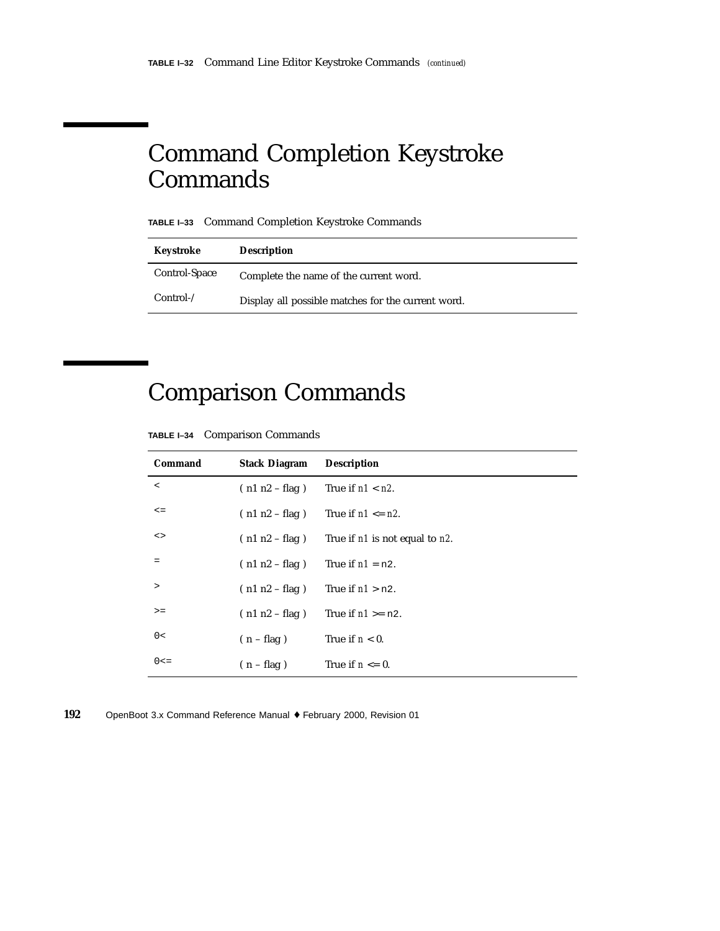#### Command Completion Keystroke **Commands**

**TABLE I–33** Command Completion Keystroke Commands

| Keystroke     | <b>Description</b>                                 |
|---------------|----------------------------------------------------|
| Control-Space | Complete the name of the current word.             |
| $Control-$    | Display all possible matches for the current word. |

## Comparison Commands

| <b>TABLE I-34</b> Comparison Commands |  |  |
|---------------------------------------|--|--|
|---------------------------------------|--|--|

| Command    | <b>Stack Diagram</b> | <b>Description</b>                            |
|------------|----------------------|-----------------------------------------------|
| $\,<$      | $(n1 n2 - flag)$     | True if $n1 < n2$ .                           |
| $\leq$ $=$ | $(n1 n2 - flag)$     | True if $n1 \leq n2$ .                        |
| <>         | $(n1 n2 - flag)$     | True if <i>n1</i> is not equal to <i>n2</i> . |
| $=$        | $(n1 n2 - flag)$     | True if $n1 = n2$ .                           |
| $\geq$     | $(n1 n2 - flag)$     | True if $n1 > n2$ .                           |
| $>=$       | $(n1 n2 - flag)$     | True if $n1 \ge n2$ .                         |
| 0<         | $(n - flag)$         | True if $n < 0$ .                             |
| $0 < =$    | $(n - flag)$         | True if $n \leq 0$ .                          |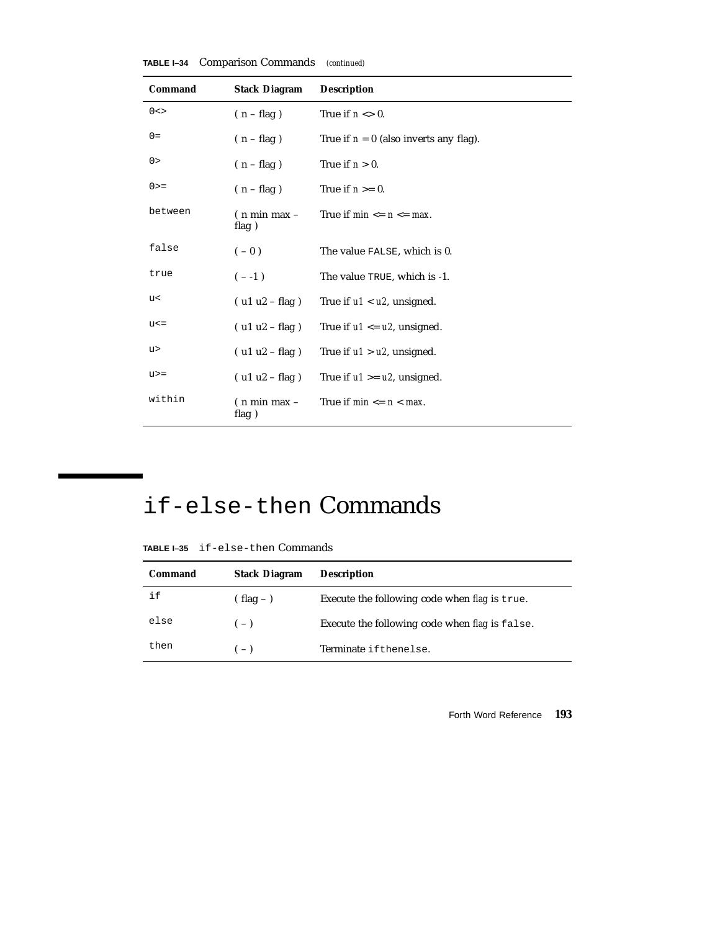| Command   | <b>Stack Diagram</b>                        | <b>Description</b>                       |
|-----------|---------------------------------------------|------------------------------------------|
| $0 < \gt$ | $(n - flag)$                                | True if $n \leq 0$ .                     |
| $0 =$     | $(n - flag)$                                | True if $n = 0$ (also inverts any flag). |
| 0>        | $(n - flag)$                                | True if $n > 0$ .                        |
| $0 > =$   | $(n - flag)$                                | True if $n \geq 0$ .                     |
| between   | $(n \text{ min } max -$<br>flag)            | True if $min \le n \le max$ .            |
| false     | $(-0)$                                      | The value FALSE, which is 0.             |
| true      | $(- -1)$                                    | The value TRUE, which is -1.             |
| u<        | $( u1 u2 - flag )$                          | True if $u1 < u2$ , unsigned.            |
| $u < =$   | $( ulu2 - flag)$                            | True if $u1 \leq u2$ , unsigned.         |
| u>        | $( ulu2 - flag)$                            | True if $u1 > u2$ , unsigned.            |
| $u>=$     | $( u1 u2 - flag )$                          | True if $u1 \geq u2$ , unsigned.         |
| within    | $(n \text{ min } \text{max } -$<br>flag $)$ | True if $min \le n \le max$ .            |

**TABLE I–34** Comparison Commands *(continued)*

#### if-else-then Commands

**TABLE I–35** if-else-then Commands

| Command | <b>Stack Diagram</b> | <b>Description</b>                             |
|---------|----------------------|------------------------------------------------|
| if      | $(hag -)$            | Execute the following code when flag is true.  |
| else    | $(-)$                | Execute the following code when flag is false. |
| then    | $(-)$                | Terminate ifthenelse.                          |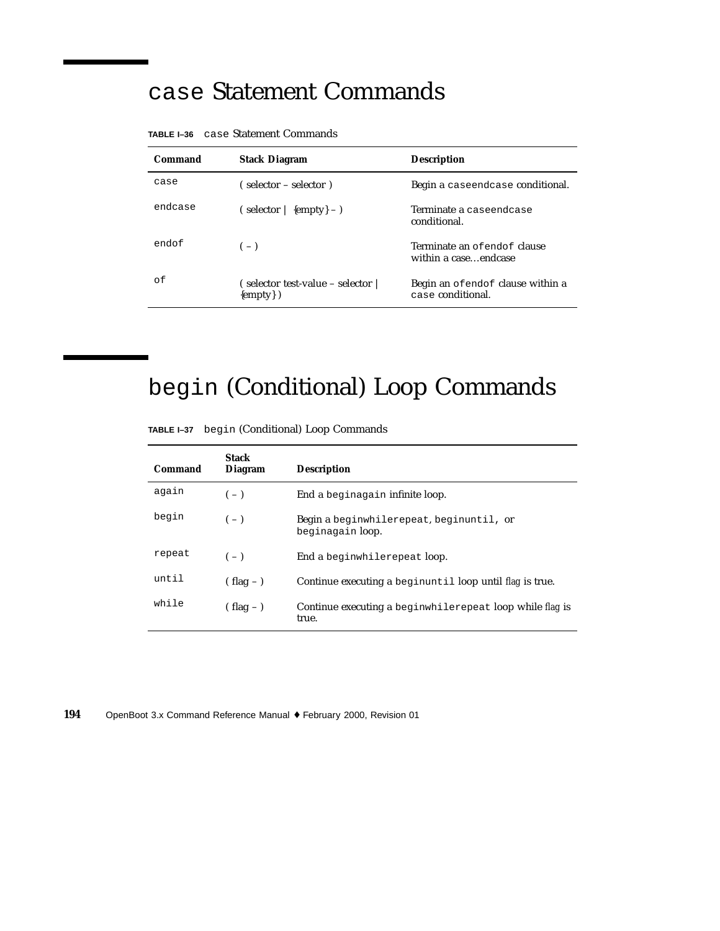#### case Statement Commands

| Command | <b>Stack Diagram</b>                             | <b>Description</b>                                    |  |
|---------|--------------------------------------------------|-------------------------------------------------------|--|
| case    | $\epsilon$ selector – selector)                  | Begin a caseendcase conditional.                      |  |
| endcase | $(s^{elector}   \{empty\} - )$                   | Terminate a caseendcase<br>conditional.               |  |
| endof   | $(-)$                                            | Terminate an of endof clause<br>within a caseendcase  |  |
| οf      | (selector test-value – selector  <br>${empty}$ ) | Begin an ofendof clause within a<br>case conditional. |  |

**TABLE I–36** case Statement Commands

## begin (Conditional) Loop Commands

**TABLE I–37** begin (Conditional) Loop Commands

| Command | <b>Stack</b><br><b>Diagram</b> | <b>Description</b>                                                |
|---------|--------------------------------|-------------------------------------------------------------------|
| again   | $(-)$                          | End a beginagain infinite loop.                                   |
| begin   | $(-)$                          | Begin a beginwhilerepeat, beginuntil, or<br>beginagain loop.      |
| repeat  | $(-)$                          | End a beginwhilerepeat loop.                                      |
| until   | $(hag -)$                      | Continue executing a beginuntil loop until flag is true.          |
| while   | $(hag -)$                      | Continue executing a beginwhilerepeat loop while flag is<br>true. |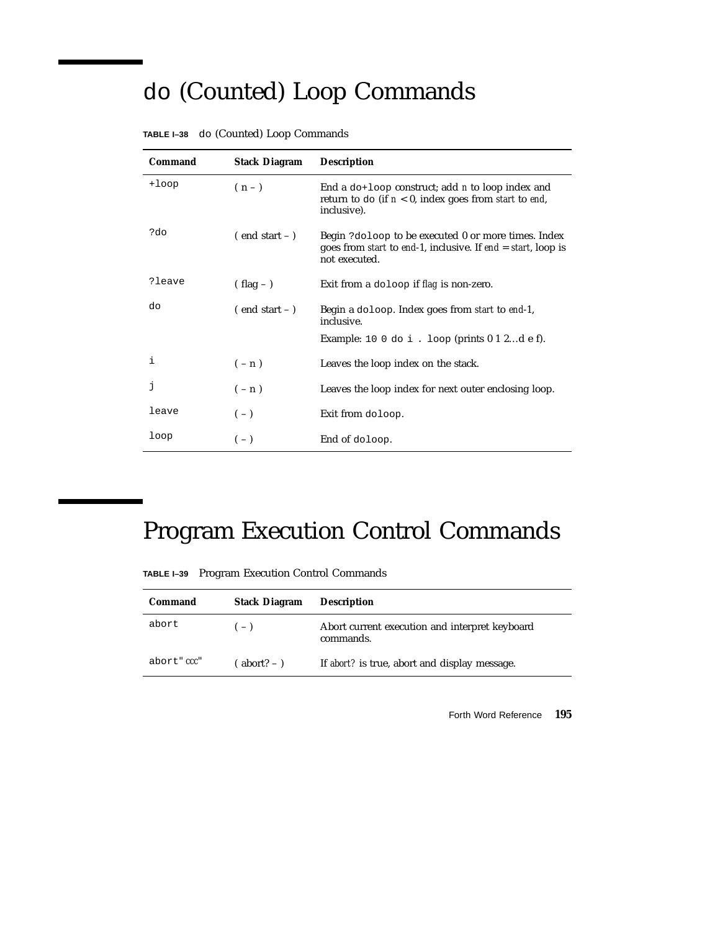## do (Counted) Loop Commands

| Command  | <b>Stack Diagram</b> | <b>Description</b>                                                                                                                                    |
|----------|----------------------|-------------------------------------------------------------------------------------------------------------------------------------------------------|
| $+1$ oop | $(n-1)$              | End a do+loop construct; add <i>n</i> to loop index and<br>return to do (if $n < 0$ , index goes from start to end,<br>inclusive).                    |
| ?do      | $($ end start $ )$   | Begin ?doloop to be executed 0 or more times. Index<br>goes from <i>start</i> to end-1, inclusive. If end $=$ <i>start</i> , loop is<br>not executed. |
| ?leave   | $( flag - )$         | Exit from a doloop if flag is non-zero.                                                                                                               |
| do       | $($ end start $ )$   | Begin a doloop. Index goes from <i>start</i> to end-1,<br>inclusive.                                                                                  |
|          |                      | Example: 10 0 do i. loop (prints $0$ 1 2d e f).                                                                                                       |
| i        | $(-n)$               | Leaves the loop index on the stack.                                                                                                                   |
| j        | $(-n)$               | Leaves the loop index for next outer enclosing loop.                                                                                                  |
| leave    | $(-)$                | Exit from doloop.                                                                                                                                     |
| loop     | $(-)$                | End of doloop.                                                                                                                                        |

|  |  |  |  | TABLE I-38 do (Counted) Loop Commands |
|--|--|--|--|---------------------------------------|
|--|--|--|--|---------------------------------------|

## Program Execution Control Commands

**TABLE I–39** Program Execution Control Commands

| Command     | <b>Stack Diagram</b> | <b>Description</b>                                          |
|-------------|----------------------|-------------------------------------------------------------|
| abort       | $(-)$                | Abort current execution and interpret keyboard<br>commands. |
| abort" ccc" | abort? $-$ )         | If abort? is true, abort and display message.               |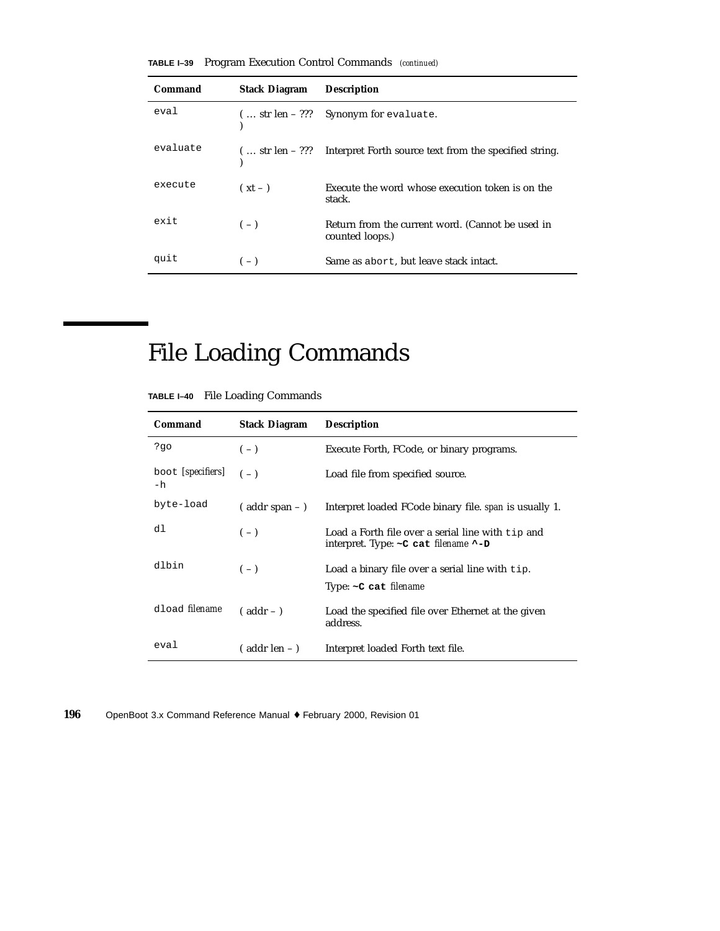|  |  |  |  | <b>TABLE I-39</b> Program Execution Control Commands (continued) |  |
|--|--|--|--|------------------------------------------------------------------|--|
|--|--|--|--|------------------------------------------------------------------|--|

| Command  | <b>Stack Diagram</b> | <b>Description</b>                                                                |
|----------|----------------------|-----------------------------------------------------------------------------------|
| eval     |                      | $(  str len - ???$ Synonym for evaluate.                                          |
| evaluate |                      | ( $\ldots$ str len – ??? – Interpret Forth source text from the specified string. |
| execute  | $(xt - )$            | Execute the word whose execution token is on the<br>stack.                        |
| exit     | $(-)$                | Return from the current word. (Cannot be used in<br>counted loops.)               |
| quit     | $(-)$                | Same as abort, but leave stack intact.                                            |

## File Loading Commands

|  |  |  | TABLE I-40 File Loading Commands |
|--|--|--|----------------------------------|
|--|--|--|----------------------------------|

| Command                 | <b>Stack Diagram</b> | <b>Description</b>                                                                                           |
|-------------------------|----------------------|--------------------------------------------------------------------------------------------------------------|
| ?go                     | $(-)$                | Execute Forth, FCode, or binary programs.                                                                    |
| boot [specifiers]<br>-h | $(-)$                | Load file from specified source.                                                                             |
| byte-load               | $($ addr span $ )$   | Interpret loaded FCode binary file. <i>span</i> is usually 1.                                                |
| dl                      | $(-)$                | Load a Forth file over a serial line with tip and<br>interpret. Type: $\sim$ C cat <i>filename</i> $\sim$ -D |
| dlbin                   | $(-)$                | Load a binary file over a serial line with tip.<br>Type: $\sim$ C cat filename                               |
| dload <i>filename</i>   | $($ addr $-$ )       | Load the specified file over Ethernet at the given<br>address.                                               |
| eval                    | $($ addr len $-$ )   | Interpret loaded Forth text file.                                                                            |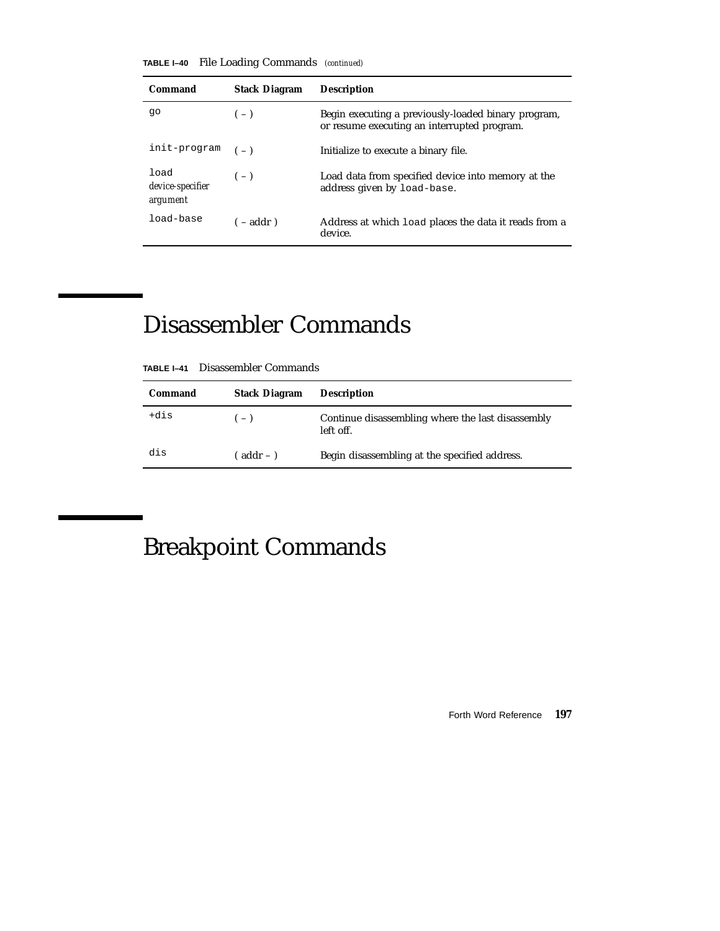**TABLE I–40** File Loading Commands *(continued)*

| Command                              | <b>Stack Diagram</b> | <b>Description</b>                                                                                 |
|--------------------------------------|----------------------|----------------------------------------------------------------------------------------------------|
| qo                                   | $(-)$                | Begin executing a previously-loaded binary program,<br>or resume executing an interrupted program. |
| init-program                         | $(-)$                | Initialize to execute a binary file.                                                               |
| load<br>device-specifier<br>argument | $(-)$                | Load data from specified device into memory at the<br>address given by load-base.                  |
| load-base                            | $(-addr)$            | Address at which load places the data it reads from a<br>device.                                   |

## Disassembler Commands

| Command | <b>Stack Diagram</b> | <b>Description</b>                                             |
|---------|----------------------|----------------------------------------------------------------|
| +dis    | $(-)$                | Continue disassembling where the last disassembly<br>left off. |
| dis     | ( addr – )           | Begin disassembling at the specified address.                  |

## Breakpoint Commands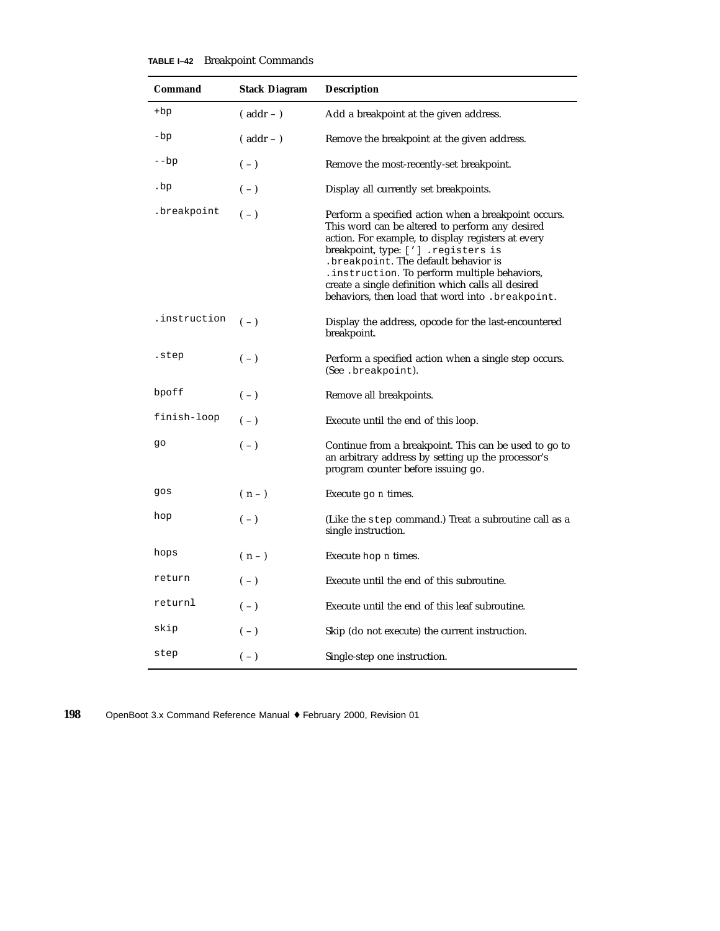#### **TABLE I–42** Breakpoint Commands

| Command        | <b>Stack Diagram</b> | <b>Description</b>                                                                                                                                                                                                                                                                                                                                                                                       |
|----------------|----------------------|----------------------------------------------------------------------------------------------------------------------------------------------------------------------------------------------------------------------------------------------------------------------------------------------------------------------------------------------------------------------------------------------------------|
| $+bp$          | $($ addr $ )$        | Add a breakpoint at the given address.                                                                                                                                                                                                                                                                                                                                                                   |
| -bp            | $($ addr $ )$        | Remove the breakpoint at the given address.                                                                                                                                                                                                                                                                                                                                                              |
| $-\mathsf{bp}$ | $(-)$                | Remove the most-recently-set breakpoint.                                                                                                                                                                                                                                                                                                                                                                 |
| .bp            | $(-)$                | Display all currently set breakpoints.                                                                                                                                                                                                                                                                                                                                                                   |
| .breakpoint    | $(-)$                | Perform a specified action when a breakpoint occurs.<br>This word can be altered to perform any desired<br>action. For example, to display registers at every<br>breakpoint, type: ['] .registers is<br>.breakpoint. The default behavior is<br>. instruction. To perform multiple behaviors,<br>create a single definition which calls all desired<br>behaviors, then load that word into . breakpoint. |
| .instruction   | $(-)$                | Display the address, opcode for the last-encountered<br>breakpoint.                                                                                                                                                                                                                                                                                                                                      |
| .step          | $(-)$                | Perform a specified action when a single step occurs.<br>(See .breakpoint).                                                                                                                                                                                                                                                                                                                              |
| bpoff          | $(-)$                | Remove all breakpoints.                                                                                                                                                                                                                                                                                                                                                                                  |
| finish-loop    | $(-)$                | Execute until the end of this loop.                                                                                                                                                                                                                                                                                                                                                                      |
| go             | $(-)$                | Continue from a breakpoint. This can be used to go to<br>an arbitrary address by setting up the processor's<br>program counter before issuing go.                                                                                                                                                                                                                                                        |
| gos            | $(n-1)$              | Execute $q_0$ <i>n</i> times.                                                                                                                                                                                                                                                                                                                                                                            |
| hop            | $(-)$                | (Like the step command.) Treat a subroutine call as a<br>single instruction.                                                                                                                                                                                                                                                                                                                             |
| hops           | $(n-1)$              | Execute hop <i>n</i> times.                                                                                                                                                                                                                                                                                                                                                                              |
| return         | $(-)$                | Execute until the end of this subroutine.                                                                                                                                                                                                                                                                                                                                                                |
| returnl        | $(-)$                | Execute until the end of this leaf subroutine.                                                                                                                                                                                                                                                                                                                                                           |
| skip           | $(-)$                | Skip (do not execute) the current instruction.                                                                                                                                                                                                                                                                                                                                                           |
| step           | $(-)$                | Single-step one instruction.                                                                                                                                                                                                                                                                                                                                                                             |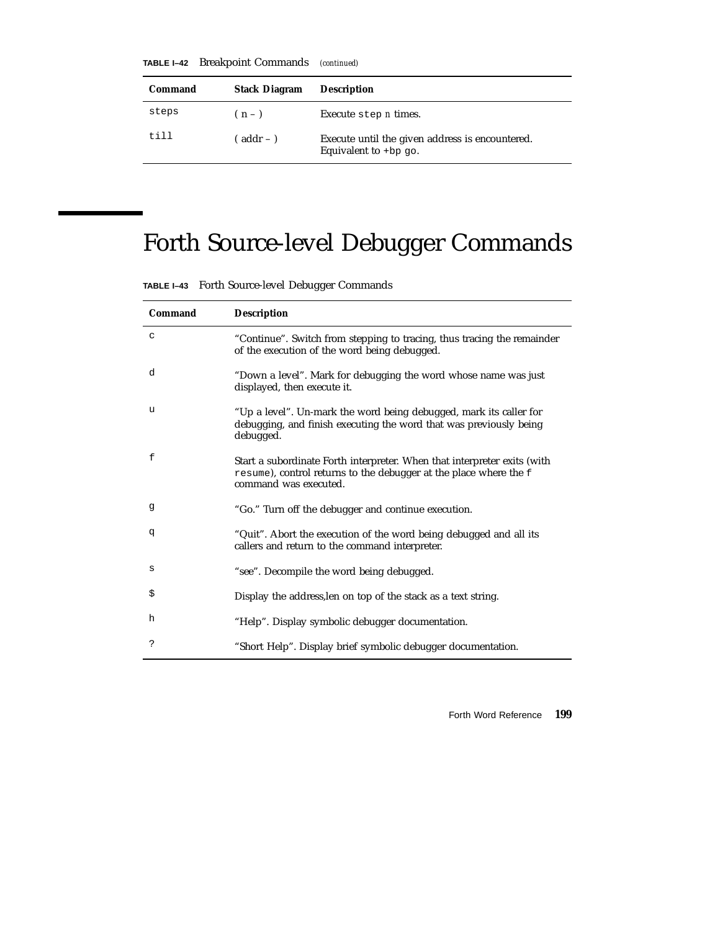**TABLE I–42** Breakpoint Commands *(continued)*

| Command | <b>Stack Diagram</b> | <b>Description</b>                                                         |
|---------|----------------------|----------------------------------------------------------------------------|
| steps   | $(n-1)$              | Execute step <i>n</i> times.                                               |
| till    | $($ addr $ )$        | Execute until the given address is encountered.<br>Equivalent to $+bp$ go. |

# Forth Source-level Debugger Commands

|  | TABLE I-43 Forth Source-level Debugger Commands |  |  |  |
|--|-------------------------------------------------|--|--|--|
|--|-------------------------------------------------|--|--|--|

| Command | <b>Description</b>                                                                                                                                                     |
|---------|------------------------------------------------------------------------------------------------------------------------------------------------------------------------|
| C       | "Continue". Switch from stepping to tracing, thus tracing the remainder<br>of the execution of the word being debugged.                                                |
| d       | "Down a level". Mark for debugging the word whose name was just<br>displayed, then execute it.                                                                         |
| u       | "Up a level". Un-mark the word being debugged, mark its caller for<br>debugging, and finish executing the word that was previously being<br>debugged.                  |
| f       | Start a subordinate Forth interpreter. When that interpreter exits (with<br>resume), control returns to the debugger at the place where the f<br>command was executed. |
| g       | "Go." Turn off the debugger and continue execution.                                                                                                                    |
| đ       | "Quit". Abort the execution of the word being debugged and all its<br>callers and return to the command interpreter.                                                   |
| s       | "see". Decompile the word being debugged.                                                                                                                              |
| \$      | Display the address, len on top of the stack as a text string.                                                                                                         |
| h       | "Help". Display symbolic debugger documentation.                                                                                                                       |
| ?       | "Short Help". Display brief symbolic debugger documentation.                                                                                                           |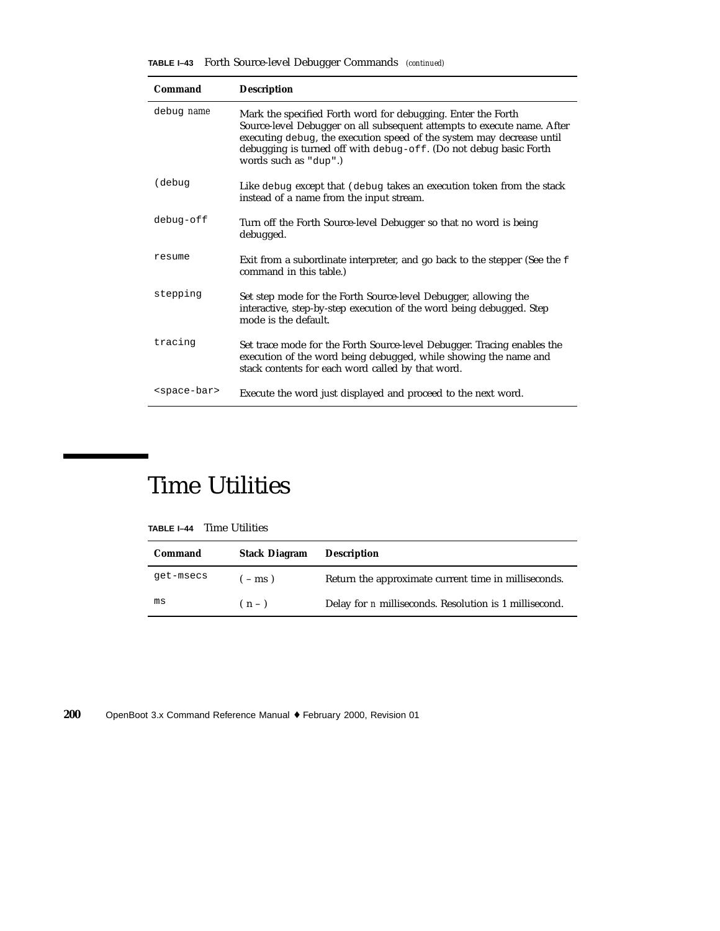**TABLE I–43** Forth Source-level Debugger Commands *(continued)*

| Command                 | <b>Description</b>                                                                                                                                                                                                                                                                                             |
|-------------------------|----------------------------------------------------------------------------------------------------------------------------------------------------------------------------------------------------------------------------------------------------------------------------------------------------------------|
| debug name              | Mark the specified Forth word for debugging. Enter the Forth<br>Source-level Debugger on all subsequent attempts to execute name. After<br>executing debug, the execution speed of the system may decrease until<br>debugging is turned off with debug-off. (Do not debug basic Forth<br>words such as "dup".) |
| (debug                  | Like debug except that (debug takes an execution token from the stack<br>instead of a name from the input stream.                                                                                                                                                                                              |
| debug-off               | Turn off the Forth Source-level Debugger so that no word is being<br>debugged.                                                                                                                                                                                                                                 |
| resume                  | Exit from a subordinate interpreter, and go back to the stepper (See the f<br>command in this table.)                                                                                                                                                                                                          |
| stepping                | Set step mode for the Forth Source-level Debugger, allowing the<br>interactive, step-by-step execution of the word being debugged. Step<br>mode is the default.                                                                                                                                                |
| tracing                 | Set trace mode for the Forth Source-level Debugger. Tracing enables the<br>execution of the word being debugged, while showing the name and<br>stack contents for each word called by that word.                                                                                                               |
| <space-bar></space-bar> | Execute the word just displayed and proceed to the next word.                                                                                                                                                                                                                                                  |

### Time Utilities

| TABLE I-44 | <b>Time Utilities</b> |
|------------|-----------------------|
|------------|-----------------------|

| Command   | <b>Stack Diagram</b> | <b>Description</b>                                            |
|-----------|----------------------|---------------------------------------------------------------|
| get-msecs | $-$ ms)              | Return the approximate current time in milliseconds.          |
| ms        | $(n-1)$              | Delay for <i>n</i> milliseconds. Resolution is 1 millisecond. |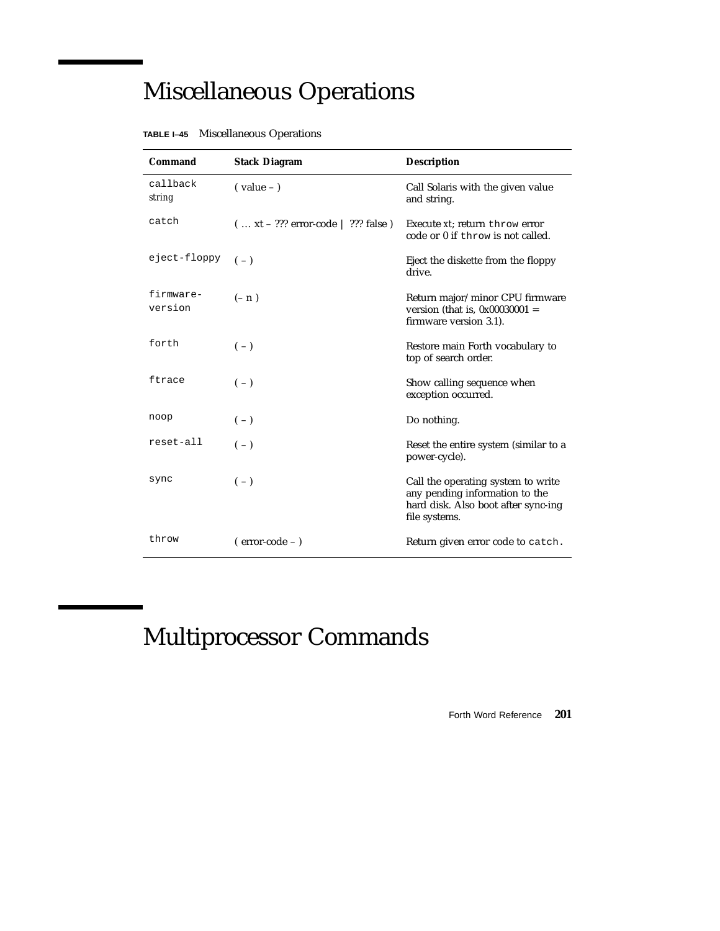## Miscellaneous Operations

| <b>Command</b>       | <b>Stack Diagram</b>                | <b>Description</b>                                                                                                           |
|----------------------|-------------------------------------|------------------------------------------------------------------------------------------------------------------------------|
| callback<br>string   | $\frac{1}{2}$ value – $\frac{1}{2}$ | Call Solaris with the given value<br>and string.                                                                             |
| catch                | $(xt - ??? error-code   ??? false)$ | Execute xt; return throw error<br>code or 0 if throw is not called.                                                          |
| eject-floppy         | $(-)$                               | Eject the diskette from the floppy<br>drive.                                                                                 |
| firmware-<br>version | $(-n)$                              | Return major/minor CPU firmware<br>version (that is, $0x00030001 =$<br>firmware version 3.1).                                |
| forth                | $(-)$                               | Restore main Forth vocabulary to<br>top of search order.                                                                     |
| ftrace               | $(-)$                               | Show calling sequence when<br>exception occurred.                                                                            |
| noop                 | $(-)$                               | Do nothing.                                                                                                                  |
| reset-all            | $(-)$                               | Reset the entire system (similar to a<br>power-cycle).                                                                       |
| sync                 | $(-)$                               | Call the operating system to write<br>any pending information to the<br>hard disk. Also boot after sync-ing<br>file systems. |
| throw                | $(error-code - )$                   | Return given error code to catch.                                                                                            |

**TABLE I–45** Miscellaneous Operations

# Multiprocessor Commands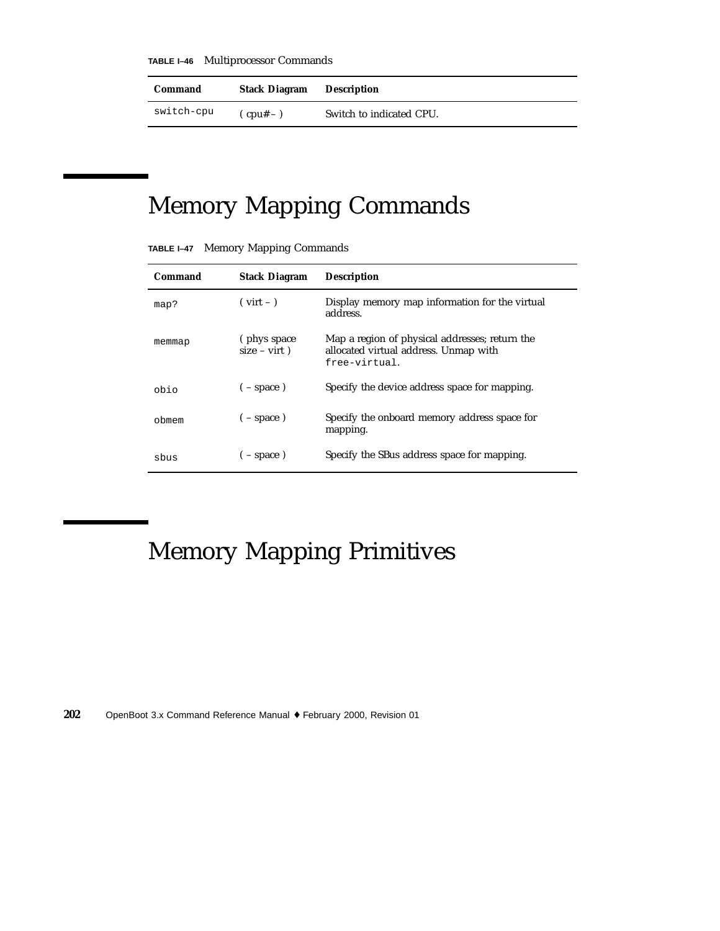**TABLE I–46** Multiprocessor Commands

| Command    | <b>Stack Diagram</b>   | Description              |
|------------|------------------------|--------------------------|
| switch-cpu | $(\text{cpu}^{\#} - )$ | Switch to indicated CPU. |

## Memory Mapping Commands

| TABLE I-47 |  |  | <b>Memory Mapping Commands</b> |  |
|------------|--|--|--------------------------------|--|
|------------|--|--|--------------------------------|--|

| Command | <b>Stack Diagram</b>            | <b>Description</b>                                                                                       |
|---------|---------------------------------|----------------------------------------------------------------------------------------------------------|
| map?    | $(virt - )$                     | Display memory map information for the virtual<br>address.                                               |
| memmap  | (phys space)<br>$size - virt$ ) | Map a region of physical addresses; return the<br>allocated virtual address. Unmap with<br>free-virtual. |
| obio    | $(- space)$                     | Specify the device address space for mapping.                                                            |
| obmem   | $(-$ space)                     | Specify the onboard memory address space for<br>mapping.                                                 |
| sbus    | $(- space)$                     | Specify the SBus address space for mapping.                                                              |

## Memory Mapping Primitives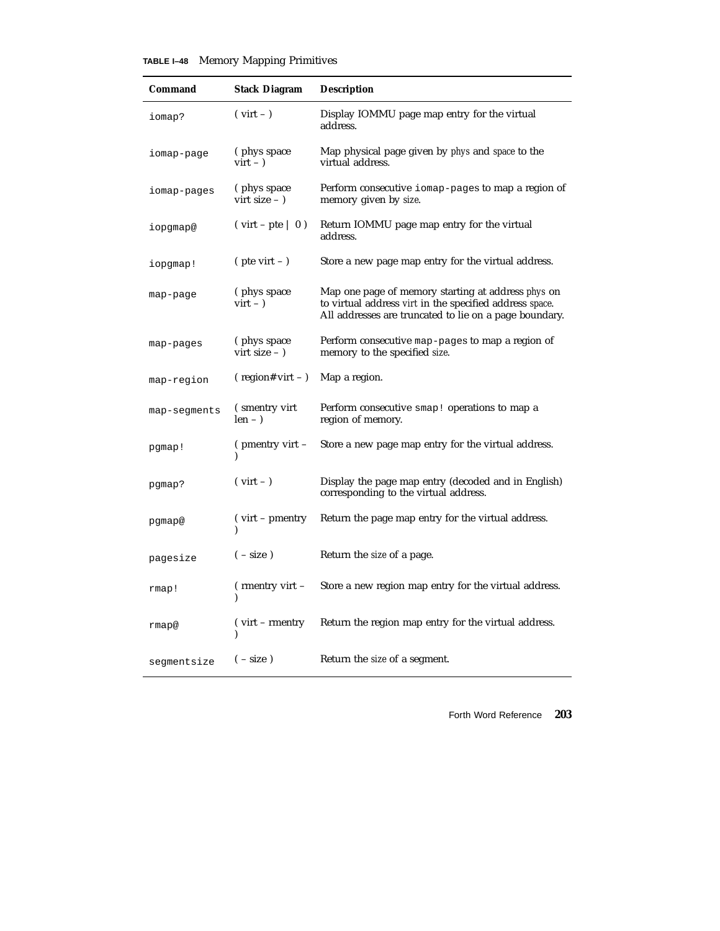#### **TABLE I–48** Memory Mapping Primitives

| Command      | <b>Stack Diagram</b>                 | <b>Description</b>                                                                                                                                                      |
|--------------|--------------------------------------|-------------------------------------------------------------------------------------------------------------------------------------------------------------------------|
| iomap?       | $(virt - )$                          | Display IOMMU page map entry for the virtual<br>address.                                                                                                                |
| iomap-page   | (phys space)<br>$virt - )$           | Map physical page given by <i>phys</i> and <i>space</i> to the<br>virtual address.                                                                                      |
| iomap-pages  | (phys space)<br>virt size $ )$       | Perform consecutive iomap-pages to map a region of<br>memory given by size.                                                                                             |
| iopgmap@     | $(\text{virt}-\text{pte} \mid 0)$    | Return IOMMU page map entry for the virtual<br>address.                                                                                                                 |
| iopgmap!     | ( pte virt $-$ )                     | Store a new page map entry for the virtual address.                                                                                                                     |
| map-page     | (phys space)<br>$virt - )$           | Map one page of memory starting at address phys on<br>to virtual address virt in the specified address space.<br>All addresses are truncated to lie on a page boundary. |
| map-pages    | (phys space)<br>virt size $ )$       | Perform consecutive map-pages to map a region of<br>memory to the specified size.                                                                                       |
| map-region   | $(\text{region} \# \text{ virt} - )$ | Map a region.                                                                                                                                                           |
| map-segments | (smentry virt)<br>$len - )$          | Perform consecutive smap! operations to map a<br>region of memory.                                                                                                      |
| pgmap!       | $($ pmentry virt $-$                 | Store a new page map entry for the virtual address.                                                                                                                     |
| pgmap?       | $(virt - )$                          | Display the page map entry (decoded and in English)<br>corresponding to the virtual address.                                                                            |
| pgmap@       | $\frac{1}{2}$ virt – pmentry         | Return the page map entry for the virtual address.                                                                                                                      |
| pagesize     | $(-size)$                            | Return the <i>size</i> of a page.                                                                                                                                       |
| rmap!        | ( rmentry virt –                     | Store a new region map entry for the virtual address.                                                                                                                   |
| rmap@        | $\frac{1}{2}$ virt – rmentry         | Return the region map entry for the virtual address.                                                                                                                    |
| segmentsize  | $(-size)$                            | Return the <i>size</i> of a segment.                                                                                                                                    |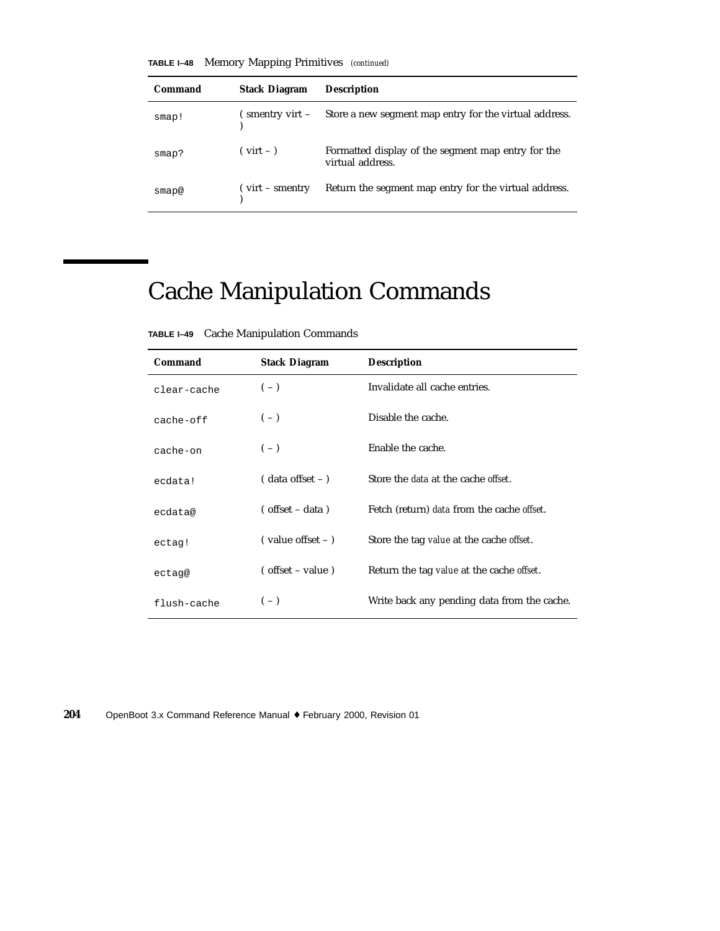**TABLE I–48** Memory Mapping Primitives *(continued)*

| Command | <b>Stack Diagram</b>                | <b>Description</b>                                                     |
|---------|-------------------------------------|------------------------------------------------------------------------|
| smap!   | ( smentry virt –                    | Store a new segment map entry for the virtual address.                 |
| smap?   | $(virt - )$                         | Formatted display of the segment map entry for the<br>virtual address. |
| smap@   | $\int \text{virt} - \text{smentry}$ | Return the segment map entry for the virtual address.                  |

## Cache Manipulation Commands

**TABLE I–49** Cache Manipulation Commands

| Command     | <b>Stack Diagram</b>                       | <b>Description</b>                                 |
|-------------|--------------------------------------------|----------------------------------------------------|
| clear-cache | $(-)$                                      | Invalidate all cache entries.                      |
| $cache-off$ | $(-)$                                      | Disable the cache.                                 |
| cache-on    | $(-)$                                      | Enable the cache.                                  |
| ecdata!     | $($ data offset $ )$                       | Store the <i>data</i> at the cache <i>offset</i> . |
| ecdata@     | $($ offset – data)                         | Fetch (return) data from the cache <i>offset</i> . |
| ectag!      | $\frac{1}{2}$ value offset - $\frac{1}{2}$ | Store the tag value at the cache offset.           |
| ectag@      | $($ offset – value)                        | Return the tag value at the cache offset.          |
| flush-cache | $(-)$                                      | Write back any pending data from the cache.        |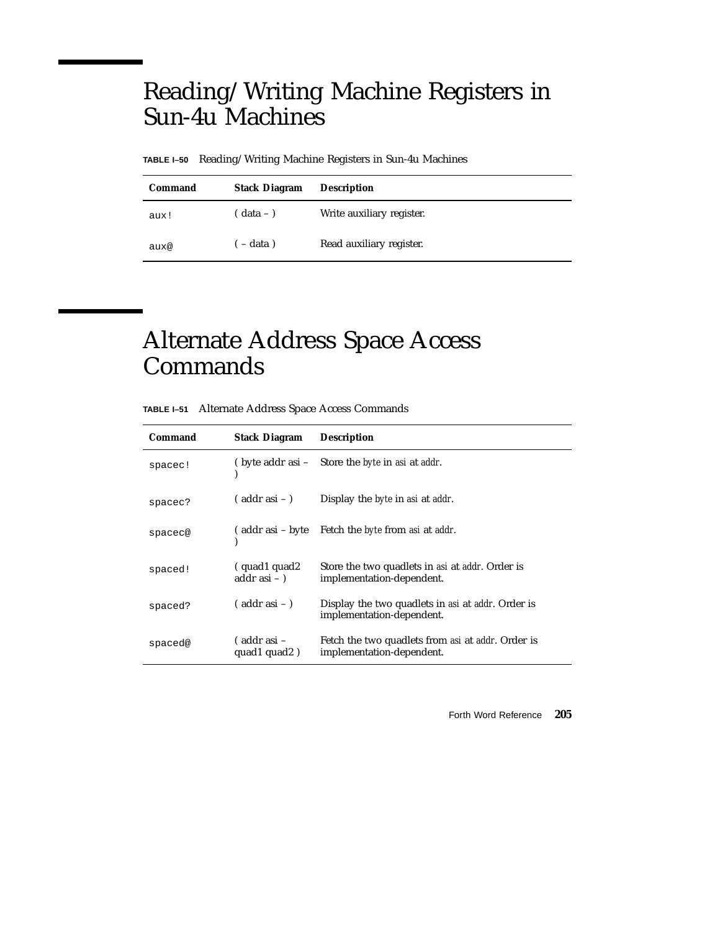#### Reading/Writing Machine Registers in Sun-4u Machines

**TABLE I–50** Reading/Writing Machine Registers in Sun-4u Machines

| Command | <b>Stack Diagram</b> | <b>Description</b>        |
|---------|----------------------|---------------------------|
| aux!    | $( data - )$         | Write auxiliary register. |
| aux@    | $-$ data)            | Read auxiliary register.  |

#### Alternate Address Space Access Commands

| TABLE I-51 Alternate Address Space Access Commands |  |
|----------------------------------------------------|--|
|----------------------------------------------------|--|

| Command | <b>Stack Diagram</b>            | <b>Description</b>                                                             |
|---------|---------------------------------|--------------------------------------------------------------------------------|
| spacec! | ( byte addr asi –               | Store the <i>byte</i> in <i>asi</i> at <i>addr</i> .                           |
| spacec? | $($ addr asi $ )$               | Display the <i>byte</i> in <i>asi</i> at <i>addr</i> .                         |
| spacec@ |                                 | (addr asi – byte Fetch the <i>byte</i> from <i>asi</i> at <i>addr</i> .        |
| spaced! | (quad1 quad2)<br>addr asi $-$ ) | Store the two quadlets in asi at addr. Order is<br>implementation-dependent.   |
| spaced? | $($ addr asi $ )$               | Display the two quadlets in asi at addr. Order is<br>implementation-dependent. |
| spaced@ | ( addr asi –<br>quad1 quad2)    | Fetch the two quadlets from asi at addr. Order is<br>implementation-dependent. |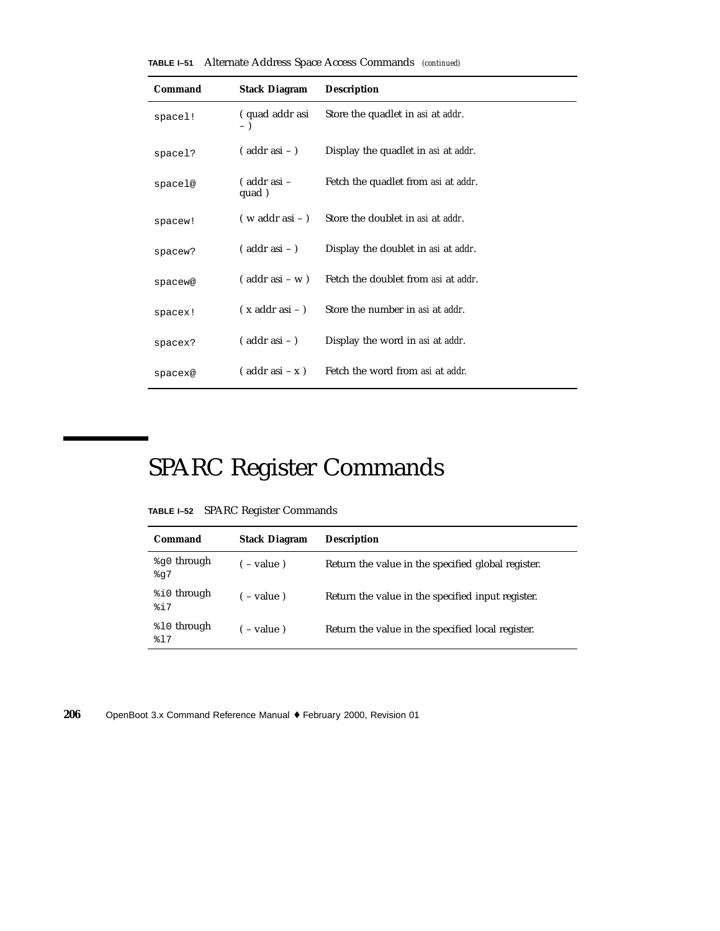| TABLE I-51 | Alternate Address Space Access Commands (continued) |  |  |  |  |  |
|------------|-----------------------------------------------------|--|--|--|--|--|
|------------|-----------------------------------------------------|--|--|--|--|--|

| Command | <b>Stack Diagram</b>      | <b>Description</b>                                 |
|---------|---------------------------|----------------------------------------------------|
| spacel! | (quad addr asi            | Store the quadlet in <i>asi</i> at <i>addr</i> .   |
| spacel? | $($ addr asi $-$ )        | Display the quadlet in <i>asi</i> at <i>addr</i> . |
| spacel@ | (addr asi –<br>quad)      | Fetch the quadlet from asi at addr.                |
| spacew! | $(w$ addr asi $-$ )       | Store the doublet in asi at addr.                  |
| spacew? | $($ addr asi $-$ )        | Display the doublet in asi at addr.                |
| spacew@ | $($ addr asi – w $)$      | Fetch the doublet from asi at addr.                |
| spacex! | $(x \text{ addr asi} - )$ | Store the number in asi at addr.                   |
| spacex? | $($ addr asi $-$ )        | Display the word in <i>asi</i> at <i>addr</i> .    |
| spacex@ | $($ addr asi $- x)$       | Fetch the word from asi at addr.                   |

# SPARC Register Commands

| <b>TABLE I-52</b> SPARC Register Commands |  |  |  |  |
|-------------------------------------------|--|--|--|--|
|-------------------------------------------|--|--|--|--|

| Command                | <b>Stack Diagram</b> | <b>Description</b>                                 |
|------------------------|----------------------|----------------------------------------------------|
| %g0 through<br>$\S q7$ | $(-$ value)          | Return the value in the specified global register. |
| %i0 through<br>817     | $($ – value)         | Return the value in the specified input register.  |
| %10 through<br>817     | $-$ value)           | Return the value in the specified local register.  |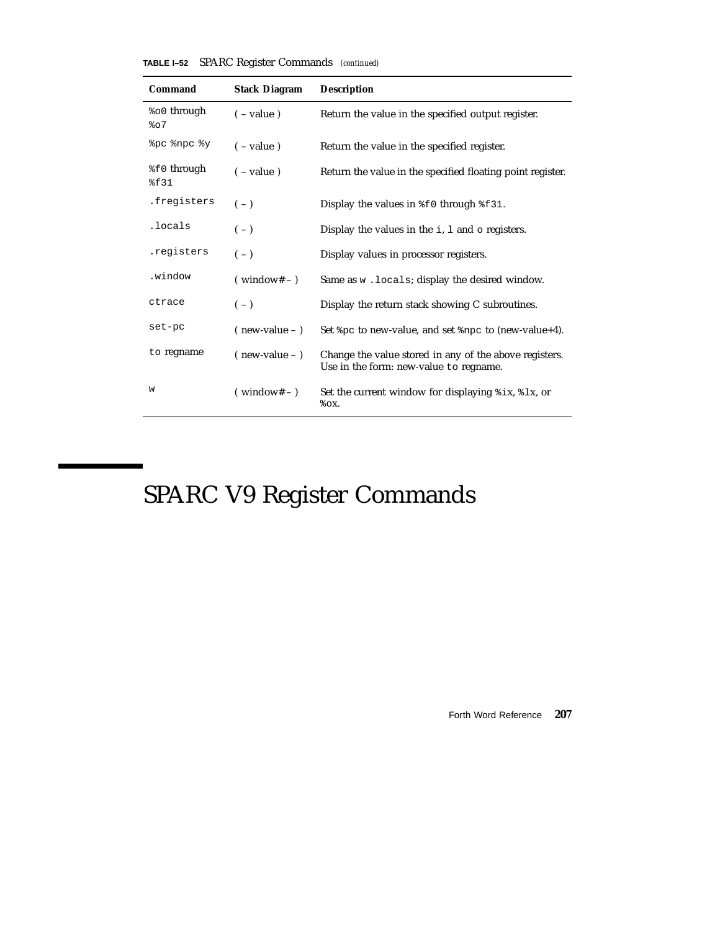#### **TABLE I–52** SPARC Register Commands *(continued)*

| Command                        | <b>Stack Diagram</b>  | <b>Description</b>                                                                               |
|--------------------------------|-----------------------|--------------------------------------------------------------------------------------------------|
| <sup>8</sup> ०० through<br>807 | $(-\text{value})$     | Return the value in the specified output register.                                               |
| opc onpc oy                    | $(-$ value)           | Return the value in the specified register.                                                      |
| %f0 through<br>%f31            | $(-$ value)           | Return the value in the specified floating point register.                                       |
| .freqisters                    | $(-)$                 | Display the values in $\text{\$f0}$ through $\text{\$f31}.$                                      |
| .locals                        | $(-)$                 | Display the values in the $i$ , $l$ and $o$ registers.                                           |
| .registers                     | $(-)$                 | Display values in processor registers.                                                           |
| .window                        | $(\text{window#} - )$ | Same as $w$ . locals; display the desired window.                                                |
| ctrace                         | $(-)$                 | Display the return stack showing C subroutines.                                                  |
| set-pc                         | $($ new-value $ )$    | Set $p$ to new-value, and set $p$ ng to (new-value+4).                                           |
| to regname                     | $($ new-value $ )$    | Change the value stored in any of the above registers.<br>Use in the form: new-value to regname. |
| W                              | $(windown# - )$       | Set the current window for displaying $\frac{1}{2}$ ix, $\frac{1}{2}$ k, or<br>$\delta$ OX.      |

# SPARC V9 Register Commands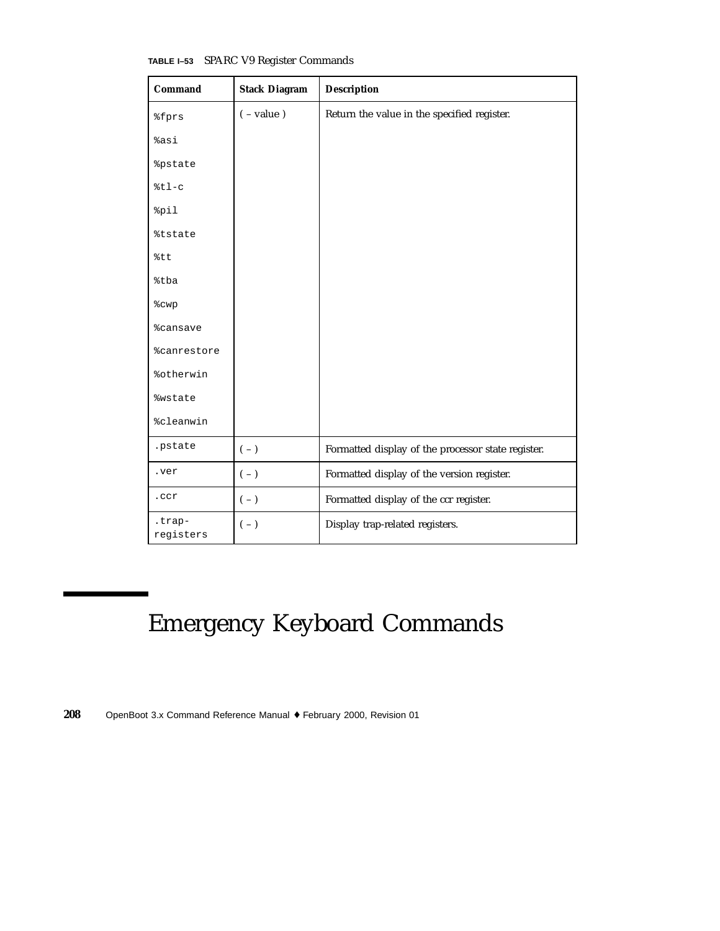| Command                   | <b>Stack Diagram</b> | <b>Description</b>                                 |
|---------------------------|----------------------|----------------------------------------------------|
| <i><b>&amp;fprs</b></i>   | $(-value)$           | Return the value in the specified register.        |
| %asi                      |                      |                                                    |
| <i><b>&amp;pstate</b></i> |                      |                                                    |
| $8t1-c$                   |                      |                                                    |
| %pil                      |                      |                                                    |
| <i><b>&amp;tstate</b></i> |                      |                                                    |
| %tt                       |                      |                                                    |
| %tba                      |                      |                                                    |
| <b>%cwp</b>               |                      |                                                    |
| <i><b>%cansave</b></i>    |                      |                                                    |
| <i><b>%canrestore</b></i> |                      |                                                    |
| %otherwin                 |                      |                                                    |
| <i><b>%wstate</b></i>     |                      |                                                    |
| %cleanwin                 |                      |                                                    |
| .pstate                   | $(-)$                | Formatted display of the processor state register. |
| .ver                      | $(\, - \,)$          | Formatted display of the version register.         |
| .ccr                      | $(-)$                | Formatted display of the ccr register.             |
| .trap-<br>registers       | $(-)$                | Display trap-related registers.                    |

**TABLE I–53** SPARC V9 Register Commands

## Emergency Keyboard Commands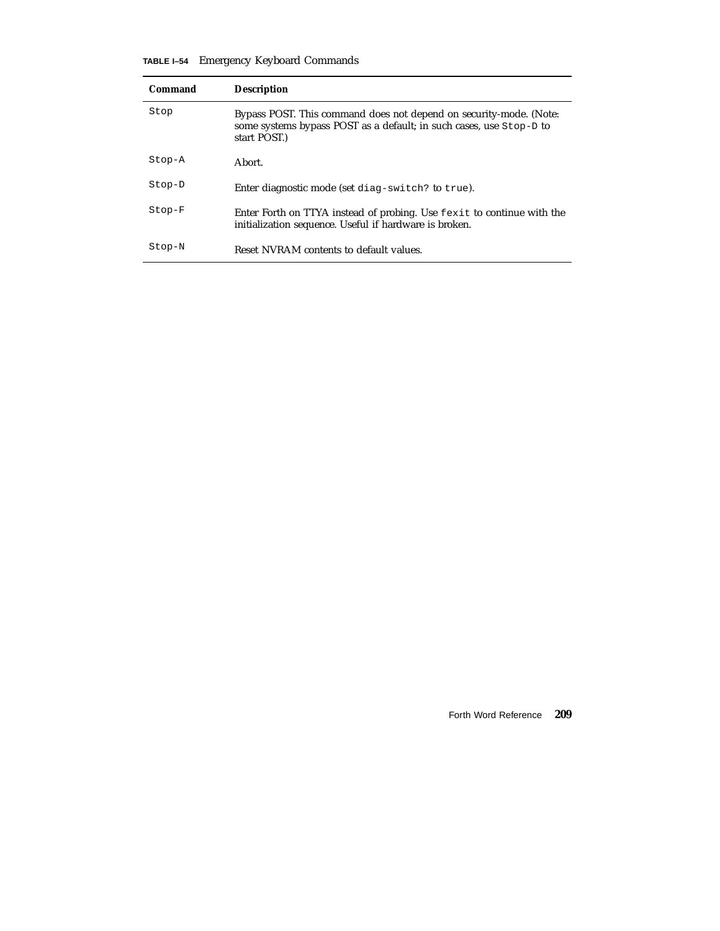|  | TABLE I-54 Emergency Keyboard Commands |  |  |
|--|----------------------------------------|--|--|
|--|----------------------------------------|--|--|

| Command  | <b>Description</b>                                                                                                                                       |
|----------|----------------------------------------------------------------------------------------------------------------------------------------------------------|
| Stop     | Bypass POST. This command does not depend on security-mode. (Note:<br>some systems bypass POST as a default; in such cases, use Stop-D to<br>start POST. |
| Stop-A   | Abort.                                                                                                                                                   |
| Stop-D   | Enter diagnostic mode (set diag-switch? to true).                                                                                                        |
| $Stop-F$ | Enter Forth on TTYA instead of probing. Use fexit to continue with the<br>initialization sequence. Useful if hardware is broken.                         |
| Stop-N   | Reset NVRAM contents to default values.                                                                                                                  |